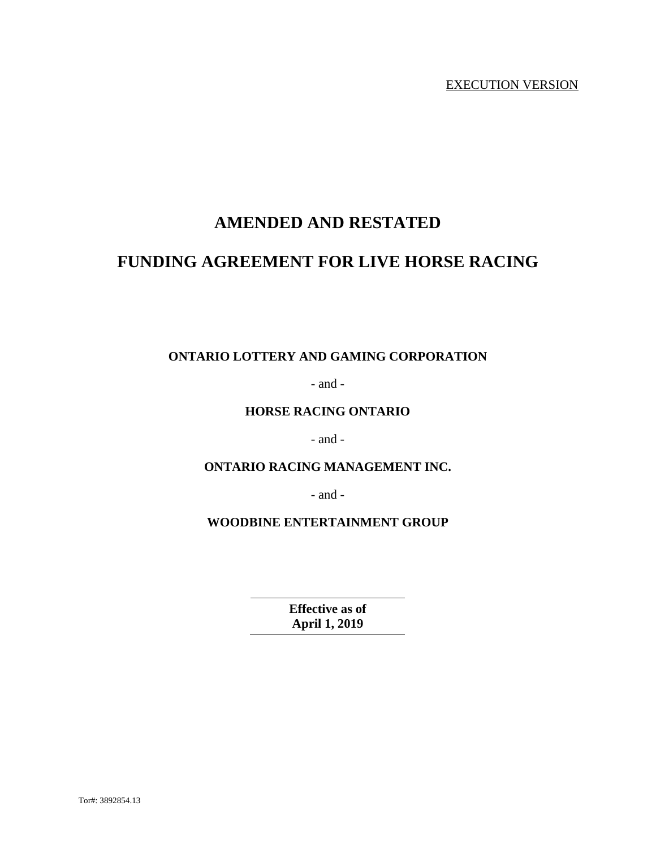# **AMENDED AND RESTATED**

# **FUNDING AGREEMENT FOR LIVE HORSE RACING**

# **ONTARIO LOTTERY AND GAMING CORPORATION**

- and -

# **HORSE RACING ONTARIO**

- and -

# **ONTARIO RACING MANAGEMENT INC.**

- and -

**WOODBINE ENTERTAINMENT GROUP** 

**Effective as of April 1, 2019**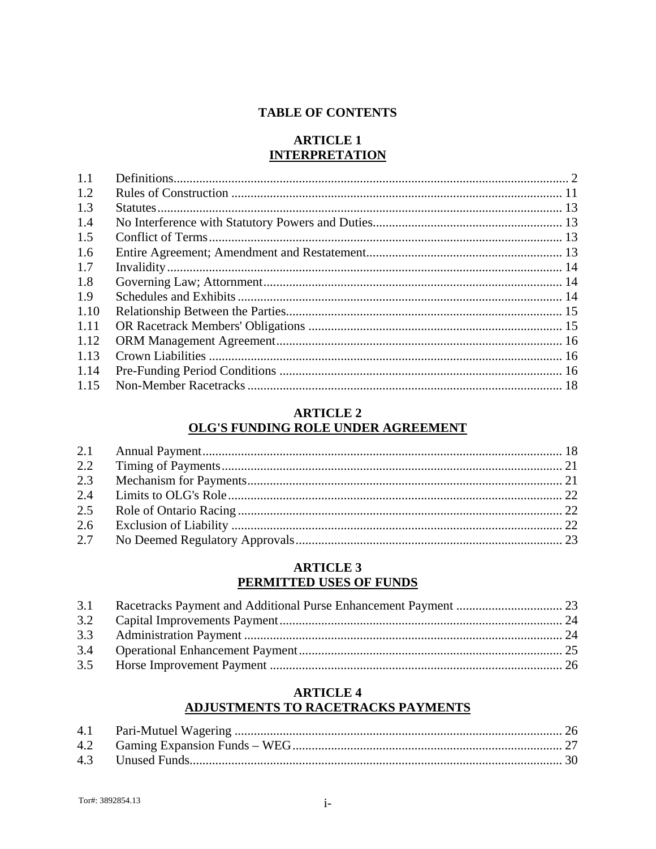### **TABLE OF CONTENTS**

# **ARTICLE 1 INTERPRETATION**

| 1.1  |  |
|------|--|
| 1.2  |  |
| 1.3  |  |
| 1.4  |  |
| 1.5  |  |
| 1.6  |  |
| 1.7  |  |
| 1.8  |  |
| 1.9  |  |
| 1.10 |  |
| 1.11 |  |
| 1.12 |  |
| 1.13 |  |
| 1.14 |  |
| 1.15 |  |

# **ARTICLE 2 OLG'S FUNDING ROLE UNDER AGREEMENT**

# **ARTICLE 3** PERMITTED USES OF FUNDS

# **ARTICLE 4** ADJUSTMENTS TO RACETRACKS PAYMENTS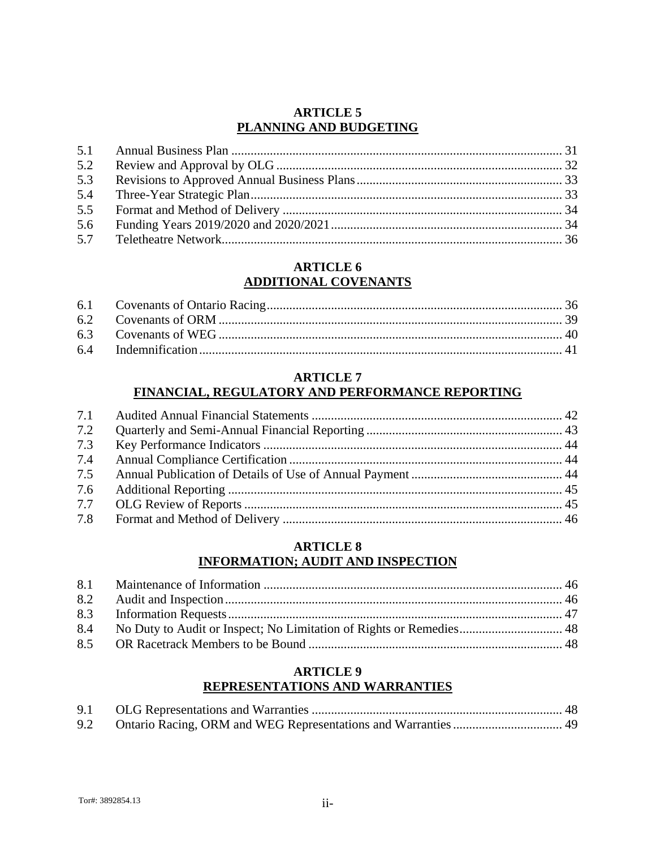# **ARTICLE 5 PLANNING AND BUDGETING**

| 5.2 |  |
|-----|--|
|     |  |
|     |  |
|     |  |
|     |  |
|     |  |

# **ARTICLE 6 ADDITIONAL COVENANTS**

# **ARTICLE 7 FINANCIAL, REGULATORY AND PERFORMANCE REPORTING**

| 7.2 |  |
|-----|--|
| 7.3 |  |
| 7.4 |  |
| 7.5 |  |
| 7.6 |  |
| 7.7 |  |
| 7.8 |  |

# **ARTICLE 8 INFORMATION; AUDIT AND INSPECTION**

# **ARTICLE 9 REPRESENTATIONS AND WARRANTIES**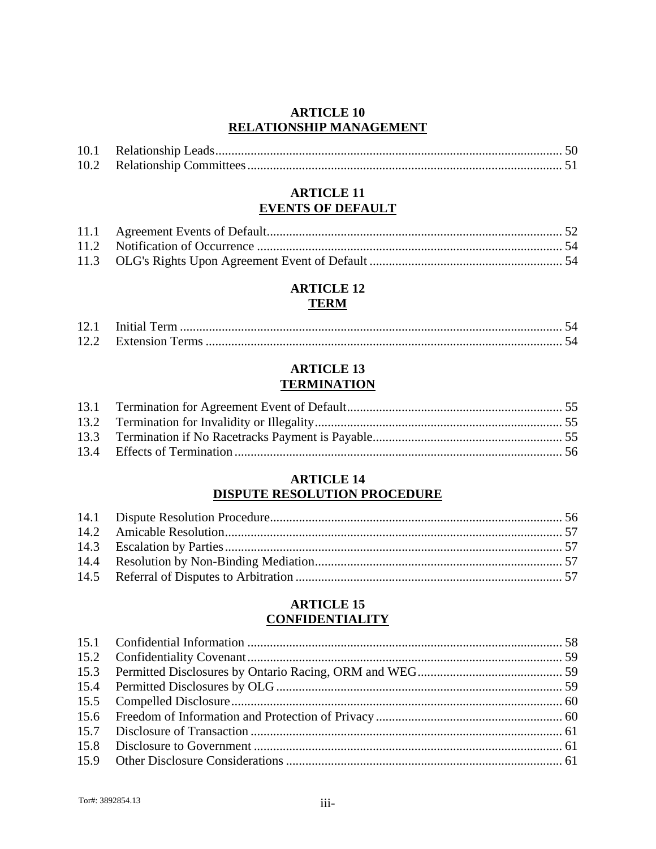# **ARTICLE 10 RELATIONSHIP MANAGEMENT**

#### **ARTICLE 11 EVENTS OF DEFAULT**

# **ARTICLE 12 TERM**

# **ARTICLE 13 TERMINATION**

# **ARTICLE 14 DISPUTE RESOLUTION PROCEDURE**

### **ARTICLE 15 CONFIDENTIALITY**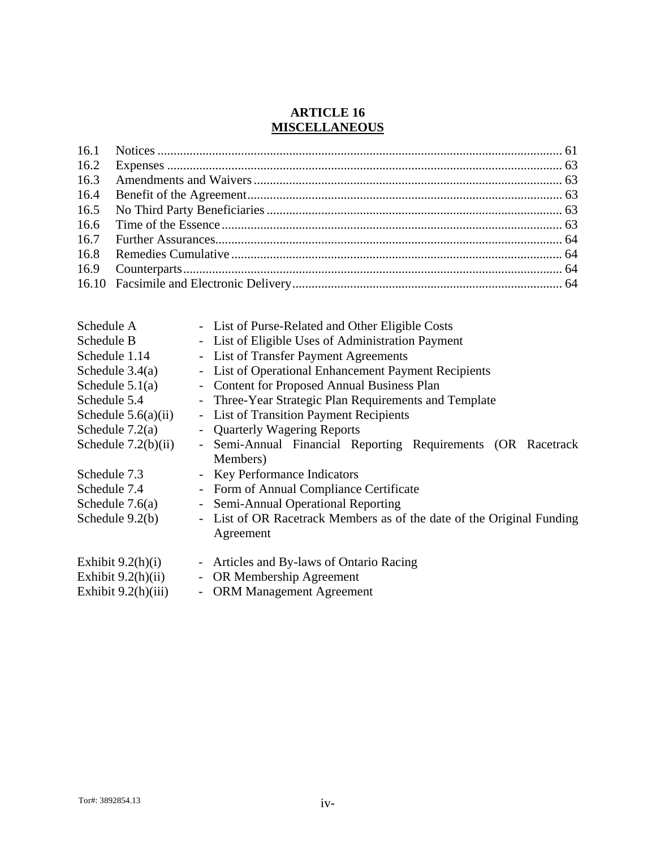# **ARTICLE 16 MISCELLANEOUS**

| Schedule A            | - List of Purse-Related and Other Eligible Costs                                         |
|-----------------------|------------------------------------------------------------------------------------------|
| Schedule B            | - List of Eligible Uses of Administration Payment                                        |
| Schedule 1.14         | - List of Transfer Payment Agreements                                                    |
| Schedule $3.4(a)$     | List of Operational Enhancement Payment Recipients<br>$\blacksquare$                     |
| Schedule $5.1(a)$     | <b>Content for Proposed Annual Business Plan</b><br>$\blacksquare$                       |
| Schedule 5.4          | Three-Year Strategic Plan Requirements and Template<br>$\overline{\phantom{0}}$          |
| Schedule $5.6(a)(ii)$ | - List of Transition Payment Recipients                                                  |
| Schedule $7.2(a)$     | <b>Quarterly Wagering Reports</b><br>$\overline{\phantom{a}}$                            |
| Schedule $7.2(b)(ii)$ | - Semi-Annual Financial Reporting Requirements (OR Racetrack                             |
|                       | Members)                                                                                 |
| Schedule 7.3          | <b>Key Performance Indicators</b><br>$\overline{\phantom{a}}$                            |
| Schedule 7.4          | - Form of Annual Compliance Certificate                                                  |
| Schedule $7.6(a)$     | <b>Semi-Annual Operational Reporting</b><br>$\blacksquare$                               |
| Schedule $9.2(b)$     | List of OR Racetrack Members as of the date of the Original Funding<br>$\qquad \qquad -$ |
|                       | Agreement                                                                                |
| Exhibit $9.2(h)(i)$   | Articles and By-laws of Ontario Racing<br>$\qquad \qquad -$                              |
| Exhibit $9.2(h)(ii)$  | OR Membership Agreement<br>$\overline{\phantom{0}}$                                      |
| Exhibit $9.2(h)(iii)$ | <b>ORM Management Agreement</b><br>$\overline{\phantom{0}}$                              |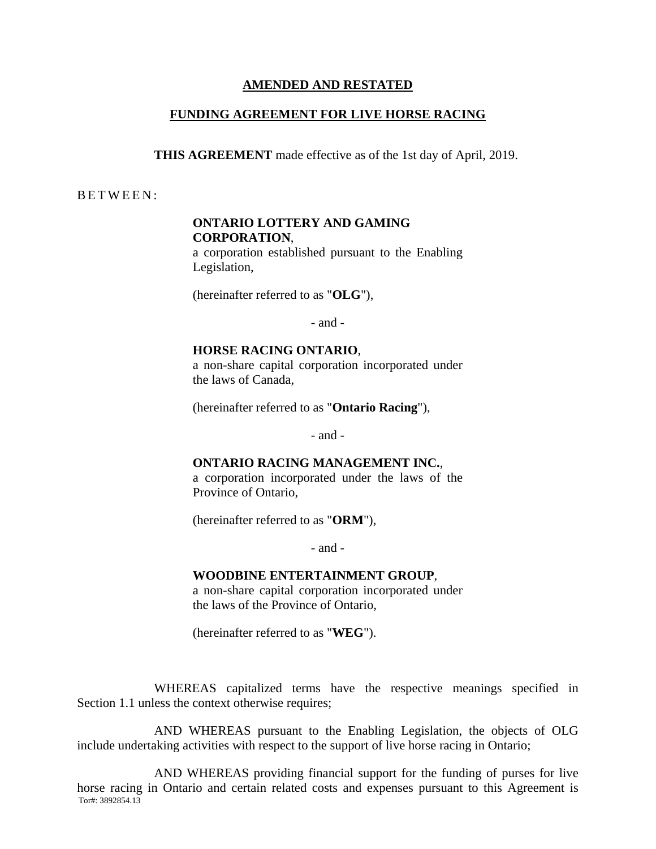### **AMENDED AND RESTATED**

# **FUNDING AGREEMENT FOR LIVE HORSE RACING**

**THIS AGREEMENT** made effective as of the 1st day of April, 2019.

B E T W E E N :

# **ONTARIO LOTTERY AND GAMING CORPORATION**,

a corporation established pursuant to the Enabling Legislation,

(hereinafter referred to as "**OLG**"),

- and -

#### **HORSE RACING ONTARIO**,

a non-share capital corporation incorporated under the laws of Canada,

(hereinafter referred to as "**Ontario Racing**"),

- and -

#### **ONTARIO RACING MANAGEMENT INC.**,

a corporation incorporated under the laws of the Province of Ontario,

(hereinafter referred to as "**ORM**"),

- and -

#### **WOODBINE ENTERTAINMENT GROUP**,

a non-share capital corporation incorporated under the laws of the Province of Ontario,

(hereinafter referred to as "**WEG**").

WHEREAS capitalized terms have the respective meanings specified in Section 1.1 unless the context otherwise requires;

AND WHEREAS pursuant to the Enabling Legislation, the objects of OLG include undertaking activities with respect to the support of live horse racing in Ontario;

Tor#: 3892854.13 AND WHEREAS providing financial support for the funding of purses for live horse racing in Ontario and certain related costs and expenses pursuant to this Agreement is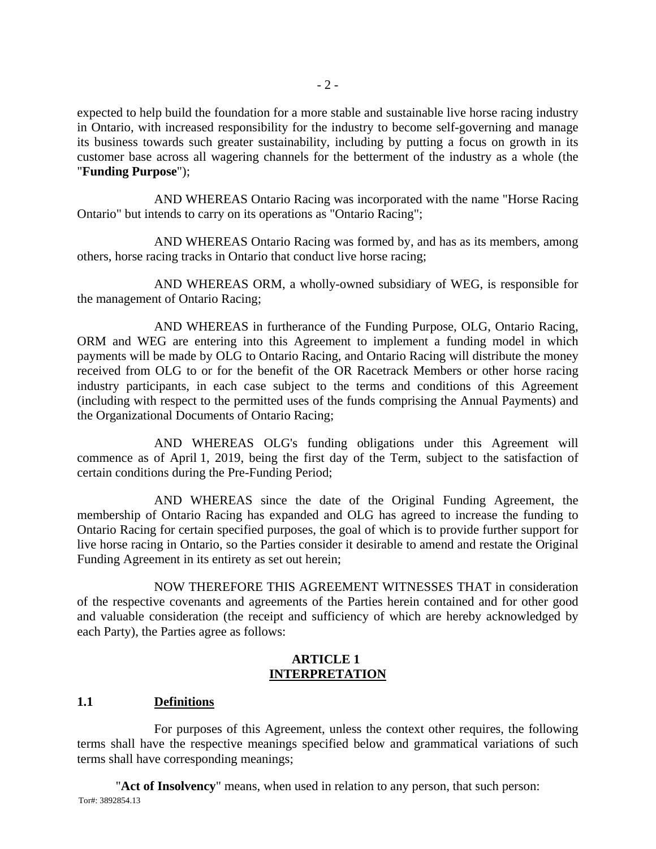expected to help build the foundation for a more stable and sustainable live horse racing industry in Ontario, with increased responsibility for the industry to become self-governing and manage its business towards such greater sustainability, including by putting a focus on growth in its customer base across all wagering channels for the betterment of the industry as a whole (the "**Funding Purpose**");

AND WHEREAS Ontario Racing was incorporated with the name "Horse Racing Ontario" but intends to carry on its operations as "Ontario Racing";

AND WHEREAS Ontario Racing was formed by, and has as its members, among others, horse racing tracks in Ontario that conduct live horse racing;

AND WHEREAS ORM, a wholly-owned subsidiary of WEG, is responsible for the management of Ontario Racing;

AND WHEREAS in furtherance of the Funding Purpose, OLG, Ontario Racing, ORM and WEG are entering into this Agreement to implement a funding model in which payments will be made by OLG to Ontario Racing, and Ontario Racing will distribute the money received from OLG to or for the benefit of the OR Racetrack Members or other horse racing industry participants, in each case subject to the terms and conditions of this Agreement (including with respect to the permitted uses of the funds comprising the Annual Payments) and the Organizational Documents of Ontario Racing;

AND WHEREAS OLG's funding obligations under this Agreement will commence as of April 1, 2019, being the first day of the Term, subject to the satisfaction of certain conditions during the Pre-Funding Period;

AND WHEREAS since the date of the Original Funding Agreement, the membership of Ontario Racing has expanded and OLG has agreed to increase the funding to Ontario Racing for certain specified purposes, the goal of which is to provide further support for live horse racing in Ontario, so the Parties consider it desirable to amend and restate the Original Funding Agreement in its entirety as set out herein;

NOW THEREFORE THIS AGREEMENT WITNESSES THAT in consideration of the respective covenants and agreements of the Parties herein contained and for other good and valuable consideration (the receipt and sufficiency of which are hereby acknowledged by each Party), the Parties agree as follows:

### **ARTICLE 1 INTERPRETATION**

# **1.1 Definitions**

For purposes of this Agreement, unless the context other requires, the following terms shall have the respective meanings specified below and grammatical variations of such terms shall have corresponding meanings;

Tor#: 3892854.13 "**Act of Insolvency**" means, when used in relation to any person, that such person: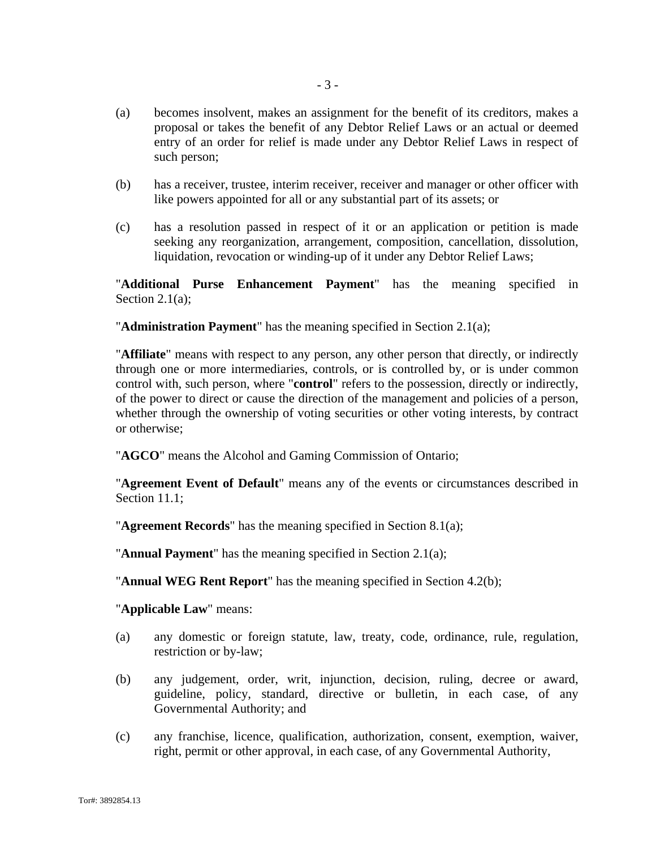- (a) becomes insolvent, makes an assignment for the benefit of its creditors, makes a proposal or takes the benefit of any Debtor Relief Laws or an actual or deemed entry of an order for relief is made under any Debtor Relief Laws in respect of such person;
- (b) has a receiver, trustee, interim receiver, receiver and manager or other officer with like powers appointed for all or any substantial part of its assets; or
- (c) has a resolution passed in respect of it or an application or petition is made seeking any reorganization, arrangement, composition, cancellation, dissolution, liquidation, revocation or winding-up of it under any Debtor Relief Laws;

"**Additional Purse Enhancement Payment**" has the meaning specified in Section 2.1(a);

"**Administration Payment**" has the meaning specified in Section 2.1(a);

"**Affiliate**" means with respect to any person, any other person that directly, or indirectly through one or more intermediaries, controls, or is controlled by, or is under common control with, such person, where "**control**" refers to the possession, directly or indirectly, of the power to direct or cause the direction of the management and policies of a person, whether through the ownership of voting securities or other voting interests, by contract or otherwise;

"**AGCO**" means the Alcohol and Gaming Commission of Ontario;

"**Agreement Event of Default**" means any of the events or circumstances described in Section 11.1;

"**Agreement Records**" has the meaning specified in Section 8.1(a);

"**Annual Payment**" has the meaning specified in Section 2.1(a);

"**Annual WEG Rent Report**" has the meaning specified in Section 4.2(b);

"**Applicable Law**" means:

- (a) any domestic or foreign statute, law, treaty, code, ordinance, rule, regulation, restriction or by-law;
- (b) any judgement, order, writ, injunction, decision, ruling, decree or award, guideline, policy, standard, directive or bulletin, in each case, of any Governmental Authority; and
- (c) any franchise, licence, qualification, authorization, consent, exemption, waiver, right, permit or other approval, in each case, of any Governmental Authority,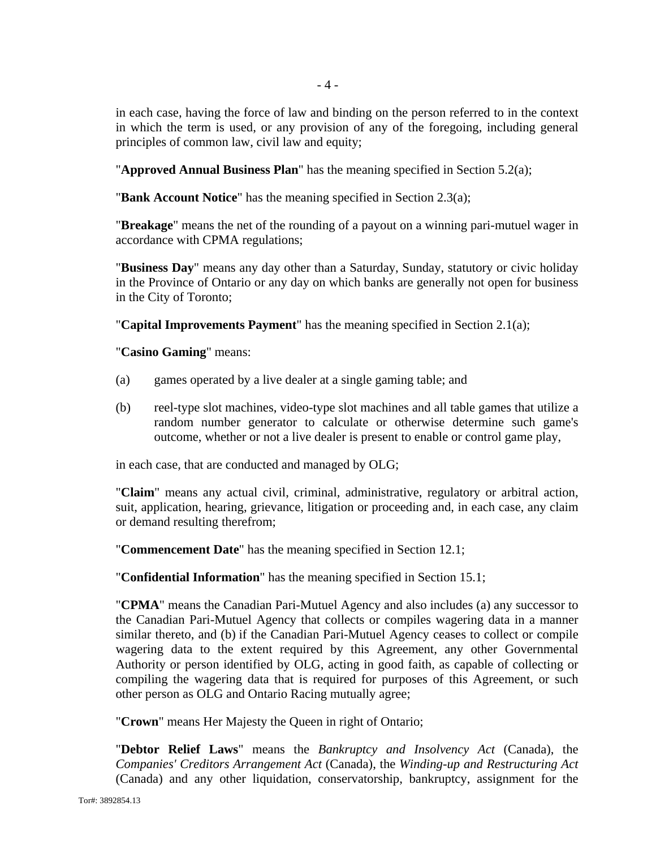in each case, having the force of law and binding on the person referred to in the context in which the term is used, or any provision of any of the foregoing, including general principles of common law, civil law and equity;

"**Approved Annual Business Plan**" has the meaning specified in Section 5.2(a);

"**Bank Account Notice**" has the meaning specified in Section 2.3(a);

"**Breakage**" means the net of the rounding of a payout on a winning pari-mutuel wager in accordance with CPMA regulations;

"**Business Day**" means any day other than a Saturday, Sunday, statutory or civic holiday in the Province of Ontario or any day on which banks are generally not open for business in the City of Toronto;

"**Capital Improvements Payment**" has the meaning specified in Section 2.1(a);

# "**Casino Gaming**" means:

- (a) games operated by a live dealer at a single gaming table; and
- (b) reel-type slot machines, video-type slot machines and all table games that utilize a random number generator to calculate or otherwise determine such game's outcome, whether or not a live dealer is present to enable or control game play,

in each case, that are conducted and managed by OLG;

"**Claim**" means any actual civil, criminal, administrative, regulatory or arbitral action, suit, application, hearing, grievance, litigation or proceeding and, in each case, any claim or demand resulting therefrom;

"**Commencement Date**" has the meaning specified in Section 12.1;

"**Confidential Information**" has the meaning specified in Section 15.1;

"**CPMA**" means the Canadian Pari-Mutuel Agency and also includes (a) any successor to the Canadian Pari-Mutuel Agency that collects or compiles wagering data in a manner similar thereto, and (b) if the Canadian Pari-Mutuel Agency ceases to collect or compile wagering data to the extent required by this Agreement, any other Governmental Authority or person identified by OLG, acting in good faith, as capable of collecting or compiling the wagering data that is required for purposes of this Agreement, or such other person as OLG and Ontario Racing mutually agree;

"**Crown**" means Her Majesty the Queen in right of Ontario;

"**Debtor Relief Laws**" means the *Bankruptcy and Insolvency Act* (Canada), the *Companies' Creditors Arrangement Act* (Canada), the *Winding-up and Restructuring Act* (Canada) and any other liquidation, conservatorship, bankruptcy, assignment for the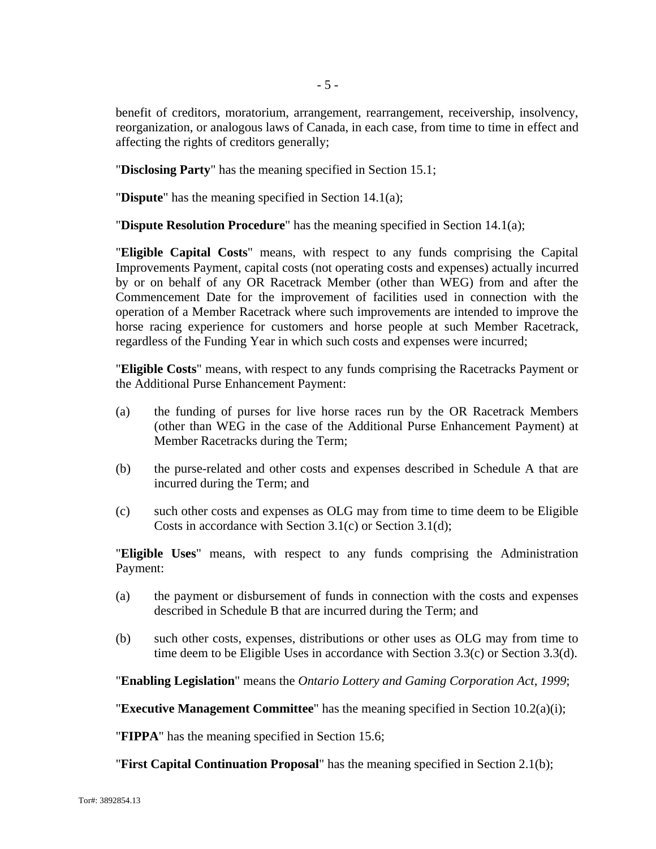benefit of creditors, moratorium, arrangement, rearrangement, receivership, insolvency, reorganization, or analogous laws of Canada, in each case, from time to time in effect and affecting the rights of creditors generally;

"**Disclosing Party**" has the meaning specified in Section 15.1;

"**Dispute**" has the meaning specified in Section 14.1(a);

"**Dispute Resolution Procedure**" has the meaning specified in Section 14.1(a);

"**Eligible Capital Costs**" means, with respect to any funds comprising the Capital Improvements Payment, capital costs (not operating costs and expenses) actually incurred by or on behalf of any OR Racetrack Member (other than WEG) from and after the Commencement Date for the improvement of facilities used in connection with the operation of a Member Racetrack where such improvements are intended to improve the horse racing experience for customers and horse people at such Member Racetrack, regardless of the Funding Year in which such costs and expenses were incurred;

"**Eligible Costs**" means, with respect to any funds comprising the Racetracks Payment or the Additional Purse Enhancement Payment:

- (a) the funding of purses for live horse races run by the OR Racetrack Members (other than WEG in the case of the Additional Purse Enhancement Payment) at Member Racetracks during the Term;
- (b) the purse-related and other costs and expenses described in Schedule A that are incurred during the Term; and
- (c) such other costs and expenses as OLG may from time to time deem to be Eligible Costs in accordance with Section 3.1(c) or Section 3.1(d);

"**Eligible Uses**" means, with respect to any funds comprising the Administration Payment:

- (a) the payment or disbursement of funds in connection with the costs and expenses described in Schedule B that are incurred during the Term; and
- (b) such other costs, expenses, distributions or other uses as OLG may from time to time deem to be Eligible Uses in accordance with Section 3.3(c) or Section 3.3(d).

"**Enabling Legislation**" means the *Ontario Lottery and Gaming Corporation Act*, *1999*;

"**Executive Management Committee**" has the meaning specified in Section 10.2(a)(i);

"**FIPPA**" has the meaning specified in Section 15.6;

"**First Capital Continuation Proposal**" has the meaning specified in Section 2.1(b);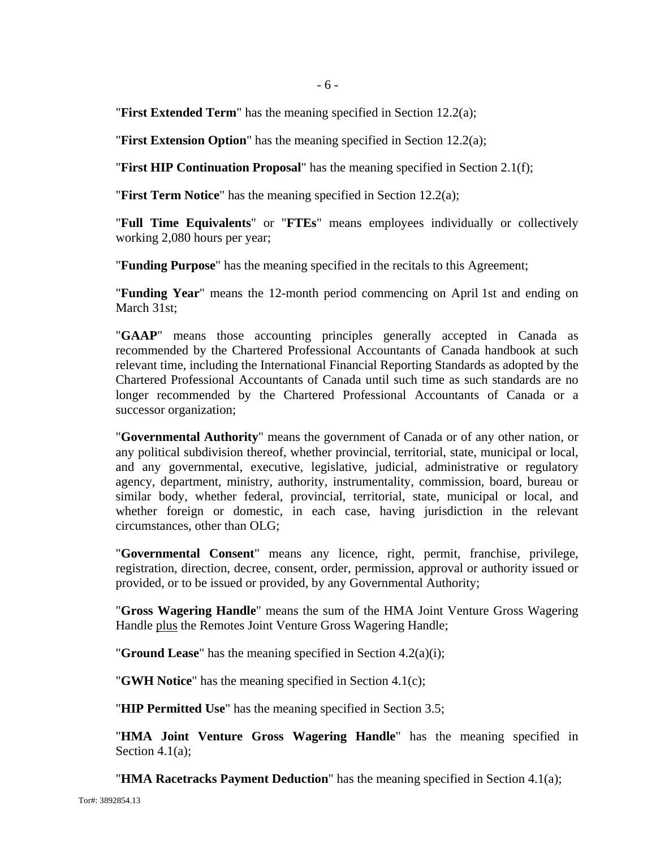"**First Extended Term**" has the meaning specified in Section 12.2(a);

"**First Extension Option**" has the meaning specified in Section 12.2(a);

"**First HIP Continuation Proposal**" has the meaning specified in Section 2.1(f);

"**First Term Notice**" has the meaning specified in Section 12.2(a);

"**Full Time Equivalents**" or "**FTEs**" means employees individually or collectively working 2,080 hours per year;

"**Funding Purpose**" has the meaning specified in the recitals to this Agreement;

"**Funding Year**" means the 12-month period commencing on April 1st and ending on March 31st:

"**GAAP**" means those accounting principles generally accepted in Canada as recommended by the Chartered Professional Accountants of Canada handbook at such relevant time, including the International Financial Reporting Standards as adopted by the Chartered Professional Accountants of Canada until such time as such standards are no longer recommended by the Chartered Professional Accountants of Canada or a successor organization;

"**Governmental Authority**" means the government of Canada or of any other nation, or any political subdivision thereof, whether provincial, territorial, state, municipal or local, and any governmental, executive, legislative, judicial, administrative or regulatory agency, department, ministry, authority, instrumentality, commission, board, bureau or similar body, whether federal, provincial, territorial, state, municipal or local, and whether foreign or domestic, in each case, having jurisdiction in the relevant circumstances, other than OLG;

"**Governmental Consent**" means any licence, right, permit, franchise, privilege, registration, direction, decree, consent, order, permission, approval or authority issued or provided, or to be issued or provided, by any Governmental Authority;

"**Gross Wagering Handle**" means the sum of the HMA Joint Venture Gross Wagering Handle plus the Remotes Joint Venture Gross Wagering Handle;

"**Ground Lease**" has the meaning specified in Section 4.2(a)(i);

"**GWH Notice**" has the meaning specified in Section 4.1(c);

"**HIP Permitted Use**" has the meaning specified in Section 3.5;

"**HMA Joint Venture Gross Wagering Handle**" has the meaning specified in Section 4.1(a):

"**HMA Racetracks Payment Deduction**" has the meaning specified in Section 4.1(a);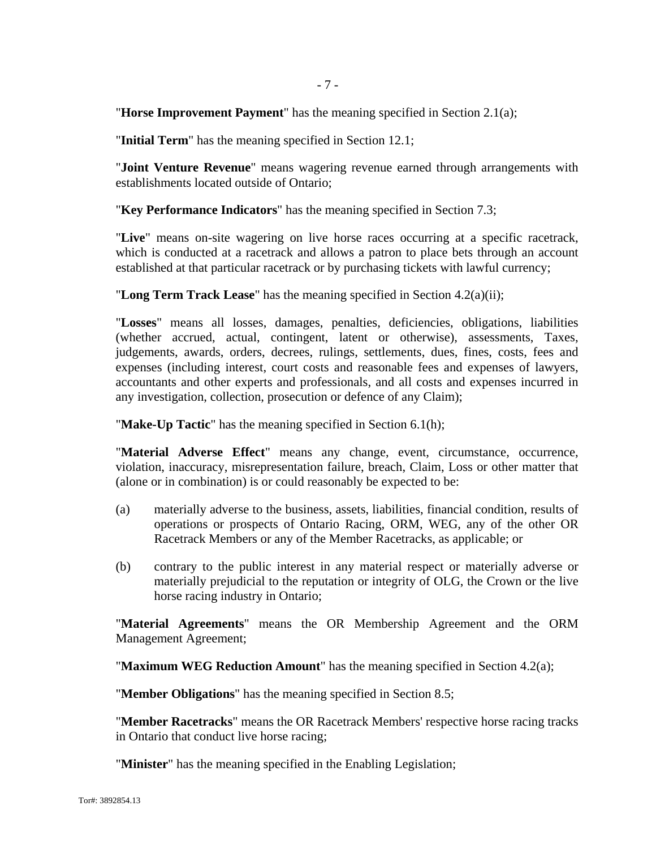"**Horse Improvement Payment**" has the meaning specified in Section 2.1(a);

"**Initial Term**" has the meaning specified in Section 12.1;

"**Joint Venture Revenue**" means wagering revenue earned through arrangements with establishments located outside of Ontario;

"**Key Performance Indicators**" has the meaning specified in Section 7.3;

"**Live**" means on-site wagering on live horse races occurring at a specific racetrack, which is conducted at a racetrack and allows a patron to place bets through an account established at that particular racetrack or by purchasing tickets with lawful currency;

"**Long Term Track Lease**" has the meaning specified in Section 4.2(a)(ii);

"**Losses**" means all losses, damages, penalties, deficiencies, obligations, liabilities (whether accrued, actual, contingent, latent or otherwise), assessments, Taxes, judgements, awards, orders, decrees, rulings, settlements, dues, fines, costs, fees and expenses (including interest, court costs and reasonable fees and expenses of lawyers, accountants and other experts and professionals, and all costs and expenses incurred in any investigation, collection, prosecution or defence of any Claim);

"**Make-Up Tactic**" has the meaning specified in Section 6.1(h);

"**Material Adverse Effect**" means any change, event, circumstance, occurrence, violation, inaccuracy, misrepresentation failure, breach, Claim, Loss or other matter that (alone or in combination) is or could reasonably be expected to be:

- (a) materially adverse to the business, assets, liabilities, financial condition, results of operations or prospects of Ontario Racing, ORM, WEG, any of the other OR Racetrack Members or any of the Member Racetracks, as applicable; or
- (b) contrary to the public interest in any material respect or materially adverse or materially prejudicial to the reputation or integrity of OLG, the Crown or the live horse racing industry in Ontario;

"**Material Agreements**" means the OR Membership Agreement and the ORM Management Agreement;

"**Maximum WEG Reduction Amount**" has the meaning specified in Section 4.2(a);

"**Member Obligations**" has the meaning specified in Section 8.5;

"**Member Racetracks**" means the OR Racetrack Members' respective horse racing tracks in Ontario that conduct live horse racing;

"**Minister**" has the meaning specified in the Enabling Legislation;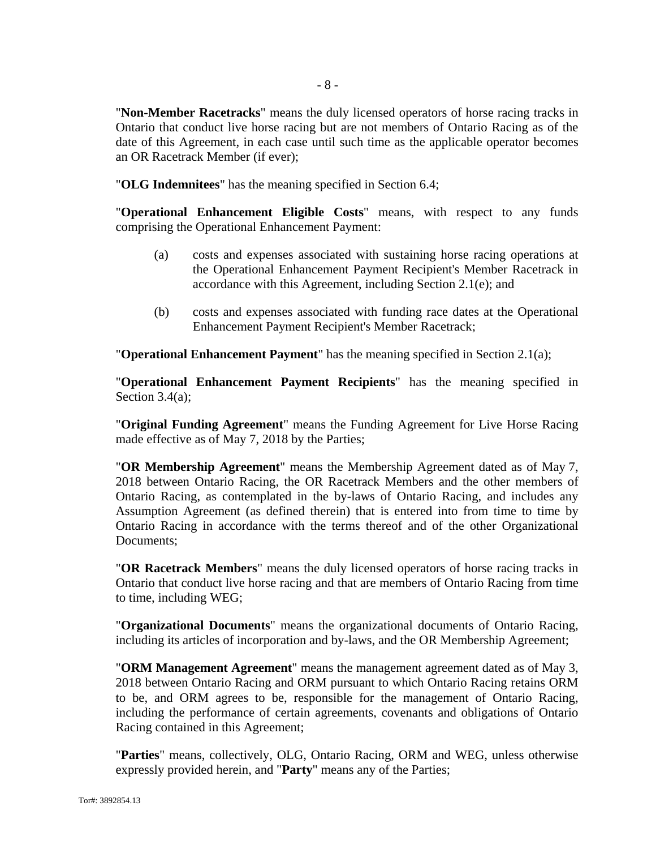"**Non-Member Racetracks**" means the duly licensed operators of horse racing tracks in Ontario that conduct live horse racing but are not members of Ontario Racing as of the date of this Agreement, in each case until such time as the applicable operator becomes an OR Racetrack Member (if ever);

"**OLG Indemnitees**" has the meaning specified in Section 6.4;

"**Operational Enhancement Eligible Costs**" means, with respect to any funds comprising the Operational Enhancement Payment:

- (a) costs and expenses associated with sustaining horse racing operations at the Operational Enhancement Payment Recipient's Member Racetrack in accordance with this Agreement, including Section 2.1(e); and
- (b) costs and expenses associated with funding race dates at the Operational Enhancement Payment Recipient's Member Racetrack;

"**Operational Enhancement Payment**" has the meaning specified in Section 2.1(a);

"**Operational Enhancement Payment Recipients**" has the meaning specified in Section 3.4(a);

"**Original Funding Agreement**" means the Funding Agreement for Live Horse Racing made effective as of May 7, 2018 by the Parties;

"**OR Membership Agreement**" means the Membership Agreement dated as of May 7, 2018 between Ontario Racing, the OR Racetrack Members and the other members of Ontario Racing, as contemplated in the by-laws of Ontario Racing, and includes any Assumption Agreement (as defined therein) that is entered into from time to time by Ontario Racing in accordance with the terms thereof and of the other Organizational Documents;

"**OR Racetrack Members**" means the duly licensed operators of horse racing tracks in Ontario that conduct live horse racing and that are members of Ontario Racing from time to time, including WEG;

"**Organizational Documents**" means the organizational documents of Ontario Racing, including its articles of incorporation and by-laws, and the OR Membership Agreement;

"**ORM Management Agreement**" means the management agreement dated as of May 3, 2018 between Ontario Racing and ORM pursuant to which Ontario Racing retains ORM to be, and ORM agrees to be, responsible for the management of Ontario Racing, including the performance of certain agreements, covenants and obligations of Ontario Racing contained in this Agreement;

"**Parties**" means, collectively, OLG, Ontario Racing, ORM and WEG, unless otherwise expressly provided herein, and "**Party**" means any of the Parties;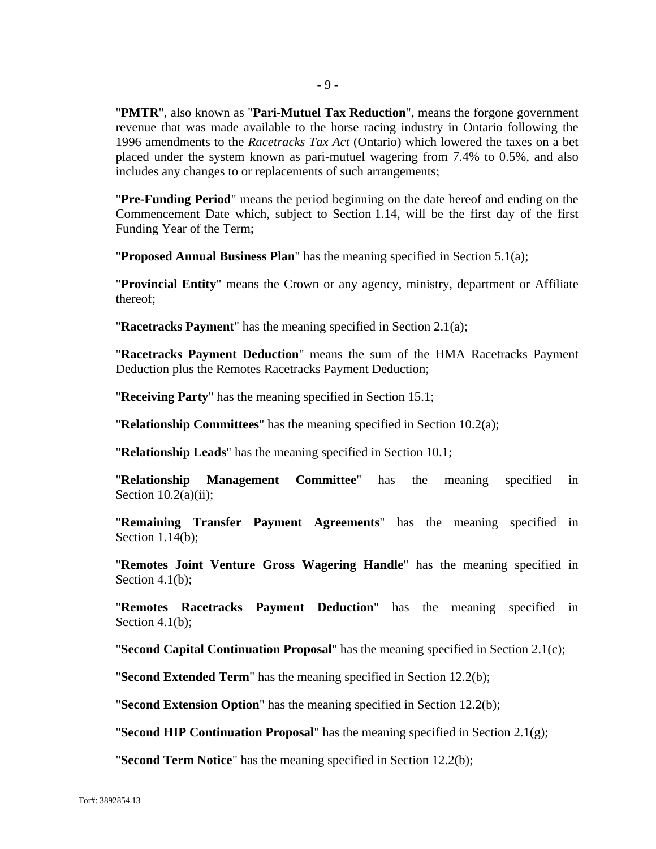"**PMTR**", also known as "**Pari-Mutuel Tax Reduction**", means the forgone government revenue that was made available to the horse racing industry in Ontario following the 1996 amendments to the *Racetracks Tax Act* (Ontario) which lowered the taxes on a bet placed under the system known as pari-mutuel wagering from 7.4% to 0.5%, and also includes any changes to or replacements of such arrangements;

"**Pre-Funding Period**" means the period beginning on the date hereof and ending on the Commencement Date which, subject to Section 1.14, will be the first day of the first Funding Year of the Term;

"**Proposed Annual Business Plan**" has the meaning specified in Section 5.1(a);

"**Provincial Entity**" means the Crown or any agency, ministry, department or Affiliate thereof;

"**Racetracks Payment**" has the meaning specified in Section 2.1(a);

"**Racetracks Payment Deduction**" means the sum of the HMA Racetracks Payment Deduction plus the Remotes Racetracks Payment Deduction;

"**Receiving Party**" has the meaning specified in Section 15.1;

"**Relationship Committees**" has the meaning specified in Section 10.2(a);

"**Relationship Leads**" has the meaning specified in Section 10.1;

"**Relationship Management Committee**" has the meaning specified in Section  $10.2(a)(ii)$ ;

"**Remaining Transfer Payment Agreements**" has the meaning specified in Section 1.14(b);

"**Remotes Joint Venture Gross Wagering Handle**" has the meaning specified in Section 4.1(b):

"**Remotes Racetracks Payment Deduction**" has the meaning specified in Section 4.1(b);

"**Second Capital Continuation Proposal**" has the meaning specified in Section 2.1(c);

"**Second Extended Term**" has the meaning specified in Section 12.2(b);

"**Second Extension Option**" has the meaning specified in Section 12.2(b);

"**Second HIP Continuation Proposal**" has the meaning specified in Section 2.1(g);

"**Second Term Notice**" has the meaning specified in Section 12.2(b);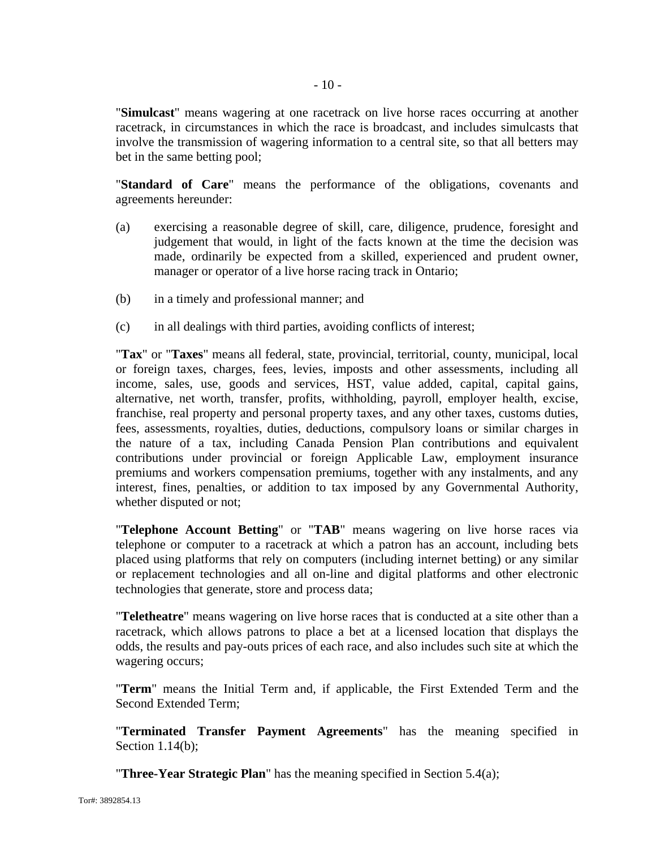"**Simulcast**" means wagering at one racetrack on live horse races occurring at another racetrack, in circumstances in which the race is broadcast, and includes simulcasts that involve the transmission of wagering information to a central site, so that all betters may bet in the same betting pool;

"**Standard of Care**" means the performance of the obligations, covenants and agreements hereunder:

- (a) exercising a reasonable degree of skill, care, diligence, prudence, foresight and judgement that would, in light of the facts known at the time the decision was made, ordinarily be expected from a skilled, experienced and prudent owner, manager or operator of a live horse racing track in Ontario;
- (b) in a timely and professional manner; and
- (c) in all dealings with third parties, avoiding conflicts of interest;

"**Tax**" or "**Taxes**" means all federal, state, provincial, territorial, county, municipal, local or foreign taxes, charges, fees, levies, imposts and other assessments, including all income, sales, use, goods and services, HST, value added, capital, capital gains, alternative, net worth, transfer, profits, withholding, payroll, employer health, excise, franchise, real property and personal property taxes, and any other taxes, customs duties, fees, assessments, royalties, duties, deductions, compulsory loans or similar charges in the nature of a tax, including Canada Pension Plan contributions and equivalent contributions under provincial or foreign Applicable Law, employment insurance premiums and workers compensation premiums, together with any instalments, and any interest, fines, penalties, or addition to tax imposed by any Governmental Authority, whether disputed or not;

"**Telephone Account Betting**" or "**TAB**" means wagering on live horse races via telephone or computer to a racetrack at which a patron has an account, including bets placed using platforms that rely on computers (including internet betting) or any similar or replacement technologies and all on-line and digital platforms and other electronic technologies that generate, store and process data;

"**Teletheatre**" means wagering on live horse races that is conducted at a site other than a racetrack, which allows patrons to place a bet at a licensed location that displays the odds, the results and pay-outs prices of each race, and also includes such site at which the wagering occurs;

"**Term**" means the Initial Term and, if applicable, the First Extended Term and the Second Extended Term;

"**Terminated Transfer Payment Agreements**" has the meaning specified in Section 1.14(b);

"**Three-Year Strategic Plan**" has the meaning specified in Section 5.4(a);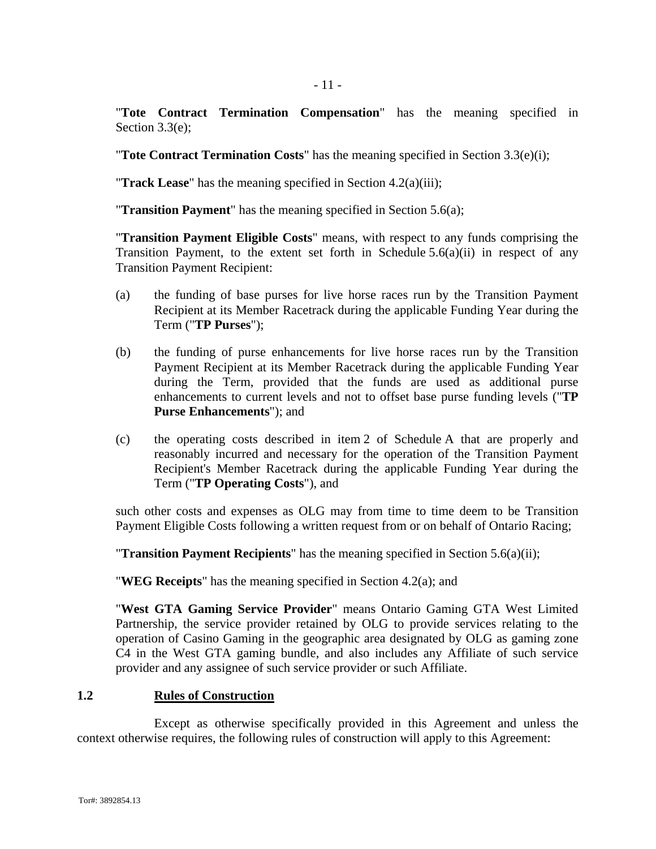"**Tote Contract Termination Compensation**" has the meaning specified in Section 3.3(e);

"**Tote Contract Termination Costs**" has the meaning specified in Section 3.3(e)(i);

"**Track Lease**" has the meaning specified in Section 4.2(a)(iii);

"**Transition Payment**" has the meaning specified in Section 5.6(a);

"**Transition Payment Eligible Costs**" means, with respect to any funds comprising the Transition Payment, to the extent set forth in Schedule  $5.6(a)(ii)$  in respect of any Transition Payment Recipient:

- (a) the funding of base purses for live horse races run by the Transition Payment Recipient at its Member Racetrack during the applicable Funding Year during the Term ("**TP Purses**");
- (b) the funding of purse enhancements for live horse races run by the Transition Payment Recipient at its Member Racetrack during the applicable Funding Year during the Term, provided that the funds are used as additional purse enhancements to current levels and not to offset base purse funding levels ("**TP Purse Enhancements**"); and
- (c) the operating costs described in item 2 of Schedule A that are properly and reasonably incurred and necessary for the operation of the Transition Payment Recipient's Member Racetrack during the applicable Funding Year during the Term ("**TP Operating Costs**"), and

such other costs and expenses as OLG may from time to time deem to be Transition Payment Eligible Costs following a written request from or on behalf of Ontario Racing;

"**Transition Payment Recipients**" has the meaning specified in Section 5.6(a)(ii);

"**WEG Receipts**" has the meaning specified in Section 4.2(a); and

"**West GTA Gaming Service Provider**" means Ontario Gaming GTA West Limited Partnership, the service provider retained by OLG to provide services relating to the operation of Casino Gaming in the geographic area designated by OLG as gaming zone C4 in the West GTA gaming bundle, and also includes any Affiliate of such service provider and any assignee of such service provider or such Affiliate.

### **1.2 Rules of Construction**

Except as otherwise specifically provided in this Agreement and unless the context otherwise requires, the following rules of construction will apply to this Agreement: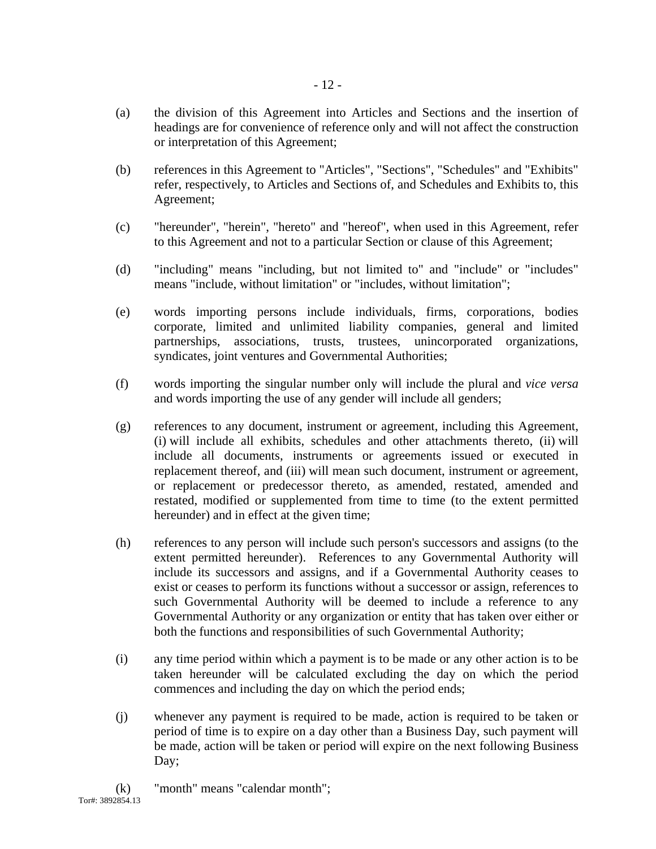- (a) the division of this Agreement into Articles and Sections and the insertion of headings are for convenience of reference only and will not affect the construction or interpretation of this Agreement;
- (b) references in this Agreement to "Articles", "Sections", "Schedules" and "Exhibits" refer, respectively, to Articles and Sections of, and Schedules and Exhibits to, this Agreement;
- (c) "hereunder", "herein", "hereto" and "hereof", when used in this Agreement, refer to this Agreement and not to a particular Section or clause of this Agreement;
- (d) "including" means "including, but not limited to" and "include" or "includes" means "include, without limitation" or "includes, without limitation";
- (e) words importing persons include individuals, firms, corporations, bodies corporate, limited and unlimited liability companies, general and limited partnerships, associations, trusts, trustees, unincorporated organizations, syndicates, joint ventures and Governmental Authorities;
- (f) words importing the singular number only will include the plural and *vice versa* and words importing the use of any gender will include all genders;
- (g) references to any document, instrument or agreement, including this Agreement, (i) will include all exhibits, schedules and other attachments thereto, (ii) will include all documents, instruments or agreements issued or executed in replacement thereof, and (iii) will mean such document, instrument or agreement, or replacement or predecessor thereto, as amended, restated, amended and restated, modified or supplemented from time to time (to the extent permitted hereunder) and in effect at the given time;
- (h) references to any person will include such person's successors and assigns (to the extent permitted hereunder). References to any Governmental Authority will include its successors and assigns, and if a Governmental Authority ceases to exist or ceases to perform its functions without a successor or assign, references to such Governmental Authority will be deemed to include a reference to any Governmental Authority or any organization or entity that has taken over either or both the functions and responsibilities of such Governmental Authority;
- (i) any time period within which a payment is to be made or any other action is to be taken hereunder will be calculated excluding the day on which the period commences and including the day on which the period ends;
- (j) whenever any payment is required to be made, action is required to be taken or period of time is to expire on a day other than a Business Day, such payment will be made, action will be taken or period will expire on the next following Business Day;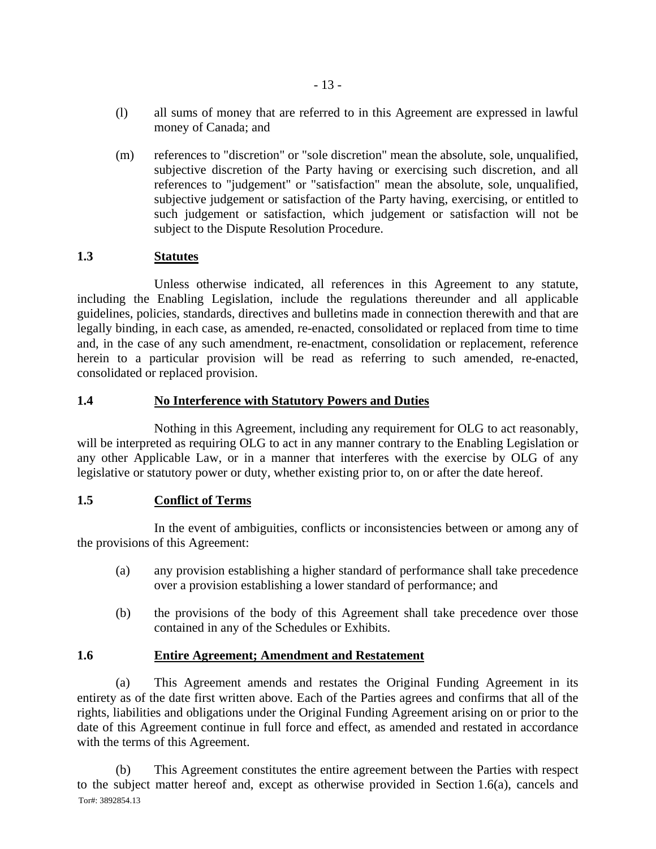- (l) all sums of money that are referred to in this Agreement are expressed in lawful money of Canada; and
- (m) references to "discretion" or "sole discretion" mean the absolute, sole, unqualified, subjective discretion of the Party having or exercising such discretion, and all references to "judgement" or "satisfaction" mean the absolute, sole, unqualified, subjective judgement or satisfaction of the Party having, exercising, or entitled to such judgement or satisfaction, which judgement or satisfaction will not be subject to the Dispute Resolution Procedure.

# **1.3 Statutes**

Unless otherwise indicated, all references in this Agreement to any statute, including the Enabling Legislation, include the regulations thereunder and all applicable guidelines, policies, standards, directives and bulletins made in connection therewith and that are legally binding, in each case, as amended, re-enacted, consolidated or replaced from time to time and, in the case of any such amendment, re-enactment, consolidation or replacement, reference herein to a particular provision will be read as referring to such amended, re-enacted, consolidated or replaced provision.

# **1.4 No Interference with Statutory Powers and Duties**

Nothing in this Agreement, including any requirement for OLG to act reasonably, will be interpreted as requiring OLG to act in any manner contrary to the Enabling Legislation or any other Applicable Law, or in a manner that interferes with the exercise by OLG of any legislative or statutory power or duty, whether existing prior to, on or after the date hereof.

# **1.5 Conflict of Terms**

In the event of ambiguities, conflicts or inconsistencies between or among any of the provisions of this Agreement:

- (a) any provision establishing a higher standard of performance shall take precedence over a provision establishing a lower standard of performance; and
- (b) the provisions of the body of this Agreement shall take precedence over those contained in any of the Schedules or Exhibits.

# **1.6 Entire Agreement; Amendment and Restatement**

(a) This Agreement amends and restates the Original Funding Agreement in its entirety as of the date first written above. Each of the Parties agrees and confirms that all of the rights, liabilities and obligations under the Original Funding Agreement arising on or prior to the date of this Agreement continue in full force and effect, as amended and restated in accordance with the terms of this Agreement.

Tor#: 3892854.13 (b) This Agreement constitutes the entire agreement between the Parties with respect to the subject matter hereof and, except as otherwise provided in Section 1.6(a), cancels and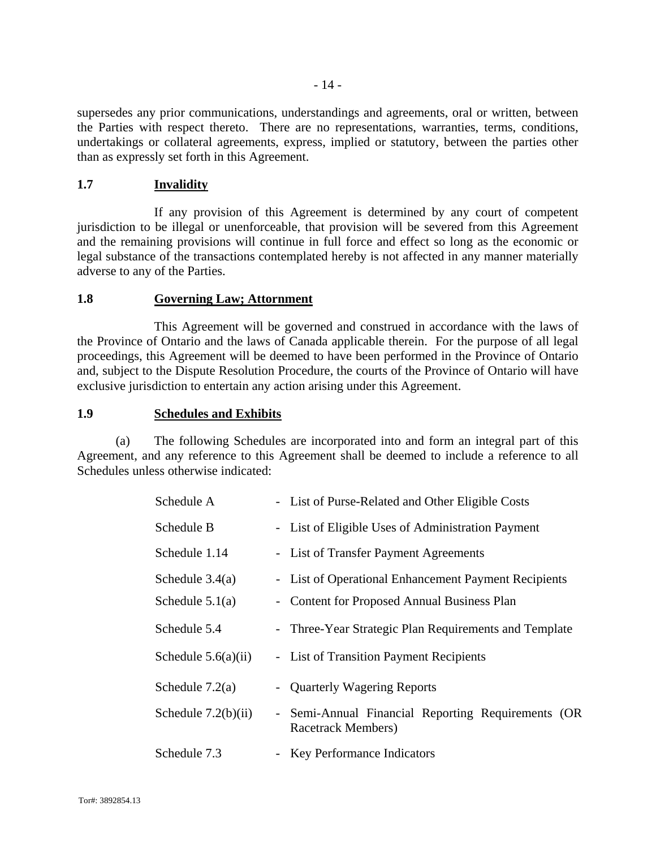supersedes any prior communications, understandings and agreements, oral or written, between the Parties with respect thereto. There are no representations, warranties, terms, conditions, undertakings or collateral agreements, express, implied or statutory, between the parties other than as expressly set forth in this Agreement.

### **1.7 Invalidity**

If any provision of this Agreement is determined by any court of competent jurisdiction to be illegal or unenforceable, that provision will be severed from this Agreement and the remaining provisions will continue in full force and effect so long as the economic or legal substance of the transactions contemplated hereby is not affected in any manner materially adverse to any of the Parties.

#### **1.8 Governing Law; Attornment**

This Agreement will be governed and construed in accordance with the laws of the Province of Ontario and the laws of Canada applicable therein. For the purpose of all legal proceedings, this Agreement will be deemed to have been performed in the Province of Ontario and, subject to the Dispute Resolution Procedure, the courts of the Province of Ontario will have exclusive jurisdiction to entertain any action arising under this Agreement.

### **1.9 Schedules and Exhibits**

(a) The following Schedules are incorporated into and form an integral part of this Agreement, and any reference to this Agreement shall be deemed to include a reference to all Schedules unless otherwise indicated:

| Schedule A            | - List of Purse-Related and Other Eligible Costs                         |
|-----------------------|--------------------------------------------------------------------------|
| Schedule B            | - List of Eligible Uses of Administration Payment                        |
| Schedule 1.14         | - List of Transfer Payment Agreements                                    |
| Schedule $3.4(a)$     | - List of Operational Enhancement Payment Recipients                     |
| Schedule $5.1(a)$     | - Content for Proposed Annual Business Plan                              |
| Schedule 5.4          | - Three-Year Strategic Plan Requirements and Template                    |
| Schedule $5.6(a)(ii)$ | - List of Transition Payment Recipients                                  |
| Schedule $7.2(a)$     | - Quarterly Wagering Reports                                             |
| Schedule $7.2(b)(ii)$ | - Semi-Annual Financial Reporting Requirements (OR<br>Racetrack Members) |
| Schedule 7.3          | - Key Performance Indicators                                             |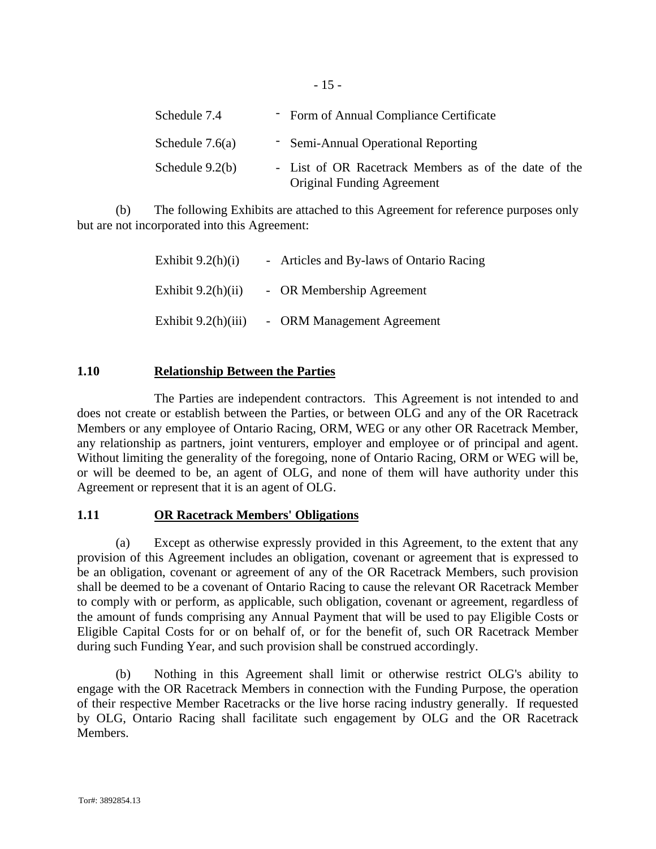| Schedule 7.4      | - Form of Annual Compliance Certificate                                                   |
|-------------------|-------------------------------------------------------------------------------------------|
| Schedule $7.6(a)$ | - Semi-Annual Operational Reporting                                                       |
| Schedule $9.2(b)$ | - List of OR Racetrack Members as of the date of the<br><b>Original Funding Agreement</b> |

(b) The following Exhibits are attached to this Agreement for reference purposes only but are not incorporated into this Agreement:

- 15 -

| Exhibit $9.2(h)(i)$   | - Articles and By-laws of Ontario Racing |
|-----------------------|------------------------------------------|
| Exhibit $9.2(h)(ii)$  | - OR Membership Agreement                |
| Exhibit $9.2(h)(iii)$ | - ORM Management Agreement               |

# **1.10 Relationship Between the Parties**

The Parties are independent contractors. This Agreement is not intended to and does not create or establish between the Parties, or between OLG and any of the OR Racetrack Members or any employee of Ontario Racing, ORM, WEG or any other OR Racetrack Member, any relationship as partners, joint venturers, employer and employee or of principal and agent. Without limiting the generality of the foregoing, none of Ontario Racing, ORM or WEG will be, or will be deemed to be, an agent of OLG, and none of them will have authority under this Agreement or represent that it is an agent of OLG.

# **1.11 OR Racetrack Members' Obligations**

(a) Except as otherwise expressly provided in this Agreement, to the extent that any provision of this Agreement includes an obligation, covenant or agreement that is expressed to be an obligation, covenant or agreement of any of the OR Racetrack Members, such provision shall be deemed to be a covenant of Ontario Racing to cause the relevant OR Racetrack Member to comply with or perform, as applicable, such obligation, covenant or agreement, regardless of the amount of funds comprising any Annual Payment that will be used to pay Eligible Costs or Eligible Capital Costs for or on behalf of, or for the benefit of, such OR Racetrack Member during such Funding Year, and such provision shall be construed accordingly.

(b) Nothing in this Agreement shall limit or otherwise restrict OLG's ability to engage with the OR Racetrack Members in connection with the Funding Purpose, the operation of their respective Member Racetracks or the live horse racing industry generally. If requested by OLG, Ontario Racing shall facilitate such engagement by OLG and the OR Racetrack Members.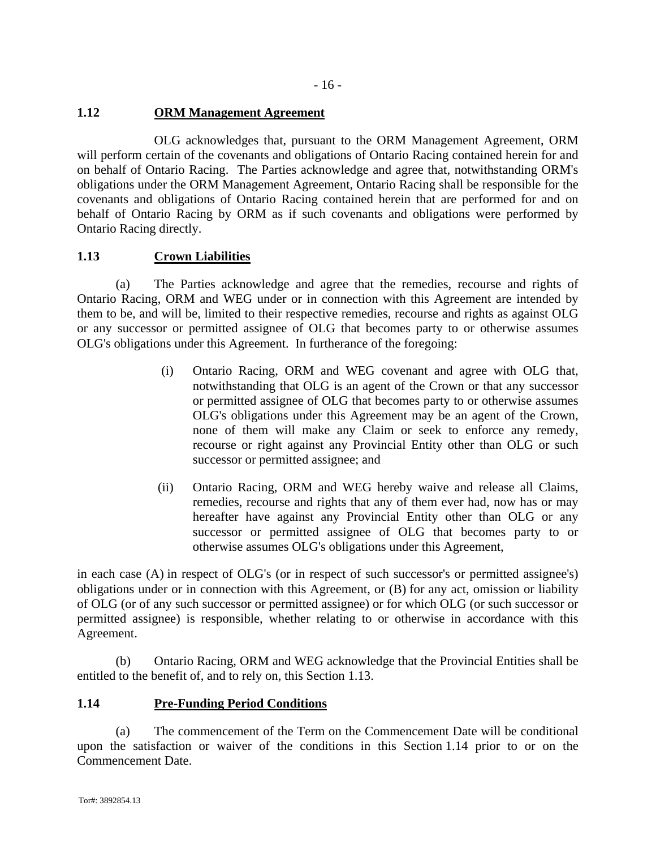# **1.12 ORM Management Agreement**

OLG acknowledges that, pursuant to the ORM Management Agreement, ORM will perform certain of the covenants and obligations of Ontario Racing contained herein for and on behalf of Ontario Racing. The Parties acknowledge and agree that, notwithstanding ORM's obligations under the ORM Management Agreement, Ontario Racing shall be responsible for the covenants and obligations of Ontario Racing contained herein that are performed for and on behalf of Ontario Racing by ORM as if such covenants and obligations were performed by Ontario Racing directly.

# **1.13 Crown Liabilities**

(a) The Parties acknowledge and agree that the remedies, recourse and rights of Ontario Racing, ORM and WEG under or in connection with this Agreement are intended by them to be, and will be, limited to their respective remedies, recourse and rights as against OLG or any successor or permitted assignee of OLG that becomes party to or otherwise assumes OLG's obligations under this Agreement. In furtherance of the foregoing:

- (i) Ontario Racing, ORM and WEG covenant and agree with OLG that, notwithstanding that OLG is an agent of the Crown or that any successor or permitted assignee of OLG that becomes party to or otherwise assumes OLG's obligations under this Agreement may be an agent of the Crown, none of them will make any Claim or seek to enforce any remedy, recourse or right against any Provincial Entity other than OLG or such successor or permitted assignee; and
- (ii) Ontario Racing, ORM and WEG hereby waive and release all Claims, remedies, recourse and rights that any of them ever had, now has or may hereafter have against any Provincial Entity other than OLG or any successor or permitted assignee of OLG that becomes party to or otherwise assumes OLG's obligations under this Agreement,

in each case (A) in respect of OLG's (or in respect of such successor's or permitted assignee's) obligations under or in connection with this Agreement, or (B) for any act, omission or liability of OLG (or of any such successor or permitted assignee) or for which OLG (or such successor or permitted assignee) is responsible, whether relating to or otherwise in accordance with this Agreement.

(b) Ontario Racing, ORM and WEG acknowledge that the Provincial Entities shall be entitled to the benefit of, and to rely on, this Section 1.13.

# **1.14 Pre-Funding Period Conditions**

(a) The commencement of the Term on the Commencement Date will be conditional upon the satisfaction or waiver of the conditions in this Section 1.14 prior to or on the Commencement Date.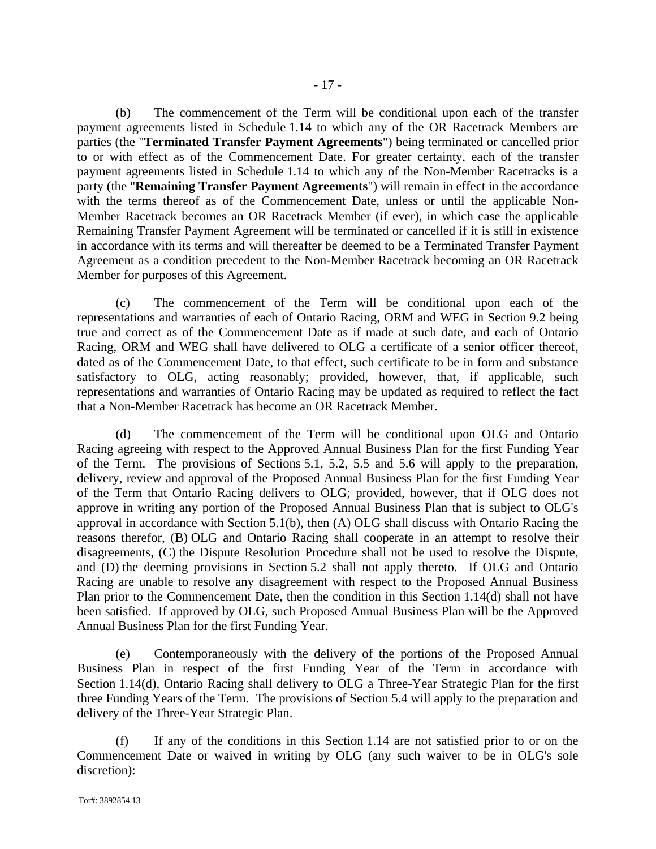(b) The commencement of the Term will be conditional upon each of the transfer payment agreements listed in Schedule 1.14 to which any of the OR Racetrack Members are parties (the "**Terminated Transfer Payment Agreements**") being terminated or cancelled prior to or with effect as of the Commencement Date. For greater certainty, each of the transfer payment agreements listed in Schedule 1.14 to which any of the Non-Member Racetracks is a party (the "**Remaining Transfer Payment Agreements**") will remain in effect in the accordance with the terms thereof as of the Commencement Date, unless or until the applicable Non-Member Racetrack becomes an OR Racetrack Member (if ever), in which case the applicable Remaining Transfer Payment Agreement will be terminated or cancelled if it is still in existence in accordance with its terms and will thereafter be deemed to be a Terminated Transfer Payment Agreement as a condition precedent to the Non-Member Racetrack becoming an OR Racetrack Member for purposes of this Agreement.

(c) The commencement of the Term will be conditional upon each of the representations and warranties of each of Ontario Racing, ORM and WEG in Section 9.2 being true and correct as of the Commencement Date as if made at such date, and each of Ontario Racing, ORM and WEG shall have delivered to OLG a certificate of a senior officer thereof, dated as of the Commencement Date, to that effect, such certificate to be in form and substance satisfactory to OLG, acting reasonably; provided, however, that, if applicable, such representations and warranties of Ontario Racing may be updated as required to reflect the fact that a Non-Member Racetrack has become an OR Racetrack Member.

(d) The commencement of the Term will be conditional upon OLG and Ontario Racing agreeing with respect to the Approved Annual Business Plan for the first Funding Year of the Term. The provisions of Sections 5.1, 5.2, 5.5 and 5.6 will apply to the preparation, delivery, review and approval of the Proposed Annual Business Plan for the first Funding Year of the Term that Ontario Racing delivers to OLG; provided, however, that if OLG does not approve in writing any portion of the Proposed Annual Business Plan that is subject to OLG's approval in accordance with Section 5.1(b), then (A) OLG shall discuss with Ontario Racing the reasons therefor, (B) OLG and Ontario Racing shall cooperate in an attempt to resolve their disagreements, (C) the Dispute Resolution Procedure shall not be used to resolve the Dispute, and (D) the deeming provisions in Section 5.2 shall not apply thereto. If OLG and Ontario Racing are unable to resolve any disagreement with respect to the Proposed Annual Business Plan prior to the Commencement Date, then the condition in this Section 1.14(d) shall not have been satisfied. If approved by OLG, such Proposed Annual Business Plan will be the Approved Annual Business Plan for the first Funding Year.

(e) Contemporaneously with the delivery of the portions of the Proposed Annual Business Plan in respect of the first Funding Year of the Term in accordance with Section 1.14(d), Ontario Racing shall delivery to OLG a Three-Year Strategic Plan for the first three Funding Years of the Term. The provisions of Section 5.4 will apply to the preparation and delivery of the Three-Year Strategic Plan.

(f) If any of the conditions in this Section 1.14 are not satisfied prior to or on the Commencement Date or waived in writing by OLG (any such waiver to be in OLG's sole discretion):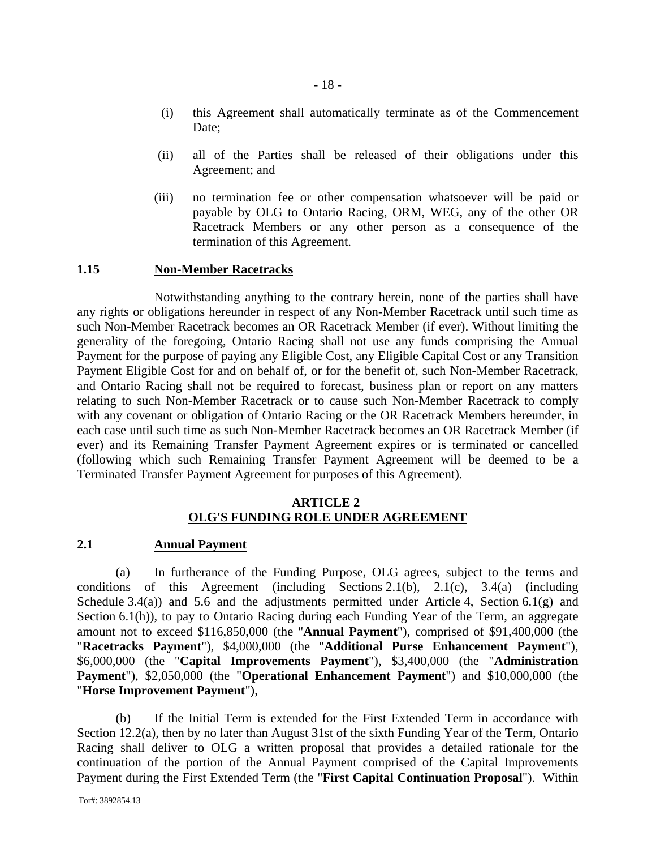- (i) this Agreement shall automatically terminate as of the Commencement Date:
- (ii) all of the Parties shall be released of their obligations under this Agreement; and
- (iii) no termination fee or other compensation whatsoever will be paid or payable by OLG to Ontario Racing, ORM, WEG, any of the other OR Racetrack Members or any other person as a consequence of the termination of this Agreement.

#### **1.15 Non-Member Racetracks**

Notwithstanding anything to the contrary herein, none of the parties shall have any rights or obligations hereunder in respect of any Non-Member Racetrack until such time as such Non-Member Racetrack becomes an OR Racetrack Member (if ever). Without limiting the generality of the foregoing, Ontario Racing shall not use any funds comprising the Annual Payment for the purpose of paying any Eligible Cost, any Eligible Capital Cost or any Transition Payment Eligible Cost for and on behalf of, or for the benefit of, such Non-Member Racetrack, and Ontario Racing shall not be required to forecast, business plan or report on any matters relating to such Non-Member Racetrack or to cause such Non-Member Racetrack to comply with any covenant or obligation of Ontario Racing or the OR Racetrack Members hereunder, in each case until such time as such Non-Member Racetrack becomes an OR Racetrack Member (if ever) and its Remaining Transfer Payment Agreement expires or is terminated or cancelled (following which such Remaining Transfer Payment Agreement will be deemed to be a Terminated Transfer Payment Agreement for purposes of this Agreement).

# **ARTICLE 2 OLG'S FUNDING ROLE UNDER AGREEMENT**

#### **2.1 Annual Payment**

(a) In furtherance of the Funding Purpose, OLG agrees, subject to the terms and conditions of this Agreement (including Sections 2.1(b), 2.1(c), 3.4(a) (including Schedule 3.4(a)) and 5.6 and the adjustments permitted under Article 4, Section 6.1(g) and Section 6.1(h)), to pay to Ontario Racing during each Funding Year of the Term, an aggregate amount not to exceed \$116,850,000 (the "**Annual Payment**"), comprised of \$91,400,000 (the "**Racetracks Payment**"), \$4,000,000 (the "**Additional Purse Enhancement Payment**"), \$6,000,000 (the "**Capital Improvements Payment**"), \$3,400,000 (the "**Administration Payment**"), \$2,050,000 (the "**Operational Enhancement Payment**") and \$10,000,000 (the "**Horse Improvement Payment**"),

(b) If the Initial Term is extended for the First Extended Term in accordance with Section 12.2(a), then by no later than August 31st of the sixth Funding Year of the Term, Ontario Racing shall deliver to OLG a written proposal that provides a detailed rationale for the continuation of the portion of the Annual Payment comprised of the Capital Improvements Payment during the First Extended Term (the "**First Capital Continuation Proposal**"). Within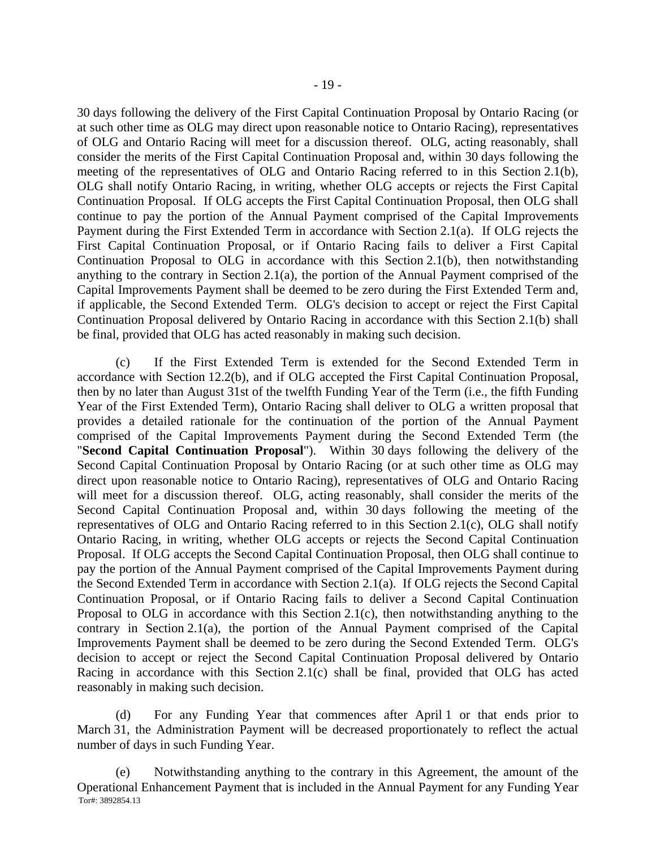30 days following the delivery of the First Capital Continuation Proposal by Ontario Racing (or at such other time as OLG may direct upon reasonable notice to Ontario Racing), representatives of OLG and Ontario Racing will meet for a discussion thereof. OLG, acting reasonably, shall consider the merits of the First Capital Continuation Proposal and, within 30 days following the meeting of the representatives of OLG and Ontario Racing referred to in this Section 2.1(b), OLG shall notify Ontario Racing, in writing, whether OLG accepts or rejects the First Capital Continuation Proposal. If OLG accepts the First Capital Continuation Proposal, then OLG shall continue to pay the portion of the Annual Payment comprised of the Capital Improvements Payment during the First Extended Term in accordance with Section 2.1(a). If OLG rejects the First Capital Continuation Proposal, or if Ontario Racing fails to deliver a First Capital Continuation Proposal to OLG in accordance with this Section 2.1(b), then notwithstanding anything to the contrary in Section 2.1(a), the portion of the Annual Payment comprised of the Capital Improvements Payment shall be deemed to be zero during the First Extended Term and, if applicable, the Second Extended Term. OLG's decision to accept or reject the First Capital Continuation Proposal delivered by Ontario Racing in accordance with this Section 2.1(b) shall be final, provided that OLG has acted reasonably in making such decision.

(c) If the First Extended Term is extended for the Second Extended Term in accordance with Section 12.2(b), and if OLG accepted the First Capital Continuation Proposal, then by no later than August 31st of the twelfth Funding Year of the Term (i.e., the fifth Funding Year of the First Extended Term), Ontario Racing shall deliver to OLG a written proposal that provides a detailed rationale for the continuation of the portion of the Annual Payment comprised of the Capital Improvements Payment during the Second Extended Term (the "**Second Capital Continuation Proposal**"). Within 30 days following the delivery of the Second Capital Continuation Proposal by Ontario Racing (or at such other time as OLG may direct upon reasonable notice to Ontario Racing), representatives of OLG and Ontario Racing will meet for a discussion thereof. OLG, acting reasonably, shall consider the merits of the Second Capital Continuation Proposal and, within 30 days following the meeting of the representatives of OLG and Ontario Racing referred to in this Section 2.1(c), OLG shall notify Ontario Racing, in writing, whether OLG accepts or rejects the Second Capital Continuation Proposal. If OLG accepts the Second Capital Continuation Proposal, then OLG shall continue to pay the portion of the Annual Payment comprised of the Capital Improvements Payment during the Second Extended Term in accordance with Section 2.1(a). If OLG rejects the Second Capital Continuation Proposal, or if Ontario Racing fails to deliver a Second Capital Continuation Proposal to OLG in accordance with this Section 2.1(c), then notwithstanding anything to the contrary in Section 2.1(a), the portion of the Annual Payment comprised of the Capital Improvements Payment shall be deemed to be zero during the Second Extended Term. OLG's decision to accept or reject the Second Capital Continuation Proposal delivered by Ontario Racing in accordance with this Section 2.1(c) shall be final, provided that OLG has acted reasonably in making such decision.

(d) For any Funding Year that commences after April 1 or that ends prior to March 31, the Administration Payment will be decreased proportionately to reflect the actual number of days in such Funding Year.

Tor#: 3892854.13 (e) Notwithstanding anything to the contrary in this Agreement, the amount of the Operational Enhancement Payment that is included in the Annual Payment for any Funding Year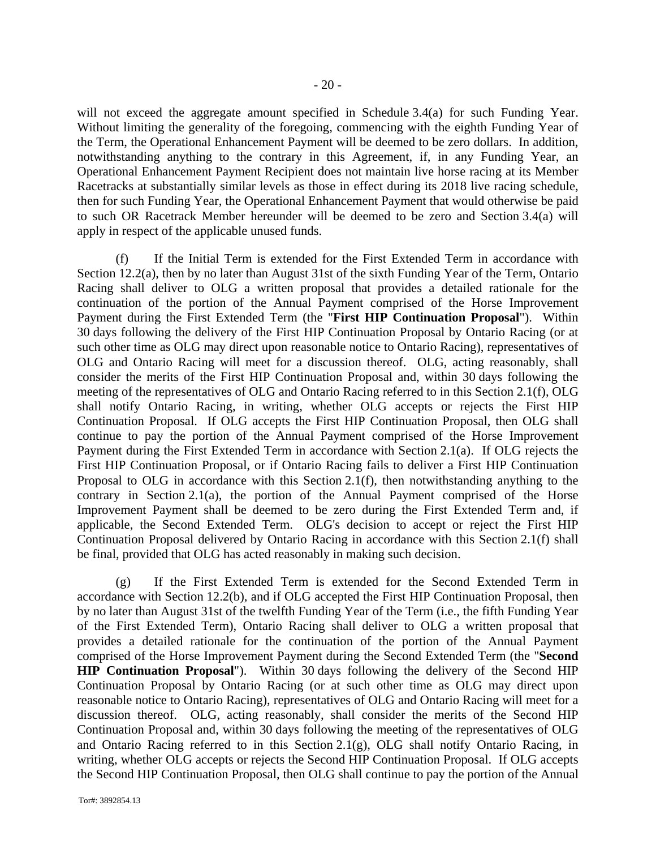will not exceed the aggregate amount specified in Schedule 3.4(a) for such Funding Year. Without limiting the generality of the foregoing, commencing with the eighth Funding Year of the Term, the Operational Enhancement Payment will be deemed to be zero dollars. In addition, notwithstanding anything to the contrary in this Agreement, if, in any Funding Year, an Operational Enhancement Payment Recipient does not maintain live horse racing at its Member Racetracks at substantially similar levels as those in effect during its 2018 live racing schedule, then for such Funding Year, the Operational Enhancement Payment that would otherwise be paid to such OR Racetrack Member hereunder will be deemed to be zero and Section 3.4(a) will apply in respect of the applicable unused funds.

(f) If the Initial Term is extended for the First Extended Term in accordance with Section 12.2(a), then by no later than August 31st of the sixth Funding Year of the Term, Ontario Racing shall deliver to OLG a written proposal that provides a detailed rationale for the continuation of the portion of the Annual Payment comprised of the Horse Improvement Payment during the First Extended Term (the "**First HIP Continuation Proposal**"). Within 30 days following the delivery of the First HIP Continuation Proposal by Ontario Racing (or at such other time as OLG may direct upon reasonable notice to Ontario Racing), representatives of OLG and Ontario Racing will meet for a discussion thereof. OLG, acting reasonably, shall consider the merits of the First HIP Continuation Proposal and, within 30 days following the meeting of the representatives of OLG and Ontario Racing referred to in this Section 2.1(f), OLG shall notify Ontario Racing, in writing, whether OLG accepts or rejects the First HIP Continuation Proposal. If OLG accepts the First HIP Continuation Proposal, then OLG shall continue to pay the portion of the Annual Payment comprised of the Horse Improvement Payment during the First Extended Term in accordance with Section 2.1(a). If OLG rejects the First HIP Continuation Proposal, or if Ontario Racing fails to deliver a First HIP Continuation Proposal to OLG in accordance with this Section 2.1(f), then notwithstanding anything to the contrary in Section 2.1(a), the portion of the Annual Payment comprised of the Horse Improvement Payment shall be deemed to be zero during the First Extended Term and, if applicable, the Second Extended Term. OLG's decision to accept or reject the First HIP Continuation Proposal delivered by Ontario Racing in accordance with this Section 2.1(f) shall be final, provided that OLG has acted reasonably in making such decision.

(g) If the First Extended Term is extended for the Second Extended Term in accordance with Section 12.2(b), and if OLG accepted the First HIP Continuation Proposal, then by no later than August 31st of the twelfth Funding Year of the Term (i.e., the fifth Funding Year of the First Extended Term), Ontario Racing shall deliver to OLG a written proposal that provides a detailed rationale for the continuation of the portion of the Annual Payment comprised of the Horse Improvement Payment during the Second Extended Term (the "**Second HIP Continuation Proposal**"). Within 30 days following the delivery of the Second HIP Continuation Proposal by Ontario Racing (or at such other time as OLG may direct upon reasonable notice to Ontario Racing), representatives of OLG and Ontario Racing will meet for a discussion thereof. OLG, acting reasonably, shall consider the merits of the Second HIP Continuation Proposal and, within 30 days following the meeting of the representatives of OLG and Ontario Racing referred to in this Section 2.1(g), OLG shall notify Ontario Racing, in writing, whether OLG accepts or rejects the Second HIP Continuation Proposal. If OLG accepts the Second HIP Continuation Proposal, then OLG shall continue to pay the portion of the Annual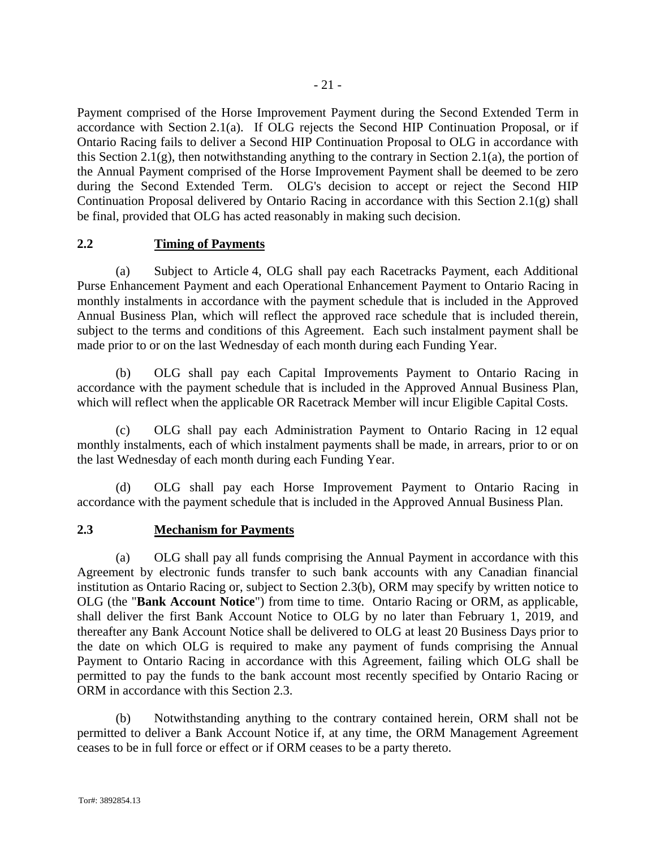Payment comprised of the Horse Improvement Payment during the Second Extended Term in accordance with Section 2.1(a). If OLG rejects the Second HIP Continuation Proposal, or if Ontario Racing fails to deliver a Second HIP Continuation Proposal to OLG in accordance with this Section 2.1(g), then notwithstanding anything to the contrary in Section 2.1(a), the portion of the Annual Payment comprised of the Horse Improvement Payment shall be deemed to be zero during the Second Extended Term. OLG's decision to accept or reject the Second HIP Continuation Proposal delivered by Ontario Racing in accordance with this Section 2.1(g) shall be final, provided that OLG has acted reasonably in making such decision.

# **2.2 Timing of Payments**

(a) Subject to Article 4, OLG shall pay each Racetracks Payment, each Additional Purse Enhancement Payment and each Operational Enhancement Payment to Ontario Racing in monthly instalments in accordance with the payment schedule that is included in the Approved Annual Business Plan, which will reflect the approved race schedule that is included therein, subject to the terms and conditions of this Agreement. Each such instalment payment shall be made prior to or on the last Wednesday of each month during each Funding Year.

(b) OLG shall pay each Capital Improvements Payment to Ontario Racing in accordance with the payment schedule that is included in the Approved Annual Business Plan, which will reflect when the applicable OR Racetrack Member will incur Eligible Capital Costs.

(c) OLG shall pay each Administration Payment to Ontario Racing in 12 equal monthly instalments, each of which instalment payments shall be made, in arrears, prior to or on the last Wednesday of each month during each Funding Year.

(d) OLG shall pay each Horse Improvement Payment to Ontario Racing in accordance with the payment schedule that is included in the Approved Annual Business Plan.

# **2.3 Mechanism for Payments**

(a) OLG shall pay all funds comprising the Annual Payment in accordance with this Agreement by electronic funds transfer to such bank accounts with any Canadian financial institution as Ontario Racing or, subject to Section 2.3(b), ORM may specify by written notice to OLG (the "**Bank Account Notice**") from time to time. Ontario Racing or ORM, as applicable, shall deliver the first Bank Account Notice to OLG by no later than February 1, 2019, and thereafter any Bank Account Notice shall be delivered to OLG at least 20 Business Days prior to the date on which OLG is required to make any payment of funds comprising the Annual Payment to Ontario Racing in accordance with this Agreement, failing which OLG shall be permitted to pay the funds to the bank account most recently specified by Ontario Racing or ORM in accordance with this Section 2.3.

(b) Notwithstanding anything to the contrary contained herein, ORM shall not be permitted to deliver a Bank Account Notice if, at any time, the ORM Management Agreement ceases to be in full force or effect or if ORM ceases to be a party thereto.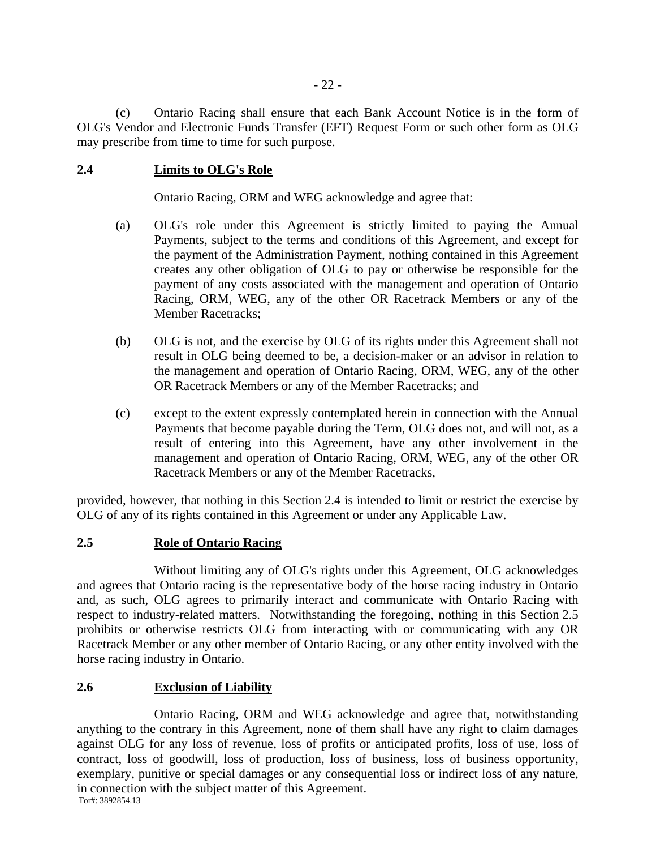(c) Ontario Racing shall ensure that each Bank Account Notice is in the form of OLG's Vendor and Electronic Funds Transfer (EFT) Request Form or such other form as OLG may prescribe from time to time for such purpose.

# **2.4 Limits to OLG's Role**

Ontario Racing, ORM and WEG acknowledge and agree that:

- (a) OLG's role under this Agreement is strictly limited to paying the Annual Payments, subject to the terms and conditions of this Agreement, and except for the payment of the Administration Payment, nothing contained in this Agreement creates any other obligation of OLG to pay or otherwise be responsible for the payment of any costs associated with the management and operation of Ontario Racing, ORM, WEG, any of the other OR Racetrack Members or any of the Member Racetracks;
- (b) OLG is not, and the exercise by OLG of its rights under this Agreement shall not result in OLG being deemed to be, a decision-maker or an advisor in relation to the management and operation of Ontario Racing, ORM, WEG, any of the other OR Racetrack Members or any of the Member Racetracks; and
- (c) except to the extent expressly contemplated herein in connection with the Annual Payments that become payable during the Term, OLG does not, and will not, as a result of entering into this Agreement, have any other involvement in the management and operation of Ontario Racing, ORM, WEG, any of the other OR Racetrack Members or any of the Member Racetracks,

provided, however, that nothing in this Section 2.4 is intended to limit or restrict the exercise by OLG of any of its rights contained in this Agreement or under any Applicable Law.

# **2.5 Role of Ontario Racing**

Without limiting any of OLG's rights under this Agreement, OLG acknowledges and agrees that Ontario racing is the representative body of the horse racing industry in Ontario and, as such, OLG agrees to primarily interact and communicate with Ontario Racing with respect to industry-related matters. Notwithstanding the foregoing, nothing in this Section 2.5 prohibits or otherwise restricts OLG from interacting with or communicating with any OR Racetrack Member or any other member of Ontario Racing, or any other entity involved with the horse racing industry in Ontario.

# **2.6 Exclusion of Liability**

Tor#: 3892854.13 Ontario Racing, ORM and WEG acknowledge and agree that, notwithstanding anything to the contrary in this Agreement, none of them shall have any right to claim damages against OLG for any loss of revenue, loss of profits or anticipated profits, loss of use, loss of contract, loss of goodwill, loss of production, loss of business, loss of business opportunity, exemplary, punitive or special damages or any consequential loss or indirect loss of any nature, in connection with the subject matter of this Agreement.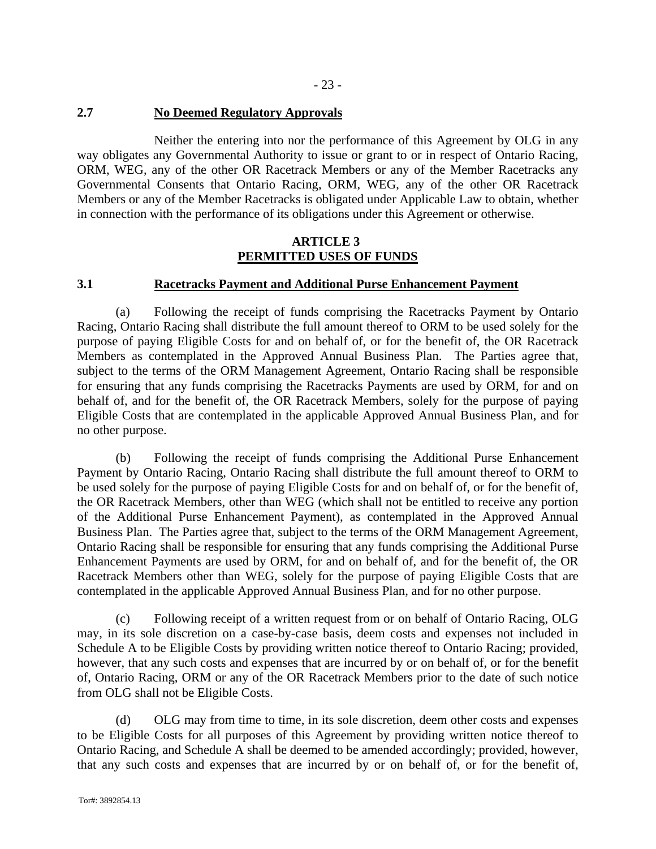# **2.7 No Deemed Regulatory Approvals**

Neither the entering into nor the performance of this Agreement by OLG in any way obligates any Governmental Authority to issue or grant to or in respect of Ontario Racing, ORM, WEG, any of the other OR Racetrack Members or any of the Member Racetracks any Governmental Consents that Ontario Racing, ORM, WEG, any of the other OR Racetrack Members or any of the Member Racetracks is obligated under Applicable Law to obtain, whether in connection with the performance of its obligations under this Agreement or otherwise.

# **ARTICLE 3 PERMITTED USES OF FUNDS**

### **3.1 Racetracks Payment and Additional Purse Enhancement Payment**

(a) Following the receipt of funds comprising the Racetracks Payment by Ontario Racing, Ontario Racing shall distribute the full amount thereof to ORM to be used solely for the purpose of paying Eligible Costs for and on behalf of, or for the benefit of, the OR Racetrack Members as contemplated in the Approved Annual Business Plan. The Parties agree that, subject to the terms of the ORM Management Agreement, Ontario Racing shall be responsible for ensuring that any funds comprising the Racetracks Payments are used by ORM, for and on behalf of, and for the benefit of, the OR Racetrack Members, solely for the purpose of paying Eligible Costs that are contemplated in the applicable Approved Annual Business Plan, and for no other purpose.

(b) Following the receipt of funds comprising the Additional Purse Enhancement Payment by Ontario Racing, Ontario Racing shall distribute the full amount thereof to ORM to be used solely for the purpose of paying Eligible Costs for and on behalf of, or for the benefit of, the OR Racetrack Members, other than WEG (which shall not be entitled to receive any portion of the Additional Purse Enhancement Payment), as contemplated in the Approved Annual Business Plan. The Parties agree that, subject to the terms of the ORM Management Agreement, Ontario Racing shall be responsible for ensuring that any funds comprising the Additional Purse Enhancement Payments are used by ORM, for and on behalf of, and for the benefit of, the OR Racetrack Members other than WEG, solely for the purpose of paying Eligible Costs that are contemplated in the applicable Approved Annual Business Plan, and for no other purpose.

(c) Following receipt of a written request from or on behalf of Ontario Racing, OLG may, in its sole discretion on a case-by-case basis, deem costs and expenses not included in Schedule A to be Eligible Costs by providing written notice thereof to Ontario Racing; provided, however, that any such costs and expenses that are incurred by or on behalf of, or for the benefit of, Ontario Racing, ORM or any of the OR Racetrack Members prior to the date of such notice from OLG shall not be Eligible Costs.

(d) OLG may from time to time, in its sole discretion, deem other costs and expenses to be Eligible Costs for all purposes of this Agreement by providing written notice thereof to Ontario Racing, and Schedule A shall be deemed to be amended accordingly; provided, however, that any such costs and expenses that are incurred by or on behalf of, or for the benefit of,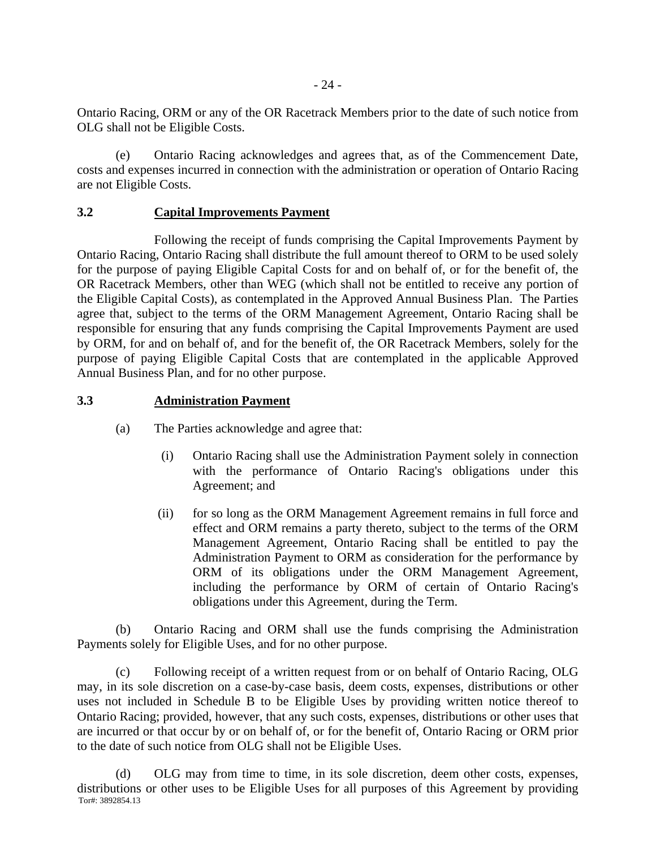Ontario Racing, ORM or any of the OR Racetrack Members prior to the date of such notice from OLG shall not be Eligible Costs.

(e) Ontario Racing acknowledges and agrees that, as of the Commencement Date, costs and expenses incurred in connection with the administration or operation of Ontario Racing are not Eligible Costs.

### **3.2 Capital Improvements Payment**

Following the receipt of funds comprising the Capital Improvements Payment by Ontario Racing, Ontario Racing shall distribute the full amount thereof to ORM to be used solely for the purpose of paying Eligible Capital Costs for and on behalf of, or for the benefit of, the OR Racetrack Members, other than WEG (which shall not be entitled to receive any portion of the Eligible Capital Costs), as contemplated in the Approved Annual Business Plan. The Parties agree that, subject to the terms of the ORM Management Agreement, Ontario Racing shall be responsible for ensuring that any funds comprising the Capital Improvements Payment are used by ORM, for and on behalf of, and for the benefit of, the OR Racetrack Members, solely for the purpose of paying Eligible Capital Costs that are contemplated in the applicable Approved Annual Business Plan, and for no other purpose.

# **3.3 Administration Payment**

- (a) The Parties acknowledge and agree that:
	- (i) Ontario Racing shall use the Administration Payment solely in connection with the performance of Ontario Racing's obligations under this Agreement; and
	- (ii) for so long as the ORM Management Agreement remains in full force and effect and ORM remains a party thereto, subject to the terms of the ORM Management Agreement, Ontario Racing shall be entitled to pay the Administration Payment to ORM as consideration for the performance by ORM of its obligations under the ORM Management Agreement, including the performance by ORM of certain of Ontario Racing's obligations under this Agreement, during the Term.

(b) Ontario Racing and ORM shall use the funds comprising the Administration Payments solely for Eligible Uses, and for no other purpose.

(c) Following receipt of a written request from or on behalf of Ontario Racing, OLG may, in its sole discretion on a case-by-case basis, deem costs, expenses, distributions or other uses not included in Schedule B to be Eligible Uses by providing written notice thereof to Ontario Racing; provided, however, that any such costs, expenses, distributions or other uses that are incurred or that occur by or on behalf of, or for the benefit of, Ontario Racing or ORM prior to the date of such notice from OLG shall not be Eligible Uses.

Tor#: 3892854.13 (d) OLG may from time to time, in its sole discretion, deem other costs, expenses, distributions or other uses to be Eligible Uses for all purposes of this Agreement by providing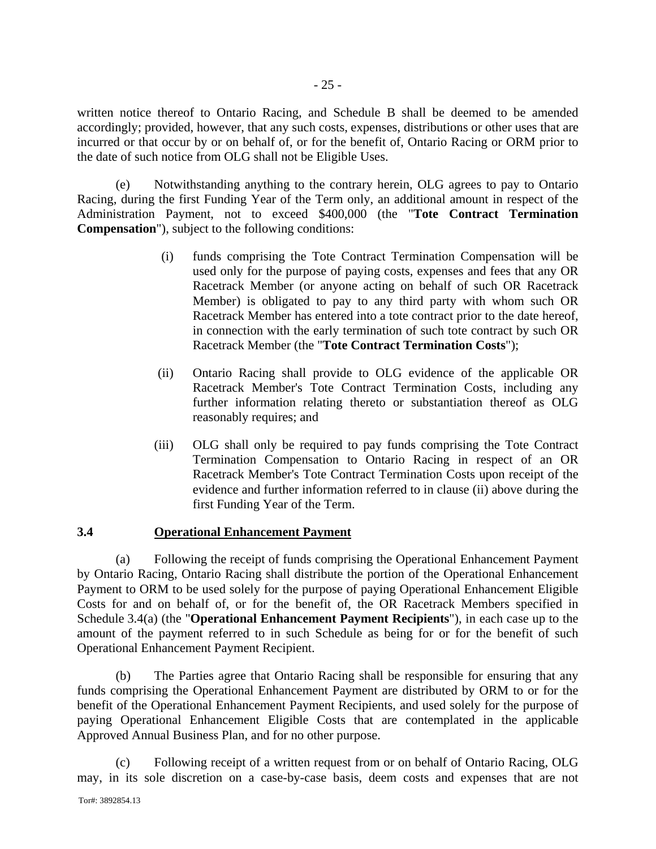written notice thereof to Ontario Racing, and Schedule B shall be deemed to be amended accordingly; provided, however, that any such costs, expenses, distributions or other uses that are incurred or that occur by or on behalf of, or for the benefit of, Ontario Racing or ORM prior to the date of such notice from OLG shall not be Eligible Uses.

(e) Notwithstanding anything to the contrary herein, OLG agrees to pay to Ontario Racing, during the first Funding Year of the Term only, an additional amount in respect of the Administration Payment, not to exceed \$400,000 (the "**Tote Contract Termination Compensation**"), subject to the following conditions:

- (i) funds comprising the Tote Contract Termination Compensation will be used only for the purpose of paying costs, expenses and fees that any OR Racetrack Member (or anyone acting on behalf of such OR Racetrack Member) is obligated to pay to any third party with whom such OR Racetrack Member has entered into a tote contract prior to the date hereof, in connection with the early termination of such tote contract by such OR Racetrack Member (the "**Tote Contract Termination Costs**");
- (ii) Ontario Racing shall provide to OLG evidence of the applicable OR Racetrack Member's Tote Contract Termination Costs, including any further information relating thereto or substantiation thereof as OLG reasonably requires; and
- (iii) OLG shall only be required to pay funds comprising the Tote Contract Termination Compensation to Ontario Racing in respect of an OR Racetrack Member's Tote Contract Termination Costs upon receipt of the evidence and further information referred to in clause (ii) above during the first Funding Year of the Term.

#### **3.4 Operational Enhancement Payment**

(a) Following the receipt of funds comprising the Operational Enhancement Payment by Ontario Racing, Ontario Racing shall distribute the portion of the Operational Enhancement Payment to ORM to be used solely for the purpose of paying Operational Enhancement Eligible Costs for and on behalf of, or for the benefit of, the OR Racetrack Members specified in Schedule 3.4(a) (the "**Operational Enhancement Payment Recipients**"), in each case up to the amount of the payment referred to in such Schedule as being for or for the benefit of such Operational Enhancement Payment Recipient.

(b) The Parties agree that Ontario Racing shall be responsible for ensuring that any funds comprising the Operational Enhancement Payment are distributed by ORM to or for the benefit of the Operational Enhancement Payment Recipients, and used solely for the purpose of paying Operational Enhancement Eligible Costs that are contemplated in the applicable Approved Annual Business Plan, and for no other purpose.

(c) Following receipt of a written request from or on behalf of Ontario Racing, OLG may, in its sole discretion on a case-by-case basis, deem costs and expenses that are not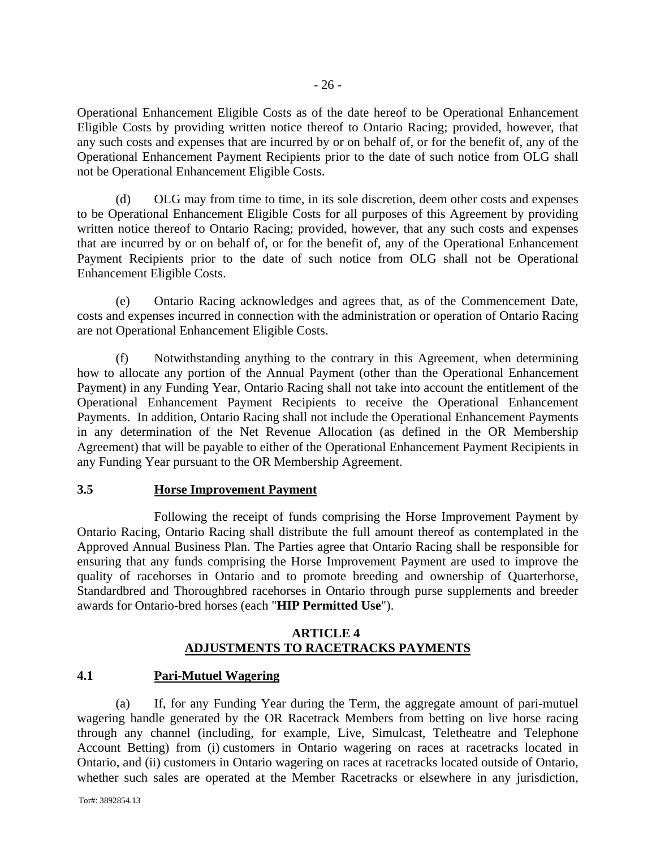Operational Enhancement Eligible Costs as of the date hereof to be Operational Enhancement Eligible Costs by providing written notice thereof to Ontario Racing; provided, however, that any such costs and expenses that are incurred by or on behalf of, or for the benefit of, any of the Operational Enhancement Payment Recipients prior to the date of such notice from OLG shall not be Operational Enhancement Eligible Costs.

(d) OLG may from time to time, in its sole discretion, deem other costs and expenses to be Operational Enhancement Eligible Costs for all purposes of this Agreement by providing written notice thereof to Ontario Racing; provided, however, that any such costs and expenses that are incurred by or on behalf of, or for the benefit of, any of the Operational Enhancement Payment Recipients prior to the date of such notice from OLG shall not be Operational Enhancement Eligible Costs.

(e) Ontario Racing acknowledges and agrees that, as of the Commencement Date, costs and expenses incurred in connection with the administration or operation of Ontario Racing are not Operational Enhancement Eligible Costs.

(f) Notwithstanding anything to the contrary in this Agreement, when determining how to allocate any portion of the Annual Payment (other than the Operational Enhancement Payment) in any Funding Year, Ontario Racing shall not take into account the entitlement of the Operational Enhancement Payment Recipients to receive the Operational Enhancement Payments. In addition, Ontario Racing shall not include the Operational Enhancement Payments in any determination of the Net Revenue Allocation (as defined in the OR Membership Agreement) that will be payable to either of the Operational Enhancement Payment Recipients in any Funding Year pursuant to the OR Membership Agreement.

# **3.5 Horse Improvement Payment**

Following the receipt of funds comprising the Horse Improvement Payment by Ontario Racing, Ontario Racing shall distribute the full amount thereof as contemplated in the Approved Annual Business Plan. The Parties agree that Ontario Racing shall be responsible for ensuring that any funds comprising the Horse Improvement Payment are used to improve the quality of racehorses in Ontario and to promote breeding and ownership of Quarterhorse, Standardbred and Thoroughbred racehorses in Ontario through purse supplements and breeder awards for Ontario-bred horses (each "**HIP Permitted Use**").

# **ARTICLE 4 ADJUSTMENTS TO RACETRACKS PAYMENTS**

# **4.1 Pari-Mutuel Wagering**

(a) If, for any Funding Year during the Term, the aggregate amount of pari-mutuel wagering handle generated by the OR Racetrack Members from betting on live horse racing through any channel (including, for example, Live, Simulcast, Teletheatre and Telephone Account Betting) from (i) customers in Ontario wagering on races at racetracks located in Ontario, and (ii) customers in Ontario wagering on races at racetracks located outside of Ontario, whether such sales are operated at the Member Racetracks or elsewhere in any jurisdiction,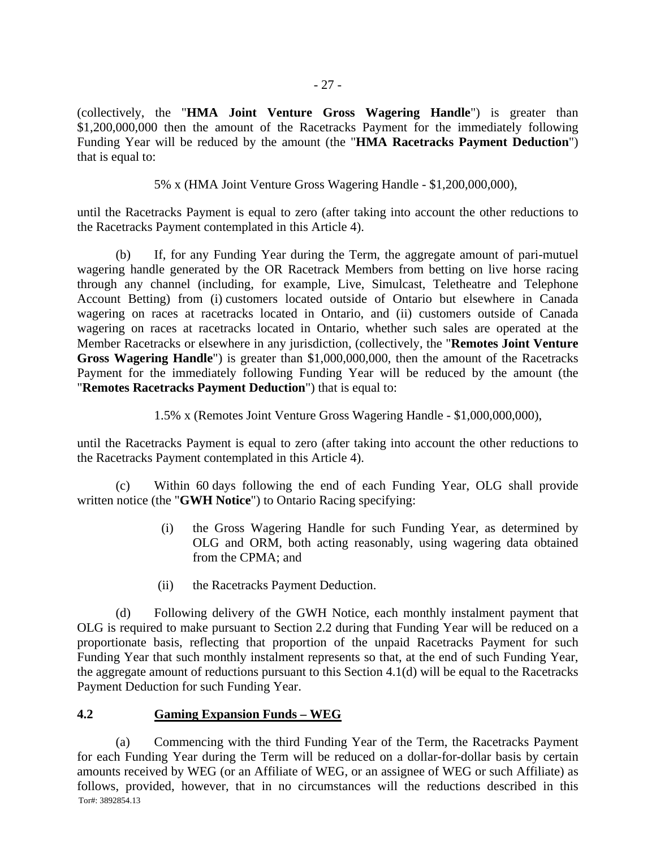(collectively, the "**HMA Joint Venture Gross Wagering Handle**") is greater than \$1,200,000,000 then the amount of the Racetracks Payment for the immediately following Funding Year will be reduced by the amount (the "**HMA Racetracks Payment Deduction**") that is equal to:

5% x (HMA Joint Venture Gross Wagering Handle - \$1,200,000,000),

until the Racetracks Payment is equal to zero (after taking into account the other reductions to the Racetracks Payment contemplated in this Article 4).

(b) If, for any Funding Year during the Term, the aggregate amount of pari-mutuel wagering handle generated by the OR Racetrack Members from betting on live horse racing through any channel (including, for example, Live, Simulcast, Teletheatre and Telephone Account Betting) from (i) customers located outside of Ontario but elsewhere in Canada wagering on races at racetracks located in Ontario, and (ii) customers outside of Canada wagering on races at racetracks located in Ontario, whether such sales are operated at the Member Racetracks or elsewhere in any jurisdiction, (collectively, the "**Remotes Joint Venture Gross Wagering Handle**") is greater than \$1,000,000,000, then the amount of the Racetracks Payment for the immediately following Funding Year will be reduced by the amount (the "**Remotes Racetracks Payment Deduction**") that is equal to:

1.5% x (Remotes Joint Venture Gross Wagering Handle - \$1,000,000,000),

until the Racetracks Payment is equal to zero (after taking into account the other reductions to the Racetracks Payment contemplated in this Article 4).

(c) Within 60 days following the end of each Funding Year, OLG shall provide written notice (the "**GWH Notice**") to Ontario Racing specifying:

- (i) the Gross Wagering Handle for such Funding Year, as determined by OLG and ORM, both acting reasonably, using wagering data obtained from the CPMA; and
- (ii) the Racetracks Payment Deduction.

(d) Following delivery of the GWH Notice, each monthly instalment payment that OLG is required to make pursuant to Section 2.2 during that Funding Year will be reduced on a proportionate basis, reflecting that proportion of the unpaid Racetracks Payment for such Funding Year that such monthly instalment represents so that, at the end of such Funding Year, the aggregate amount of reductions pursuant to this Section 4.1(d) will be equal to the Racetracks Payment Deduction for such Funding Year.

# **4.2 Gaming Expansion Funds – WEG**

Tor#: 3892854.13 (a) Commencing with the third Funding Year of the Term, the Racetracks Payment for each Funding Year during the Term will be reduced on a dollar-for-dollar basis by certain amounts received by WEG (or an Affiliate of WEG, or an assignee of WEG or such Affiliate) as follows, provided, however, that in no circumstances will the reductions described in this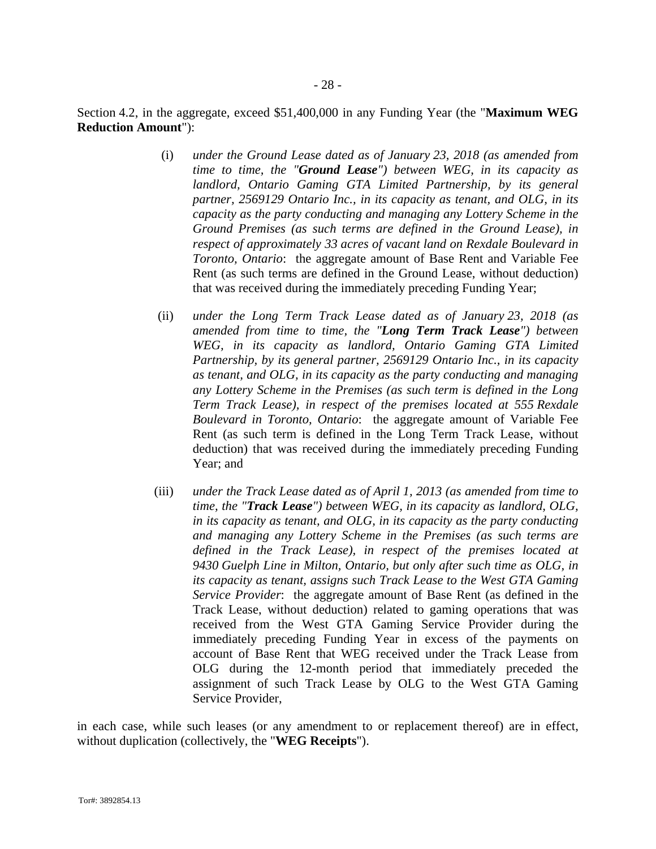Section 4.2, in the aggregate, exceed \$51,400,000 in any Funding Year (the "**Maximum WEG Reduction Amount**"):

- (i) *under the Ground Lease dated as of January 23, 2018 (as amended from time to time, the "Ground Lease") between WEG, in its capacity as landlord, Ontario Gaming GTA Limited Partnership, by its general partner, 2569129 Ontario Inc., in its capacity as tenant, and OLG, in its capacity as the party conducting and managing any Lottery Scheme in the Ground Premises (as such terms are defined in the Ground Lease), in respect of approximately 33 acres of vacant land on Rexdale Boulevard in Toronto, Ontario*: the aggregate amount of Base Rent and Variable Fee Rent (as such terms are defined in the Ground Lease, without deduction) that was received during the immediately preceding Funding Year;
- (ii) *under the Long Term Track Lease dated as of January 23, 2018 (as amended from time to time, the "Long Term Track Lease") between WEG, in its capacity as landlord, Ontario Gaming GTA Limited Partnership, by its general partner, 2569129 Ontario Inc., in its capacity as tenant, and OLG, in its capacity as the party conducting and managing any Lottery Scheme in the Premises (as such term is defined in the Long Term Track Lease), in respect of the premises located at 555 Rexdale Boulevard in Toronto, Ontario*: the aggregate amount of Variable Fee Rent (as such term is defined in the Long Term Track Lease, without deduction) that was received during the immediately preceding Funding Year; and
- (iii) *under the Track Lease dated as of April 1, 2013 (as amended from time to time, the "Track Lease") between WEG, in its capacity as landlord, OLG, in its capacity as tenant, and OLG, in its capacity as the party conducting and managing any Lottery Scheme in the Premises (as such terms are defined in the Track Lease), in respect of the premises located at 9430 Guelph Line in Milton, Ontario, but only after such time as OLG, in its capacity as tenant, assigns such Track Lease to the West GTA Gaming Service Provider*: the aggregate amount of Base Rent (as defined in the Track Lease, without deduction) related to gaming operations that was received from the West GTA Gaming Service Provider during the immediately preceding Funding Year in excess of the payments on account of Base Rent that WEG received under the Track Lease from OLG during the 12-month period that immediately preceded the assignment of such Track Lease by OLG to the West GTA Gaming Service Provider,

in each case, while such leases (or any amendment to or replacement thereof) are in effect, without duplication (collectively, the "**WEG Receipts**").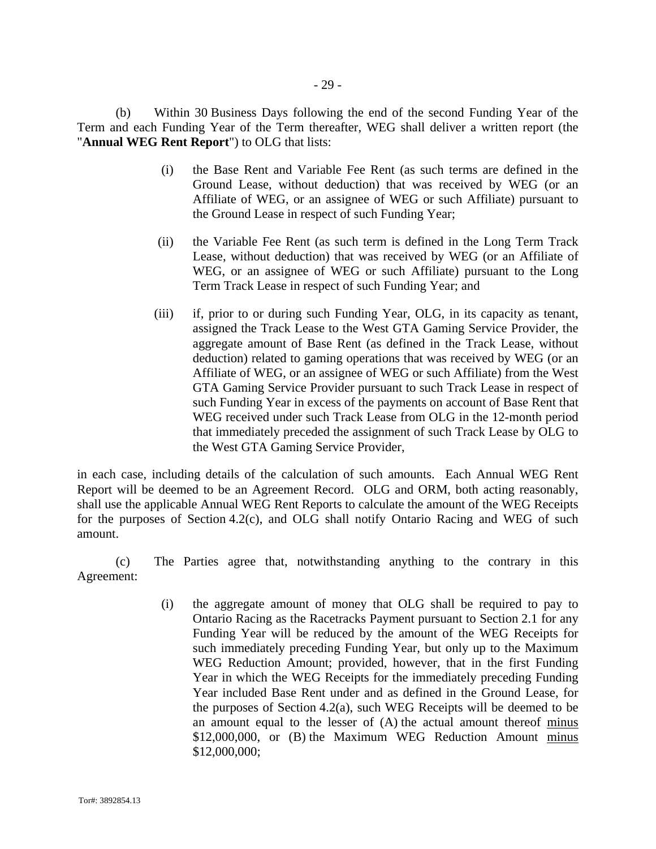(b) Within 30 Business Days following the end of the second Funding Year of the Term and each Funding Year of the Term thereafter, WEG shall deliver a written report (the "**Annual WEG Rent Report**") to OLG that lists:

- (i) the Base Rent and Variable Fee Rent (as such terms are defined in the Ground Lease, without deduction) that was received by WEG (or an Affiliate of WEG, or an assignee of WEG or such Affiliate) pursuant to the Ground Lease in respect of such Funding Year;
- (ii) the Variable Fee Rent (as such term is defined in the Long Term Track Lease, without deduction) that was received by WEG (or an Affiliate of WEG, or an assignee of WEG or such Affiliate) pursuant to the Long Term Track Lease in respect of such Funding Year; and
- (iii) if, prior to or during such Funding Year, OLG, in its capacity as tenant, assigned the Track Lease to the West GTA Gaming Service Provider, the aggregate amount of Base Rent (as defined in the Track Lease, without deduction) related to gaming operations that was received by WEG (or an Affiliate of WEG, or an assignee of WEG or such Affiliate) from the West GTA Gaming Service Provider pursuant to such Track Lease in respect of such Funding Year in excess of the payments on account of Base Rent that WEG received under such Track Lease from OLG in the 12-month period that immediately preceded the assignment of such Track Lease by OLG to the West GTA Gaming Service Provider,

in each case, including details of the calculation of such amounts. Each Annual WEG Rent Report will be deemed to be an Agreement Record. OLG and ORM, both acting reasonably, shall use the applicable Annual WEG Rent Reports to calculate the amount of the WEG Receipts for the purposes of Section 4.2(c), and OLG shall notify Ontario Racing and WEG of such amount.

(c) The Parties agree that, notwithstanding anything to the contrary in this Agreement:

> (i) the aggregate amount of money that OLG shall be required to pay to Ontario Racing as the Racetracks Payment pursuant to Section 2.1 for any Funding Year will be reduced by the amount of the WEG Receipts for such immediately preceding Funding Year, but only up to the Maximum WEG Reduction Amount; provided, however, that in the first Funding Year in which the WEG Receipts for the immediately preceding Funding Year included Base Rent under and as defined in the Ground Lease, for the purposes of Section 4.2(a), such WEG Receipts will be deemed to be an amount equal to the lesser of (A) the actual amount thereof minus \$12,000,000, or (B) the Maximum WEG Reduction Amount minus \$12,000,000;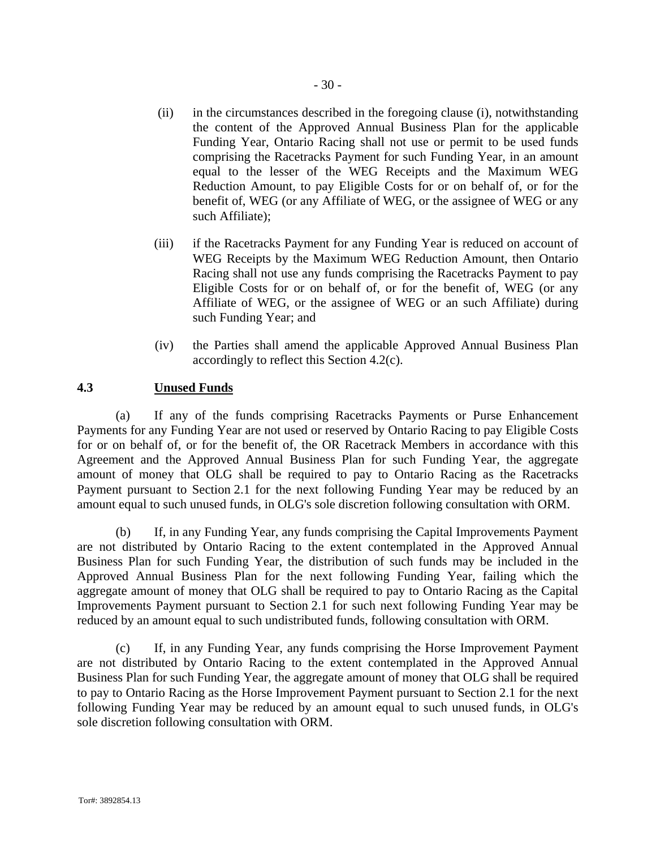- (ii) in the circumstances described in the foregoing clause (i), notwithstanding the content of the Approved Annual Business Plan for the applicable Funding Year, Ontario Racing shall not use or permit to be used funds comprising the Racetracks Payment for such Funding Year, in an amount equal to the lesser of the WEG Receipts and the Maximum WEG Reduction Amount, to pay Eligible Costs for or on behalf of, or for the benefit of, WEG (or any Affiliate of WEG, or the assignee of WEG or any such Affiliate);
- (iii) if the Racetracks Payment for any Funding Year is reduced on account of WEG Receipts by the Maximum WEG Reduction Amount, then Ontario Racing shall not use any funds comprising the Racetracks Payment to pay Eligible Costs for or on behalf of, or for the benefit of, WEG (or any Affiliate of WEG, or the assignee of WEG or an such Affiliate) during such Funding Year; and
- (iv) the Parties shall amend the applicable Approved Annual Business Plan accordingly to reflect this Section 4.2(c).

#### **4.3 Unused Funds**

(a) If any of the funds comprising Racetracks Payments or Purse Enhancement Payments for any Funding Year are not used or reserved by Ontario Racing to pay Eligible Costs for or on behalf of, or for the benefit of, the OR Racetrack Members in accordance with this Agreement and the Approved Annual Business Plan for such Funding Year, the aggregate amount of money that OLG shall be required to pay to Ontario Racing as the Racetracks Payment pursuant to Section 2.1 for the next following Funding Year may be reduced by an amount equal to such unused funds, in OLG's sole discretion following consultation with ORM.

(b) If, in any Funding Year, any funds comprising the Capital Improvements Payment are not distributed by Ontario Racing to the extent contemplated in the Approved Annual Business Plan for such Funding Year, the distribution of such funds may be included in the Approved Annual Business Plan for the next following Funding Year, failing which the aggregate amount of money that OLG shall be required to pay to Ontario Racing as the Capital Improvements Payment pursuant to Section 2.1 for such next following Funding Year may be reduced by an amount equal to such undistributed funds, following consultation with ORM.

(c) If, in any Funding Year, any funds comprising the Horse Improvement Payment are not distributed by Ontario Racing to the extent contemplated in the Approved Annual Business Plan for such Funding Year, the aggregate amount of money that OLG shall be required to pay to Ontario Racing as the Horse Improvement Payment pursuant to Section 2.1 for the next following Funding Year may be reduced by an amount equal to such unused funds, in OLG's sole discretion following consultation with ORM.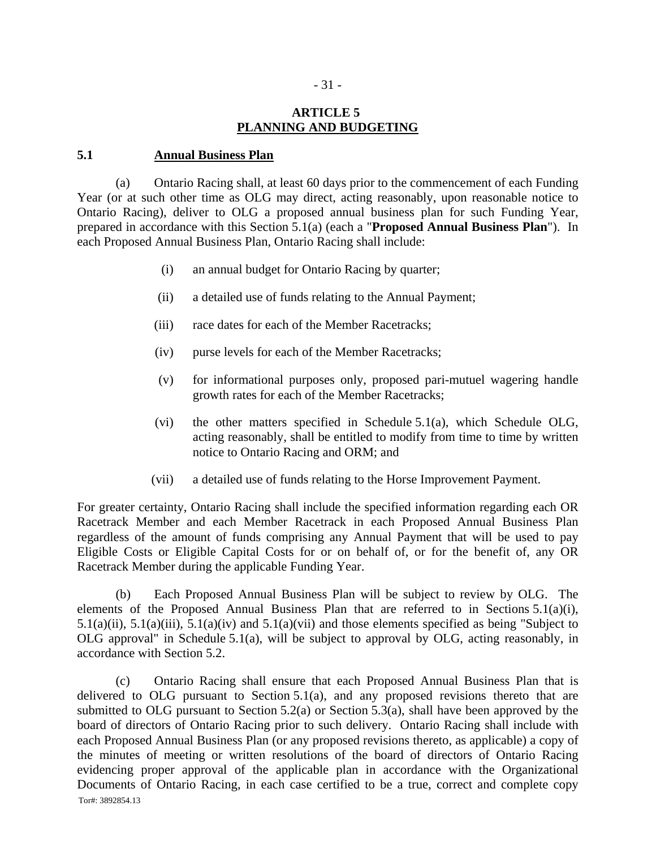# **ARTICLE 5 PLANNING AND BUDGETING**

#### **5.1 Annual Business Plan**

(a) Ontario Racing shall, at least 60 days prior to the commencement of each Funding Year (or at such other time as OLG may direct, acting reasonably, upon reasonable notice to Ontario Racing), deliver to OLG a proposed annual business plan for such Funding Year, prepared in accordance with this Section 5.1(a) (each a "**Proposed Annual Business Plan**"). In each Proposed Annual Business Plan, Ontario Racing shall include:

- (i) an annual budget for Ontario Racing by quarter;
- (ii) a detailed use of funds relating to the Annual Payment;
- (iii) race dates for each of the Member Racetracks;
- (iv) purse levels for each of the Member Racetracks;
- (v) for informational purposes only, proposed pari-mutuel wagering handle growth rates for each of the Member Racetracks;
- (vi) the other matters specified in Schedule 5.1(a), which Schedule OLG, acting reasonably, shall be entitled to modify from time to time by written notice to Ontario Racing and ORM; and
- (vii) a detailed use of funds relating to the Horse Improvement Payment.

For greater certainty, Ontario Racing shall include the specified information regarding each OR Racetrack Member and each Member Racetrack in each Proposed Annual Business Plan regardless of the amount of funds comprising any Annual Payment that will be used to pay Eligible Costs or Eligible Capital Costs for or on behalf of, or for the benefit of, any OR Racetrack Member during the applicable Funding Year.

(b) Each Proposed Annual Business Plan will be subject to review by OLG. The elements of the Proposed Annual Business Plan that are referred to in Sections 5.1(a)(i), 5.1(a)(ii), 5.1(a)(iii), 5.1(a)(iv) and 5.1(a)(vii) and those elements specified as being "Subject to OLG approval" in Schedule 5.1(a), will be subject to approval by OLG, acting reasonably, in accordance with Section 5.2.

Tor#: 3892854.13 (c) Ontario Racing shall ensure that each Proposed Annual Business Plan that is delivered to OLG pursuant to Section  $5.1(a)$ , and any proposed revisions thereto that are submitted to OLG pursuant to Section 5.2(a) or Section 5.3(a), shall have been approved by the board of directors of Ontario Racing prior to such delivery. Ontario Racing shall include with each Proposed Annual Business Plan (or any proposed revisions thereto, as applicable) a copy of the minutes of meeting or written resolutions of the board of directors of Ontario Racing evidencing proper approval of the applicable plan in accordance with the Organizational Documents of Ontario Racing, in each case certified to be a true, correct and complete copy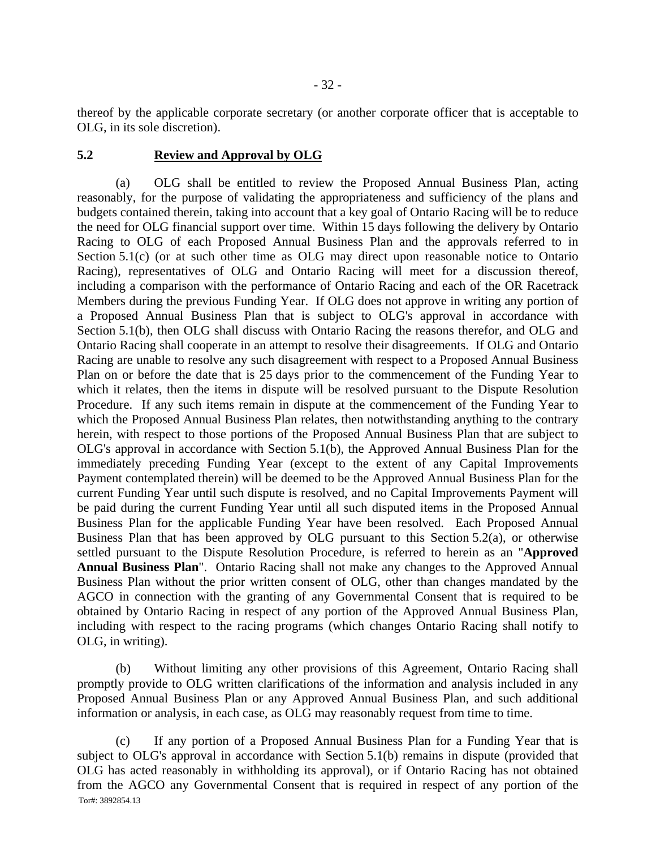thereof by the applicable corporate secretary (or another corporate officer that is acceptable to OLG, in its sole discretion).

#### **5.2 Review and Approval by OLG**

(a) OLG shall be entitled to review the Proposed Annual Business Plan, acting reasonably, for the purpose of validating the appropriateness and sufficiency of the plans and budgets contained therein, taking into account that a key goal of Ontario Racing will be to reduce the need for OLG financial support over time. Within 15 days following the delivery by Ontario Racing to OLG of each Proposed Annual Business Plan and the approvals referred to in Section 5.1(c) (or at such other time as OLG may direct upon reasonable notice to Ontario Racing), representatives of OLG and Ontario Racing will meet for a discussion thereof, including a comparison with the performance of Ontario Racing and each of the OR Racetrack Members during the previous Funding Year. If OLG does not approve in writing any portion of a Proposed Annual Business Plan that is subject to OLG's approval in accordance with Section 5.1(b), then OLG shall discuss with Ontario Racing the reasons therefor, and OLG and Ontario Racing shall cooperate in an attempt to resolve their disagreements. If OLG and Ontario Racing are unable to resolve any such disagreement with respect to a Proposed Annual Business Plan on or before the date that is 25 days prior to the commencement of the Funding Year to which it relates, then the items in dispute will be resolved pursuant to the Dispute Resolution Procedure. If any such items remain in dispute at the commencement of the Funding Year to which the Proposed Annual Business Plan relates, then notwithstanding anything to the contrary herein, with respect to those portions of the Proposed Annual Business Plan that are subject to OLG's approval in accordance with Section 5.1(b), the Approved Annual Business Plan for the immediately preceding Funding Year (except to the extent of any Capital Improvements Payment contemplated therein) will be deemed to be the Approved Annual Business Plan for the current Funding Year until such dispute is resolved, and no Capital Improvements Payment will be paid during the current Funding Year until all such disputed items in the Proposed Annual Business Plan for the applicable Funding Year have been resolved. Each Proposed Annual Business Plan that has been approved by OLG pursuant to this Section 5.2(a), or otherwise settled pursuant to the Dispute Resolution Procedure, is referred to herein as an "**Approved Annual Business Plan**". Ontario Racing shall not make any changes to the Approved Annual Business Plan without the prior written consent of OLG, other than changes mandated by the AGCO in connection with the granting of any Governmental Consent that is required to be obtained by Ontario Racing in respect of any portion of the Approved Annual Business Plan, including with respect to the racing programs (which changes Ontario Racing shall notify to OLG, in writing).

(b) Without limiting any other provisions of this Agreement, Ontario Racing shall promptly provide to OLG written clarifications of the information and analysis included in any Proposed Annual Business Plan or any Approved Annual Business Plan, and such additional information or analysis, in each case, as OLG may reasonably request from time to time.

Tor#: 3892854.13 (c) If any portion of a Proposed Annual Business Plan for a Funding Year that is subject to OLG's approval in accordance with Section 5.1(b) remains in dispute (provided that OLG has acted reasonably in withholding its approval), or if Ontario Racing has not obtained from the AGCO any Governmental Consent that is required in respect of any portion of the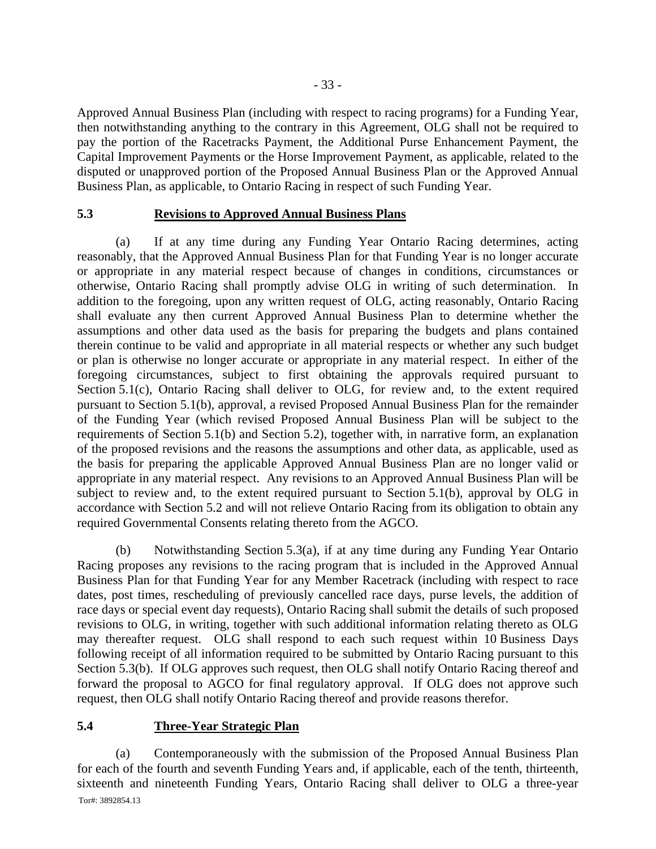Approved Annual Business Plan (including with respect to racing programs) for a Funding Year, then notwithstanding anything to the contrary in this Agreement, OLG shall not be required to pay the portion of the Racetracks Payment, the Additional Purse Enhancement Payment, the Capital Improvement Payments or the Horse Improvement Payment, as applicable, related to the disputed or unapproved portion of the Proposed Annual Business Plan or the Approved Annual Business Plan, as applicable, to Ontario Racing in respect of such Funding Year.

#### **5.3 Revisions to Approved Annual Business Plans**

(a) If at any time during any Funding Year Ontario Racing determines, acting reasonably, that the Approved Annual Business Plan for that Funding Year is no longer accurate or appropriate in any material respect because of changes in conditions, circumstances or otherwise, Ontario Racing shall promptly advise OLG in writing of such determination. In addition to the foregoing, upon any written request of OLG, acting reasonably, Ontario Racing shall evaluate any then current Approved Annual Business Plan to determine whether the assumptions and other data used as the basis for preparing the budgets and plans contained therein continue to be valid and appropriate in all material respects or whether any such budget or plan is otherwise no longer accurate or appropriate in any material respect. In either of the foregoing circumstances, subject to first obtaining the approvals required pursuant to Section 5.1(c), Ontario Racing shall deliver to OLG, for review and, to the extent required pursuant to Section 5.1(b), approval, a revised Proposed Annual Business Plan for the remainder of the Funding Year (which revised Proposed Annual Business Plan will be subject to the requirements of Section 5.1(b) and Section 5.2), together with, in narrative form, an explanation of the proposed revisions and the reasons the assumptions and other data, as applicable, used as the basis for preparing the applicable Approved Annual Business Plan are no longer valid or appropriate in any material respect. Any revisions to an Approved Annual Business Plan will be subject to review and, to the extent required pursuant to Section 5.1(b), approval by OLG in accordance with Section 5.2 and will not relieve Ontario Racing from its obligation to obtain any required Governmental Consents relating thereto from the AGCO.

(b) Notwithstanding Section 5.3(a), if at any time during any Funding Year Ontario Racing proposes any revisions to the racing program that is included in the Approved Annual Business Plan for that Funding Year for any Member Racetrack (including with respect to race dates, post times, rescheduling of previously cancelled race days, purse levels, the addition of race days or special event day requests), Ontario Racing shall submit the details of such proposed revisions to OLG, in writing, together with such additional information relating thereto as OLG may thereafter request. OLG shall respond to each such request within 10 Business Days following receipt of all information required to be submitted by Ontario Racing pursuant to this Section 5.3(b). If OLG approves such request, then OLG shall notify Ontario Racing thereof and forward the proposal to AGCO for final regulatory approval. If OLG does not approve such request, then OLG shall notify Ontario Racing thereof and provide reasons therefor.

## **5.4 Three-Year Strategic Plan**

Tor#: 3892854.13 (a) Contemporaneously with the submission of the Proposed Annual Business Plan for each of the fourth and seventh Funding Years and, if applicable, each of the tenth, thirteenth, sixteenth and nineteenth Funding Years, Ontario Racing shall deliver to OLG a three-year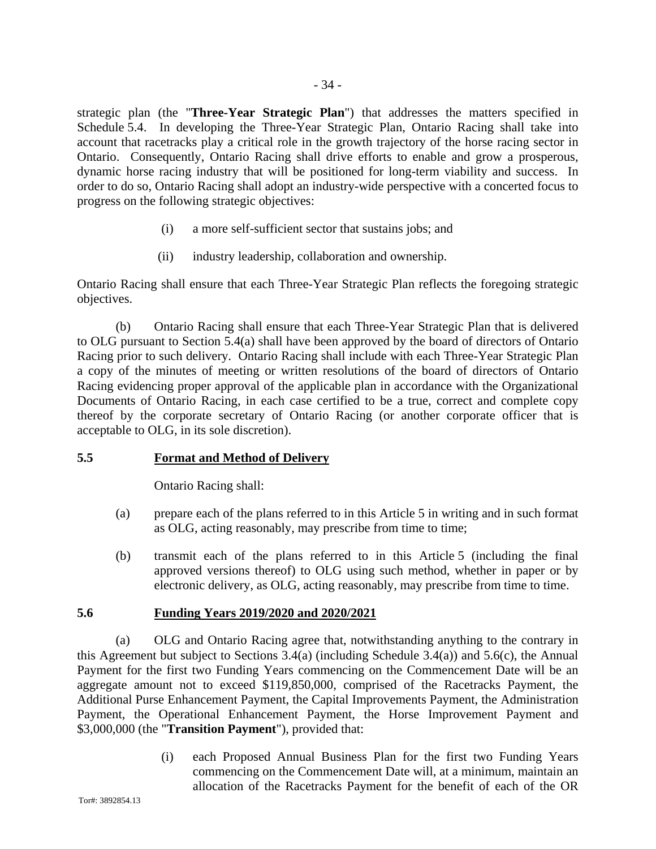strategic plan (the "**Three-Year Strategic Plan**") that addresses the matters specified in Schedule 5.4. In developing the Three-Year Strategic Plan, Ontario Racing shall take into account that racetracks play a critical role in the growth trajectory of the horse racing sector in Ontario. Consequently, Ontario Racing shall drive efforts to enable and grow a prosperous,

dynamic horse racing industry that will be positioned for long-term viability and success. In order to do so, Ontario Racing shall adopt an industry-wide perspective with a concerted focus to progress on the following strategic objectives:

- (i) a more self-sufficient sector that sustains jobs; and
- (ii) industry leadership, collaboration and ownership.

Ontario Racing shall ensure that each Three-Year Strategic Plan reflects the foregoing strategic objectives.

(b) Ontario Racing shall ensure that each Three-Year Strategic Plan that is delivered to OLG pursuant to Section 5.4(a) shall have been approved by the board of directors of Ontario Racing prior to such delivery. Ontario Racing shall include with each Three-Year Strategic Plan a copy of the minutes of meeting or written resolutions of the board of directors of Ontario Racing evidencing proper approval of the applicable plan in accordance with the Organizational Documents of Ontario Racing, in each case certified to be a true, correct and complete copy thereof by the corporate secretary of Ontario Racing (or another corporate officer that is acceptable to OLG, in its sole discretion).

# **5.5 Format and Method of Delivery**

Ontario Racing shall:

- (a) prepare each of the plans referred to in this Article 5 in writing and in such format as OLG, acting reasonably, may prescribe from time to time;
- (b) transmit each of the plans referred to in this Article 5 (including the final approved versions thereof) to OLG using such method, whether in paper or by electronic delivery, as OLG, acting reasonably, may prescribe from time to time.

# **5.6 Funding Years 2019/2020 and 2020/2021**

(a) OLG and Ontario Racing agree that, notwithstanding anything to the contrary in this Agreement but subject to Sections 3.4(a) (including Schedule 3.4(a)) and 5.6(c), the Annual Payment for the first two Funding Years commencing on the Commencement Date will be an aggregate amount not to exceed \$119,850,000, comprised of the Racetracks Payment, the Additional Purse Enhancement Payment, the Capital Improvements Payment, the Administration Payment, the Operational Enhancement Payment, the Horse Improvement Payment and \$3,000,000 (the "**Transition Payment**"), provided that:

> (i) each Proposed Annual Business Plan for the first two Funding Years commencing on the Commencement Date will, at a minimum, maintain an allocation of the Racetracks Payment for the benefit of each of the OR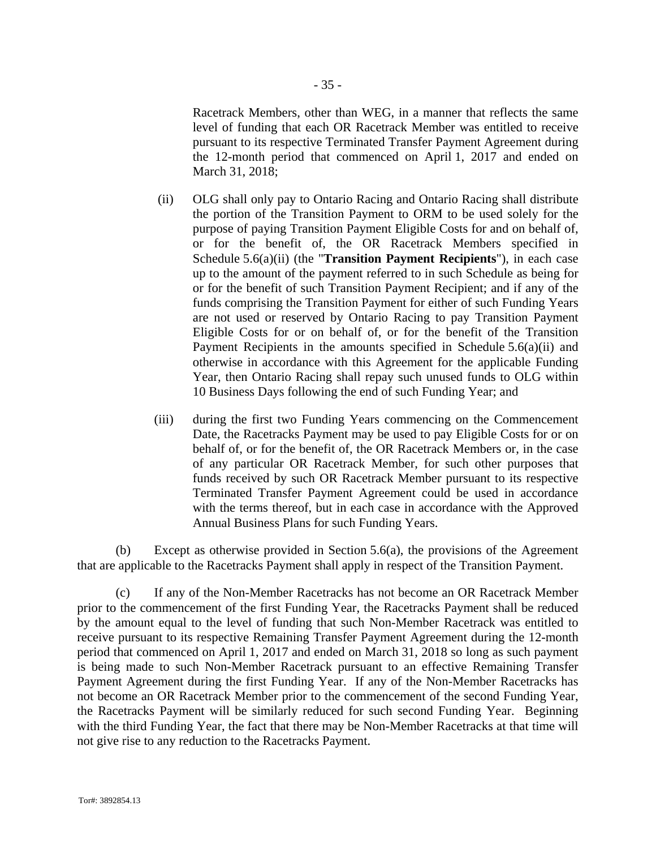Racetrack Members, other than WEG, in a manner that reflects the same level of funding that each OR Racetrack Member was entitled to receive pursuant to its respective Terminated Transfer Payment Agreement during the 12-month period that commenced on April 1, 2017 and ended on March 31, 2018;

- (ii) OLG shall only pay to Ontario Racing and Ontario Racing shall distribute the portion of the Transition Payment to ORM to be used solely for the purpose of paying Transition Payment Eligible Costs for and on behalf of, or for the benefit of, the OR Racetrack Members specified in Schedule 5.6(a)(ii) (the "**Transition Payment Recipients**"), in each case up to the amount of the payment referred to in such Schedule as being for or for the benefit of such Transition Payment Recipient; and if any of the funds comprising the Transition Payment for either of such Funding Years are not used or reserved by Ontario Racing to pay Transition Payment Eligible Costs for or on behalf of, or for the benefit of the Transition Payment Recipients in the amounts specified in Schedule 5.6(a)(ii) and otherwise in accordance with this Agreement for the applicable Funding Year, then Ontario Racing shall repay such unused funds to OLG within 10 Business Days following the end of such Funding Year; and
- (iii) during the first two Funding Years commencing on the Commencement Date, the Racetracks Payment may be used to pay Eligible Costs for or on behalf of, or for the benefit of, the OR Racetrack Members or, in the case of any particular OR Racetrack Member, for such other purposes that funds received by such OR Racetrack Member pursuant to its respective Terminated Transfer Payment Agreement could be used in accordance with the terms thereof, but in each case in accordance with the Approved Annual Business Plans for such Funding Years.

(b) Except as otherwise provided in Section 5.6(a), the provisions of the Agreement that are applicable to the Racetracks Payment shall apply in respect of the Transition Payment.

(c) If any of the Non-Member Racetracks has not become an OR Racetrack Member prior to the commencement of the first Funding Year, the Racetracks Payment shall be reduced by the amount equal to the level of funding that such Non-Member Racetrack was entitled to receive pursuant to its respective Remaining Transfer Payment Agreement during the 12-month period that commenced on April 1, 2017 and ended on March 31, 2018 so long as such payment is being made to such Non-Member Racetrack pursuant to an effective Remaining Transfer Payment Agreement during the first Funding Year. If any of the Non-Member Racetracks has not become an OR Racetrack Member prior to the commencement of the second Funding Year, the Racetracks Payment will be similarly reduced for such second Funding Year. Beginning with the third Funding Year, the fact that there may be Non-Member Racetracks at that time will not give rise to any reduction to the Racetracks Payment.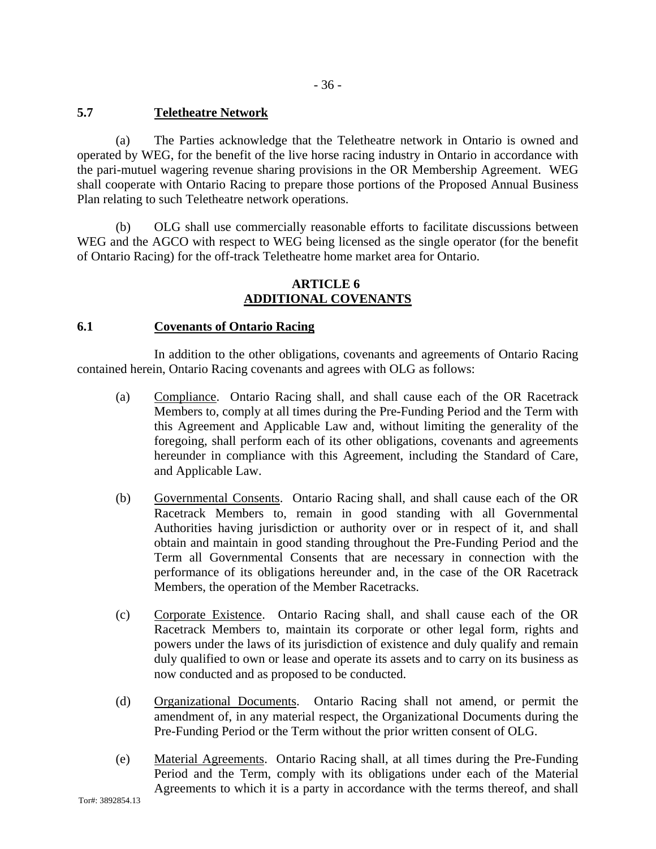# **5.7 Teletheatre Network**

(a) The Parties acknowledge that the Teletheatre network in Ontario is owned and operated by WEG, for the benefit of the live horse racing industry in Ontario in accordance with the pari-mutuel wagering revenue sharing provisions in the OR Membership Agreement. WEG shall cooperate with Ontario Racing to prepare those portions of the Proposed Annual Business Plan relating to such Teletheatre network operations.

(b) OLG shall use commercially reasonable efforts to facilitate discussions between WEG and the AGCO with respect to WEG being licensed as the single operator (for the benefit of Ontario Racing) for the off-track Teletheatre home market area for Ontario.

## **ARTICLE 6 ADDITIONAL COVENANTS**

## **6.1 Covenants of Ontario Racing**

In addition to the other obligations, covenants and agreements of Ontario Racing contained herein, Ontario Racing covenants and agrees with OLG as follows:

- (a) Compliance. Ontario Racing shall, and shall cause each of the OR Racetrack Members to, comply at all times during the Pre-Funding Period and the Term with this Agreement and Applicable Law and, without limiting the generality of the foregoing, shall perform each of its other obligations, covenants and agreements hereunder in compliance with this Agreement, including the Standard of Care, and Applicable Law.
- (b) Governmental Consents. Ontario Racing shall, and shall cause each of the OR Racetrack Members to, remain in good standing with all Governmental Authorities having jurisdiction or authority over or in respect of it, and shall obtain and maintain in good standing throughout the Pre-Funding Period and the Term all Governmental Consents that are necessary in connection with the performance of its obligations hereunder and, in the case of the OR Racetrack Members, the operation of the Member Racetracks.
- (c) Corporate Existence. Ontario Racing shall, and shall cause each of the OR Racetrack Members to, maintain its corporate or other legal form, rights and powers under the laws of its jurisdiction of existence and duly qualify and remain duly qualified to own or lease and operate its assets and to carry on its business as now conducted and as proposed to be conducted.
- (d) Organizational Documents. Ontario Racing shall not amend, or permit the amendment of, in any material respect, the Organizational Documents during the Pre-Funding Period or the Term without the prior written consent of OLG.
- (e) Material Agreements. Ontario Racing shall, at all times during the Pre-Funding Period and the Term, comply with its obligations under each of the Material Agreements to which it is a party in accordance with the terms thereof, and shall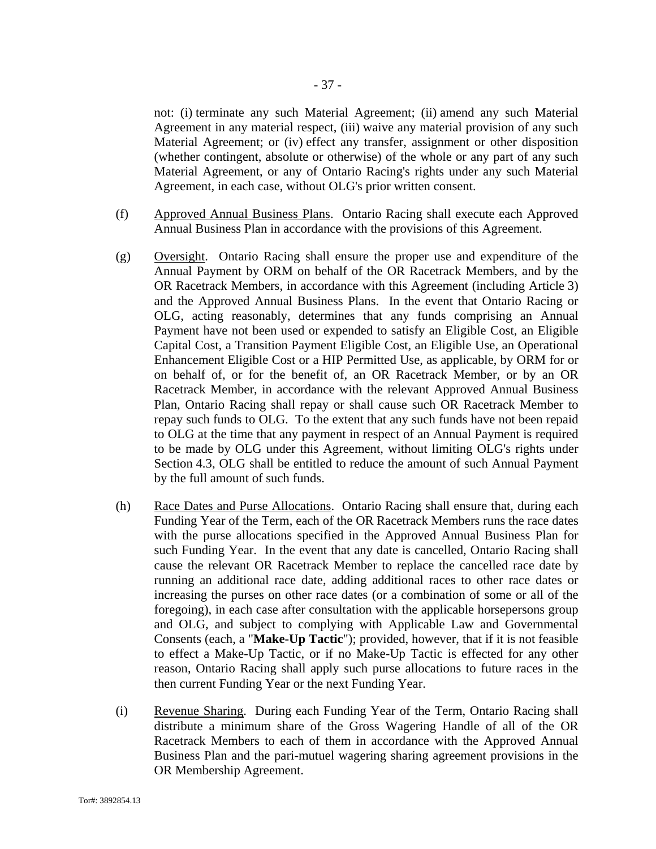not: (i) terminate any such Material Agreement; (ii) amend any such Material Agreement in any material respect, (iii) waive any material provision of any such Material Agreement; or (iv) effect any transfer, assignment or other disposition (whether contingent, absolute or otherwise) of the whole or any part of any such Material Agreement, or any of Ontario Racing's rights under any such Material

- (f) Approved Annual Business Plans. Ontario Racing shall execute each Approved Annual Business Plan in accordance with the provisions of this Agreement.
- (g) Oversight. Ontario Racing shall ensure the proper use and expenditure of the Annual Payment by ORM on behalf of the OR Racetrack Members, and by the OR Racetrack Members, in accordance with this Agreement (including Article 3) and the Approved Annual Business Plans. In the event that Ontario Racing or OLG, acting reasonably, determines that any funds comprising an Annual Payment have not been used or expended to satisfy an Eligible Cost, an Eligible Capital Cost, a Transition Payment Eligible Cost, an Eligible Use, an Operational Enhancement Eligible Cost or a HIP Permitted Use, as applicable, by ORM for or on behalf of, or for the benefit of, an OR Racetrack Member, or by an OR Racetrack Member, in accordance with the relevant Approved Annual Business Plan, Ontario Racing shall repay or shall cause such OR Racetrack Member to repay such funds to OLG. To the extent that any such funds have not been repaid to OLG at the time that any payment in respect of an Annual Payment is required to be made by OLG under this Agreement, without limiting OLG's rights under Section 4.3, OLG shall be entitled to reduce the amount of such Annual Payment by the full amount of such funds.
- (h) Race Dates and Purse Allocations. Ontario Racing shall ensure that, during each Funding Year of the Term, each of the OR Racetrack Members runs the race dates with the purse allocations specified in the Approved Annual Business Plan for such Funding Year. In the event that any date is cancelled, Ontario Racing shall cause the relevant OR Racetrack Member to replace the cancelled race date by running an additional race date, adding additional races to other race dates or increasing the purses on other race dates (or a combination of some or all of the foregoing), in each case after consultation with the applicable horsepersons group and OLG, and subject to complying with Applicable Law and Governmental Consents (each, a "**Make-Up Tactic**"); provided, however, that if it is not feasible to effect a Make-Up Tactic, or if no Make-Up Tactic is effected for any other reason, Ontario Racing shall apply such purse allocations to future races in the then current Funding Year or the next Funding Year.
- (i) Revenue Sharing. During each Funding Year of the Term, Ontario Racing shall distribute a minimum share of the Gross Wagering Handle of all of the OR Racetrack Members to each of them in accordance with the Approved Annual Business Plan and the pari-mutuel wagering sharing agreement provisions in the OR Membership Agreement.

Agreement, in each case, without OLG's prior written consent.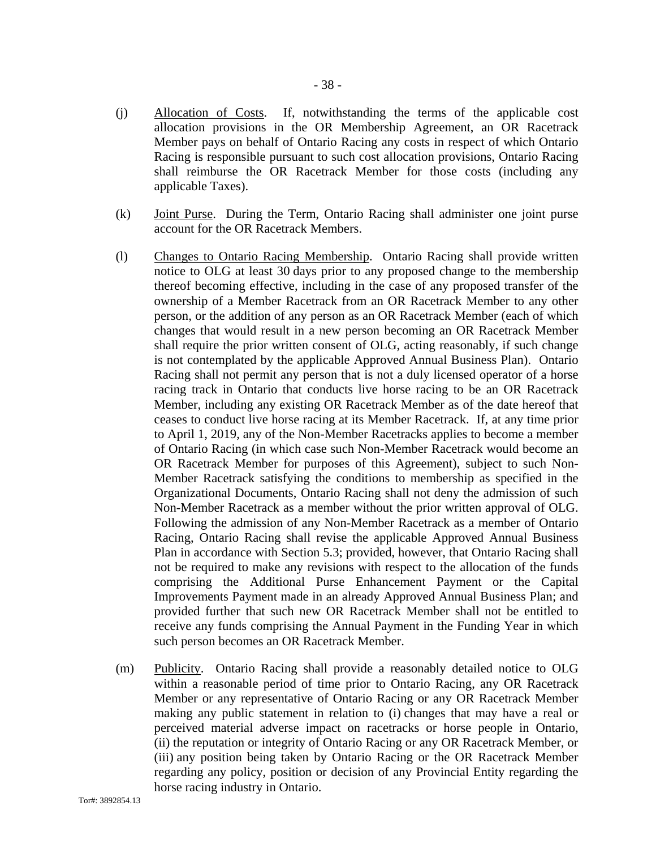- (j) Allocation of Costs. If, notwithstanding the terms of the applicable cost allocation provisions in the OR Membership Agreement, an OR Racetrack Member pays on behalf of Ontario Racing any costs in respect of which Ontario Racing is responsible pursuant to such cost allocation provisions, Ontario Racing shall reimburse the OR Racetrack Member for those costs (including any applicable Taxes).
- (k) Joint Purse. During the Term, Ontario Racing shall administer one joint purse account for the OR Racetrack Members.
- (l) Changes to Ontario Racing Membership. Ontario Racing shall provide written notice to OLG at least 30 days prior to any proposed change to the membership thereof becoming effective, including in the case of any proposed transfer of the ownership of a Member Racetrack from an OR Racetrack Member to any other person, or the addition of any person as an OR Racetrack Member (each of which changes that would result in a new person becoming an OR Racetrack Member shall require the prior written consent of OLG, acting reasonably, if such change is not contemplated by the applicable Approved Annual Business Plan). Ontario Racing shall not permit any person that is not a duly licensed operator of a horse racing track in Ontario that conducts live horse racing to be an OR Racetrack Member, including any existing OR Racetrack Member as of the date hereof that ceases to conduct live horse racing at its Member Racetrack. If, at any time prior to April 1, 2019, any of the Non-Member Racetracks applies to become a member of Ontario Racing (in which case such Non-Member Racetrack would become an OR Racetrack Member for purposes of this Agreement), subject to such Non-Member Racetrack satisfying the conditions to membership as specified in the Organizational Documents, Ontario Racing shall not deny the admission of such Non-Member Racetrack as a member without the prior written approval of OLG. Following the admission of any Non-Member Racetrack as a member of Ontario Racing, Ontario Racing shall revise the applicable Approved Annual Business Plan in accordance with Section 5.3; provided, however, that Ontario Racing shall not be required to make any revisions with respect to the allocation of the funds comprising the Additional Purse Enhancement Payment or the Capital Improvements Payment made in an already Approved Annual Business Plan; and provided further that such new OR Racetrack Member shall not be entitled to receive any funds comprising the Annual Payment in the Funding Year in which such person becomes an OR Racetrack Member.
- (m) Publicity. Ontario Racing shall provide a reasonably detailed notice to OLG within a reasonable period of time prior to Ontario Racing, any OR Racetrack Member or any representative of Ontario Racing or any OR Racetrack Member making any public statement in relation to (i) changes that may have a real or perceived material adverse impact on racetracks or horse people in Ontario, (ii) the reputation or integrity of Ontario Racing or any OR Racetrack Member, or (iii) any position being taken by Ontario Racing or the OR Racetrack Member regarding any policy, position or decision of any Provincial Entity regarding the horse racing industry in Ontario.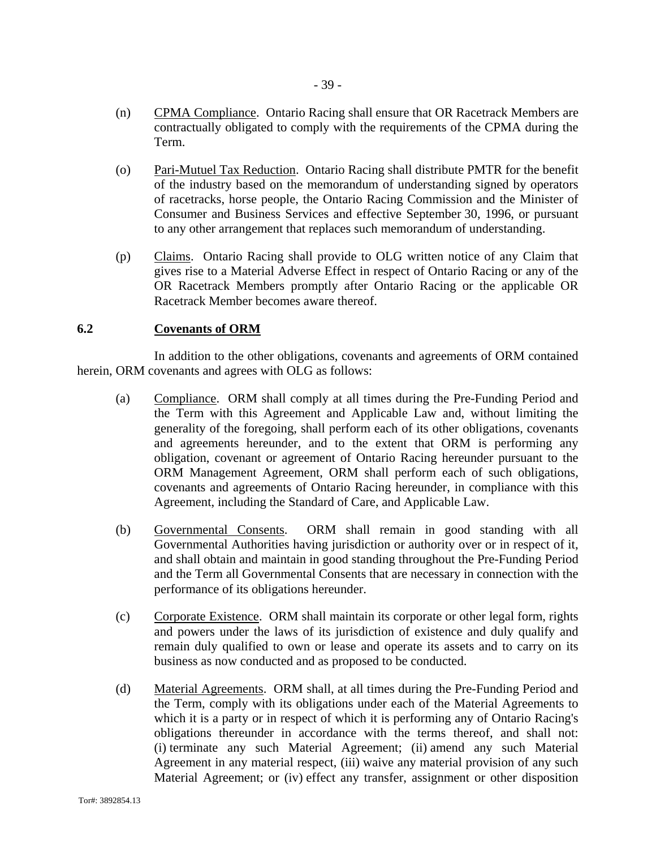- (n) CPMA Compliance. Ontario Racing shall ensure that OR Racetrack Members are contractually obligated to comply with the requirements of the CPMA during the Term.
- (o) Pari-Mutuel Tax Reduction. Ontario Racing shall distribute PMTR for the benefit of the industry based on the memorandum of understanding signed by operators of racetracks, horse people, the Ontario Racing Commission and the Minister of Consumer and Business Services and effective September 30, 1996, or pursuant to any other arrangement that replaces such memorandum of understanding.
- (p) Claims. Ontario Racing shall provide to OLG written notice of any Claim that gives rise to a Material Adverse Effect in respect of Ontario Racing or any of the OR Racetrack Members promptly after Ontario Racing or the applicable OR Racetrack Member becomes aware thereof.

#### **6.2 Covenants of ORM**

In addition to the other obligations, covenants and agreements of ORM contained herein, ORM covenants and agrees with OLG as follows:

- (a) Compliance. ORM shall comply at all times during the Pre-Funding Period and the Term with this Agreement and Applicable Law and, without limiting the generality of the foregoing, shall perform each of its other obligations, covenants and agreements hereunder, and to the extent that ORM is performing any obligation, covenant or agreement of Ontario Racing hereunder pursuant to the ORM Management Agreement, ORM shall perform each of such obligations, covenants and agreements of Ontario Racing hereunder, in compliance with this Agreement, including the Standard of Care, and Applicable Law.
- (b) Governmental Consents. ORM shall remain in good standing with all Governmental Authorities having jurisdiction or authority over or in respect of it, and shall obtain and maintain in good standing throughout the Pre-Funding Period and the Term all Governmental Consents that are necessary in connection with the performance of its obligations hereunder.
- (c) Corporate Existence. ORM shall maintain its corporate or other legal form, rights and powers under the laws of its jurisdiction of existence and duly qualify and remain duly qualified to own or lease and operate its assets and to carry on its business as now conducted and as proposed to be conducted.
- (d) Material Agreements. ORM shall, at all times during the Pre-Funding Period and the Term, comply with its obligations under each of the Material Agreements to which it is a party or in respect of which it is performing any of Ontario Racing's obligations thereunder in accordance with the terms thereof, and shall not: (i) terminate any such Material Agreement; (ii) amend any such Material Agreement in any material respect, (iii) waive any material provision of any such Material Agreement; or (iv) effect any transfer, assignment or other disposition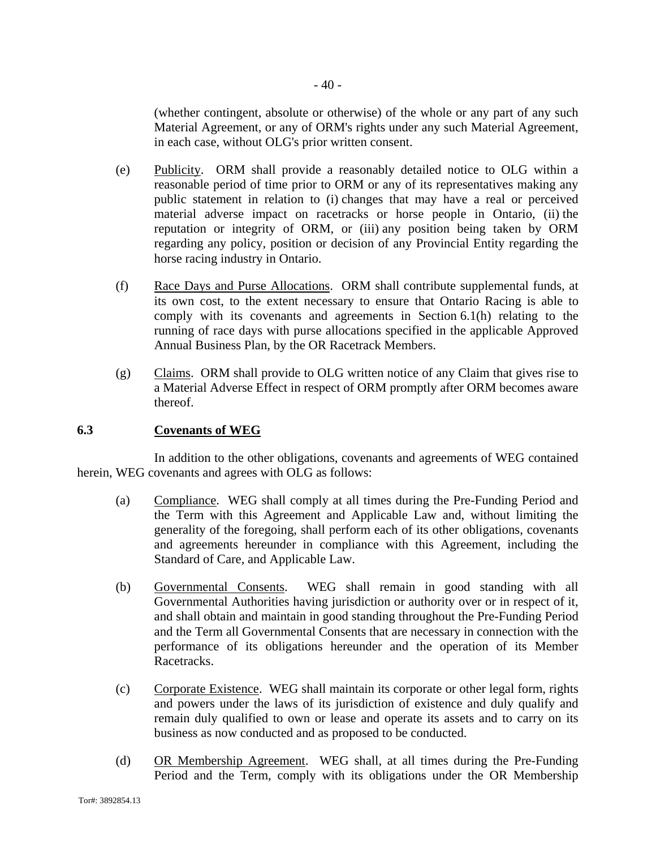(whether contingent, absolute or otherwise) of the whole or any part of any such Material Agreement, or any of ORM's rights under any such Material Agreement, in each case, without OLG's prior written consent.

- (e) Publicity. ORM shall provide a reasonably detailed notice to OLG within a reasonable period of time prior to ORM or any of its representatives making any public statement in relation to (i) changes that may have a real or perceived material adverse impact on racetracks or horse people in Ontario, (ii) the reputation or integrity of ORM, or (iii) any position being taken by ORM regarding any policy, position or decision of any Provincial Entity regarding the horse racing industry in Ontario.
- (f) Race Days and Purse Allocations. ORM shall contribute supplemental funds, at its own cost, to the extent necessary to ensure that Ontario Racing is able to comply with its covenants and agreements in Section 6.1(h) relating to the running of race days with purse allocations specified in the applicable Approved Annual Business Plan, by the OR Racetrack Members.
- (g) Claims. ORM shall provide to OLG written notice of any Claim that gives rise to a Material Adverse Effect in respect of ORM promptly after ORM becomes aware thereof.

## **6.3 Covenants of WEG**

In addition to the other obligations, covenants and agreements of WEG contained herein, WEG covenants and agrees with OLG as follows:

- (a) Compliance. WEG shall comply at all times during the Pre-Funding Period and the Term with this Agreement and Applicable Law and, without limiting the generality of the foregoing, shall perform each of its other obligations, covenants and agreements hereunder in compliance with this Agreement, including the Standard of Care, and Applicable Law.
- (b) Governmental Consents. WEG shall remain in good standing with all Governmental Authorities having jurisdiction or authority over or in respect of it, and shall obtain and maintain in good standing throughout the Pre-Funding Period and the Term all Governmental Consents that are necessary in connection with the performance of its obligations hereunder and the operation of its Member Racetracks.
- (c) Corporate Existence. WEG shall maintain its corporate or other legal form, rights and powers under the laws of its jurisdiction of existence and duly qualify and remain duly qualified to own or lease and operate its assets and to carry on its business as now conducted and as proposed to be conducted.
- (d) OR Membership Agreement. WEG shall, at all times during the Pre-Funding Period and the Term, comply with its obligations under the OR Membership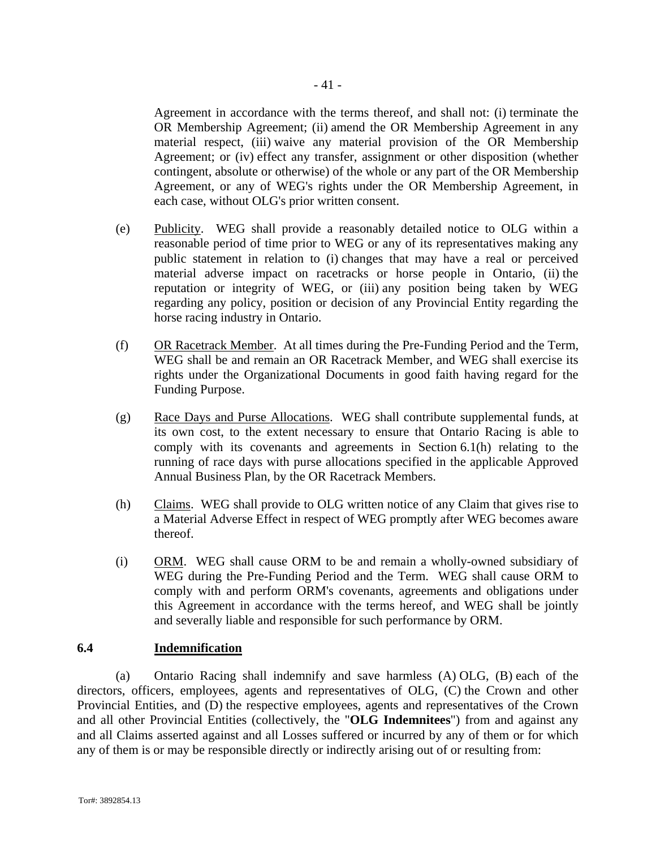Agreement in accordance with the terms thereof, and shall not: (i) terminate the OR Membership Agreement; (ii) amend the OR Membership Agreement in any material respect, (iii) waive any material provision of the OR Membership Agreement; or (iv) effect any transfer, assignment or other disposition (whether contingent, absolute or otherwise) of the whole or any part of the OR Membership Agreement, or any of WEG's rights under the OR Membership Agreement, in each case, without OLG's prior written consent.

- (e) Publicity. WEG shall provide a reasonably detailed notice to OLG within a reasonable period of time prior to WEG or any of its representatives making any public statement in relation to (i) changes that may have a real or perceived material adverse impact on racetracks or horse people in Ontario, (ii) the reputation or integrity of WEG, or (iii) any position being taken by WEG regarding any policy, position or decision of any Provincial Entity regarding the horse racing industry in Ontario.
- (f) OR Racetrack Member. At all times during the Pre-Funding Period and the Term, WEG shall be and remain an OR Racetrack Member, and WEG shall exercise its rights under the Organizational Documents in good faith having regard for the Funding Purpose.
- (g) Race Days and Purse Allocations. WEG shall contribute supplemental funds, at its own cost, to the extent necessary to ensure that Ontario Racing is able to comply with its covenants and agreements in Section 6.1(h) relating to the running of race days with purse allocations specified in the applicable Approved Annual Business Plan, by the OR Racetrack Members.
- (h) Claims. WEG shall provide to OLG written notice of any Claim that gives rise to a Material Adverse Effect in respect of WEG promptly after WEG becomes aware thereof.
- (i) ORM. WEG shall cause ORM to be and remain a wholly-owned subsidiary of WEG during the Pre-Funding Period and the Term. WEG shall cause ORM to comply with and perform ORM's covenants, agreements and obligations under this Agreement in accordance with the terms hereof, and WEG shall be jointly and severally liable and responsible for such performance by ORM.

## **6.4 Indemnification**

(a) Ontario Racing shall indemnify and save harmless (A) OLG, (B) each of the directors, officers, employees, agents and representatives of OLG, (C) the Crown and other Provincial Entities, and (D) the respective employees, agents and representatives of the Crown and all other Provincial Entities (collectively, the "**OLG Indemnitees**") from and against any and all Claims asserted against and all Losses suffered or incurred by any of them or for which any of them is or may be responsible directly or indirectly arising out of or resulting from: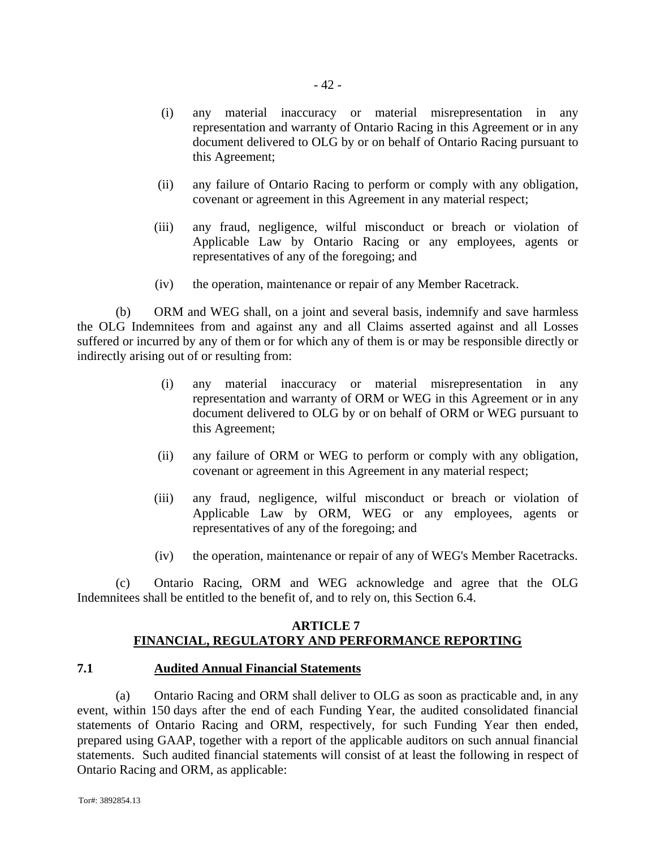- (i) any material inaccuracy or material misrepresentation in any representation and warranty of Ontario Racing in this Agreement or in any document delivered to OLG by or on behalf of Ontario Racing pursuant to this Agreement;
- (ii) any failure of Ontario Racing to perform or comply with any obligation, covenant or agreement in this Agreement in any material respect;
- (iii) any fraud, negligence, wilful misconduct or breach or violation of Applicable Law by Ontario Racing or any employees, agents or representatives of any of the foregoing; and
- (iv) the operation, maintenance or repair of any Member Racetrack.

(b) ORM and WEG shall, on a joint and several basis, indemnify and save harmless the OLG Indemnitees from and against any and all Claims asserted against and all Losses suffered or incurred by any of them or for which any of them is or may be responsible directly or indirectly arising out of or resulting from:

- (i) any material inaccuracy or material misrepresentation in any representation and warranty of ORM or WEG in this Agreement or in any document delivered to OLG by or on behalf of ORM or WEG pursuant to this Agreement;
- (ii) any failure of ORM or WEG to perform or comply with any obligation, covenant or agreement in this Agreement in any material respect;
- (iii) any fraud, negligence, wilful misconduct or breach or violation of Applicable Law by ORM, WEG or any employees, agents or representatives of any of the foregoing; and
- (iv) the operation, maintenance or repair of any of WEG's Member Racetracks.

(c) Ontario Racing, ORM and WEG acknowledge and agree that the OLG Indemnitees shall be entitled to the benefit of, and to rely on, this Section 6.4.

## **ARTICLE 7 FINANCIAL, REGULATORY AND PERFORMANCE REPORTING**

# **7.1 Audited Annual Financial Statements**

(a) Ontario Racing and ORM shall deliver to OLG as soon as practicable and, in any event, within 150 days after the end of each Funding Year, the audited consolidated financial statements of Ontario Racing and ORM, respectively, for such Funding Year then ended, prepared using GAAP, together with a report of the applicable auditors on such annual financial statements. Such audited financial statements will consist of at least the following in respect of Ontario Racing and ORM, as applicable: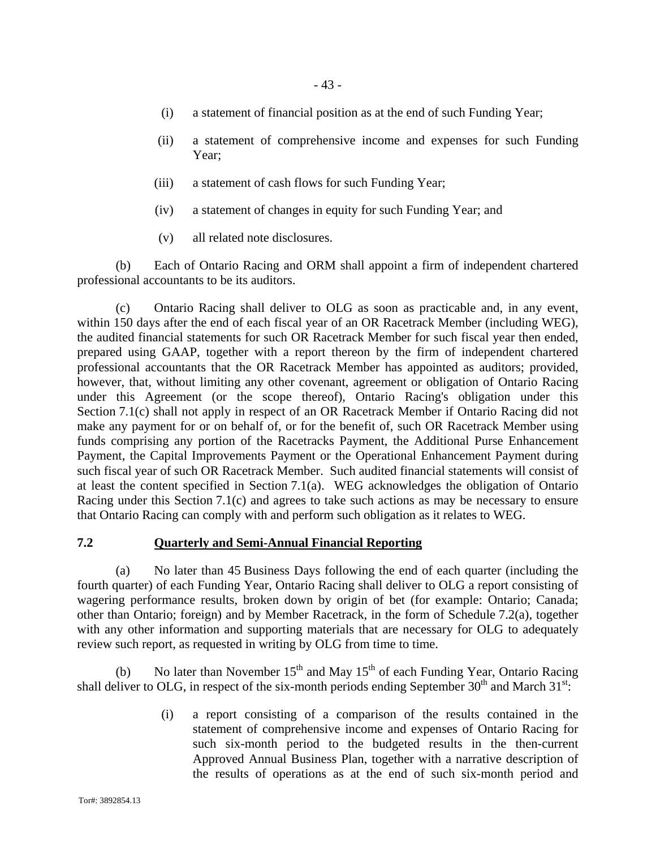- (i) a statement of financial position as at the end of such Funding Year;
- (ii) a statement of comprehensive income and expenses for such Funding Year;
- (iii) a statement of cash flows for such Funding Year;
- (iv) a statement of changes in equity for such Funding Year; and
- (v) all related note disclosures.

(b) Each of Ontario Racing and ORM shall appoint a firm of independent chartered professional accountants to be its auditors.

(c) Ontario Racing shall deliver to OLG as soon as practicable and, in any event, within 150 days after the end of each fiscal year of an OR Racetrack Member (including WEG), the audited financial statements for such OR Racetrack Member for such fiscal year then ended, prepared using GAAP, together with a report thereon by the firm of independent chartered professional accountants that the OR Racetrack Member has appointed as auditors; provided, however, that, without limiting any other covenant, agreement or obligation of Ontario Racing under this Agreement (or the scope thereof), Ontario Racing's obligation under this Section 7.1(c) shall not apply in respect of an OR Racetrack Member if Ontario Racing did not make any payment for or on behalf of, or for the benefit of, such OR Racetrack Member using funds comprising any portion of the Racetracks Payment, the Additional Purse Enhancement Payment, the Capital Improvements Payment or the Operational Enhancement Payment during such fiscal year of such OR Racetrack Member. Such audited financial statements will consist of at least the content specified in Section 7.1(a). WEG acknowledges the obligation of Ontario Racing under this Section 7.1(c) and agrees to take such actions as may be necessary to ensure that Ontario Racing can comply with and perform such obligation as it relates to WEG.

#### **7.2 Quarterly and Semi-Annual Financial Reporting**

(a) No later than 45 Business Days following the end of each quarter (including the fourth quarter) of each Funding Year, Ontario Racing shall deliver to OLG a report consisting of wagering performance results, broken down by origin of bet (for example: Ontario; Canada; other than Ontario; foreign) and by Member Racetrack, in the form of Schedule 7.2(a), together with any other information and supporting materials that are necessary for OLG to adequately review such report, as requested in writing by OLG from time to time.

(b) No later than November  $15<sup>th</sup>$  and May  $15<sup>th</sup>$  of each Funding Year, Ontario Racing shall deliver to OLG, in respect of the six-month periods ending September  $30<sup>th</sup>$  and March  $31<sup>st</sup>$ .

> (i) a report consisting of a comparison of the results contained in the statement of comprehensive income and expenses of Ontario Racing for such six-month period to the budgeted results in the then-current Approved Annual Business Plan, together with a narrative description of the results of operations as at the end of such six-month period and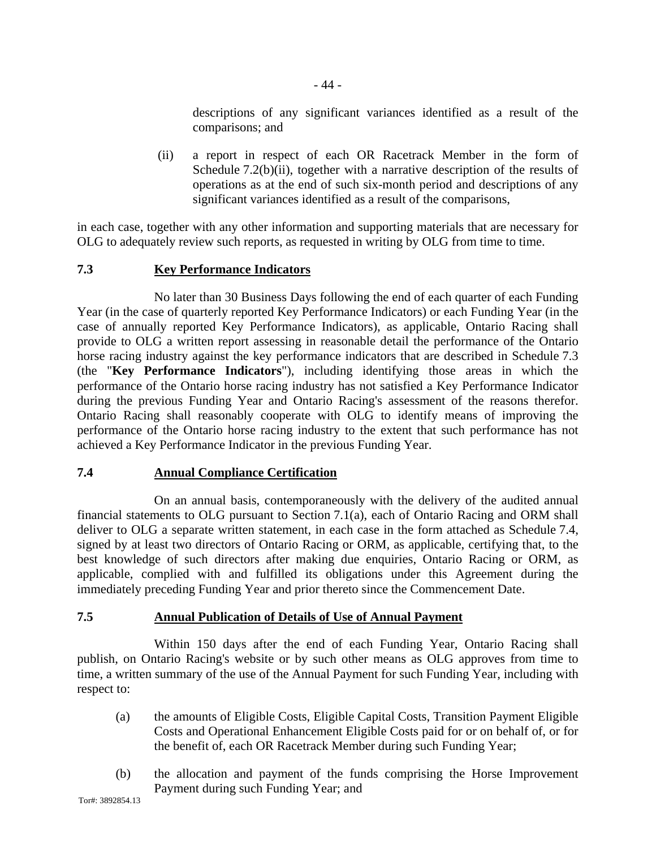descriptions of any significant variances identified as a result of the comparisons; and

(ii) a report in respect of each OR Racetrack Member in the form of Schedule 7.2(b)(ii), together with a narrative description of the results of operations as at the end of such six-month period and descriptions of any significant variances identified as a result of the comparisons,

in each case, together with any other information and supporting materials that are necessary for OLG to adequately review such reports, as requested in writing by OLG from time to time.

# **7.3 Key Performance Indicators**

No later than 30 Business Days following the end of each quarter of each Funding Year (in the case of quarterly reported Key Performance Indicators) or each Funding Year (in the case of annually reported Key Performance Indicators), as applicable, Ontario Racing shall provide to OLG a written report assessing in reasonable detail the performance of the Ontario horse racing industry against the key performance indicators that are described in Schedule 7.3 (the "**Key Performance Indicators**"), including identifying those areas in which the performance of the Ontario horse racing industry has not satisfied a Key Performance Indicator during the previous Funding Year and Ontario Racing's assessment of the reasons therefor. Ontario Racing shall reasonably cooperate with OLG to identify means of improving the performance of the Ontario horse racing industry to the extent that such performance has not achieved a Key Performance Indicator in the previous Funding Year.

## **7.4 Annual Compliance Certification**

On an annual basis, contemporaneously with the delivery of the audited annual financial statements to OLG pursuant to Section 7.1(a), each of Ontario Racing and ORM shall deliver to OLG a separate written statement, in each case in the form attached as Schedule 7.4, signed by at least two directors of Ontario Racing or ORM, as applicable, certifying that, to the best knowledge of such directors after making due enquiries, Ontario Racing or ORM, as applicable, complied with and fulfilled its obligations under this Agreement during the immediately preceding Funding Year and prior thereto since the Commencement Date.

# **7.5 Annual Publication of Details of Use of Annual Payment**

Within 150 days after the end of each Funding Year, Ontario Racing shall publish, on Ontario Racing's website or by such other means as OLG approves from time to time, a written summary of the use of the Annual Payment for such Funding Year, including with respect to:

- (a) the amounts of Eligible Costs, Eligible Capital Costs, Transition Payment Eligible Costs and Operational Enhancement Eligible Costs paid for or on behalf of, or for the benefit of, each OR Racetrack Member during such Funding Year;
- (b) the allocation and payment of the funds comprising the Horse Improvement Payment during such Funding Year; and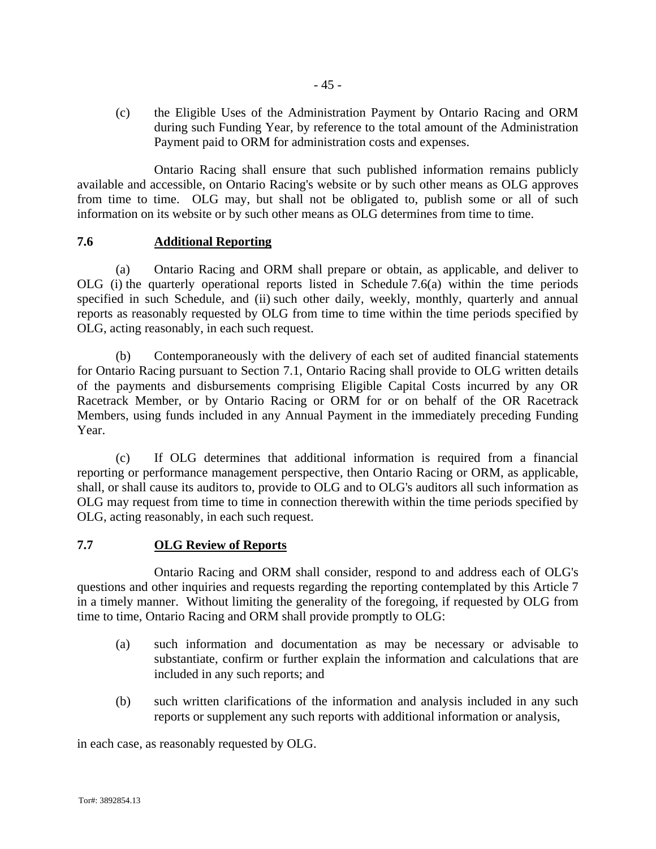(c) the Eligible Uses of the Administration Payment by Ontario Racing and ORM during such Funding Year, by reference to the total amount of the Administration Payment paid to ORM for administration costs and expenses.

Ontario Racing shall ensure that such published information remains publicly available and accessible, on Ontario Racing's website or by such other means as OLG approves from time to time. OLG may, but shall not be obligated to, publish some or all of such information on its website or by such other means as OLG determines from time to time.

## **7.6 Additional Reporting**

(a) Ontario Racing and ORM shall prepare or obtain, as applicable, and deliver to OLG (i) the quarterly operational reports listed in Schedule 7.6(a) within the time periods specified in such Schedule, and (ii) such other daily, weekly, monthly, quarterly and annual reports as reasonably requested by OLG from time to time within the time periods specified by OLG, acting reasonably, in each such request.

(b) Contemporaneously with the delivery of each set of audited financial statements for Ontario Racing pursuant to Section 7.1, Ontario Racing shall provide to OLG written details of the payments and disbursements comprising Eligible Capital Costs incurred by any OR Racetrack Member, or by Ontario Racing or ORM for or on behalf of the OR Racetrack Members, using funds included in any Annual Payment in the immediately preceding Funding Year.

(c) If OLG determines that additional information is required from a financial reporting or performance management perspective, then Ontario Racing or ORM, as applicable, shall, or shall cause its auditors to, provide to OLG and to OLG's auditors all such information as OLG may request from time to time in connection therewith within the time periods specified by OLG, acting reasonably, in each such request.

## **7.7 OLG Review of Reports**

Ontario Racing and ORM shall consider, respond to and address each of OLG's questions and other inquiries and requests regarding the reporting contemplated by this Article 7 in a timely manner. Without limiting the generality of the foregoing, if requested by OLG from time to time, Ontario Racing and ORM shall provide promptly to OLG:

- (a) such information and documentation as may be necessary or advisable to substantiate, confirm or further explain the information and calculations that are included in any such reports; and
- (b) such written clarifications of the information and analysis included in any such reports or supplement any such reports with additional information or analysis,

in each case, as reasonably requested by OLG.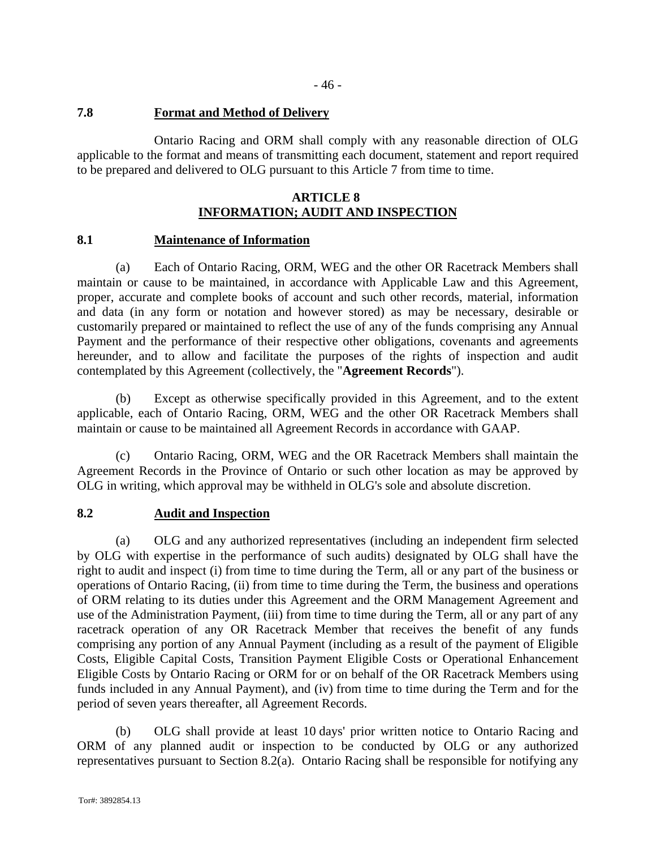#### **7.8 Format and Method of Delivery**

Ontario Racing and ORM shall comply with any reasonable direction of OLG applicable to the format and means of transmitting each document, statement and report required to be prepared and delivered to OLG pursuant to this Article 7 from time to time.

#### **ARTICLE 8 INFORMATION; AUDIT AND INSPECTION**

#### **8.1 Maintenance of Information**

(a) Each of Ontario Racing, ORM, WEG and the other OR Racetrack Members shall maintain or cause to be maintained, in accordance with Applicable Law and this Agreement, proper, accurate and complete books of account and such other records, material, information and data (in any form or notation and however stored) as may be necessary, desirable or customarily prepared or maintained to reflect the use of any of the funds comprising any Annual Payment and the performance of their respective other obligations, covenants and agreements hereunder, and to allow and facilitate the purposes of the rights of inspection and audit contemplated by this Agreement (collectively, the "**Agreement Records**").

(b) Except as otherwise specifically provided in this Agreement, and to the extent applicable, each of Ontario Racing, ORM, WEG and the other OR Racetrack Members shall maintain or cause to be maintained all Agreement Records in accordance with GAAP.

(c) Ontario Racing, ORM, WEG and the OR Racetrack Members shall maintain the Agreement Records in the Province of Ontario or such other location as may be approved by OLG in writing, which approval may be withheld in OLG's sole and absolute discretion.

## **8.2 Audit and Inspection**

(a) OLG and any authorized representatives (including an independent firm selected by OLG with expertise in the performance of such audits) designated by OLG shall have the right to audit and inspect (i) from time to time during the Term, all or any part of the business or operations of Ontario Racing, (ii) from time to time during the Term, the business and operations of ORM relating to its duties under this Agreement and the ORM Management Agreement and use of the Administration Payment, (iii) from time to time during the Term, all or any part of any racetrack operation of any OR Racetrack Member that receives the benefit of any funds comprising any portion of any Annual Payment (including as a result of the payment of Eligible Costs, Eligible Capital Costs, Transition Payment Eligible Costs or Operational Enhancement Eligible Costs by Ontario Racing or ORM for or on behalf of the OR Racetrack Members using funds included in any Annual Payment), and (iv) from time to time during the Term and for the period of seven years thereafter, all Agreement Records.

(b) OLG shall provide at least 10 days' prior written notice to Ontario Racing and ORM of any planned audit or inspection to be conducted by OLG or any authorized representatives pursuant to Section 8.2(a). Ontario Racing shall be responsible for notifying any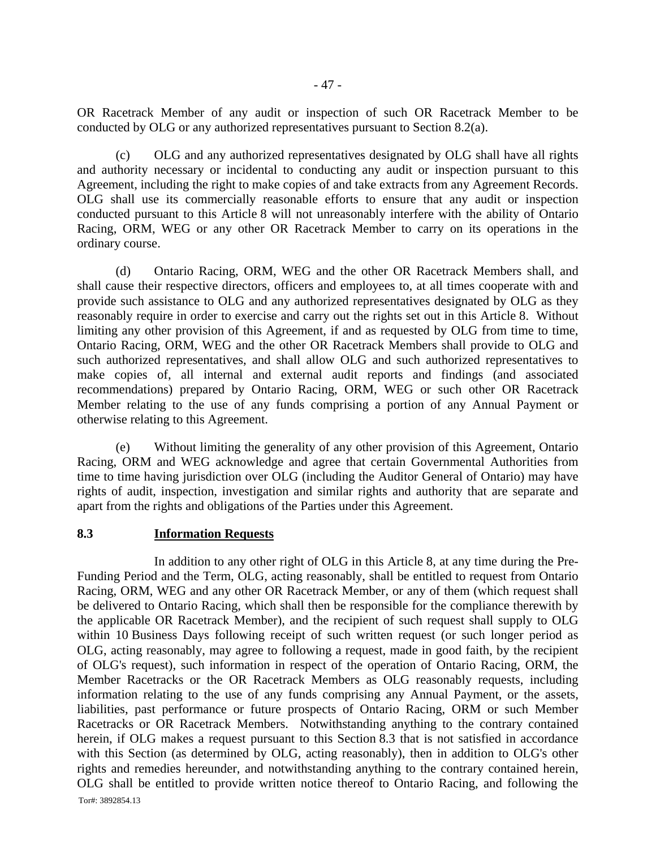OR Racetrack Member of any audit or inspection of such OR Racetrack Member to be conducted by OLG or any authorized representatives pursuant to Section 8.2(a).

(c) OLG and any authorized representatives designated by OLG shall have all rights and authority necessary or incidental to conducting any audit or inspection pursuant to this Agreement, including the right to make copies of and take extracts from any Agreement Records. OLG shall use its commercially reasonable efforts to ensure that any audit or inspection conducted pursuant to this Article 8 will not unreasonably interfere with the ability of Ontario Racing, ORM, WEG or any other OR Racetrack Member to carry on its operations in the ordinary course.

(d) Ontario Racing, ORM, WEG and the other OR Racetrack Members shall, and shall cause their respective directors, officers and employees to, at all times cooperate with and provide such assistance to OLG and any authorized representatives designated by OLG as they reasonably require in order to exercise and carry out the rights set out in this Article 8. Without limiting any other provision of this Agreement, if and as requested by OLG from time to time, Ontario Racing, ORM, WEG and the other OR Racetrack Members shall provide to OLG and such authorized representatives, and shall allow OLG and such authorized representatives to make copies of, all internal and external audit reports and findings (and associated recommendations) prepared by Ontario Racing, ORM, WEG or such other OR Racetrack Member relating to the use of any funds comprising a portion of any Annual Payment or otherwise relating to this Agreement.

(e) Without limiting the generality of any other provision of this Agreement, Ontario Racing, ORM and WEG acknowledge and agree that certain Governmental Authorities from time to time having jurisdiction over OLG (including the Auditor General of Ontario) may have rights of audit, inspection, investigation and similar rights and authority that are separate and apart from the rights and obligations of the Parties under this Agreement.

#### **8.3 Information Requests**

In addition to any other right of OLG in this Article 8, at any time during the Pre-Funding Period and the Term, OLG, acting reasonably, shall be entitled to request from Ontario Racing, ORM, WEG and any other OR Racetrack Member, or any of them (which request shall be delivered to Ontario Racing, which shall then be responsible for the compliance therewith by the applicable OR Racetrack Member), and the recipient of such request shall supply to OLG within 10 Business Days following receipt of such written request (or such longer period as OLG, acting reasonably, may agree to following a request, made in good faith, by the recipient of OLG's request), such information in respect of the operation of Ontario Racing, ORM, the Member Racetracks or the OR Racetrack Members as OLG reasonably requests, including information relating to the use of any funds comprising any Annual Payment, or the assets, liabilities, past performance or future prospects of Ontario Racing, ORM or such Member Racetracks or OR Racetrack Members. Notwithstanding anything to the contrary contained herein, if OLG makes a request pursuant to this Section 8.3 that is not satisfied in accordance with this Section (as determined by OLG, acting reasonably), then in addition to OLG's other rights and remedies hereunder, and notwithstanding anything to the contrary contained herein, OLG shall be entitled to provide written notice thereof to Ontario Racing, and following the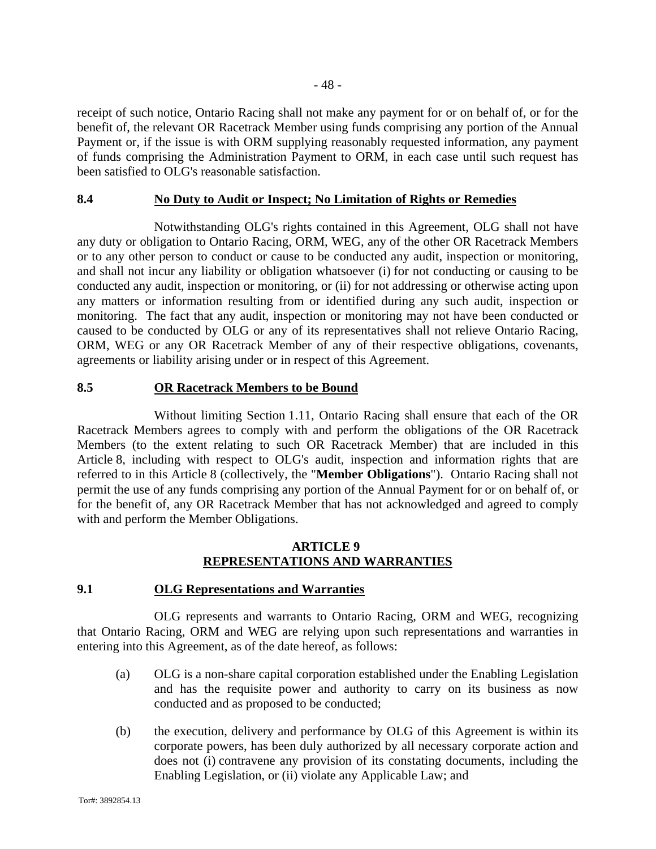receipt of such notice, Ontario Racing shall not make any payment for or on behalf of, or for the

- 48 -

benefit of, the relevant OR Racetrack Member using funds comprising any portion of the Annual Payment or, if the issue is with ORM supplying reasonably requested information, any payment of funds comprising the Administration Payment to ORM, in each case until such request has been satisfied to OLG's reasonable satisfaction.

## **8.4 No Duty to Audit or Inspect; No Limitation of Rights or Remedies**

Notwithstanding OLG's rights contained in this Agreement, OLG shall not have any duty or obligation to Ontario Racing, ORM, WEG, any of the other OR Racetrack Members or to any other person to conduct or cause to be conducted any audit, inspection or monitoring, and shall not incur any liability or obligation whatsoever (i) for not conducting or causing to be conducted any audit, inspection or monitoring, or (ii) for not addressing or otherwise acting upon any matters or information resulting from or identified during any such audit, inspection or monitoring. The fact that any audit, inspection or monitoring may not have been conducted or caused to be conducted by OLG or any of its representatives shall not relieve Ontario Racing, ORM, WEG or any OR Racetrack Member of any of their respective obligations, covenants, agreements or liability arising under or in respect of this Agreement.

# **8.5 OR Racetrack Members to be Bound**

Without limiting Section 1.11, Ontario Racing shall ensure that each of the OR Racetrack Members agrees to comply with and perform the obligations of the OR Racetrack Members (to the extent relating to such OR Racetrack Member) that are included in this Article 8, including with respect to OLG's audit, inspection and information rights that are referred to in this Article 8 (collectively, the "**Member Obligations**"). Ontario Racing shall not permit the use of any funds comprising any portion of the Annual Payment for or on behalf of, or for the benefit of, any OR Racetrack Member that has not acknowledged and agreed to comply with and perform the Member Obligations.

# **ARTICLE 9 REPRESENTATIONS AND WARRANTIES**

## **9.1 OLG Representations and Warranties**

OLG represents and warrants to Ontario Racing, ORM and WEG, recognizing that Ontario Racing, ORM and WEG are relying upon such representations and warranties in entering into this Agreement, as of the date hereof, as follows:

- (a) OLG is a non-share capital corporation established under the Enabling Legislation and has the requisite power and authority to carry on its business as now conducted and as proposed to be conducted;
- (b) the execution, delivery and performance by OLG of this Agreement is within its corporate powers, has been duly authorized by all necessary corporate action and does not (i) contravene any provision of its constating documents, including the Enabling Legislation, or (ii) violate any Applicable Law; and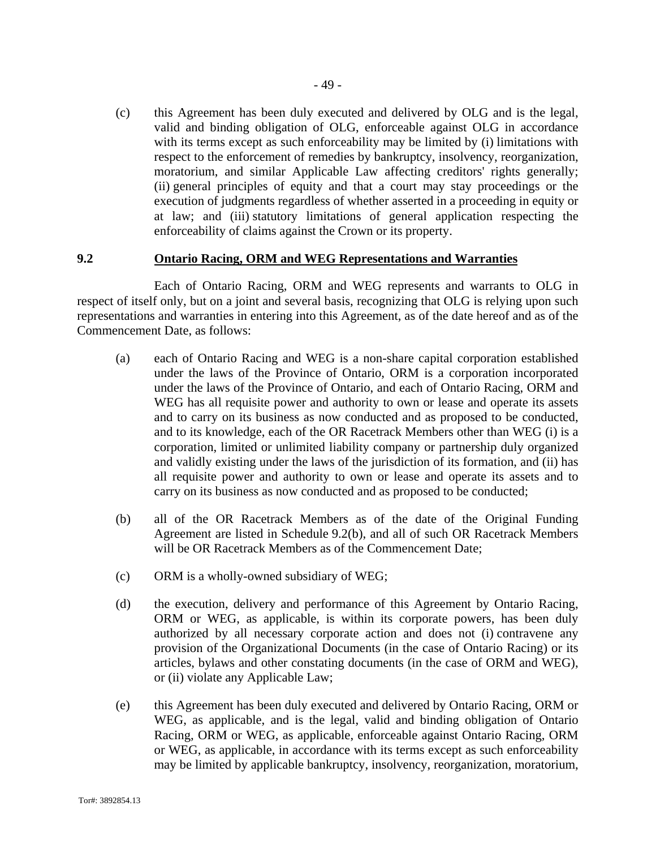(c) this Agreement has been duly executed and delivered by OLG and is the legal, valid and binding obligation of OLG, enforceable against OLG in accordance with its terms except as such enforceability may be limited by (i) limitations with respect to the enforcement of remedies by bankruptcy, insolvency, reorganization, moratorium, and similar Applicable Law affecting creditors' rights generally; (ii) general principles of equity and that a court may stay proceedings or the execution of judgments regardless of whether asserted in a proceeding in equity or at law; and (iii) statutory limitations of general application respecting the enforceability of claims against the Crown or its property.

#### **9.2 Ontario Racing, ORM and WEG Representations and Warranties**

Each of Ontario Racing, ORM and WEG represents and warrants to OLG in respect of itself only, but on a joint and several basis, recognizing that OLG is relying upon such representations and warranties in entering into this Agreement, as of the date hereof and as of the Commencement Date, as follows:

- (a) each of Ontario Racing and WEG is a non-share capital corporation established under the laws of the Province of Ontario, ORM is a corporation incorporated under the laws of the Province of Ontario, and each of Ontario Racing, ORM and WEG has all requisite power and authority to own or lease and operate its assets and to carry on its business as now conducted and as proposed to be conducted, and to its knowledge, each of the OR Racetrack Members other than WEG (i) is a corporation, limited or unlimited liability company or partnership duly organized and validly existing under the laws of the jurisdiction of its formation, and (ii) has all requisite power and authority to own or lease and operate its assets and to carry on its business as now conducted and as proposed to be conducted;
- (b) all of the OR Racetrack Members as of the date of the Original Funding Agreement are listed in Schedule 9.2(b), and all of such OR Racetrack Members will be OR Racetrack Members as of the Commencement Date:
- (c) ORM is a wholly-owned subsidiary of WEG;
- (d) the execution, delivery and performance of this Agreement by Ontario Racing, ORM or WEG, as applicable, is within its corporate powers, has been duly authorized by all necessary corporate action and does not (i) contravene any provision of the Organizational Documents (in the case of Ontario Racing) or its articles, bylaws and other constating documents (in the case of ORM and WEG), or (ii) violate any Applicable Law;
- (e) this Agreement has been duly executed and delivered by Ontario Racing, ORM or WEG, as applicable, and is the legal, valid and binding obligation of Ontario Racing, ORM or WEG, as applicable, enforceable against Ontario Racing, ORM or WEG, as applicable, in accordance with its terms except as such enforceability may be limited by applicable bankruptcy, insolvency, reorganization, moratorium,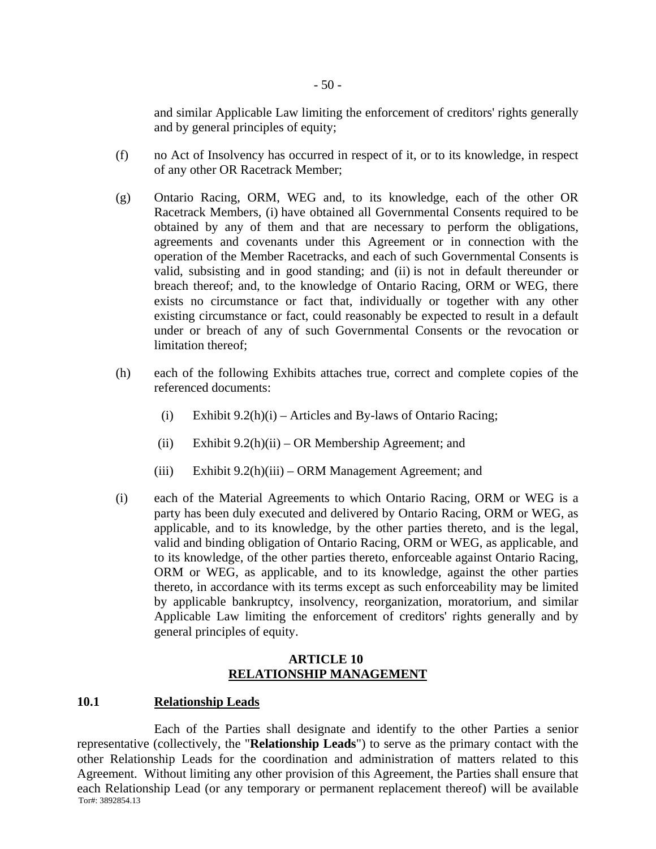and similar Applicable Law limiting the enforcement of creditors' rights generally and by general principles of equity;

- (f) no Act of Insolvency has occurred in respect of it, or to its knowledge, in respect of any other OR Racetrack Member;
- (g) Ontario Racing, ORM, WEG and, to its knowledge, each of the other OR Racetrack Members, (i) have obtained all Governmental Consents required to be obtained by any of them and that are necessary to perform the obligations, agreements and covenants under this Agreement or in connection with the operation of the Member Racetracks, and each of such Governmental Consents is valid, subsisting and in good standing; and (ii) is not in default thereunder or breach thereof; and, to the knowledge of Ontario Racing, ORM or WEG, there exists no circumstance or fact that, individually or together with any other existing circumstance or fact, could reasonably be expected to result in a default under or breach of any of such Governmental Consents or the revocation or limitation thereof;
- (h) each of the following Exhibits attaches true, correct and complete copies of the referenced documents:
	- (i) Exhibit  $9.2(h)(i)$  Articles and By-laws of Ontario Racing;
	- (ii) Exhibit  $9.2(h)(ii) OR$  Membership Agreement; and
	- (iii) Exhibit 9.2(h)(iii) ORM Management Agreement; and
- (i) each of the Material Agreements to which Ontario Racing, ORM or WEG is a party has been duly executed and delivered by Ontario Racing, ORM or WEG, as applicable, and to its knowledge, by the other parties thereto, and is the legal, valid and binding obligation of Ontario Racing, ORM or WEG, as applicable, and to its knowledge, of the other parties thereto, enforceable against Ontario Racing, ORM or WEG, as applicable, and to its knowledge, against the other parties thereto, in accordance with its terms except as such enforceability may be limited by applicable bankruptcy, insolvency, reorganization, moratorium, and similar Applicable Law limiting the enforcement of creditors' rights generally and by general principles of equity.

#### **ARTICLE 10 RELATIONSHIP MANAGEMENT**

#### **10.1 Relationship Leads**

Tor#: 3892854.13 Each of the Parties shall designate and identify to the other Parties a senior representative (collectively, the "**Relationship Leads**") to serve as the primary contact with the other Relationship Leads for the coordination and administration of matters related to this Agreement. Without limiting any other provision of this Agreement, the Parties shall ensure that each Relationship Lead (or any temporary or permanent replacement thereof) will be available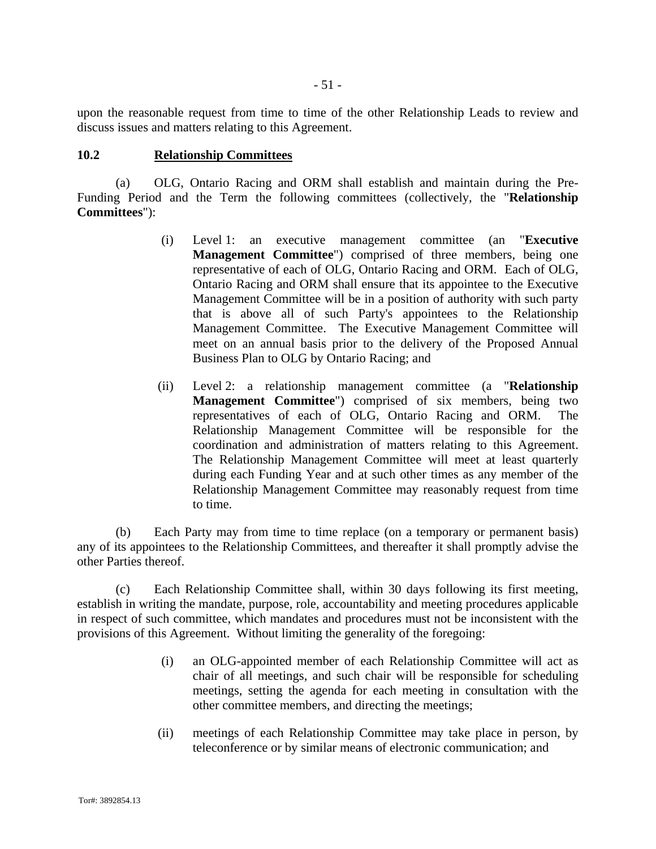upon the reasonable request from time to time of the other Relationship Leads to review and discuss issues and matters relating to this Agreement.

#### **10.2 Relationship Committees**

(a) OLG, Ontario Racing and ORM shall establish and maintain during the Pre-Funding Period and the Term the following committees (collectively, the "**Relationship Committees**"):

- (i) Level 1: an executive management committee (an "**Executive Management Committee**") comprised of three members, being one representative of each of OLG, Ontario Racing and ORM. Each of OLG, Ontario Racing and ORM shall ensure that its appointee to the Executive Management Committee will be in a position of authority with such party that is above all of such Party's appointees to the Relationship Management Committee. The Executive Management Committee will meet on an annual basis prior to the delivery of the Proposed Annual Business Plan to OLG by Ontario Racing; and
- (ii) Level 2: a relationship management committee (a "**Relationship Management Committee**") comprised of six members, being two representatives of each of OLG, Ontario Racing and ORM. The Relationship Management Committee will be responsible for the coordination and administration of matters relating to this Agreement. The Relationship Management Committee will meet at least quarterly during each Funding Year and at such other times as any member of the Relationship Management Committee may reasonably request from time to time.

(b) Each Party may from time to time replace (on a temporary or permanent basis) any of its appointees to the Relationship Committees, and thereafter it shall promptly advise the other Parties thereof.

(c) Each Relationship Committee shall, within 30 days following its first meeting, establish in writing the mandate, purpose, role, accountability and meeting procedures applicable in respect of such committee, which mandates and procedures must not be inconsistent with the provisions of this Agreement. Without limiting the generality of the foregoing:

- (i) an OLG-appointed member of each Relationship Committee will act as chair of all meetings, and such chair will be responsible for scheduling meetings, setting the agenda for each meeting in consultation with the other committee members, and directing the meetings;
- (ii) meetings of each Relationship Committee may take place in person, by teleconference or by similar means of electronic communication; and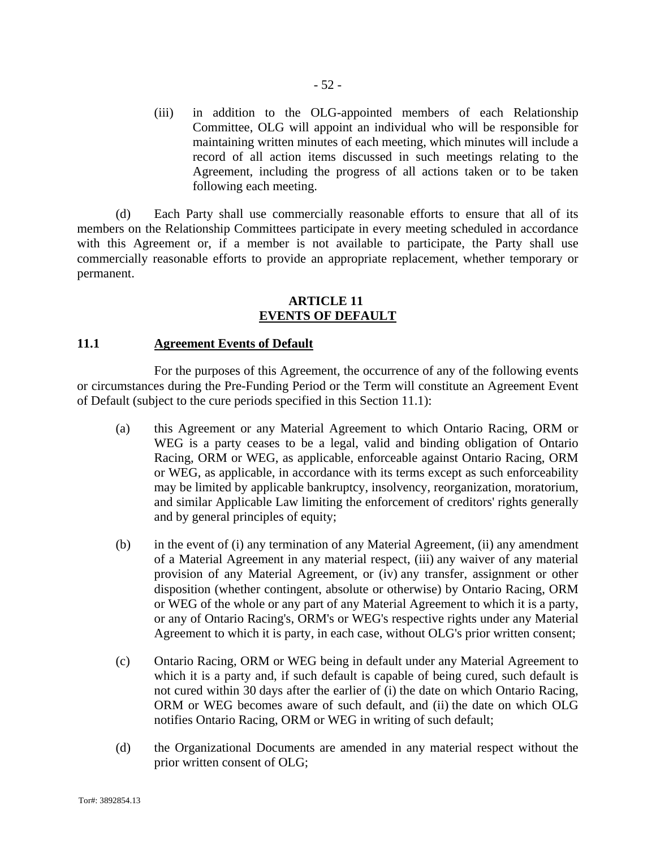(iii) in addition to the OLG-appointed members of each Relationship Committee, OLG will appoint an individual who will be responsible for maintaining written minutes of each meeting, which minutes will include a record of all action items discussed in such meetings relating to the Agreement, including the progress of all actions taken or to be taken following each meeting.

(d) Each Party shall use commercially reasonable efforts to ensure that all of its members on the Relationship Committees participate in every meeting scheduled in accordance with this Agreement or, if a member is not available to participate, the Party shall use commercially reasonable efforts to provide an appropriate replacement, whether temporary or permanent.

#### **ARTICLE 11 EVENTS OF DEFAULT**

## **11.1 Agreement Events of Default**

For the purposes of this Agreement, the occurrence of any of the following events or circumstances during the Pre-Funding Period or the Term will constitute an Agreement Event of Default (subject to the cure periods specified in this Section 11.1):

- (a) this Agreement or any Material Agreement to which Ontario Racing, ORM or WEG is a party ceases to be a legal, valid and binding obligation of Ontario Racing, ORM or WEG, as applicable, enforceable against Ontario Racing, ORM or WEG, as applicable, in accordance with its terms except as such enforceability may be limited by applicable bankruptcy, insolvency, reorganization, moratorium, and similar Applicable Law limiting the enforcement of creditors' rights generally and by general principles of equity;
- (b) in the event of (i) any termination of any Material Agreement, (ii) any amendment of a Material Agreement in any material respect, (iii) any waiver of any material provision of any Material Agreement, or (iv) any transfer, assignment or other disposition (whether contingent, absolute or otherwise) by Ontario Racing, ORM or WEG of the whole or any part of any Material Agreement to which it is a party, or any of Ontario Racing's, ORM's or WEG's respective rights under any Material Agreement to which it is party, in each case, without OLG's prior written consent;
- (c) Ontario Racing, ORM or WEG being in default under any Material Agreement to which it is a party and, if such default is capable of being cured, such default is not cured within 30 days after the earlier of (i) the date on which Ontario Racing, ORM or WEG becomes aware of such default, and (ii) the date on which OLG notifies Ontario Racing, ORM or WEG in writing of such default;
- (d) the Organizational Documents are amended in any material respect without the prior written consent of OLG;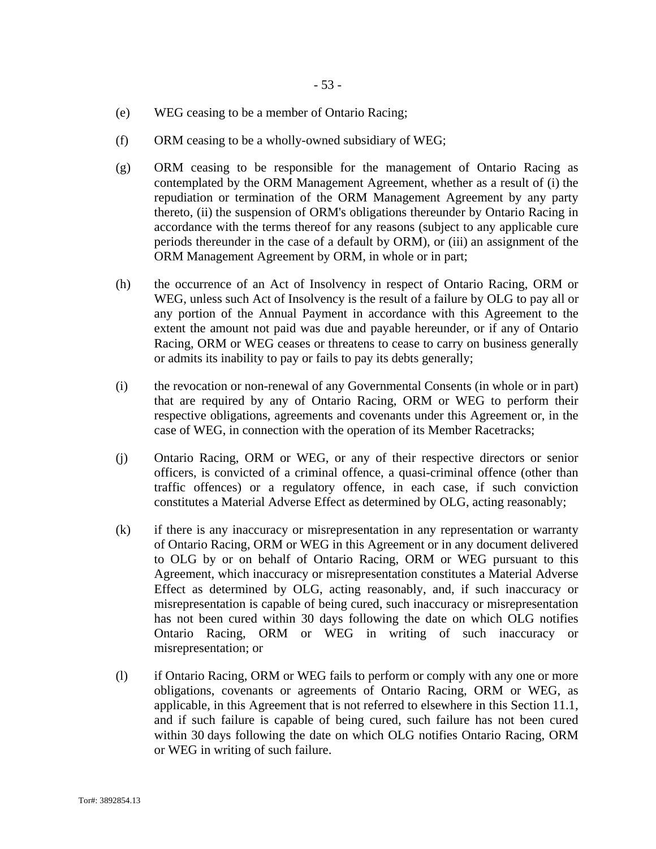- (e) WEG ceasing to be a member of Ontario Racing;
- (f) ORM ceasing to be a wholly-owned subsidiary of WEG;
- (g) ORM ceasing to be responsible for the management of Ontario Racing as contemplated by the ORM Management Agreement, whether as a result of (i) the repudiation or termination of the ORM Management Agreement by any party thereto, (ii) the suspension of ORM's obligations thereunder by Ontario Racing in accordance with the terms thereof for any reasons (subject to any applicable cure periods thereunder in the case of a default by ORM), or (iii) an assignment of the ORM Management Agreement by ORM, in whole or in part;
- (h) the occurrence of an Act of Insolvency in respect of Ontario Racing, ORM or WEG, unless such Act of Insolvency is the result of a failure by OLG to pay all or any portion of the Annual Payment in accordance with this Agreement to the extent the amount not paid was due and payable hereunder, or if any of Ontario Racing, ORM or WEG ceases or threatens to cease to carry on business generally or admits its inability to pay or fails to pay its debts generally;
- (i) the revocation or non-renewal of any Governmental Consents (in whole or in part) that are required by any of Ontario Racing, ORM or WEG to perform their respective obligations, agreements and covenants under this Agreement or, in the case of WEG, in connection with the operation of its Member Racetracks;
- (j) Ontario Racing, ORM or WEG, or any of their respective directors or senior officers, is convicted of a criminal offence, a quasi-criminal offence (other than traffic offences) or a regulatory offence, in each case, if such conviction constitutes a Material Adverse Effect as determined by OLG, acting reasonably;
- (k) if there is any inaccuracy or misrepresentation in any representation or warranty of Ontario Racing, ORM or WEG in this Agreement or in any document delivered to OLG by or on behalf of Ontario Racing, ORM or WEG pursuant to this Agreement, which inaccuracy or misrepresentation constitutes a Material Adverse Effect as determined by OLG, acting reasonably, and, if such inaccuracy or misrepresentation is capable of being cured, such inaccuracy or misrepresentation has not been cured within 30 days following the date on which OLG notifies Ontario Racing, ORM or WEG in writing of such inaccuracy or misrepresentation; or
- (l) if Ontario Racing, ORM or WEG fails to perform or comply with any one or more obligations, covenants or agreements of Ontario Racing, ORM or WEG, as applicable, in this Agreement that is not referred to elsewhere in this Section 11.1, and if such failure is capable of being cured, such failure has not been cured within 30 days following the date on which OLG notifies Ontario Racing, ORM or WEG in writing of such failure.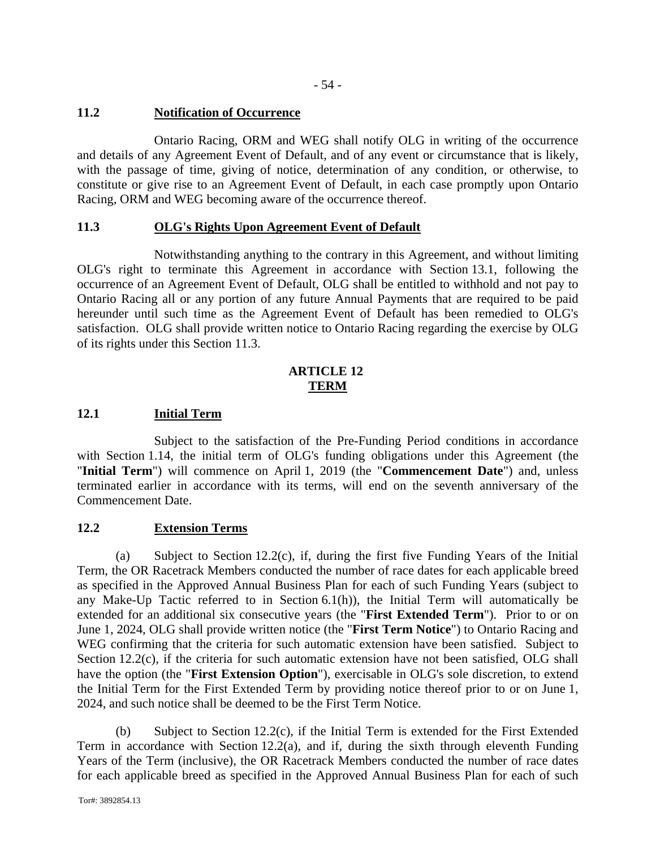- 54 -

# **11.2 Notification of Occurrence**

Ontario Racing, ORM and WEG shall notify OLG in writing of the occurrence and details of any Agreement Event of Default, and of any event or circumstance that is likely, with the passage of time, giving of notice, determination of any condition, or otherwise, to constitute or give rise to an Agreement Event of Default, in each case promptly upon Ontario Racing, ORM and WEG becoming aware of the occurrence thereof.

# **11.3 OLG's Rights Upon Agreement Event of Default**

Notwithstanding anything to the contrary in this Agreement, and without limiting OLG's right to terminate this Agreement in accordance with Section 13.1, following the occurrence of an Agreement Event of Default, OLG shall be entitled to withhold and not pay to Ontario Racing all or any portion of any future Annual Payments that are required to be paid hereunder until such time as the Agreement Event of Default has been remedied to OLG's satisfaction. OLG shall provide written notice to Ontario Racing regarding the exercise by OLG of its rights under this Section 11.3.

## **ARTICLE 12 TERM**

# **12.1 Initial Term**

Subject to the satisfaction of the Pre-Funding Period conditions in accordance with Section 1.14, the initial term of OLG's funding obligations under this Agreement (the "**Initial Term**") will commence on April 1, 2019 (the "**Commencement Date**") and, unless terminated earlier in accordance with its terms, will end on the seventh anniversary of the Commencement Date.

## **12.2 Extension Terms**

(a) Subject to Section 12.2(c), if, during the first five Funding Years of the Initial Term, the OR Racetrack Members conducted the number of race dates for each applicable breed as specified in the Approved Annual Business Plan for each of such Funding Years (subject to any Make-Up Tactic referred to in Section 6.1(h)), the Initial Term will automatically be extended for an additional six consecutive years (the "**First Extended Term**"). Prior to or on June 1, 2024, OLG shall provide written notice (the "**First Term Notice**") to Ontario Racing and WEG confirming that the criteria for such automatic extension have been satisfied. Subject to Section 12.2(c), if the criteria for such automatic extension have not been satisfied, OLG shall have the option (the "**First Extension Option**"), exercisable in OLG's sole discretion, to extend the Initial Term for the First Extended Term by providing notice thereof prior to or on June 1, 2024, and such notice shall be deemed to be the First Term Notice.

(b) Subject to Section 12.2(c), if the Initial Term is extended for the First Extended Term in accordance with Section 12.2(a), and if, during the sixth through eleventh Funding Years of the Term (inclusive), the OR Racetrack Members conducted the number of race dates for each applicable breed as specified in the Approved Annual Business Plan for each of such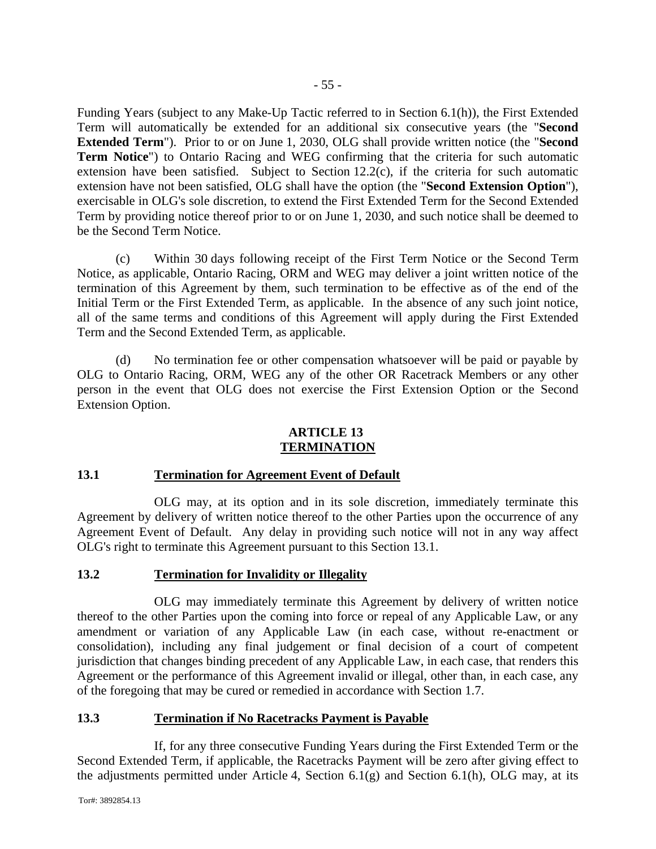Funding Years (subject to any Make-Up Tactic referred to in Section 6.1(h)), the First Extended Term will automatically be extended for an additional six consecutive years (the "**Second Extended Term**"). Prior to or on June 1, 2030, OLG shall provide written notice (the "**Second Term Notice**") to Ontario Racing and WEG confirming that the criteria for such automatic extension have been satisfied. Subject to Section 12.2(c), if the criteria for such automatic extension have not been satisfied, OLG shall have the option (the "**Second Extension Option**"), exercisable in OLG's sole discretion, to extend the First Extended Term for the Second Extended Term by providing notice thereof prior to or on June 1, 2030, and such notice shall be deemed to be the Second Term Notice.

(c) Within 30 days following receipt of the First Term Notice or the Second Term Notice, as applicable, Ontario Racing, ORM and WEG may deliver a joint written notice of the termination of this Agreement by them, such termination to be effective as of the end of the Initial Term or the First Extended Term, as applicable. In the absence of any such joint notice, all of the same terms and conditions of this Agreement will apply during the First Extended Term and the Second Extended Term, as applicable.

(d) No termination fee or other compensation whatsoever will be paid or payable by OLG to Ontario Racing, ORM, WEG any of the other OR Racetrack Members or any other person in the event that OLG does not exercise the First Extension Option or the Second Extension Option.

#### **ARTICLE 13 TERMINATION**

## **13.1 Termination for Agreement Event of Default**

OLG may, at its option and in its sole discretion, immediately terminate this Agreement by delivery of written notice thereof to the other Parties upon the occurrence of any Agreement Event of Default. Any delay in providing such notice will not in any way affect OLG's right to terminate this Agreement pursuant to this Section 13.1.

## **13.2 Termination for Invalidity or Illegality**

OLG may immediately terminate this Agreement by delivery of written notice thereof to the other Parties upon the coming into force or repeal of any Applicable Law, or any amendment or variation of any Applicable Law (in each case, without re-enactment or consolidation), including any final judgement or final decision of a court of competent jurisdiction that changes binding precedent of any Applicable Law, in each case, that renders this Agreement or the performance of this Agreement invalid or illegal, other than, in each case, any of the foregoing that may be cured or remedied in accordance with Section 1.7.

## **13.3 Termination if No Racetracks Payment is Payable**

If, for any three consecutive Funding Years during the First Extended Term or the Second Extended Term, if applicable, the Racetracks Payment will be zero after giving effect to the adjustments permitted under Article 4, Section  $6.1(g)$  and Section  $6.1(h)$ , OLG may, at its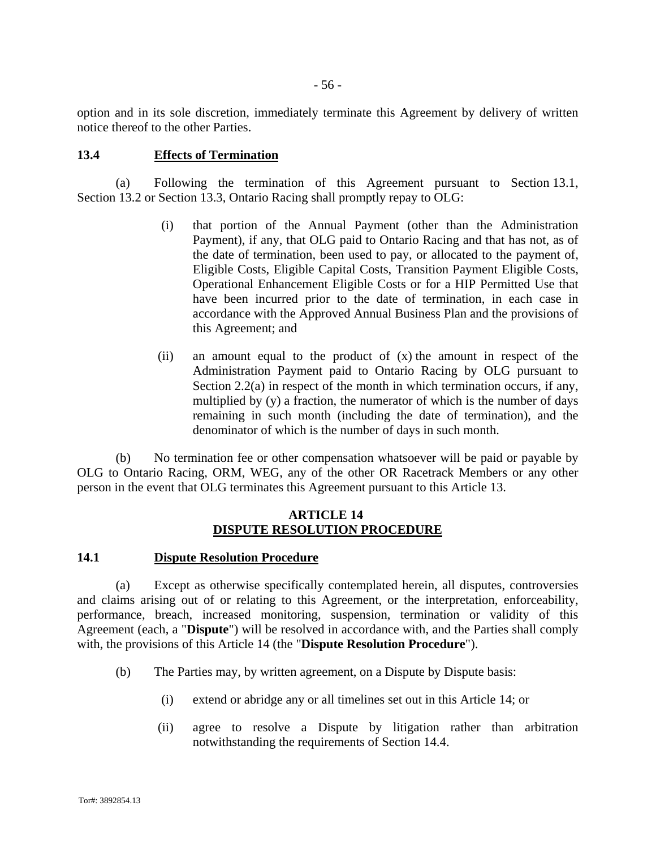option and in its sole discretion, immediately terminate this Agreement by delivery of written notice thereof to the other Parties.

## **13.4 Effects of Termination**

(a) Following the termination of this Agreement pursuant to Section 13.1, Section 13.2 or Section 13.3, Ontario Racing shall promptly repay to OLG:

- (i) that portion of the Annual Payment (other than the Administration Payment), if any, that OLG paid to Ontario Racing and that has not, as of the date of termination, been used to pay, or allocated to the payment of, Eligible Costs, Eligible Capital Costs, Transition Payment Eligible Costs, Operational Enhancement Eligible Costs or for a HIP Permitted Use that have been incurred prior to the date of termination, in each case in accordance with the Approved Annual Business Plan and the provisions of this Agreement; and
- (ii) an amount equal to the product of (x) the amount in respect of the Administration Payment paid to Ontario Racing by OLG pursuant to Section 2.2(a) in respect of the month in which termination occurs, if any, multiplied by (y) a fraction, the numerator of which is the number of days remaining in such month (including the date of termination), and the denominator of which is the number of days in such month.

(b) No termination fee or other compensation whatsoever will be paid or payable by OLG to Ontario Racing, ORM, WEG, any of the other OR Racetrack Members or any other person in the event that OLG terminates this Agreement pursuant to this Article 13.

#### **ARTICLE 14 DISPUTE RESOLUTION PROCEDURE**

#### **14.1 Dispute Resolution Procedure**

(a) Except as otherwise specifically contemplated herein, all disputes, controversies and claims arising out of or relating to this Agreement, or the interpretation, enforceability, performance, breach, increased monitoring, suspension, termination or validity of this Agreement (each, a "**Dispute**") will be resolved in accordance with, and the Parties shall comply with, the provisions of this Article 14 (the "**Dispute Resolution Procedure**").

- (b) The Parties may, by written agreement, on a Dispute by Dispute basis:
	- (i) extend or abridge any or all timelines set out in this Article 14; or
	- (ii) agree to resolve a Dispute by litigation rather than arbitration notwithstanding the requirements of Section 14.4.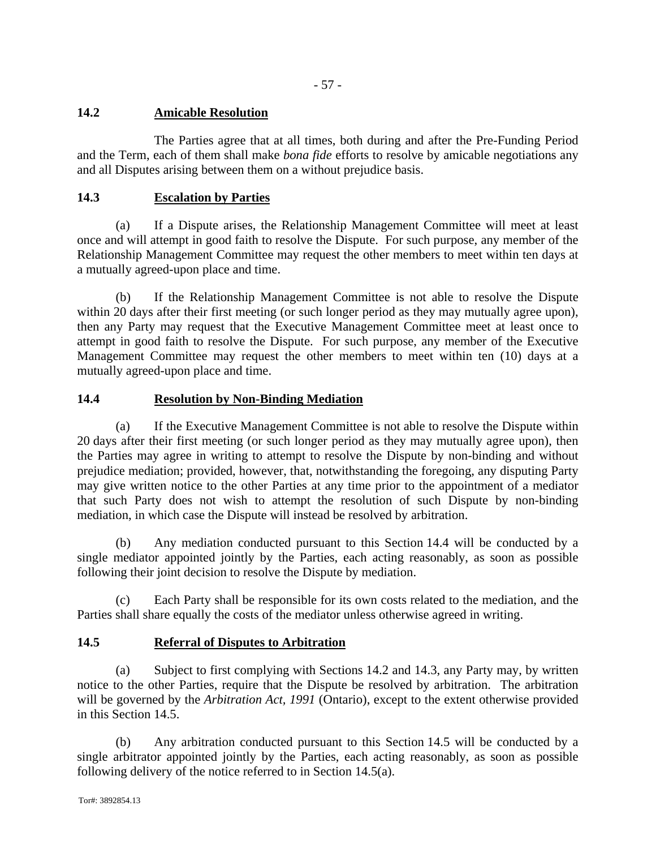- 57 -

# **14.2 Amicable Resolution**

The Parties agree that at all times, both during and after the Pre-Funding Period and the Term, each of them shall make *bona fide* efforts to resolve by amicable negotiations any and all Disputes arising between them on a without prejudice basis.

# **14.3 Escalation by Parties**

(a) If a Dispute arises, the Relationship Management Committee will meet at least once and will attempt in good faith to resolve the Dispute. For such purpose, any member of the Relationship Management Committee may request the other members to meet within ten days at a mutually agreed-upon place and time.

(b) If the Relationship Management Committee is not able to resolve the Dispute within 20 days after their first meeting (or such longer period as they may mutually agree upon), then any Party may request that the Executive Management Committee meet at least once to attempt in good faith to resolve the Dispute. For such purpose, any member of the Executive Management Committee may request the other members to meet within ten (10) days at a mutually agreed-upon place and time.

# **14.4 Resolution by Non-Binding Mediation**

(a) If the Executive Management Committee is not able to resolve the Dispute within 20 days after their first meeting (or such longer period as they may mutually agree upon), then the Parties may agree in writing to attempt to resolve the Dispute by non-binding and without prejudice mediation; provided, however, that, notwithstanding the foregoing, any disputing Party may give written notice to the other Parties at any time prior to the appointment of a mediator that such Party does not wish to attempt the resolution of such Dispute by non-binding mediation, in which case the Dispute will instead be resolved by arbitration.

(b) Any mediation conducted pursuant to this Section 14.4 will be conducted by a single mediator appointed jointly by the Parties, each acting reasonably, as soon as possible following their joint decision to resolve the Dispute by mediation.

(c) Each Party shall be responsible for its own costs related to the mediation, and the Parties shall share equally the costs of the mediator unless otherwise agreed in writing.

# **14.5 Referral of Disputes to Arbitration**

(a) Subject to first complying with Sections 14.2 and 14.3, any Party may, by written notice to the other Parties, require that the Dispute be resolved by arbitration. The arbitration will be governed by the *Arbitration Act, 1991* (Ontario), except to the extent otherwise provided in this Section 14.5.

(b) Any arbitration conducted pursuant to this Section 14.5 will be conducted by a single arbitrator appointed jointly by the Parties, each acting reasonably, as soon as possible following delivery of the notice referred to in Section 14.5(a).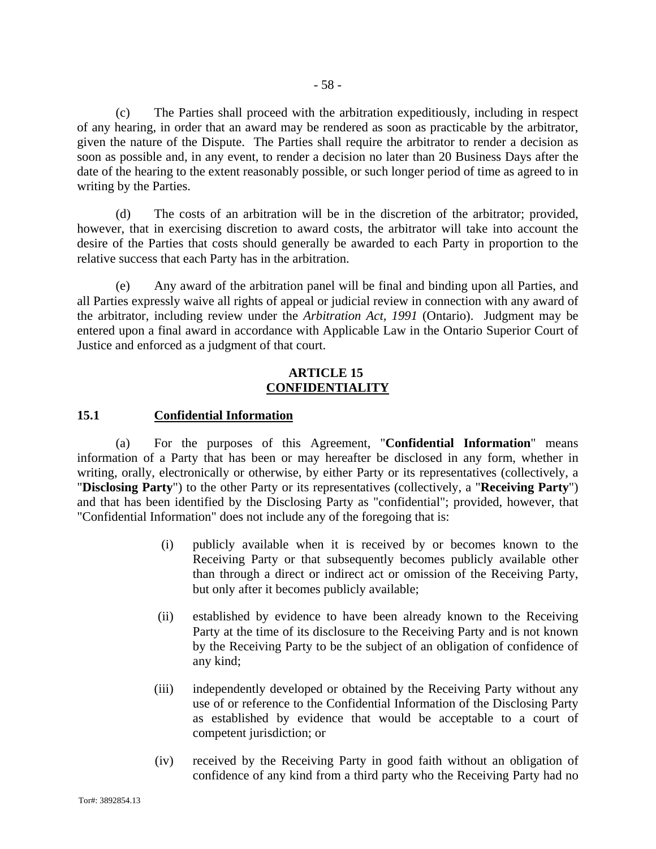- 58 -

(c) The Parties shall proceed with the arbitration expeditiously, including in respect of any hearing, in order that an award may be rendered as soon as practicable by the arbitrator, given the nature of the Dispute. The Parties shall require the arbitrator to render a decision as soon as possible and, in any event, to render a decision no later than 20 Business Days after the date of the hearing to the extent reasonably possible, or such longer period of time as agreed to in writing by the Parties.

(d) The costs of an arbitration will be in the discretion of the arbitrator; provided, however, that in exercising discretion to award costs, the arbitrator will take into account the desire of the Parties that costs should generally be awarded to each Party in proportion to the relative success that each Party has in the arbitration.

(e) Any award of the arbitration panel will be final and binding upon all Parties, and all Parties expressly waive all rights of appeal or judicial review in connection with any award of the arbitrator, including review under the *Arbitration Act, 1991* (Ontario). Judgment may be entered upon a final award in accordance with Applicable Law in the Ontario Superior Court of Justice and enforced as a judgment of that court.

#### **ARTICLE 15 CONFIDENTIALITY**

# **15.1 Confidential Information**

(a) For the purposes of this Agreement, "**Confidential Information**" means information of a Party that has been or may hereafter be disclosed in any form, whether in writing, orally, electronically or otherwise, by either Party or its representatives (collectively, a "**Disclosing Party**") to the other Party or its representatives (collectively, a "**Receiving Party**") and that has been identified by the Disclosing Party as "confidential"; provided, however, that "Confidential Information" does not include any of the foregoing that is:

- (i) publicly available when it is received by or becomes known to the Receiving Party or that subsequently becomes publicly available other than through a direct or indirect act or omission of the Receiving Party, but only after it becomes publicly available;
- (ii) established by evidence to have been already known to the Receiving Party at the time of its disclosure to the Receiving Party and is not known by the Receiving Party to be the subject of an obligation of confidence of any kind;
- (iii) independently developed or obtained by the Receiving Party without any use of or reference to the Confidential Information of the Disclosing Party as established by evidence that would be acceptable to a court of competent jurisdiction; or
- (iv) received by the Receiving Party in good faith without an obligation of confidence of any kind from a third party who the Receiving Party had no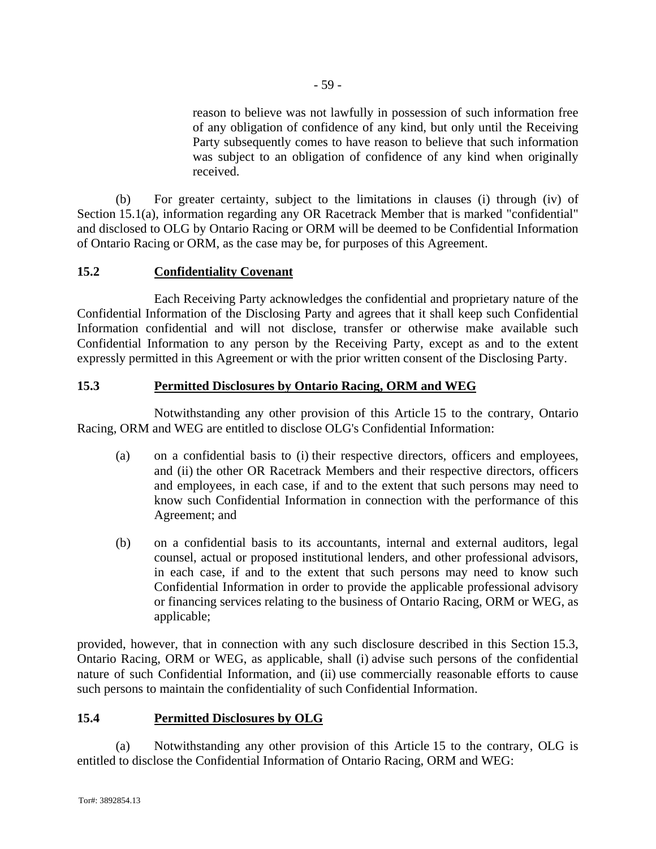reason to believe was not lawfully in possession of such information free of any obligation of confidence of any kind, but only until the Receiving Party subsequently comes to have reason to believe that such information was subject to an obligation of confidence of any kind when originally received.

(b) For greater certainty, subject to the limitations in clauses (i) through (iv) of Section 15.1(a), information regarding any OR Racetrack Member that is marked "confidential" and disclosed to OLG by Ontario Racing or ORM will be deemed to be Confidential Information of Ontario Racing or ORM, as the case may be, for purposes of this Agreement.

# **15.2 Confidentiality Covenant**

Each Receiving Party acknowledges the confidential and proprietary nature of the Confidential Information of the Disclosing Party and agrees that it shall keep such Confidential Information confidential and will not disclose, transfer or otherwise make available such Confidential Information to any person by the Receiving Party, except as and to the extent expressly permitted in this Agreement or with the prior written consent of the Disclosing Party.

# **15.3 Permitted Disclosures by Ontario Racing, ORM and WEG**

Notwithstanding any other provision of this Article 15 to the contrary, Ontario Racing, ORM and WEG are entitled to disclose OLG's Confidential Information:

- (a) on a confidential basis to (i) their respective directors, officers and employees, and (ii) the other OR Racetrack Members and their respective directors, officers and employees, in each case, if and to the extent that such persons may need to know such Confidential Information in connection with the performance of this Agreement; and
- (b) on a confidential basis to its accountants, internal and external auditors, legal counsel, actual or proposed institutional lenders, and other professional advisors, in each case, if and to the extent that such persons may need to know such Confidential Information in order to provide the applicable professional advisory or financing services relating to the business of Ontario Racing, ORM or WEG, as applicable;

provided, however, that in connection with any such disclosure described in this Section 15.3, Ontario Racing, ORM or WEG, as applicable, shall (i) advise such persons of the confidential nature of such Confidential Information, and (ii) use commercially reasonable efforts to cause such persons to maintain the confidentiality of such Confidential Information.

# **15.4 Permitted Disclosures by OLG**

(a) Notwithstanding any other provision of this Article 15 to the contrary, OLG is entitled to disclose the Confidential Information of Ontario Racing, ORM and WEG: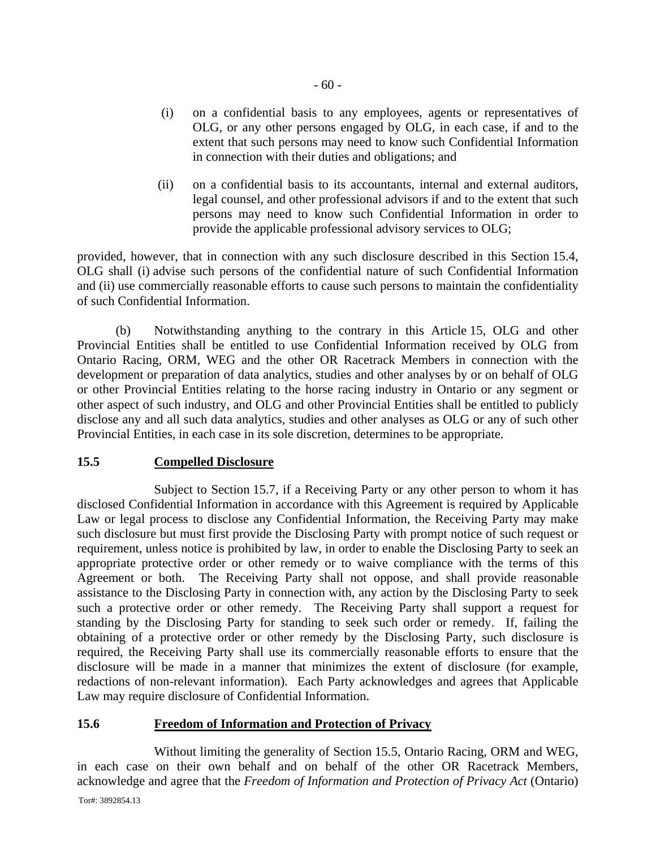- (i) on a confidential basis to any employees, agents or representatives of OLG, or any other persons engaged by OLG, in each case, if and to the extent that such persons may need to know such Confidential Information in connection with their duties and obligations; and
- (ii) on a confidential basis to its accountants, internal and external auditors, legal counsel, and other professional advisors if and to the extent that such persons may need to know such Confidential Information in order to provide the applicable professional advisory services to OLG;

provided, however, that in connection with any such disclosure described in this Section 15.4, OLG shall (i) advise such persons of the confidential nature of such Confidential Information and (ii) use commercially reasonable efforts to cause such persons to maintain the confidentiality of such Confidential Information.

(b) Notwithstanding anything to the contrary in this Article 15, OLG and other Provincial Entities shall be entitled to use Confidential Information received by OLG from Ontario Racing, ORM, WEG and the other OR Racetrack Members in connection with the development or preparation of data analytics, studies and other analyses by or on behalf of OLG or other Provincial Entities relating to the horse racing industry in Ontario or any segment or other aspect of such industry, and OLG and other Provincial Entities shall be entitled to publicly disclose any and all such data analytics, studies and other analyses as OLG or any of such other Provincial Entities, in each case in its sole discretion, determines to be appropriate.

## **15.5 Compelled Disclosure**

Subject to Section 15.7, if a Receiving Party or any other person to whom it has disclosed Confidential Information in accordance with this Agreement is required by Applicable Law or legal process to disclose any Confidential Information, the Receiving Party may make such disclosure but must first provide the Disclosing Party with prompt notice of such request or requirement, unless notice is prohibited by law, in order to enable the Disclosing Party to seek an appropriate protective order or other remedy or to waive compliance with the terms of this Agreement or both. The Receiving Party shall not oppose, and shall provide reasonable assistance to the Disclosing Party in connection with, any action by the Disclosing Party to seek such a protective order or other remedy. The Receiving Party shall support a request for standing by the Disclosing Party for standing to seek such order or remedy. If, failing the obtaining of a protective order or other remedy by the Disclosing Party, such disclosure is required, the Receiving Party shall use its commercially reasonable efforts to ensure that the disclosure will be made in a manner that minimizes the extent of disclosure (for example, redactions of non-relevant information). Each Party acknowledges and agrees that Applicable Law may require disclosure of Confidential Information.

# **15.6 Freedom of Information and Protection of Privacy**

Without limiting the generality of Section 15.5, Ontario Racing, ORM and WEG, in each case on their own behalf and on behalf of the other OR Racetrack Members, acknowledge and agree that the *Freedom of Information and Protection of Privacy Act* (Ontario)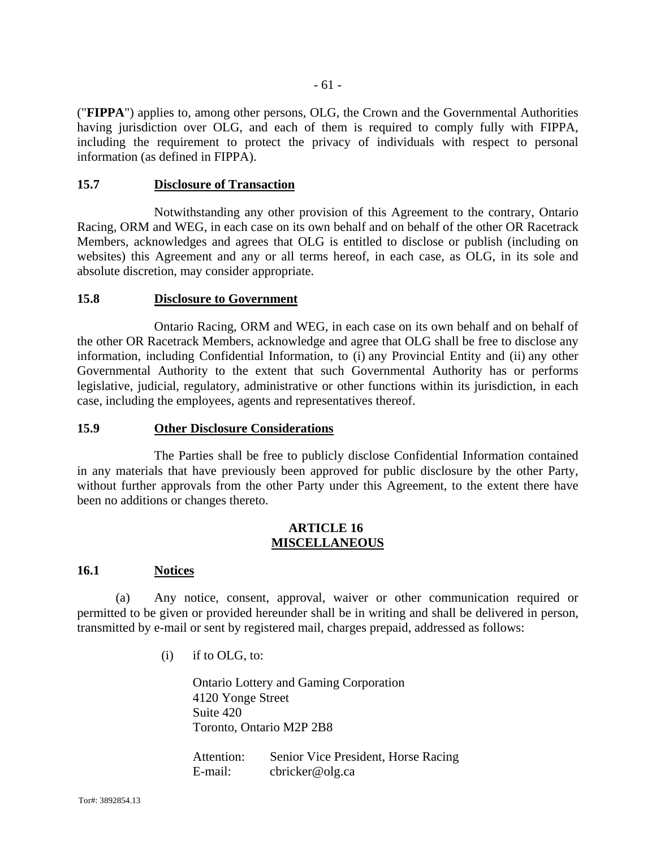("**FIPPA**") applies to, among other persons, OLG, the Crown and the Governmental Authorities having jurisdiction over OLG, and each of them is required to comply fully with FIPPA, including the requirement to protect the privacy of individuals with respect to personal information (as defined in FIPPA).

#### **15.7 Disclosure of Transaction**

Notwithstanding any other provision of this Agreement to the contrary, Ontario Racing, ORM and WEG, in each case on its own behalf and on behalf of the other OR Racetrack Members, acknowledges and agrees that OLG is entitled to disclose or publish (including on websites) this Agreement and any or all terms hereof, in each case, as OLG, in its sole and absolute discretion, may consider appropriate.

#### **15.8 Disclosure to Government**

Ontario Racing, ORM and WEG, in each case on its own behalf and on behalf of the other OR Racetrack Members, acknowledge and agree that OLG shall be free to disclose any information, including Confidential Information, to (i) any Provincial Entity and (ii) any other Governmental Authority to the extent that such Governmental Authority has or performs legislative, judicial, regulatory, administrative or other functions within its jurisdiction, in each case, including the employees, agents and representatives thereof.

#### **15.9 Other Disclosure Considerations**

The Parties shall be free to publicly disclose Confidential Information contained in any materials that have previously been approved for public disclosure by the other Party, without further approvals from the other Party under this Agreement, to the extent there have been no additions or changes thereto.

## **ARTICLE 16 MISCELLANEOUS**

## **16.1 Notices**

(a) Any notice, consent, approval, waiver or other communication required or permitted to be given or provided hereunder shall be in writing and shall be delivered in person, transmitted by e-mail or sent by registered mail, charges prepaid, addressed as follows:

 $(i)$  if to OLG, to:

Ontario Lottery and Gaming Corporation 4120 Yonge Street Suite 420 Toronto, Ontario M2P 2B8

Attention: Senior Vice President, Horse Racing E-mail: cbricker@olg.ca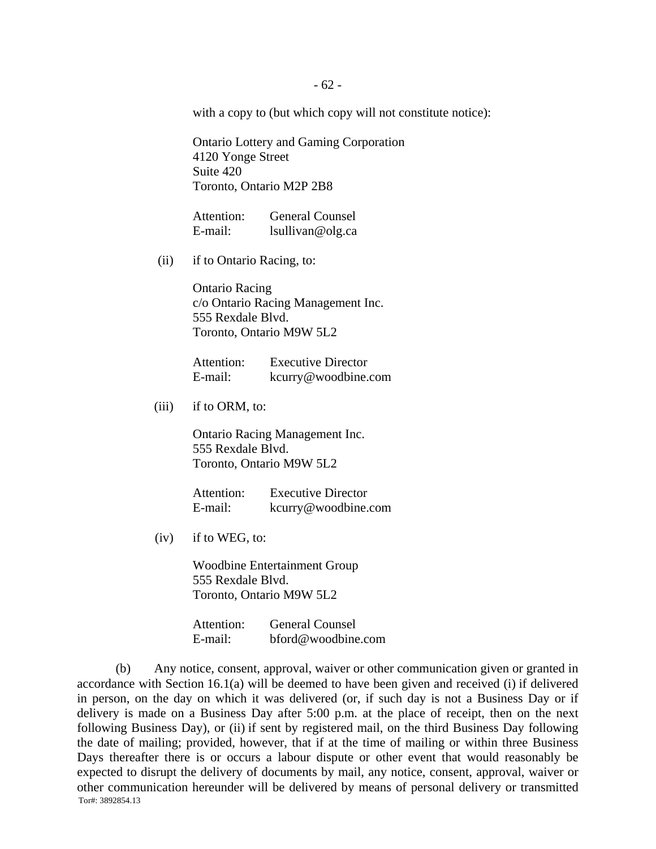with a copy to (but which copy will not constitute notice):

Ontario Lottery and Gaming Corporation 4120 Yonge Street Suite 420 Toronto, Ontario M2P 2B8

Attention: General Counsel E-mail: lsullivan@olg.ca

(ii) if to Ontario Racing, to:

Ontario Racing c/o Ontario Racing Management Inc. 555 Rexdale Blvd. Toronto, Ontario M9W 5L2

Attention: Executive Director E-mail: kcurry@woodbine.com

(iii) if to ORM, to:

Ontario Racing Management Inc. 555 Rexdale Blvd. Toronto, Ontario M9W 5L2

Attention: Executive Director E-mail: kcurry@woodbine.com

(iv) if to WEG, to:

Woodbine Entertainment Group 555 Rexdale Blvd. Toronto, Ontario M9W 5L2

| Attention: | <b>General Counsel</b> |
|------------|------------------------|
| E-mail:    | bford@woodbine.com     |

Tor#: 3892854.13 (b) Any notice, consent, approval, waiver or other communication given or granted in accordance with Section 16.1(a) will be deemed to have been given and received (i) if delivered in person, on the day on which it was delivered (or, if such day is not a Business Day or if delivery is made on a Business Day after 5:00 p.m. at the place of receipt, then on the next following Business Day), or (ii) if sent by registered mail, on the third Business Day following the date of mailing; provided, however, that if at the time of mailing or within three Business Days thereafter there is or occurs a labour dispute or other event that would reasonably be expected to disrupt the delivery of documents by mail, any notice, consent, approval, waiver or other communication hereunder will be delivered by means of personal delivery or transmitted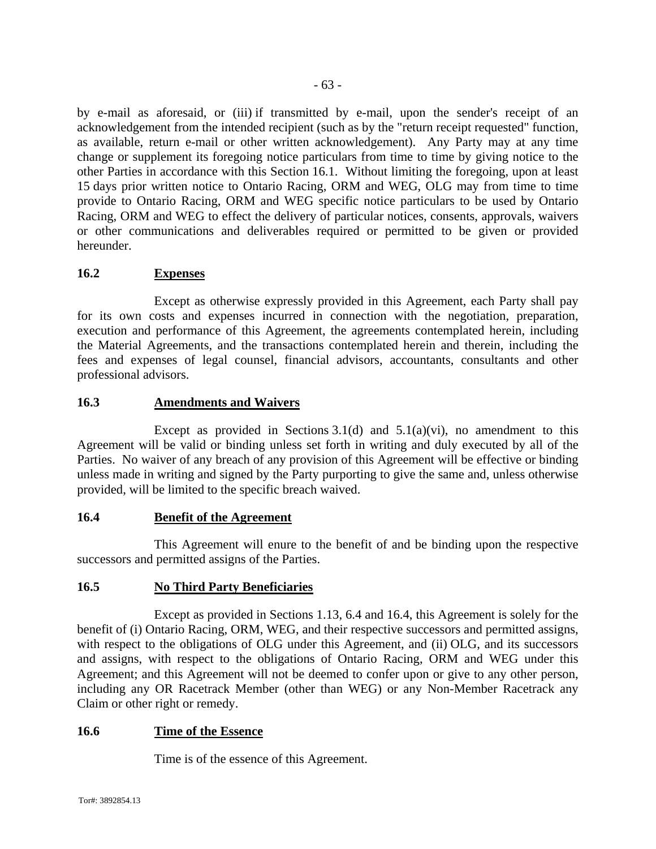by e-mail as aforesaid, or (iii) if transmitted by e-mail, upon the sender's receipt of an acknowledgement from the intended recipient (such as by the "return receipt requested" function, as available, return e-mail or other written acknowledgement). Any Party may at any time change or supplement its foregoing notice particulars from time to time by giving notice to the other Parties in accordance with this Section 16.1. Without limiting the foregoing, upon at least 15 days prior written notice to Ontario Racing, ORM and WEG, OLG may from time to time provide to Ontario Racing, ORM and WEG specific notice particulars to be used by Ontario Racing, ORM and WEG to effect the delivery of particular notices, consents, approvals, waivers or other communications and deliverables required or permitted to be given or provided hereunder.

## **16.2 Expenses**

Except as otherwise expressly provided in this Agreement, each Party shall pay for its own costs and expenses incurred in connection with the negotiation, preparation, execution and performance of this Agreement, the agreements contemplated herein, including the Material Agreements, and the transactions contemplated herein and therein, including the fees and expenses of legal counsel, financial advisors, accountants, consultants and other professional advisors.

## **16.3 Amendments and Waivers**

Except as provided in Sections 3.1(d) and  $5.1(a)(vi)$ , no amendment to this Agreement will be valid or binding unless set forth in writing and duly executed by all of the Parties. No waiver of any breach of any provision of this Agreement will be effective or binding unless made in writing and signed by the Party purporting to give the same and, unless otherwise provided, will be limited to the specific breach waived.

## **16.4 Benefit of the Agreement**

This Agreement will enure to the benefit of and be binding upon the respective successors and permitted assigns of the Parties.

## **16.5 No Third Party Beneficiaries**

Except as provided in Sections 1.13, 6.4 and 16.4, this Agreement is solely for the benefit of (i) Ontario Racing, ORM, WEG, and their respective successors and permitted assigns, with respect to the obligations of OLG under this Agreement, and (ii) OLG, and its successors and assigns, with respect to the obligations of Ontario Racing, ORM and WEG under this Agreement; and this Agreement will not be deemed to confer upon or give to any other person, including any OR Racetrack Member (other than WEG) or any Non-Member Racetrack any Claim or other right or remedy.

## **16.6 Time of the Essence**

Time is of the essence of this Agreement.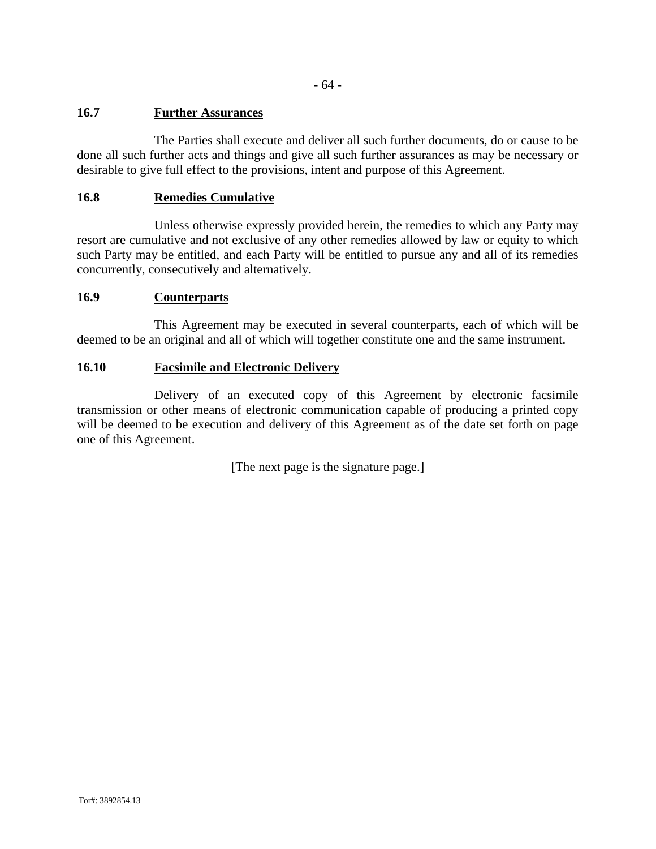- 64 -

# **16.7 Further Assurances**

The Parties shall execute and deliver all such further documents, do or cause to be done all such further acts and things and give all such further assurances as may be necessary or desirable to give full effect to the provisions, intent and purpose of this Agreement.

# **16.8 Remedies Cumulative**

Unless otherwise expressly provided herein, the remedies to which any Party may resort are cumulative and not exclusive of any other remedies allowed by law or equity to which such Party may be entitled, and each Party will be entitled to pursue any and all of its remedies concurrently, consecutively and alternatively.

# **16.9 Counterparts**

This Agreement may be executed in several counterparts, each of which will be deemed to be an original and all of which will together constitute one and the same instrument.

# **16.10 Facsimile and Electronic Delivery**

Delivery of an executed copy of this Agreement by electronic facsimile transmission or other means of electronic communication capable of producing a printed copy will be deemed to be execution and delivery of this Agreement as of the date set forth on page one of this Agreement.

[The next page is the signature page.]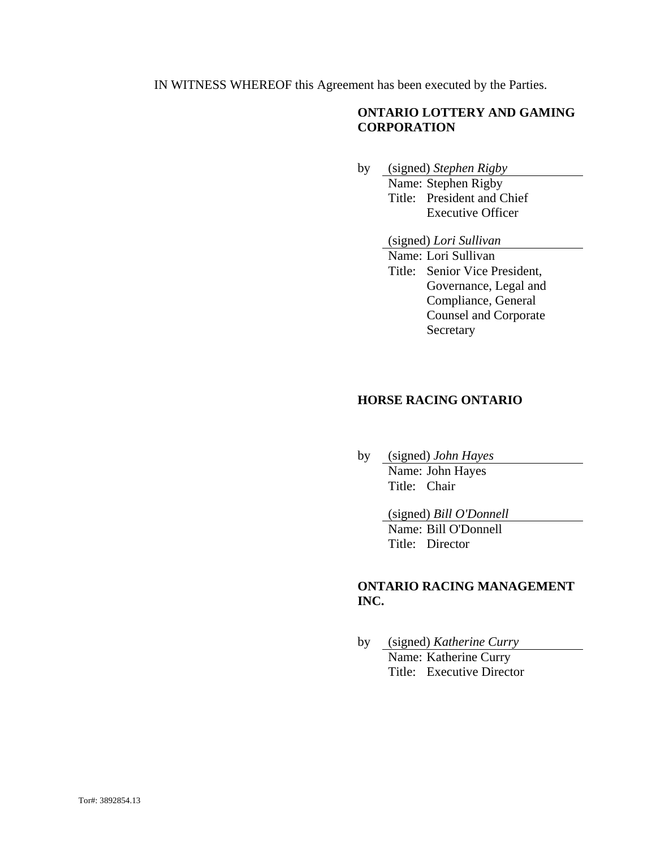IN WITNESS WHEREOF this Agreement has been executed by the Parties.

# **ONTARIO LOTTERY AND GAMING CORPORATION**

- by (signed) *Stephen Rigby*  Name: Stephen Rigby Title: President and Chief Executive Officer
	- (signed) *Lori Sullivan*
	- Name: Lori Sullivan Title: Senior Vice President, Governance, Legal and Compliance, General Counsel and Corporate Secretary

#### **HORSE RACING ONTARIO**

by (signed) *John Hayes*  Name: John Hayes Title: Chair

(signed) *Bill O'Donnell* 

 Name: Bill O'Donnell Title: Director

# **ONTARIO RACING MANAGEMENT INC.**

by (signed) *Katherine Curry*  Name: Katherine Curry Title: Executive Director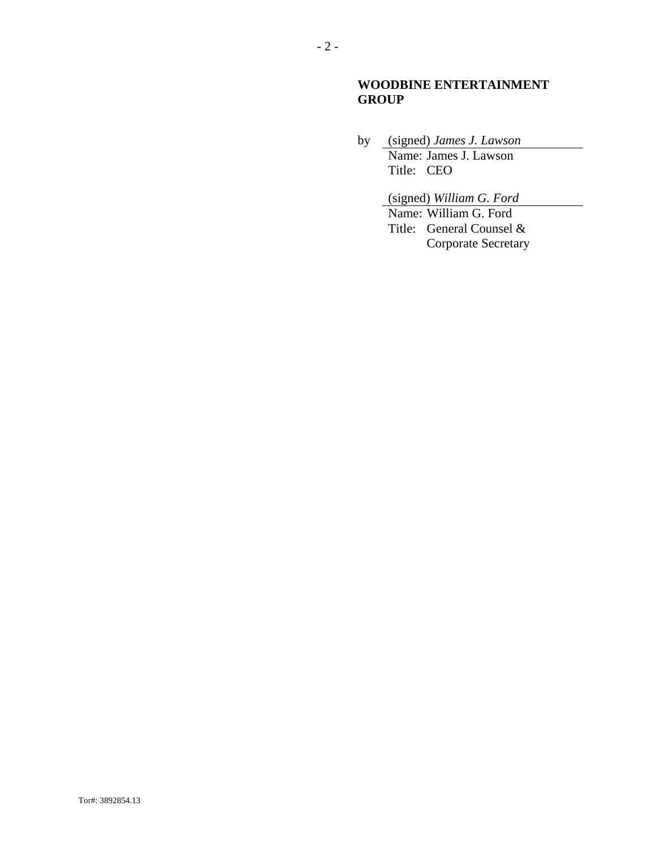# **WOODBINE ENTERTAINMENT GROUP**

by (signed) *James J. Lawson*  Name: James J. Lawson Title: CEO

> (signed) *William G. Ford*  Name: William G. Ford Title: General Counsel & Corporate Secretary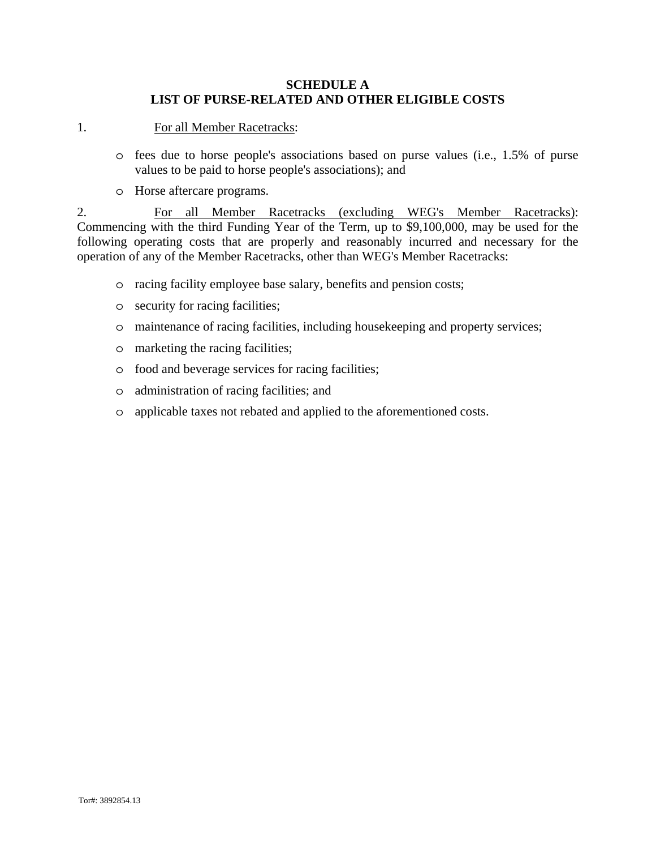## **SCHEDULE A LIST OF PURSE-RELATED AND OTHER ELIGIBLE COSTS**

1. For all Member Racetracks:

- o fees due to horse people's associations based on purse values (i.e., 1.5% of purse values to be paid to horse people's associations); and
- o Horse aftercare programs.

2. For all Member Racetracks (excluding WEG's Member Racetracks): Commencing with the third Funding Year of the Term, up to \$9,100,000, may be used for the following operating costs that are properly and reasonably incurred and necessary for the operation of any of the Member Racetracks, other than WEG's Member Racetracks:

- o racing facility employee base salary, benefits and pension costs;
- o security for racing facilities;
- o maintenance of racing facilities, including housekeeping and property services;
- o marketing the racing facilities;
- o food and beverage services for racing facilities;
- o administration of racing facilities; and
- o applicable taxes not rebated and applied to the aforementioned costs.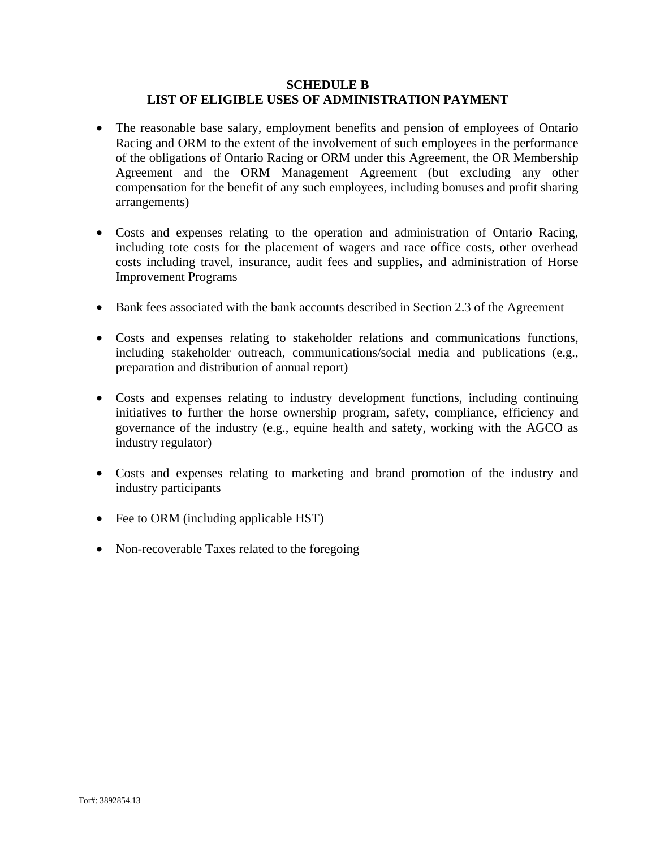### **SCHEDULE B LIST OF ELIGIBLE USES OF ADMINISTRATION PAYMENT**

- The reasonable base salary, employment benefits and pension of employees of Ontario Racing and ORM to the extent of the involvement of such employees in the performance of the obligations of Ontario Racing or ORM under this Agreement, the OR Membership Agreement and the ORM Management Agreement (but excluding any other compensation for the benefit of any such employees, including bonuses and profit sharing arrangements)
- Costs and expenses relating to the operation and administration of Ontario Racing, including tote costs for the placement of wagers and race office costs, other overhead costs including travel, insurance, audit fees and supplies**,** and administration of Horse Improvement Programs
- Bank fees associated with the bank accounts described in Section 2.3 of the Agreement
- Costs and expenses relating to stakeholder relations and communications functions, including stakeholder outreach, communications/social media and publications (e.g., preparation and distribution of annual report)
- Costs and expenses relating to industry development functions, including continuing initiatives to further the horse ownership program, safety, compliance, efficiency and governance of the industry (e.g., equine health and safety, working with the AGCO as industry regulator)
- Costs and expenses relating to marketing and brand promotion of the industry and industry participants
- Fee to ORM (including applicable HST)
- Non-recoverable Taxes related to the foregoing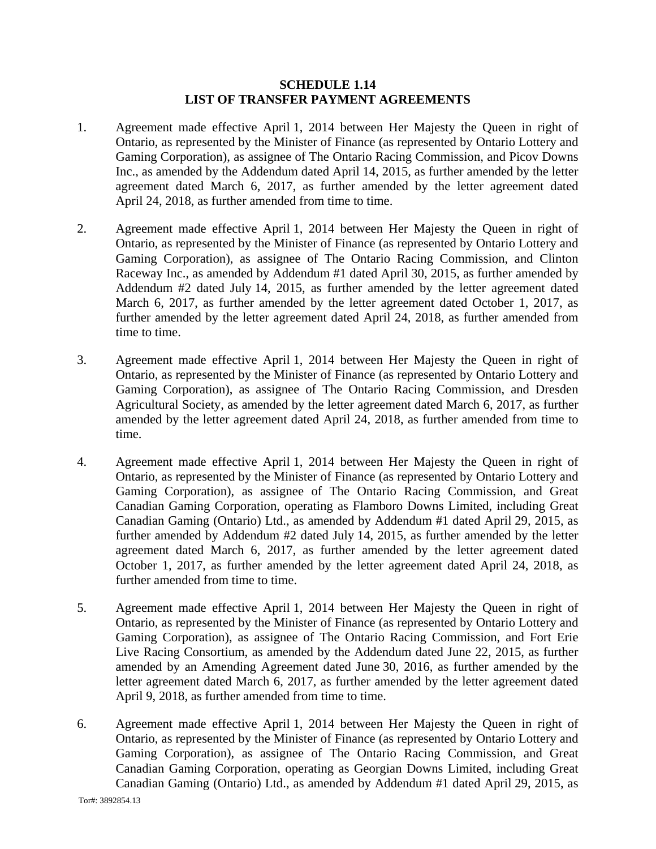#### **SCHEDULE 1.14 LIST OF TRANSFER PAYMENT AGREEMENTS**

- 1. Agreement made effective April 1, 2014 between Her Majesty the Queen in right of Ontario, as represented by the Minister of Finance (as represented by Ontario Lottery and Gaming Corporation), as assignee of The Ontario Racing Commission, and Picov Downs Inc., as amended by the Addendum dated April 14, 2015, as further amended by the letter agreement dated March 6, 2017, as further amended by the letter agreement dated April 24, 2018, as further amended from time to time.
- 2. Agreement made effective April 1, 2014 between Her Majesty the Queen in right of Ontario, as represented by the Minister of Finance (as represented by Ontario Lottery and Gaming Corporation), as assignee of The Ontario Racing Commission, and Clinton Raceway Inc., as amended by Addendum #1 dated April 30, 2015, as further amended by Addendum #2 dated July 14, 2015, as further amended by the letter agreement dated March 6, 2017, as further amended by the letter agreement dated October 1, 2017, as further amended by the letter agreement dated April 24, 2018, as further amended from time to time.
- 3. Agreement made effective April 1, 2014 between Her Majesty the Queen in right of Ontario, as represented by the Minister of Finance (as represented by Ontario Lottery and Gaming Corporation), as assignee of The Ontario Racing Commission, and Dresden Agricultural Society, as amended by the letter agreement dated March 6, 2017, as further amended by the letter agreement dated April 24, 2018, as further amended from time to time.
- 4. Agreement made effective April 1, 2014 between Her Majesty the Queen in right of Ontario, as represented by the Minister of Finance (as represented by Ontario Lottery and Gaming Corporation), as assignee of The Ontario Racing Commission, and Great Canadian Gaming Corporation, operating as Flamboro Downs Limited, including Great Canadian Gaming (Ontario) Ltd., as amended by Addendum #1 dated April 29, 2015, as further amended by Addendum #2 dated July 14, 2015, as further amended by the letter agreement dated March 6, 2017, as further amended by the letter agreement dated October 1, 2017, as further amended by the letter agreement dated April 24, 2018, as further amended from time to time.
- 5. Agreement made effective April 1, 2014 between Her Majesty the Queen in right of Ontario, as represented by the Minister of Finance (as represented by Ontario Lottery and Gaming Corporation), as assignee of The Ontario Racing Commission, and Fort Erie Live Racing Consortium, as amended by the Addendum dated June 22, 2015, as further amended by an Amending Agreement dated June 30, 2016, as further amended by the letter agreement dated March 6, 2017, as further amended by the letter agreement dated April 9, 2018, as further amended from time to time.
- 6. Agreement made effective April 1, 2014 between Her Majesty the Queen in right of Ontario, as represented by the Minister of Finance (as represented by Ontario Lottery and Gaming Corporation), as assignee of The Ontario Racing Commission, and Great Canadian Gaming Corporation, operating as Georgian Downs Limited, including Great Canadian Gaming (Ontario) Ltd., as amended by Addendum #1 dated April 29, 2015, as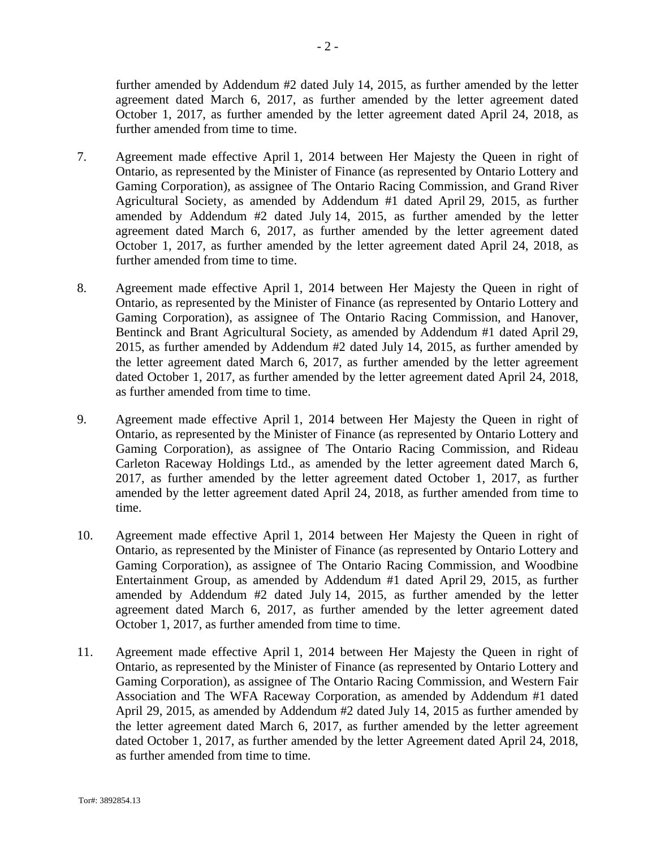further amended by Addendum #2 dated July 14, 2015, as further amended by the letter agreement dated March 6, 2017, as further amended by the letter agreement dated October 1, 2017, as further amended by the letter agreement dated April 24, 2018, as further amended from time to time.

- 7. Agreement made effective April 1, 2014 between Her Majesty the Queen in right of Ontario, as represented by the Minister of Finance (as represented by Ontario Lottery and Gaming Corporation), as assignee of The Ontario Racing Commission, and Grand River Agricultural Society, as amended by Addendum #1 dated April 29, 2015, as further amended by Addendum #2 dated July 14, 2015, as further amended by the letter agreement dated March 6, 2017, as further amended by the letter agreement dated October 1, 2017, as further amended by the letter agreement dated April 24, 2018, as further amended from time to time.
- 8. Agreement made effective April 1, 2014 between Her Majesty the Queen in right of Ontario, as represented by the Minister of Finance (as represented by Ontario Lottery and Gaming Corporation), as assignee of The Ontario Racing Commission, and Hanover, Bentinck and Brant Agricultural Society, as amended by Addendum #1 dated April 29, 2015, as further amended by Addendum #2 dated July 14, 2015, as further amended by the letter agreement dated March 6, 2017, as further amended by the letter agreement dated October 1, 2017, as further amended by the letter agreement dated April 24, 2018, as further amended from time to time.
- 9. Agreement made effective April 1, 2014 between Her Majesty the Queen in right of Ontario, as represented by the Minister of Finance (as represented by Ontario Lottery and Gaming Corporation), as assignee of The Ontario Racing Commission, and Rideau Carleton Raceway Holdings Ltd., as amended by the letter agreement dated March 6, 2017, as further amended by the letter agreement dated October 1, 2017, as further amended by the letter agreement dated April 24, 2018, as further amended from time to time.
- 10. Agreement made effective April 1, 2014 between Her Majesty the Queen in right of Ontario, as represented by the Minister of Finance (as represented by Ontario Lottery and Gaming Corporation), as assignee of The Ontario Racing Commission, and Woodbine Entertainment Group, as amended by Addendum #1 dated April 29, 2015, as further amended by Addendum #2 dated July 14, 2015, as further amended by the letter agreement dated March 6, 2017, as further amended by the letter agreement dated October 1, 2017, as further amended from time to time.
- 11. Agreement made effective April 1, 2014 between Her Majesty the Queen in right of Ontario, as represented by the Minister of Finance (as represented by Ontario Lottery and Gaming Corporation), as assignee of The Ontario Racing Commission, and Western Fair Association and The WFA Raceway Corporation, as amended by Addendum #1 dated April 29, 2015, as amended by Addendum #2 dated July 14, 2015 as further amended by the letter agreement dated March 6, 2017, as further amended by the letter agreement dated October 1, 2017, as further amended by the letter Agreement dated April 24, 2018, as further amended from time to time.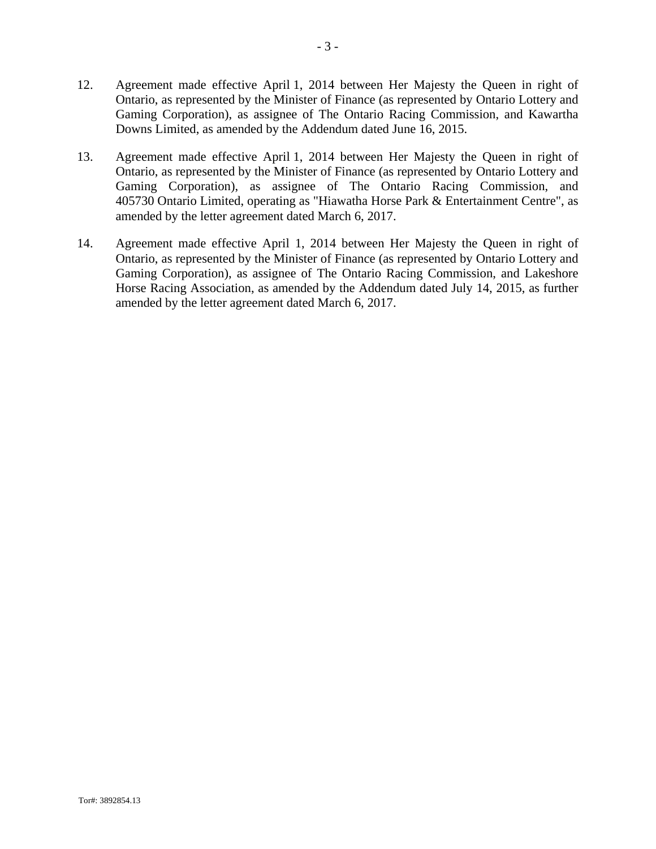- 12. Agreement made effective April 1, 2014 between Her Majesty the Queen in right of Ontario, as represented by the Minister of Finance (as represented by Ontario Lottery and Gaming Corporation), as assignee of The Ontario Racing Commission, and Kawartha Downs Limited, as amended by the Addendum dated June 16, 2015.
- 13. Agreement made effective April 1, 2014 between Her Majesty the Queen in right of Ontario, as represented by the Minister of Finance (as represented by Ontario Lottery and Gaming Corporation), as assignee of The Ontario Racing Commission, and 405730 Ontario Limited, operating as "Hiawatha Horse Park & Entertainment Centre", as amended by the letter agreement dated March 6, 2017.
- 14. Agreement made effective April 1, 2014 between Her Majesty the Queen in right of Ontario, as represented by the Minister of Finance (as represented by Ontario Lottery and Gaming Corporation), as assignee of The Ontario Racing Commission, and Lakeshore Horse Racing Association, as amended by the Addendum dated July 14, 2015, as further amended by the letter agreement dated March 6, 2017.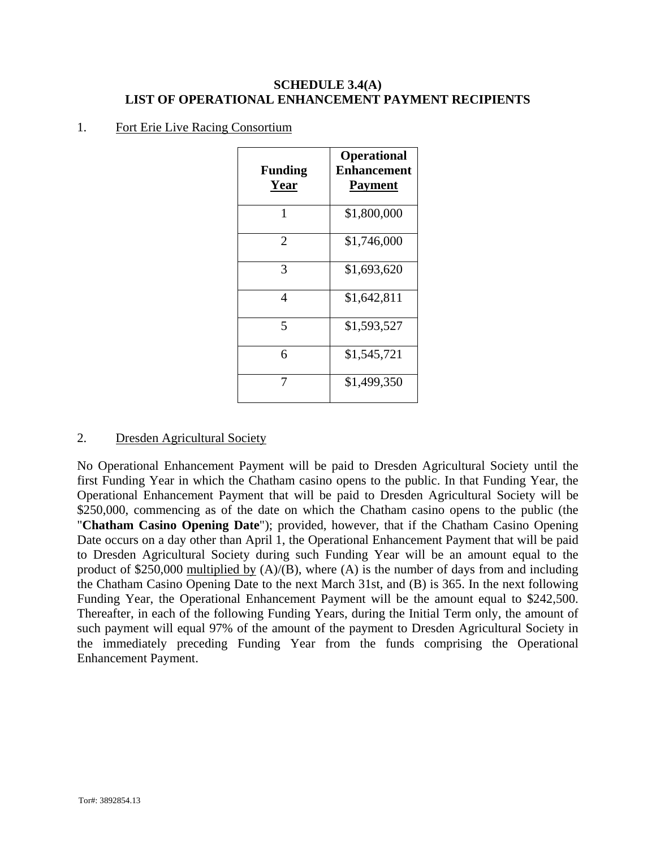## **SCHEDULE 3.4(A) LIST OF OPERATIONAL ENHANCEMENT PAYMENT RECIPIENTS**

## 1. Fort Erie Live Racing Consortium

| <b>Funding</b><br>Year | <b>Operational</b><br><b>Enhancement</b><br><b>Payment</b> |
|------------------------|------------------------------------------------------------|
| 1                      | \$1,800,000                                                |
| 2                      | \$1,746,000                                                |
| 3                      | \$1,693,620                                                |
| 4                      | \$1,642,811                                                |
| 5                      | \$1,593,527                                                |
| 6                      | \$1,545,721                                                |
|                        | \$1,499,350                                                |

## 2. Dresden Agricultural Society

No Operational Enhancement Payment will be paid to Dresden Agricultural Society until the first Funding Year in which the Chatham casino opens to the public. In that Funding Year, the Operational Enhancement Payment that will be paid to Dresden Agricultural Society will be \$250,000, commencing as of the date on which the Chatham casino opens to the public (the "**Chatham Casino Opening Date**"); provided, however, that if the Chatham Casino Opening Date occurs on a day other than April 1, the Operational Enhancement Payment that will be paid to Dresden Agricultural Society during such Funding Year will be an amount equal to the product of \$250,000 multiplied by  $(A)/(B)$ , where  $(A)$  is the number of days from and including the Chatham Casino Opening Date to the next March 31st, and (B) is 365. In the next following Funding Year, the Operational Enhancement Payment will be the amount equal to \$242,500. Thereafter, in each of the following Funding Years, during the Initial Term only, the amount of such payment will equal 97% of the amount of the payment to Dresden Agricultural Society in the immediately preceding Funding Year from the funds comprising the Operational Enhancement Payment.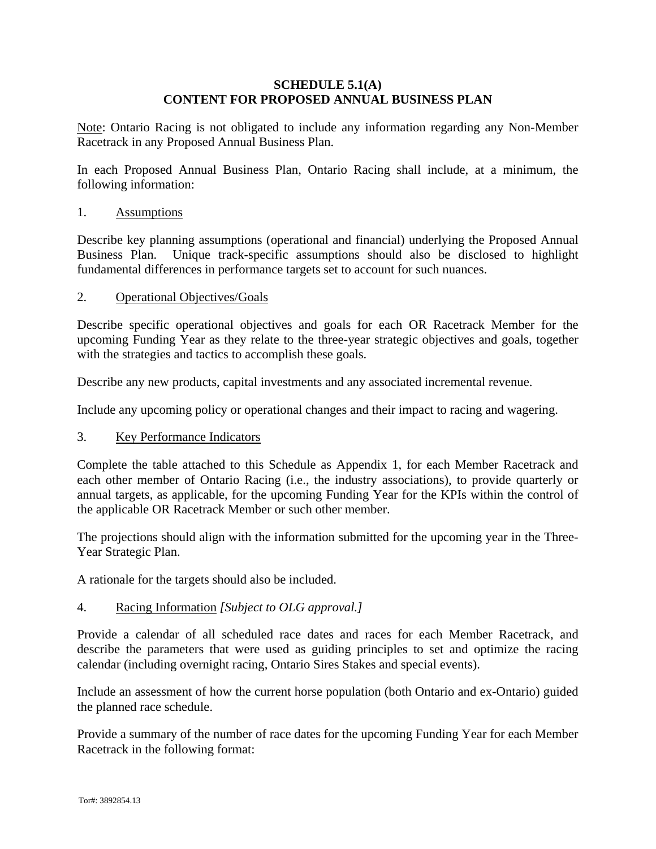#### **SCHEDULE 5.1(A) CONTENT FOR PROPOSED ANNUAL BUSINESS PLAN**

Note: Ontario Racing is not obligated to include any information regarding any Non-Member Racetrack in any Proposed Annual Business Plan.

In each Proposed Annual Business Plan, Ontario Racing shall include, at a minimum, the following information:

### 1. Assumptions

Describe key planning assumptions (operational and financial) underlying the Proposed Annual Business Plan. Unique track-specific assumptions should also be disclosed to highlight fundamental differences in performance targets set to account for such nuances.

#### 2. Operational Objectives/Goals

Describe specific operational objectives and goals for each OR Racetrack Member for the upcoming Funding Year as they relate to the three-year strategic objectives and goals, together with the strategies and tactics to accomplish these goals.

Describe any new products, capital investments and any associated incremental revenue.

Include any upcoming policy or operational changes and their impact to racing and wagering.

#### 3. Key Performance Indicators

Complete the table attached to this Schedule as Appendix 1, for each Member Racetrack and each other member of Ontario Racing (i.e., the industry associations), to provide quarterly or annual targets, as applicable, for the upcoming Funding Year for the KPIs within the control of the applicable OR Racetrack Member or such other member.

The projections should align with the information submitted for the upcoming year in the Three-Year Strategic Plan.

A rationale for the targets should also be included.

## 4. Racing Information *[Subject to OLG approval.]*

Provide a calendar of all scheduled race dates and races for each Member Racetrack, and describe the parameters that were used as guiding principles to set and optimize the racing calendar (including overnight racing, Ontario Sires Stakes and special events).

Include an assessment of how the current horse population (both Ontario and ex-Ontario) guided the planned race schedule.

Provide a summary of the number of race dates for the upcoming Funding Year for each Member Racetrack in the following format: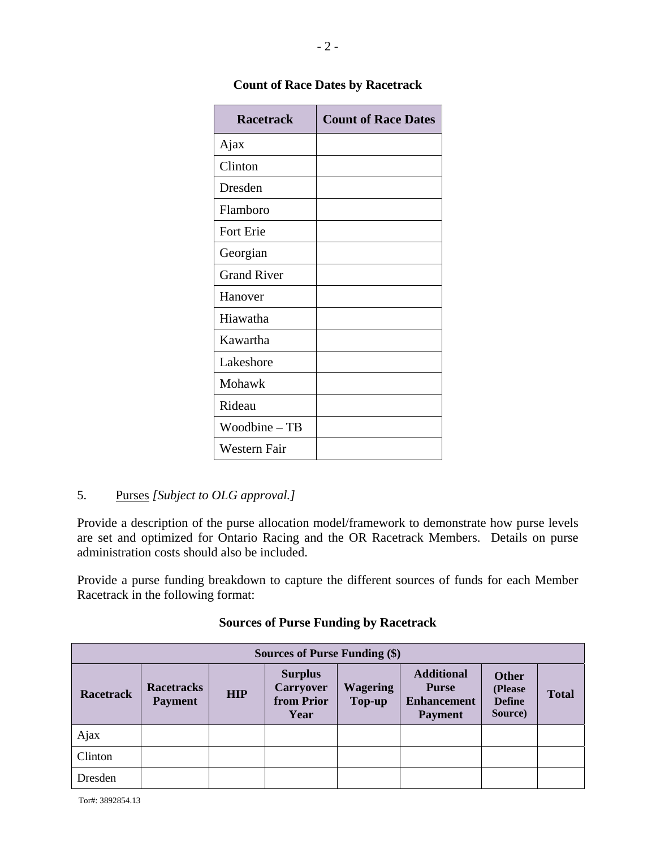| <b>Racetrack</b>   | <b>Count of Race Dates</b> |
|--------------------|----------------------------|
| Ajax               |                            |
| Clinton            |                            |
| Dresden            |                            |
| Flamboro           |                            |
| Fort Erie          |                            |
| Georgian           |                            |
| <b>Grand River</b> |                            |
| Hanover            |                            |
| Hiawatha           |                            |
| Kawartha           |                            |
| Lakeshore          |                            |
| Mohawk             |                            |
| Rideau             |                            |
| Woodbine - TB      |                            |
| Western Fair       |                            |

# **Count of Race Dates by Racetrack**

# 5. Purses *[Subject to OLG approval.]*

Provide a description of the purse allocation model/framework to demonstrate how purse levels are set and optimized for Ontario Racing and the OR Racetrack Members. Details on purse administration costs should also be included.

Provide a purse funding breakdown to capture the different sources of funds for each Member Racetrack in the following format:

|                  | Sources of Purse Funding (\$)       |            |                                                          |                           |                                                                           |                                                     |              |  |  |
|------------------|-------------------------------------|------------|----------------------------------------------------------|---------------------------|---------------------------------------------------------------------------|-----------------------------------------------------|--------------|--|--|
| <b>Racetrack</b> | <b>Racetracks</b><br><b>Payment</b> | <b>HIP</b> | <b>Surplus</b><br><b>Carryover</b><br>from Prior<br>Year | <b>Wagering</b><br>Top-up | <b>Additional</b><br><b>Purse</b><br><b>Enhancement</b><br><b>Payment</b> | <b>Other</b><br>(Please<br><b>Define</b><br>Source) | <b>Total</b> |  |  |
| Ajax             |                                     |            |                                                          |                           |                                                                           |                                                     |              |  |  |
| Clinton          |                                     |            |                                                          |                           |                                                                           |                                                     |              |  |  |
| Dresden          |                                     |            |                                                          |                           |                                                                           |                                                     |              |  |  |

## **Sources of Purse Funding by Racetrack**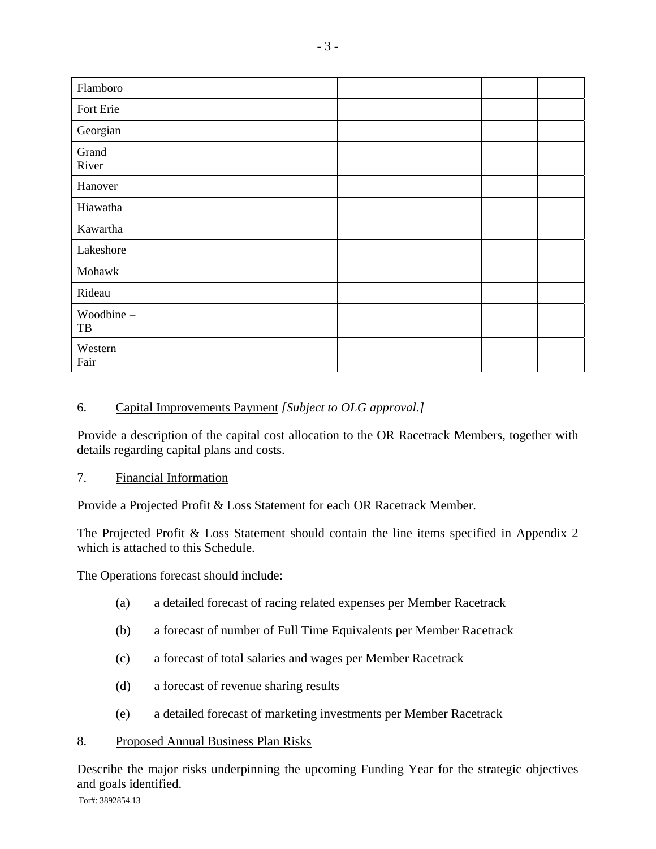| Flamboro                |  |  |  |  |
|-------------------------|--|--|--|--|
| Fort Erie               |  |  |  |  |
| Georgian                |  |  |  |  |
| Grand<br>River          |  |  |  |  |
| Hanover                 |  |  |  |  |
| Hiawatha                |  |  |  |  |
| Kawartha                |  |  |  |  |
| Lakeshore               |  |  |  |  |
| Mohawk                  |  |  |  |  |
| Rideau                  |  |  |  |  |
| Woodbine -<br>$\rm{TB}$ |  |  |  |  |
| Western<br>Fair         |  |  |  |  |

# 6. Capital Improvements Payment *[Subject to OLG approval.]*

Provide a description of the capital cost allocation to the OR Racetrack Members, together with details regarding capital plans and costs.

# 7. Financial Information

Provide a Projected Profit & Loss Statement for each OR Racetrack Member.

The Projected Profit & Loss Statement should contain the line items specified in Appendix 2 which is attached to this Schedule.

The Operations forecast should include:

- (a) a detailed forecast of racing related expenses per Member Racetrack
- (b) a forecast of number of Full Time Equivalents per Member Racetrack
- (c) a forecast of total salaries and wages per Member Racetrack
- (d) a forecast of revenue sharing results
- (e) a detailed forecast of marketing investments per Member Racetrack

## 8. Proposed Annual Business Plan Risks

Describe the major risks underpinning the upcoming Funding Year for the strategic objectives and goals identified.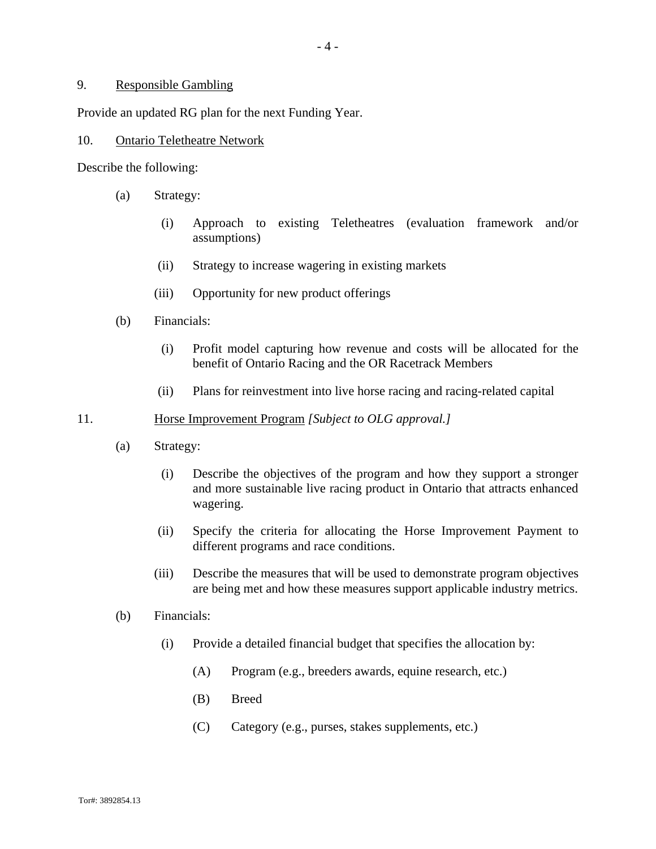#### 9. Responsible Gambling

Provide an updated RG plan for the next Funding Year.

#### 10. Ontario Teletheatre Network

Describe the following:

- (a) Strategy:
	- (i) Approach to existing Teletheatres (evaluation framework and/or assumptions)
	- (ii) Strategy to increase wagering in existing markets
	- (iii) Opportunity for new product offerings
- (b) Financials:
	- (i) Profit model capturing how revenue and costs will be allocated for the benefit of Ontario Racing and the OR Racetrack Members
	- (ii) Plans for reinvestment into live horse racing and racing-related capital

#### 11. Horse Improvement Program *[Subject to OLG approval.]*

- (a) Strategy:
	- (i) Describe the objectives of the program and how they support a stronger and more sustainable live racing product in Ontario that attracts enhanced wagering.
	- (ii) Specify the criteria for allocating the Horse Improvement Payment to different programs and race conditions.
	- (iii) Describe the measures that will be used to demonstrate program objectives are being met and how these measures support applicable industry metrics.
- (b) Financials:
	- (i) Provide a detailed financial budget that specifies the allocation by:
		- (A) Program (e.g., breeders awards, equine research, etc.)
		- (B) Breed
		- (C) Category (e.g., purses, stakes supplements, etc.)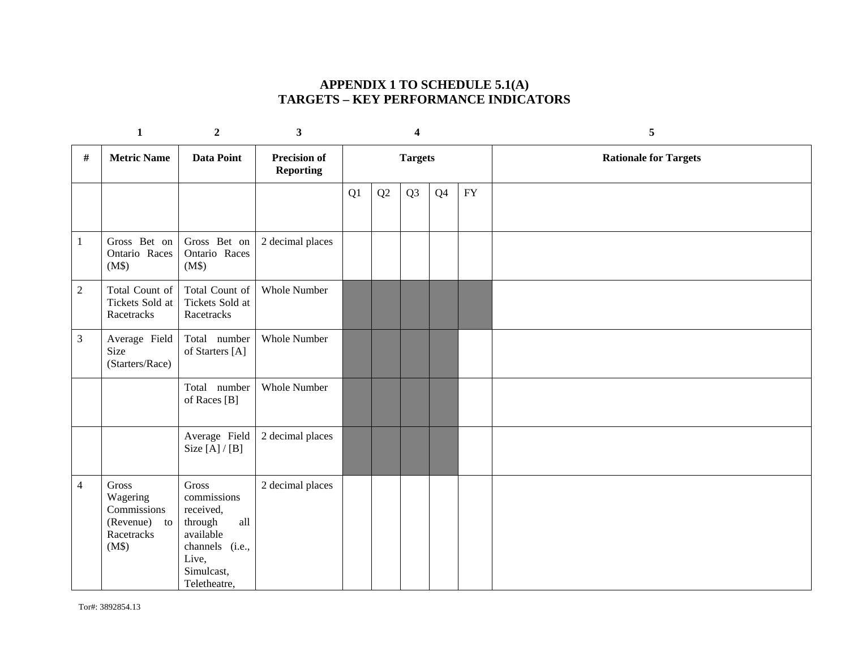# **APPENDIX 1 TO SCHEDULE 5.1(A) TARGETS – KEY PERFORMANCE INDICATORS**

|                | $\mathbf{1}$                                                               | $\overline{2}$                                                                                                                            | 3                                       |  | 4  |                |                | 5              |                              |
|----------------|----------------------------------------------------------------------------|-------------------------------------------------------------------------------------------------------------------------------------------|-----------------------------------------|--|----|----------------|----------------|----------------|------------------------------|
| #              | <b>Metric Name</b>                                                         | <b>Data Point</b>                                                                                                                         | <b>Precision of</b><br><b>Reporting</b> |  |    | <b>Targets</b> |                |                | <b>Rationale for Targets</b> |
|                |                                                                            |                                                                                                                                           |                                         |  | Q1 | Q2             | Q <sub>3</sub> | Q <sub>4</sub> | FY                           |
| $\mathbf{1}$   | Gross Bet on<br>Ontario Races<br>(M\$)                                     | Gross Bet on<br>Ontario Races<br>(M\$)                                                                                                    | 2 decimal places                        |  |    |                |                |                |                              |
| $\sqrt{2}$     | Total Count of<br>Tickets Sold at<br>Racetracks                            | Total Count of<br>Tickets Sold at<br>Racetracks                                                                                           | <b>Whole Number</b>                     |  |    |                |                |                |                              |
| $\mathfrak{Z}$ | Average Field<br>Size<br>(Starters/Race)                                   | Total number<br>of Starters [A]                                                                                                           | Whole Number                            |  |    |                |                |                |                              |
|                |                                                                            | Total number<br>of Races [B]                                                                                                              | <b>Whole Number</b>                     |  |    |                |                |                |                              |
|                |                                                                            | Average Field<br>Size $[A]/[B]$                                                                                                           | 2 decimal places                        |  |    |                |                |                |                              |
| $\overline{4}$ | Gross<br>Wagering<br>Commissions<br>(Revenue)<br>to<br>Racetracks<br>(M\$) | $\rm Gross$<br>commissions<br>received,<br>$\mbox{all}$<br>through<br>available<br>channels (i.e.,<br>Live,<br>Simulcast,<br>Teletheatre, | 2 decimal places                        |  |    |                |                |                |                              |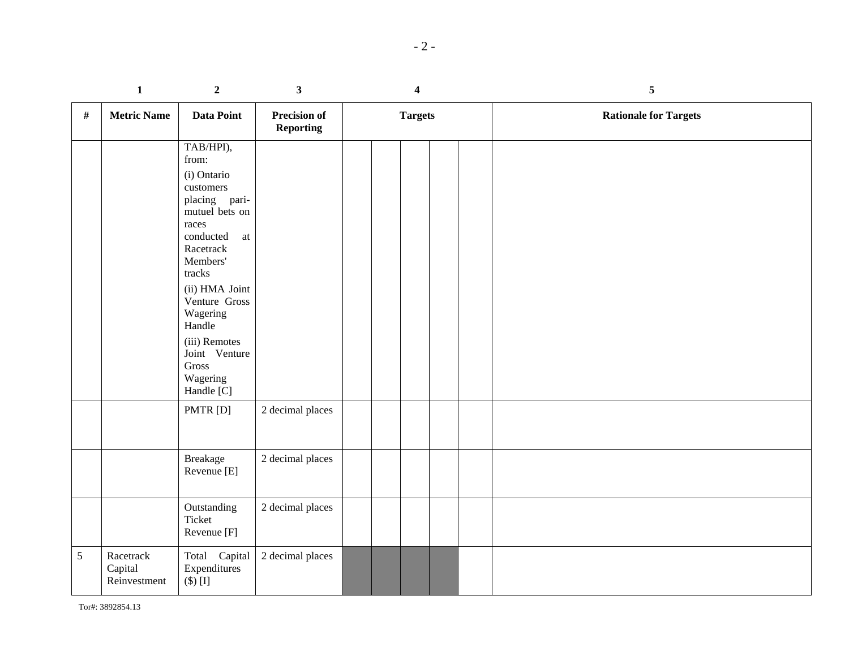|      | $\mathbf 1$                          | $\boldsymbol{2}$                                                                                                                                                                                                                                                               | $\mathbf{3}$                            | $\overline{\mathbf{4}}$ |  | ${\mathbf 5}$                |  |
|------|--------------------------------------|--------------------------------------------------------------------------------------------------------------------------------------------------------------------------------------------------------------------------------------------------------------------------------|-----------------------------------------|-------------------------|--|------------------------------|--|
| $\#$ | <b>Metric Name</b>                   | Data Point                                                                                                                                                                                                                                                                     | <b>Precision of</b><br><b>Reporting</b> | <b>Targets</b>          |  | <b>Rationale for Targets</b> |  |
|      |                                      | TAB/HPI),<br>from:<br>(i) Ontario<br>customers<br>placing pari-<br>mutuel bets on<br>races<br>conducted<br>at<br>Racetrack<br>Members'<br>tracks<br>(ii) HMA Joint<br>Venture Gross<br>Wagering<br>Handle<br>(iii) Remotes<br>Joint Venture<br>Gross<br>Wagering<br>Handle [C] |                                         |                         |  |                              |  |
|      |                                      | PMTR [D]                                                                                                                                                                                                                                                                       | 2 decimal places                        |                         |  |                              |  |
|      |                                      | <b>Breakage</b><br>Revenue [E]                                                                                                                                                                                                                                                 | 2 decimal places                        |                         |  |                              |  |
|      |                                      | Outstanding<br>Ticket<br>Revenue [F]                                                                                                                                                                                                                                           | 2 decimal places                        |                         |  |                              |  |
| 5    | Racetrack<br>Capital<br>Reinvestment | Total Capital<br>Expenditures<br>$(\$)$ [I]                                                                                                                                                                                                                                    | 2 decimal places                        |                         |  |                              |  |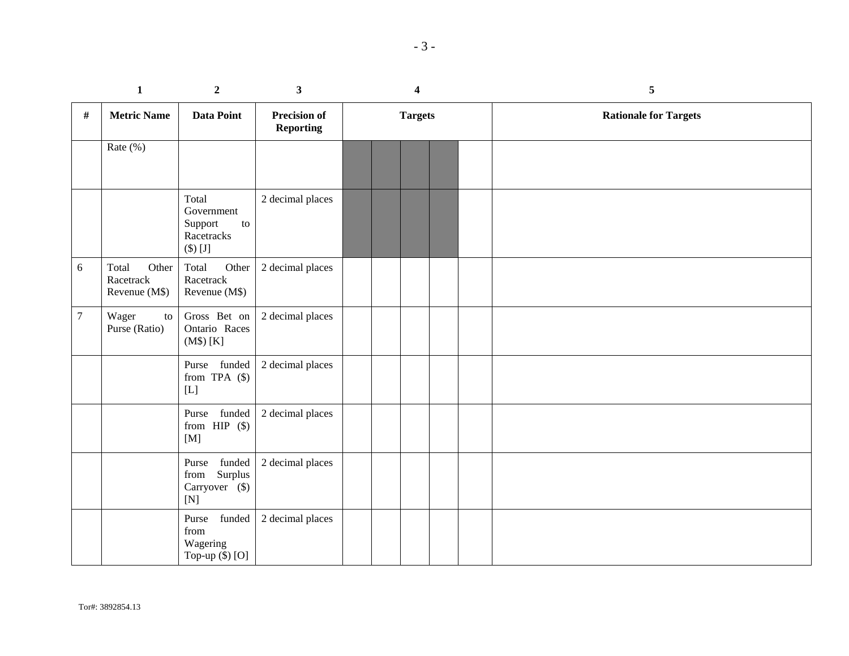|                | $\mathbf{1}$                                 | $\overline{2}$                                                                     | 3 <sup>1</sup>                          | $\overline{\mathbf{4}}$ |  | 5                            |
|----------------|----------------------------------------------|------------------------------------------------------------------------------------|-----------------------------------------|-------------------------|--|------------------------------|
| $\#$           | <b>Metric Name</b>                           | Data Point                                                                         | <b>Precision of</b><br><b>Reporting</b> | <b>Targets</b>          |  | <b>Rationale for Targets</b> |
|                | Rate $(\%)$                                  |                                                                                    |                                         |                         |  |                              |
|                |                                              | Total<br>Government<br>Support<br>to<br>Racetracks<br>$\left(\text{\$}\right)$ [J] | 2 decimal places                        |                         |  |                              |
| 6              | Total<br>Other<br>Racetrack<br>Revenue (M\$) | Total<br>Other<br>Racetrack<br>Revenue (M\$)                                       | 2 decimal places                        |                         |  |                              |
| $\overline{7}$ | Wager<br>to<br>Purse (Ratio)                 | Gross Bet on<br>Ontario Races<br>(M\$) [K]                                         | 2 decimal places                        |                         |  |                              |
|                |                                              | Purse funded<br>from TPA $(\$)$<br>$[{\rm L}]$                                     | 2 decimal places                        |                         |  |                              |
|                |                                              | Purse funded<br>from $HIP$ (\$)<br>[M]                                             | 2 decimal places                        |                         |  |                              |
|                |                                              | funded<br>Purse<br>Surplus<br>from<br>Carryover (\$)<br>[N]                        | 2 decimal places                        |                         |  |                              |
|                |                                              | funded<br>Purse<br>from<br>Wagering<br>Top-up $(\$)$ [O]                           | 2 decimal places                        |                         |  |                              |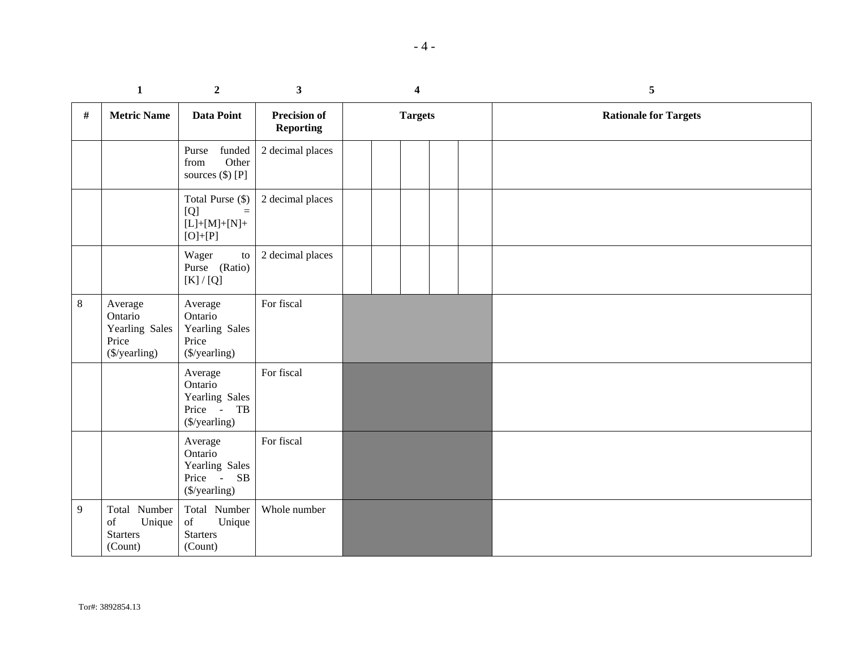|         | $\mathbf{1}$                                                                                                                                               | $\overline{2}$                                                      | $\mathbf{3}$                            | $\overline{\mathbf{4}}$ |  |  | 5                            |
|---------|------------------------------------------------------------------------------------------------------------------------------------------------------------|---------------------------------------------------------------------|-----------------------------------------|-------------------------|--|--|------------------------------|
| #       | <b>Metric Name</b>                                                                                                                                         | <b>Data Point</b>                                                   | <b>Precision of</b><br><b>Reporting</b> | <b>Targets</b>          |  |  | <b>Rationale for Targets</b> |
|         |                                                                                                                                                            | funded<br>Purse<br>Other<br>from<br>sources (\$) [P]                | 2 decimal places                        |                         |  |  |                              |
|         |                                                                                                                                                            | Total Purse (\$)<br>[Q]<br>$\equiv$<br>$[L]+[M]+[N]+$<br>$[O]+[P]$  | 2 decimal places                        |                         |  |  |                              |
|         |                                                                                                                                                            | Wager<br>${\rm to}$<br>Purse (Ratio)<br>$[K]/[Q]$                   | 2 decimal places                        |                         |  |  |                              |
| $\,8\,$ | Average<br>Ontario<br>Yearling Sales<br>Price<br>(\$/yearling)                                                                                             | Average<br>Ontario<br>Yearling Sales<br>Price<br>(\$/yearling)      | For fiscal                              |                         |  |  |                              |
|         |                                                                                                                                                            | Average<br>Ontario<br>Yearling Sales<br>Price - TB<br>(\$/yearling) | For fiscal                              |                         |  |  |                              |
|         |                                                                                                                                                            | Average<br>Ontario<br>Yearling Sales<br>Price - SB<br>(\$/yearling) | For fiscal                              |                         |  |  |                              |
| 9       | Total Number<br>$% \left( \left( \mathcal{A},\mathcal{A}\right) \right) =\left( \mathcal{A},\mathcal{A}\right)$ of<br>Unique<br><b>Starters</b><br>(Count) | Total Number<br>of<br>Unique<br><b>Starters</b><br>(Count)          | Whole number                            |                         |  |  |                              |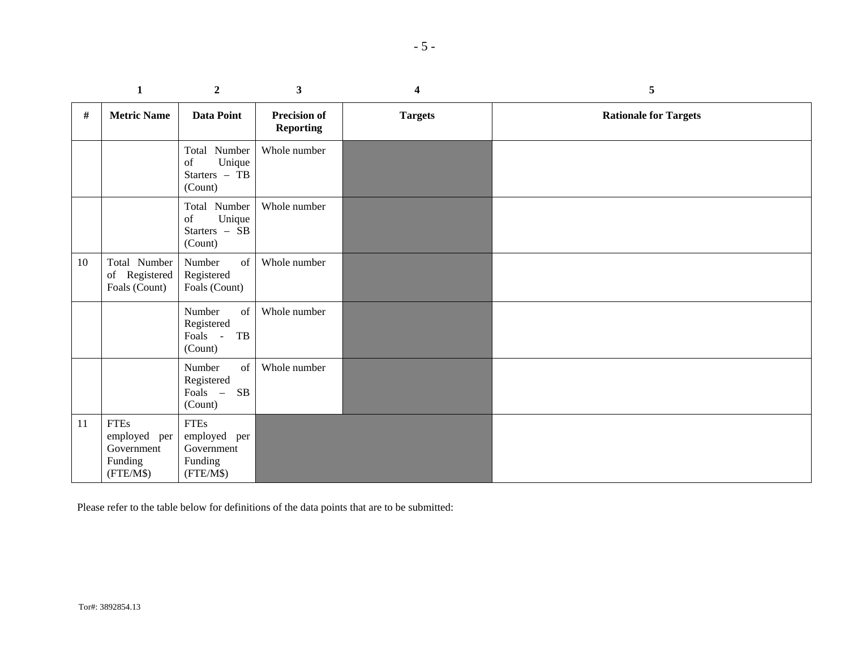|    | $\mathbf{1}$                                                      | $\overline{2}$                                                       | $\mathbf{3}$                            | 4              | 5                            |
|----|-------------------------------------------------------------------|----------------------------------------------------------------------|-----------------------------------------|----------------|------------------------------|
| #  | <b>Metric Name</b>                                                | Data Point                                                           | <b>Precision of</b><br><b>Reporting</b> | <b>Targets</b> | <b>Rationale for Targets</b> |
|    |                                                                   | Total Number<br>Unique<br>of<br>Starters - TB<br>(Count)             | Whole number                            |                |                              |
|    |                                                                   | Total Number<br>Unique<br>of<br>Starters - SB<br>(Count)             | Whole number                            |                |                              |
| 10 | Total Number<br>of Registered<br>Foals (Count)                    | Number<br>of<br>Registered<br>Foals (Count)                          | Whole number                            |                |                              |
|    |                                                                   | Number<br>of<br>Registered<br>Foals -<br>TB<br>(Count)               | Whole number                            |                |                              |
|    |                                                                   | Number<br>of<br>Registered<br>Foals –<br>SB<br>(Count)               | Whole number                            |                |                              |
| 11 | <b>FTEs</b><br>employed per<br>Government<br>Funding<br>(FTE/M\$) | <b>FTEs</b><br>employed<br>per<br>Government<br>Funding<br>(FTE/M\$) |                                         |                |                              |

Please refer to the table below for definitions of the data points that are to be submitted: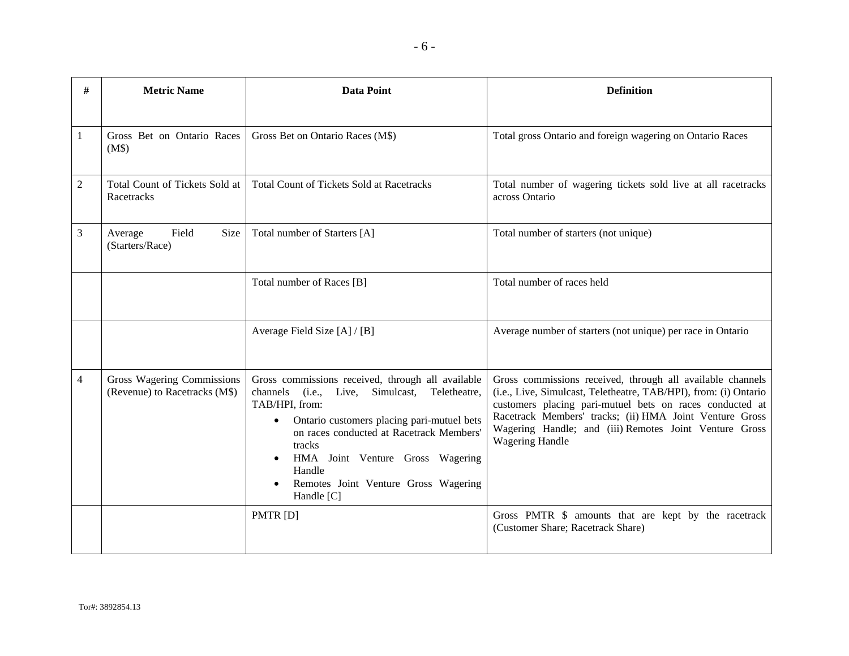| #              | <b>Metric Name</b>                                          | <b>Data Point</b>                                                                                                                                                                                                                                                                                                                            | <b>Definition</b>                                                                                                                                                                                                                                                                                                                  |
|----------------|-------------------------------------------------------------|----------------------------------------------------------------------------------------------------------------------------------------------------------------------------------------------------------------------------------------------------------------------------------------------------------------------------------------------|------------------------------------------------------------------------------------------------------------------------------------------------------------------------------------------------------------------------------------------------------------------------------------------------------------------------------------|
| 1              | Gross Bet on Ontario Races<br>(M\$)                         | Gross Bet on Ontario Races (M\$)                                                                                                                                                                                                                                                                                                             | Total gross Ontario and foreign wagering on Ontario Races                                                                                                                                                                                                                                                                          |
| $\overline{2}$ | Total Count of Tickets Sold at<br>Racetracks                | <b>Total Count of Tickets Sold at Racetracks</b>                                                                                                                                                                                                                                                                                             | Total number of wagering tickets sold live at all racetracks<br>across Ontario                                                                                                                                                                                                                                                     |
| 3              | Field<br>Size<br>Average<br>(Starters/Race)                 | Total number of Starters [A]                                                                                                                                                                                                                                                                                                                 | Total number of starters (not unique)                                                                                                                                                                                                                                                                                              |
|                |                                                             | Total number of Races [B]                                                                                                                                                                                                                                                                                                                    | Total number of races held                                                                                                                                                                                                                                                                                                         |
|                |                                                             | Average Field Size [A] / [B]                                                                                                                                                                                                                                                                                                                 | Average number of starters (not unique) per race in Ontario                                                                                                                                                                                                                                                                        |
| 4              | Gross Wagering Commissions<br>(Revenue) to Racetracks (M\$) | Gross commissions received, through all available<br>channels (i.e., Live, Simulcast,<br>Teletheatre,<br>TAB/HPI, from:<br>Ontario customers placing pari-mutuel bets<br>$\bullet$<br>on races conducted at Racetrack Members'<br>tracks<br>HMA Joint Venture Gross Wagering<br>Handle<br>Remotes Joint Venture Gross Wagering<br>Handle [C] | Gross commissions received, through all available channels<br>(i.e., Live, Simulcast, Teletheatre, TAB/HPI), from: (i) Ontario<br>customers placing pari-mutuel bets on races conducted at<br>Racetrack Members' tracks; (ii) HMA Joint Venture Gross<br>Wagering Handle; and (iii) Remotes Joint Venture Gross<br>Wagering Handle |
|                |                                                             | PMTR [D]                                                                                                                                                                                                                                                                                                                                     | Gross PMTR \$ amounts that are kept by the racetrack<br>(Customer Share; Racetrack Share)                                                                                                                                                                                                                                          |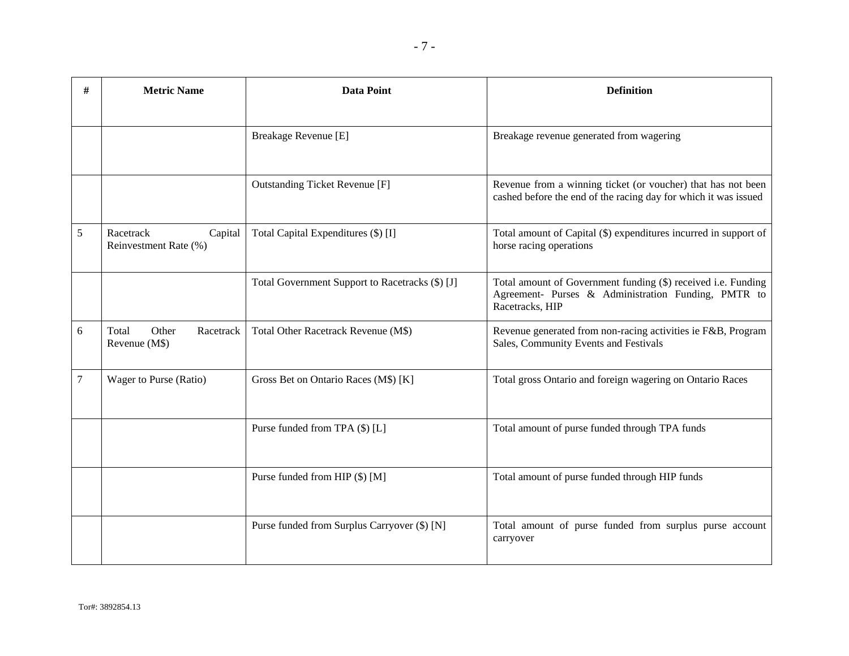| # | <b>Metric Name</b>                            | <b>Data Point</b>                               | <b>Definition</b>                                                                                                                       |
|---|-----------------------------------------------|-------------------------------------------------|-----------------------------------------------------------------------------------------------------------------------------------------|
|   |                                               |                                                 |                                                                                                                                         |
|   |                                               | Breakage Revenue [E]                            | Breakage revenue generated from wagering                                                                                                |
|   |                                               | <b>Outstanding Ticket Revenue [F]</b>           | Revenue from a winning ticket (or voucher) that has not been<br>cashed before the end of the racing day for which it was issued         |
| 5 | Racetrack<br>Capital<br>Reinvestment Rate (%) | Total Capital Expenditures (\$) [I]             | Total amount of Capital (\$) expenditures incurred in support of<br>horse racing operations                                             |
|   |                                               | Total Government Support to Racetracks (\$) [J] | Total amount of Government funding (\$) received i.e. Funding<br>Agreement- Purses & Administration Funding, PMTR to<br>Racetracks, HIP |
| 6 | Total<br>Other<br>Racetrack<br>Revenue (M\$)  | Total Other Racetrack Revenue (M\$)             | Revenue generated from non-racing activities ie F&B, Program<br>Sales, Community Events and Festivals                                   |
| 7 | Wager to Purse (Ratio)                        | Gross Bet on Ontario Races (M\$) [K]            | Total gross Ontario and foreign wagering on Ontario Races                                                                               |
|   |                                               | Purse funded from TPA (\$) [L]                  | Total amount of purse funded through TPA funds                                                                                          |
|   |                                               | Purse funded from HIP (\$) [M]                  | Total amount of purse funded through HIP funds                                                                                          |
|   |                                               | Purse funded from Surplus Carryover (\$) [N]    | Total amount of purse funded from surplus purse account<br>carryover                                                                    |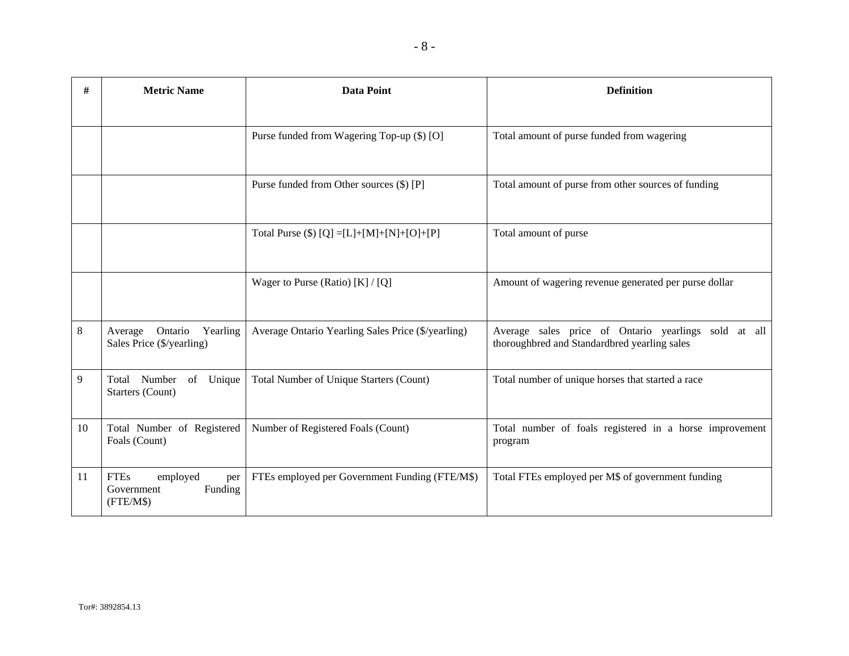| # | <b>Metric Name</b> | Data Point                                   | <b>Definition</b>                                   |
|---|--------------------|----------------------------------------------|-----------------------------------------------------|
|   |                    |                                              |                                                     |
|   |                    | Purse funded from Wagering Top-up (\$) [O]   | Total amount of purse funded from wagering          |
|   |                    | Purse funded from Other sources (\$) [P]     | Total amount of purse from other sources of funding |
|   |                    | Total Purse (\$) $[Q] = [L]+[M]+[N]+[O]+[P]$ | Total amount of purse                               |
|   |                    | Wager to Purse (Ratio) [K] / [Q]             | Amount of wagering revenue generated per purse dol  |

|    |                                                                      | Wager to Purse (Ratio) $[K]/[Q]$                   | Amount of wagering revenue generated per purse dollar                                                   |
|----|----------------------------------------------------------------------|----------------------------------------------------|---------------------------------------------------------------------------------------------------------|
| 8  | Ontario<br>Yearling<br>Average<br>Sales Price (\$/yearling)          | Average Ontario Yearling Sales Price (\$/yearling) | Average sales price of Ontario yearlings sold<br>at all<br>thoroughbred and Standardbred yearling sales |
| 9  | Number<br>of<br>Unique<br>Total<br>Starters (Count)                  | Total Number of Unique Starters (Count)            | Total number of unique horses that started a race                                                       |
| 10 | Total Number of Registered<br>Foals (Count)                          | Number of Registered Foals (Count)                 | Total number of foals registered in a horse improvement<br>program                                      |
| 11 | <b>FTEs</b><br>employed<br>per<br>Government<br>Funding<br>(FTE/M\$) | FTEs employed per Government Funding (FTE/M\$)     | Total FTEs employed per M\$ of government funding                                                       |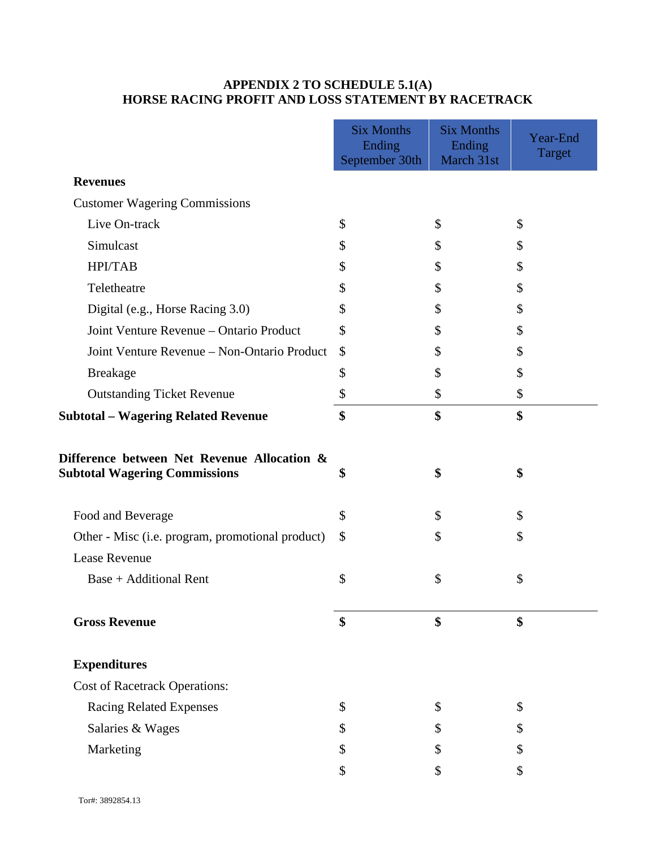# **APPENDIX 2 TO SCHEDULE 5.1(A) HORSE RACING PROFIT AND LOSS STATEMENT BY RACETRACK**

|                                                                                     | <b>Six Months</b><br>Ending | <b>Six Months</b><br>Ending | Year-End      |
|-------------------------------------------------------------------------------------|-----------------------------|-----------------------------|---------------|
|                                                                                     | September 30th              | March 31st                  | <b>Target</b> |
| <b>Revenues</b>                                                                     |                             |                             |               |
| <b>Customer Wagering Commissions</b>                                                |                             |                             |               |
| Live On-track                                                                       | \$                          | \$                          | \$            |
| Simulcast                                                                           | \$                          | \$                          |               |
| <b>HPI/TAB</b>                                                                      | \$                          | \$                          | \$            |
| Teletheatre                                                                         | \$                          | \$                          | \$            |
| Digital (e.g., Horse Racing 3.0)                                                    | \$                          | \$                          |               |
| Joint Venture Revenue - Ontario Product                                             | \$                          | \$                          | \$            |
| Joint Venture Revenue - Non-Ontario Product                                         | \$                          | \$                          | \$            |
| <b>Breakage</b>                                                                     | \$                          | \$                          | \$            |
| <b>Outstanding Ticket Revenue</b>                                                   | \$                          | \$                          | \$            |
| <b>Subtotal – Wagering Related Revenue</b>                                          | \$                          | \$                          | \$            |
| Difference between Net Revenue Allocation &<br><b>Subtotal Wagering Commissions</b> | \$                          | \$                          | \$            |
| Food and Beverage                                                                   | \$                          | \$                          | \$            |
| Other - Misc (i.e. program, promotional product)                                    | \$                          | \$                          | \$            |
| <b>Lease Revenue</b>                                                                |                             |                             |               |
| <b>Base + Additional Rent</b>                                                       | \$                          | \$                          | \$            |
| <b>Gross Revenue</b>                                                                | \$                          | \$                          | \$            |
| <b>Expenditures</b>                                                                 |                             |                             |               |
| <b>Cost of Racetrack Operations:</b>                                                |                             |                             |               |
| <b>Racing Related Expenses</b>                                                      | \$                          | \$                          | \$            |
| Salaries & Wages                                                                    | \$                          | \$                          |               |
| Marketing                                                                           | \$                          | \$                          | \$            |
|                                                                                     | \$                          | \$                          | \$            |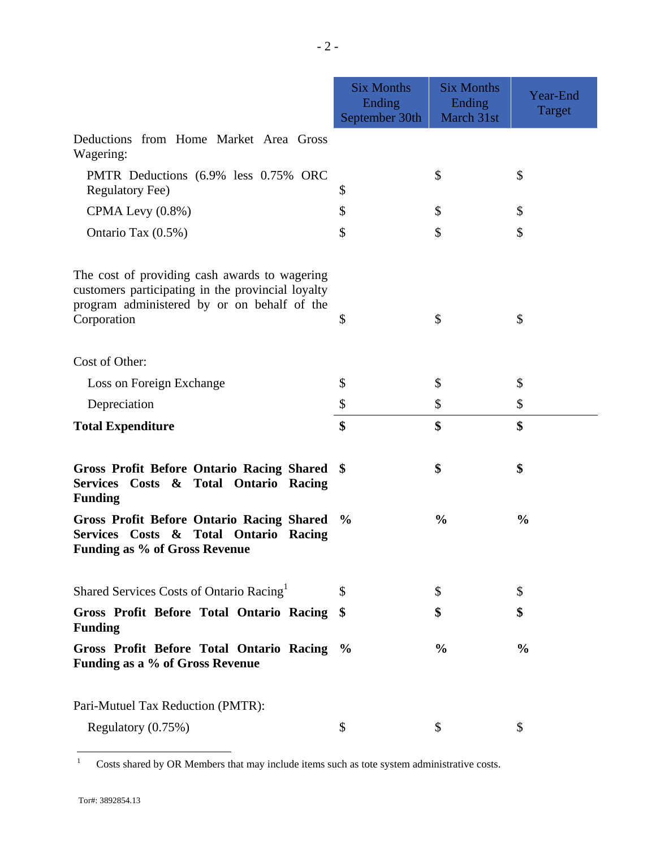|                                                                                                                                                   | <b>Six Months</b><br>Ending<br>September 30th | <b>Six Months</b><br>Ending<br>March 31st | Year-End<br>Target |
|---------------------------------------------------------------------------------------------------------------------------------------------------|-----------------------------------------------|-------------------------------------------|--------------------|
| Deductions from Home Market Area Gross<br>Wagering:                                                                                               |                                               |                                           |                    |
| PMTR Deductions (6.9% less 0.75% ORC<br><b>Regulatory Fee)</b>                                                                                    | \$                                            | \$                                        | \$                 |
| CPMA Levy (0.8%)                                                                                                                                  | \$                                            | \$                                        | \$                 |
| Ontario Tax (0.5%)                                                                                                                                | \$                                            | \$                                        | \$                 |
| The cost of providing cash awards to wagering<br>customers participating in the provincial loyalty<br>program administered by or on behalf of the |                                               |                                           |                    |
| Corporation                                                                                                                                       | \$                                            | \$                                        | \$                 |
| Cost of Other:                                                                                                                                    |                                               |                                           |                    |
| Loss on Foreign Exchange                                                                                                                          | \$                                            | \$                                        | \$                 |
| Depreciation                                                                                                                                      | \$                                            | \$                                        | \$                 |
| <b>Total Expenditure</b>                                                                                                                          | \$                                            | \$                                        | \$                 |
| <b>Gross Profit Before Ontario Racing Shared</b><br>Services Costs & Total Ontario Racing<br><b>Funding</b>                                       | $\mathbf{\$}$                                 | \$                                        | \$                 |
| <b>Gross Profit Before Ontario Racing Shared</b><br>Services Costs & Total Ontario<br>Racing<br><b>Funding as % of Gross Revenue</b>              | $\frac{6}{9}$                                 | $\frac{0}{0}$                             | $\frac{0}{0}$      |
| Shared Services Costs of Ontario Racing <sup>1</sup>                                                                                              | \$                                            | \$                                        | \$                 |
| Gross Profit Before Total Ontario Racing<br><b>Funding</b>                                                                                        | \$                                            | \$                                        | \$                 |
| Gross Profit Before Total Ontario Racing<br>Funding as a % of Gross Revenue                                                                       | $\frac{6}{9}$                                 | $\frac{0}{0}$                             | $\frac{0}{0}$      |
| Pari-Mutuel Tax Reduction (PMTR):                                                                                                                 |                                               |                                           |                    |
| Regulatory (0.75%)                                                                                                                                | \$                                            | \$                                        | \$                 |

 $\frac{1}{1}$ Costs shared by OR Members that may include items such as tote system administrative costs.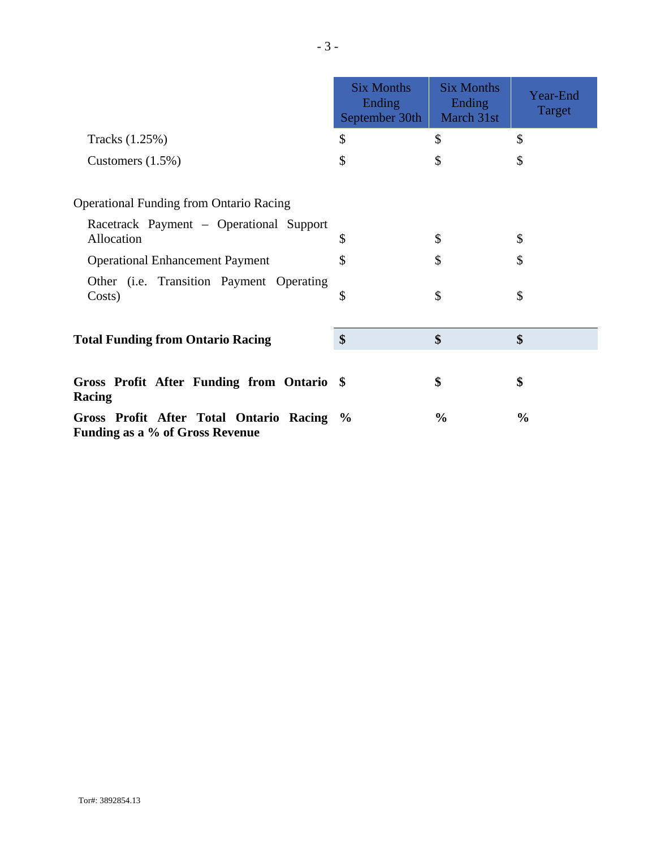|                                                                              | <b>Six Months</b><br>Ending<br>September 30th | <b>Six Months</b><br>Ending<br>March 31st | Year-End<br>Target |
|------------------------------------------------------------------------------|-----------------------------------------------|-------------------------------------------|--------------------|
| Tracks (1.25%)                                                               | \$                                            | \$                                        | \$                 |
| Customers $(1.5\%)$                                                          | \$                                            | \$                                        | \$                 |
| <b>Operational Funding from Ontario Racing</b>                               |                                               |                                           |                    |
| Racetrack Payment – Operational Support<br>Allocation                        | \$                                            | \$                                        | \$                 |
| <b>Operational Enhancement Payment</b>                                       | \$                                            | \$                                        | \$                 |
| Other (i.e. Transition Payment Operating<br>Costs)                           | \$                                            | \$                                        | \$                 |
| <b>Total Funding from Ontario Racing</b>                                     | \$                                            | \$                                        | \$                 |
| Gross Profit After Funding from Ontario \$<br>Racing                         |                                               | \$                                        | \$                 |
| Gross Profit After Total Ontario Racing %<br>Funding as a % of Gross Revenue |                                               | $\frac{0}{0}$                             | $\frac{0}{0}$      |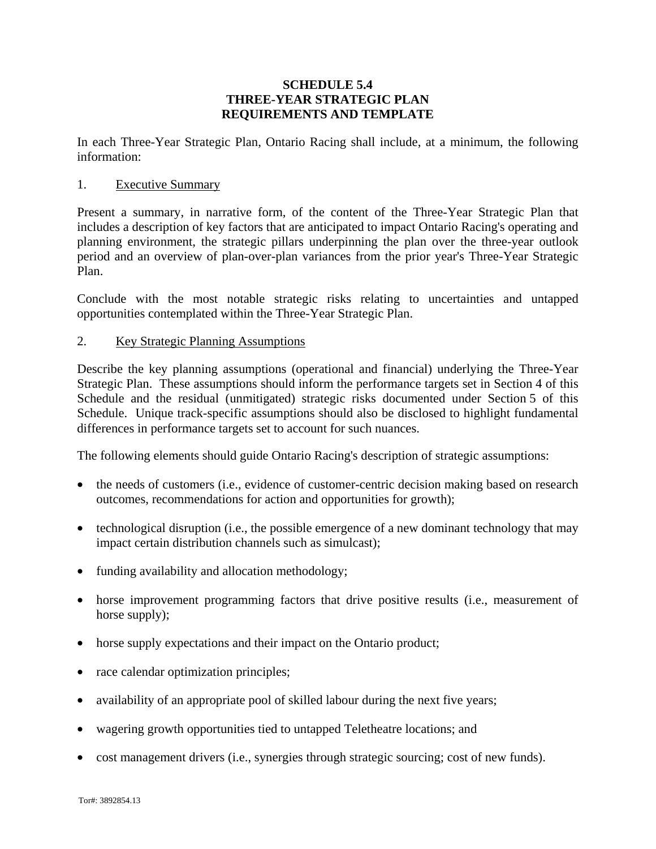## **SCHEDULE 5.4 THREE-YEAR STRATEGIC PLAN REQUIREMENTS AND TEMPLATE**

In each Three-Year Strategic Plan, Ontario Racing shall include, at a minimum, the following information:

#### 1. Executive Summary

Present a summary, in narrative form, of the content of the Three-Year Strategic Plan that includes a description of key factors that are anticipated to impact Ontario Racing's operating and planning environment, the strategic pillars underpinning the plan over the three-year outlook period and an overview of plan-over-plan variances from the prior year's Three-Year Strategic Plan.

Conclude with the most notable strategic risks relating to uncertainties and untapped opportunities contemplated within the Three-Year Strategic Plan.

## 2. Key Strategic Planning Assumptions

Describe the key planning assumptions (operational and financial) underlying the Three-Year Strategic Plan. These assumptions should inform the performance targets set in Section 4 of this Schedule and the residual (unmitigated) strategic risks documented under Section 5 of this Schedule. Unique track-specific assumptions should also be disclosed to highlight fundamental differences in performance targets set to account for such nuances.

The following elements should guide Ontario Racing's description of strategic assumptions:

- the needs of customers (i.e., evidence of customer-centric decision making based on research outcomes, recommendations for action and opportunities for growth);
- technological disruption (i.e., the possible emergence of a new dominant technology that may impact certain distribution channels such as simulcast);
- funding availability and allocation methodology;
- horse improvement programming factors that drive positive results (i.e., measurement of horse supply);
- horse supply expectations and their impact on the Ontario product;
- race calendar optimization principles;
- availability of an appropriate pool of skilled labour during the next five years;
- wagering growth opportunities tied to untapped Teletheatre locations; and
- cost management drivers (i.e., synergies through strategic sourcing; cost of new funds).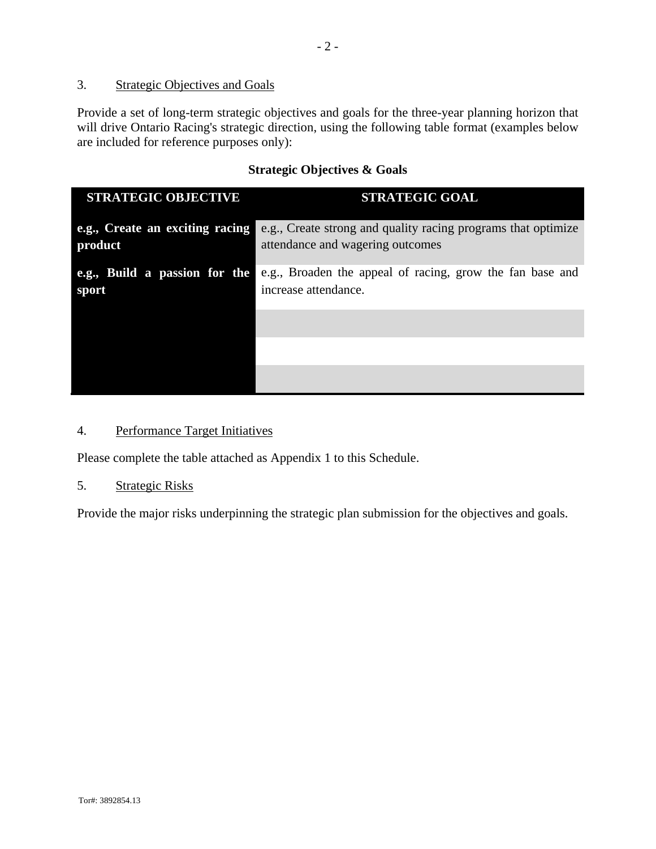## 3. Strategic Objectives and Goals

Provide a set of long-term strategic objectives and goals for the three-year planning horizon that will drive Ontario Racing's strategic direction, using the following table format (examples below are included for reference purposes only):

## **Strategic Objectives & Goals**

| <b>STRATEGIC OBJECTIVE</b>                 | <b>STRATEGIC GOAL</b>                                                                             |
|--------------------------------------------|---------------------------------------------------------------------------------------------------|
| e.g., Create an exciting racing<br>product | e.g., Create strong and quality racing programs that optimize<br>attendance and wagering outcomes |
| e.g., Build a passion for the<br>sport     | e.g., Broaden the appeal of racing, grow the fan base and<br>increase attendance.                 |
|                                            |                                                                                                   |
|                                            |                                                                                                   |
|                                            |                                                                                                   |

# 4. Performance Target Initiatives

Please complete the table attached as Appendix 1 to this Schedule.

#### 5. Strategic Risks

Provide the major risks underpinning the strategic plan submission for the objectives and goals.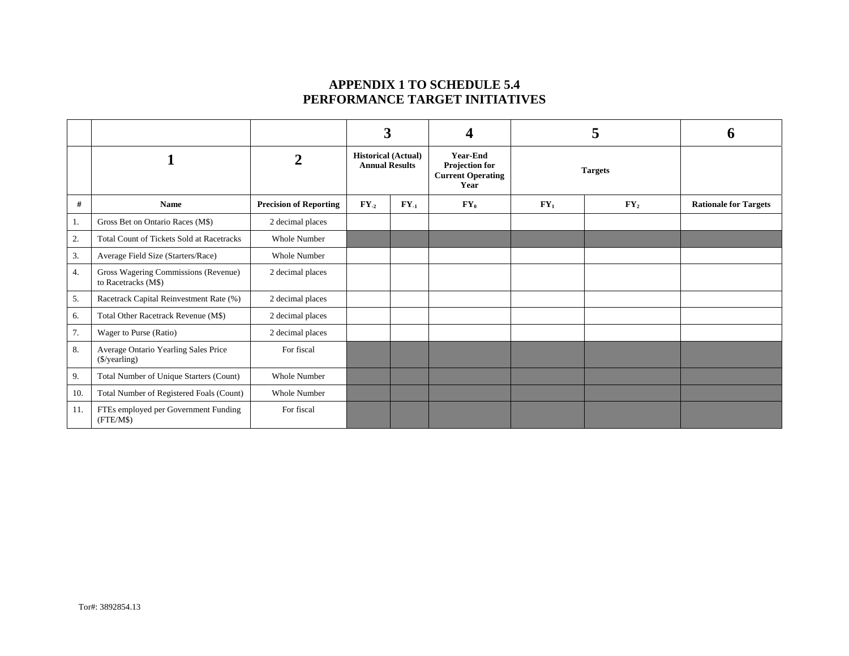## **APPENDIX 1 TO SCHEDULE 5.4 PERFORMANCE TARGET INITIATIVES**

|     |                                                             |                               | 3                                                   |           |        |                          | $\mathbf{5}$             |                              |                                                                       |                |  |  |
|-----|-------------------------------------------------------------|-------------------------------|-----------------------------------------------------|-----------|--------|--------------------------|--------------------------|------------------------------|-----------------------------------------------------------------------|----------------|--|--|
|     |                                                             | $\overline{2}$                | <b>Historical (Actual)</b><br><b>Annual Results</b> |           |        |                          |                          |                              | <b>Year-End</b><br>Projection for<br><b>Current Operating</b><br>Year | <b>Targets</b> |  |  |
| #   | <b>Name</b>                                                 | <b>Precision of Reporting</b> | $FY_{-2}$                                           | $FY_{-1}$ | $FY_0$ | $\mathbf{F}\mathbf{Y}_1$ | $\mathbf{F}\mathbf{Y}_2$ | <b>Rationale for Targets</b> |                                                                       |                |  |  |
| -1. | Gross Bet on Ontario Races (M\$)                            | 2 decimal places              |                                                     |           |        |                          |                          |                              |                                                                       |                |  |  |
| 2.  | <b>Total Count of Tickets Sold at Racetracks</b>            | <b>Whole Number</b>           |                                                     |           |        |                          |                          |                              |                                                                       |                |  |  |
| 3.  | Average Field Size (Starters/Race)                          | <b>Whole Number</b>           |                                                     |           |        |                          |                          |                              |                                                                       |                |  |  |
| 4.  | Gross Wagering Commissions (Revenue)<br>to Racetracks (M\$) | 2 decimal places              |                                                     |           |        |                          |                          |                              |                                                                       |                |  |  |
| 5.  | Racetrack Capital Reinvestment Rate (%)                     | 2 decimal places              |                                                     |           |        |                          |                          |                              |                                                                       |                |  |  |
| 6.  | Total Other Racetrack Revenue (M\$)                         | 2 decimal places              |                                                     |           |        |                          |                          |                              |                                                                       |                |  |  |
| 7.  | Wager to Purse (Ratio)                                      | 2 decimal places              |                                                     |           |        |                          |                          |                              |                                                                       |                |  |  |
| 8.  | Average Ontario Yearling Sales Price<br>(\$/yearling)       | For fiscal                    |                                                     |           |        |                          |                          |                              |                                                                       |                |  |  |
| 9.  | Total Number of Unique Starters (Count)                     | <b>Whole Number</b>           |                                                     |           |        |                          |                          |                              |                                                                       |                |  |  |
| 10. | Total Number of Registered Foals (Count)                    | <b>Whole Number</b>           |                                                     |           |        |                          |                          |                              |                                                                       |                |  |  |
| 11. | FTEs employed per Government Funding<br>(FTE/M\$)           | For fiscal                    |                                                     |           |        |                          |                          |                              |                                                                       |                |  |  |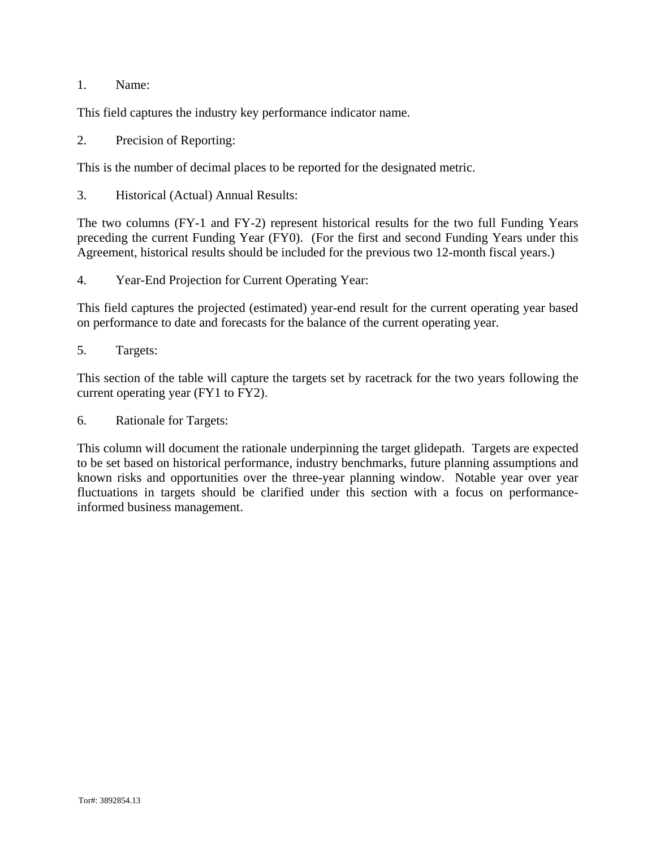## 1. Name:

This field captures the industry key performance indicator name.

2. Precision of Reporting:

This is the number of decimal places to be reported for the designated metric.

3. Historical (Actual) Annual Results:

The two columns (FY-1 and FY-2) represent historical results for the two full Funding Years preceding the current Funding Year (FY0). (For the first and second Funding Years under this Agreement, historical results should be included for the previous two 12-month fiscal years.)

4. Year-End Projection for Current Operating Year:

This field captures the projected (estimated) year-end result for the current operating year based on performance to date and forecasts for the balance of the current operating year.

5. Targets:

This section of the table will capture the targets set by racetrack for the two years following the current operating year (FY1 to FY2).

6. Rationale for Targets:

This column will document the rationale underpinning the target glidepath. Targets are expected to be set based on historical performance, industry benchmarks, future planning assumptions and known risks and opportunities over the three-year planning window. Notable year over year fluctuations in targets should be clarified under this section with a focus on performanceinformed business management.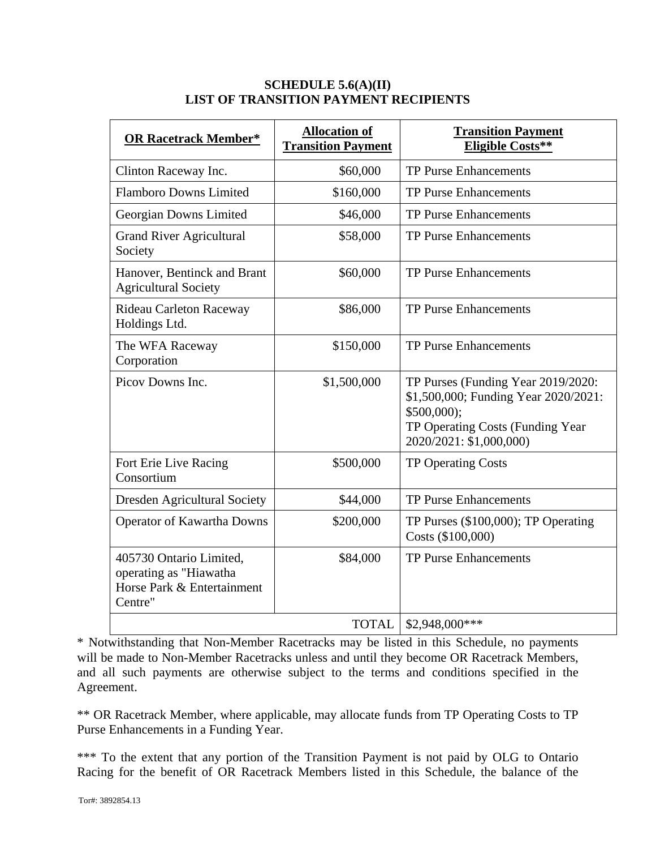| <b>OR Racetrack Member*</b>                                                                | <b>Allocation of</b><br><b>Transition Payment</b> | <b>Transition Payment</b><br><b>Eligible Costs**</b>                                                                                                      |
|--------------------------------------------------------------------------------------------|---------------------------------------------------|-----------------------------------------------------------------------------------------------------------------------------------------------------------|
| Clinton Raceway Inc.                                                                       | \$60,000                                          | <b>TP Purse Enhancements</b>                                                                                                                              |
| <b>Flamboro Downs Limited</b>                                                              | \$160,000                                         | <b>TP Purse Enhancements</b>                                                                                                                              |
| Georgian Downs Limited                                                                     | \$46,000                                          | TP Purse Enhancements                                                                                                                                     |
| <b>Grand River Agricultural</b><br>Society                                                 | \$58,000                                          | <b>TP Purse Enhancements</b>                                                                                                                              |
| Hanover, Bentinck and Brant<br><b>Agricultural Society</b>                                 | \$60,000                                          | <b>TP Purse Enhancements</b>                                                                                                                              |
| <b>Rideau Carleton Raceway</b><br>Holdings Ltd.                                            | \$86,000                                          | <b>TP Purse Enhancements</b>                                                                                                                              |
| The WFA Raceway<br>Corporation                                                             | \$150,000                                         | <b>TP Purse Enhancements</b>                                                                                                                              |
| Picov Downs Inc.                                                                           | \$1,500,000                                       | TP Purses (Funding Year 2019/2020:<br>\$1,500,000; Funding Year 2020/2021:<br>$$500,000$ ;<br>TP Operating Costs (Funding Year<br>2020/2021: \$1,000,000) |
| Fort Erie Live Racing<br>Consortium                                                        | \$500,000                                         | <b>TP Operating Costs</b>                                                                                                                                 |
| <b>Dresden Agricultural Society</b>                                                        | \$44,000                                          | <b>TP Purse Enhancements</b>                                                                                                                              |
| <b>Operator of Kawartha Downs</b>                                                          | \$200,000                                         | TP Purses (\$100,000); TP Operating<br>Costs (\$100,000)                                                                                                  |
| 405730 Ontario Limited,<br>operating as "Hiawatha<br>Horse Park & Entertainment<br>Centre" | \$84,000                                          | <b>TP Purse Enhancements</b>                                                                                                                              |
|                                                                                            | <b>TOTAL</b>                                      | $$2,948,000***$                                                                                                                                           |

## **SCHEDULE 5.6(A)(II) LIST OF TRANSITION PAYMENT RECIPIENTS**

\* Notwithstanding that Non-Member Racetracks may be listed in this Schedule, no payments will be made to Non-Member Racetracks unless and until they become OR Racetrack Members, and all such payments are otherwise subject to the terms and conditions specified in the Agreement.

\*\* OR Racetrack Member, where applicable, may allocate funds from TP Operating Costs to TP Purse Enhancements in a Funding Year.

\*\*\* To the extent that any portion of the Transition Payment is not paid by OLG to Ontario Racing for the benefit of OR Racetrack Members listed in this Schedule, the balance of the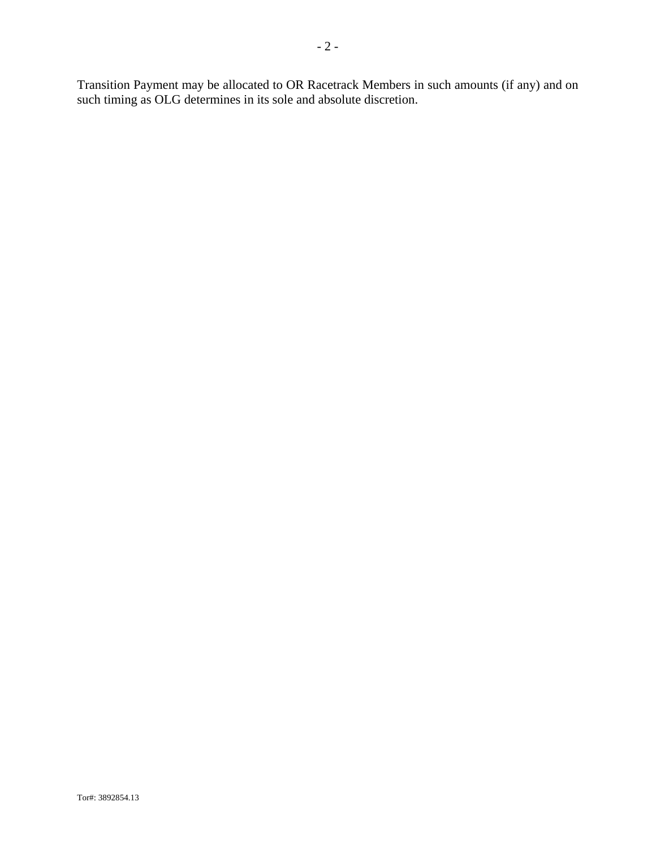Transition Payment may be allocated to OR Racetrack Members in such amounts (if any) and on such timing as OLG determines in its sole and absolute discretion.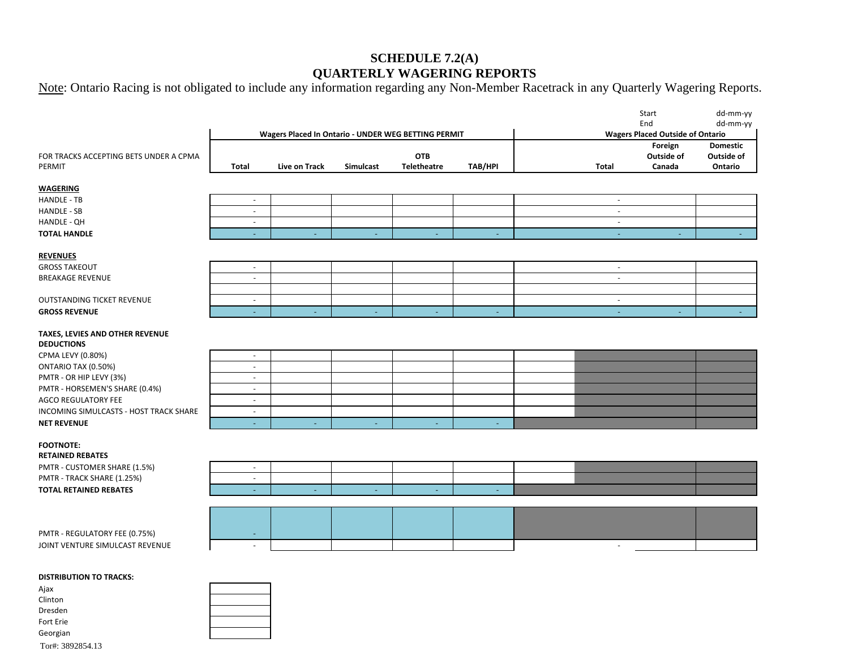# **SCHEDULE 7.2(A) QUARTERLY WAGERING REPORTS**

Note: Ontario Racing is not obligated to include any information regarding any Non-Member Racetrack in any Quarterly Wagering Reports.

|                                        |                          |                                                     |                |                    |                |                          | Start                                          | dd-mm-yy            |
|----------------------------------------|--------------------------|-----------------------------------------------------|----------------|--------------------|----------------|--------------------------|------------------------------------------------|---------------------|
|                                        |                          | Wagers Placed In Ontario - UNDER WEG BETTING PERMIT |                |                    |                |                          | End<br><b>Wagers Placed Outside of Ontario</b> | dd-mm-yy            |
|                                        |                          |                                                     |                |                    |                |                          | Foreign                                        | <b>Domestic</b>     |
| FOR TRACKS ACCEPTING BETS UNDER A CPMA |                          |                                                     |                | <b>OTB</b>         |                |                          | Outside of                                     | Outside of          |
| PERMIT                                 | Total                    | Live on Track                                       | Simulcast      | <b>Teletheatre</b> | <b>TAB/HPI</b> | <b>Total</b>             | Canada                                         | Ontario             |
| <b>WAGERING</b>                        |                          |                                                     |                |                    |                |                          |                                                |                     |
| HANDLE - TB                            | $\sim$                   |                                                     |                |                    |                | $\sim$                   |                                                |                     |
| <b>HANDLE - SB</b>                     | $\sim$                   |                                                     |                |                    |                | $\blacksquare$           |                                                |                     |
| HANDLE - QH                            | $\overline{\phantom{a}}$ |                                                     |                |                    |                | $\blacksquare$           |                                                |                     |
| <b>TOTAL HANDLE</b>                    | $\blacksquare$           | $\sim$                                              | $\blacksquare$ | Ξ                  | ÷.             | $\omega$                 | ÷.                                             | $\omega_{\rm{eff}}$ |
|                                        |                          |                                                     |                |                    |                |                          |                                                |                     |
| <b>REVENUES</b>                        |                          |                                                     |                |                    |                |                          |                                                |                     |
| <b>GROSS TAKEOUT</b>                   | $\overline{\phantom{a}}$ |                                                     |                |                    |                | $\blacksquare$           |                                                |                     |
| <b>BREAKAGE REVENUE</b>                | $\overline{\phantom{a}}$ |                                                     |                |                    |                | $\overline{\phantom{a}}$ |                                                |                     |
|                                        |                          |                                                     |                |                    |                |                          |                                                |                     |
| OUTSTANDING TICKET REVENUE             | $\blacksquare$           |                                                     |                |                    |                | $\overline{\phantom{a}}$ |                                                |                     |
| <b>GROSS REVENUE</b>                   | $\sim$                   |                                                     | $\sim$         | $\sim$             |                | $\sim$                   | $\sim$                                         | $\sim$              |
| TAXES, LEVIES AND OTHER REVENUE        |                          |                                                     |                |                    |                |                          |                                                |                     |
| <b>DEDUCTIONS</b>                      |                          |                                                     |                |                    |                |                          |                                                |                     |
| CPMA LEVY (0.80%)                      | $\sim$                   |                                                     |                |                    |                |                          |                                                |                     |
| ONTARIO TAX (0.50%)                    | $\overline{\phantom{a}}$ |                                                     |                |                    |                |                          |                                                |                     |
| PMTR - OR HIP LEVY (3%)                | $\blacksquare$           |                                                     |                |                    |                |                          |                                                |                     |
| PMTR - HORSEMEN'S SHARE (0.4%)         | $\overline{\phantom{a}}$ |                                                     |                |                    |                |                          |                                                |                     |
| <b>AGCO REGULATORY FEE</b>             | $\sim$                   |                                                     |                |                    |                |                          |                                                |                     |
| INCOMING SIMULCASTS - HOST TRACK SHARE | $\overline{\phantom{a}}$ |                                                     |                |                    |                |                          |                                                |                     |
| <b>NET REVENUE</b>                     | ٠                        |                                                     |                |                    |                |                          |                                                |                     |
| <b>FOOTNOTE:</b>                       |                          |                                                     |                |                    |                |                          |                                                |                     |
| <b>RETAINED REBATES</b>                |                          |                                                     |                |                    |                |                          |                                                |                     |
| PMTR - CUSTOMER SHARE (1.5%)           | $\overline{\phantom{a}}$ |                                                     |                |                    |                |                          |                                                |                     |
| PMTR - TRACK SHARE (1.25%)             | $\overline{\phantom{a}}$ |                                                     |                |                    |                |                          |                                                |                     |
| <b>TOTAL RETAINED REBATES</b>          | ٠                        | $\sim$                                              | ÷              | $\equiv$           | $\sim$         |                          |                                                |                     |
|                                        |                          |                                                     |                |                    |                |                          |                                                |                     |
|                                        |                          |                                                     |                |                    |                |                          |                                                |                     |
| PMTR - REGULATORY FEE (0.75%)          | $\overline{\phantom{a}}$ |                                                     |                |                    |                |                          |                                                |                     |
|                                        |                          |                                                     |                |                    |                |                          |                                                |                     |

JOINT VENTURE SIMULCAST REVENUE AU DE LA CHARLE AND LA CHARLE AND LA CHARLE AND LA CHARLE AND LA CHARLE AND LA

#### **DISTRIBUTION TO TRACKS:**

| Ajax             |  |
|------------------|--|
| Clinton          |  |
| Dresden          |  |
| Fort Erie        |  |
| Georgian         |  |
| Tor#: 3892854.13 |  |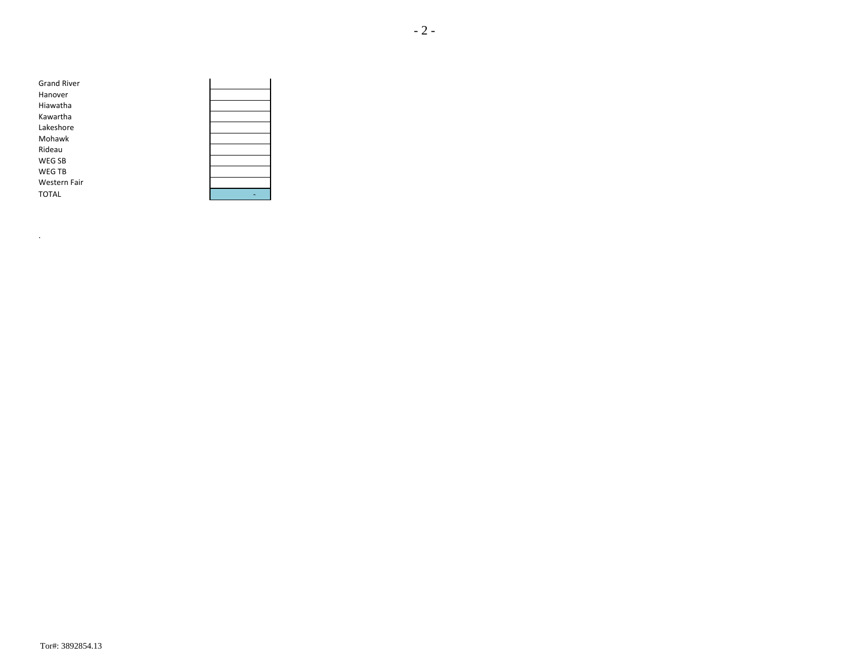| <b>Grand River</b>  |  |
|---------------------|--|
| Hanover             |  |
| Hiawatha            |  |
| Kawartha            |  |
| Lakeshore           |  |
| Mohawk              |  |
| Rideau              |  |
| <b>WEG SB</b>       |  |
| <b>WEG TB</b>       |  |
| <b>Western Fair</b> |  |
| <b>TOTAL</b>        |  |
|                     |  |

.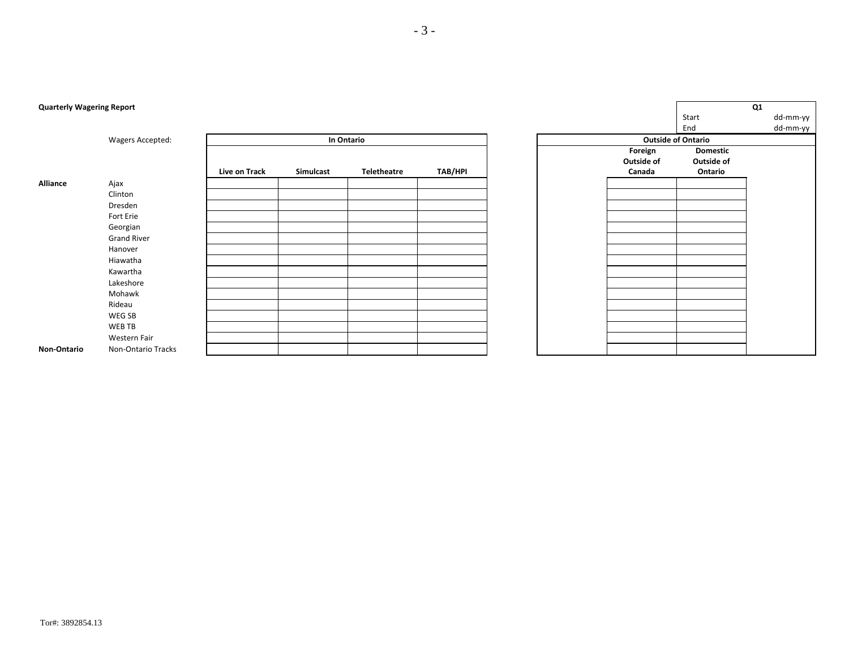| <b>Quarterly Wagering Report</b> |                    |               |           |             |                |
|----------------------------------|--------------------|---------------|-----------|-------------|----------------|
|                                  |                    |               |           |             |                |
|                                  |                    |               |           |             |                |
|                                  | Wagers Accepted:   |               |           | In Ontario  |                |
|                                  |                    |               |           |             |                |
|                                  |                    |               |           |             |                |
|                                  |                    | Live on Track | Simulcast | Teletheatre | <b>TAB/HPI</b> |
| Alliance                         | Ajax               |               |           |             |                |
|                                  | Clinton            |               |           |             |                |
|                                  | Dresden            |               |           |             |                |
|                                  | Fort Erie          |               |           |             |                |
|                                  | Georgian           |               |           |             |                |
|                                  | <b>Grand River</b> |               |           |             |                |
|                                  | Hanover            |               |           |             |                |
|                                  | Hiawatha           |               |           |             |                |
|                                  | Kawartha           |               |           |             |                |
|                                  | Lakeshore          |               |           |             |                |
|                                  | Mohawk             |               |           |             |                |
|                                  | Rideau             |               |           |             |                |
|                                  | WEG SB             |               |           |             |                |
|                                  | WEB TB             |               |           |             |                |
|                                  | Western Fair       |               |           |             |                |
| Non-Ontario                      | Non-Ontario Tracks |               |           |             |                |

#### - 3 -

#### Tor#: 3892854.13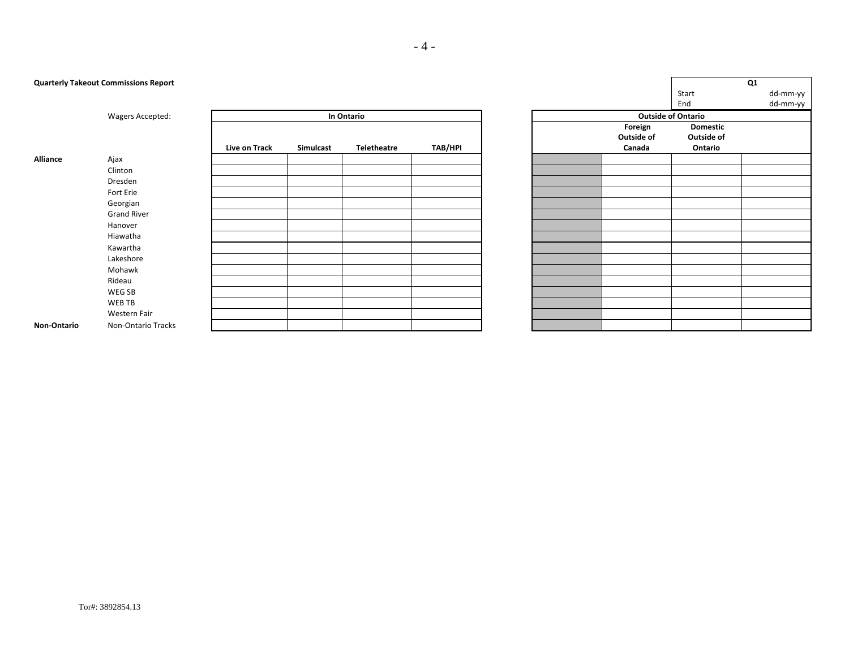**Quarterly Takeout Commissions Report** 

|                    |                    |               |           |                    |                |  |            | End                       |
|--------------------|--------------------|---------------|-----------|--------------------|----------------|--|------------|---------------------------|
|                    | Wagers Accepted:   |               |           | In Ontario         |                |  |            | <b>Outside of Ontario</b> |
|                    |                    |               |           |                    |                |  | Foreign    | Dor                       |
|                    |                    |               |           |                    |                |  | Outside of | Outs                      |
|                    |                    | Live on Track | Simulcast | <b>Teletheatre</b> | <b>TAB/HPI</b> |  | Canada     | On                        |
| <b>Alliance</b>    | Ajax               |               |           |                    |                |  |            |                           |
|                    | Clinton            |               |           |                    |                |  |            |                           |
|                    | Dresden            |               |           |                    |                |  |            |                           |
|                    | Fort Erie          |               |           |                    |                |  |            |                           |
|                    | Georgian           |               |           |                    |                |  |            |                           |
|                    | <b>Grand River</b> |               |           |                    |                |  |            |                           |
|                    | Hanover            |               |           |                    |                |  |            |                           |
|                    | Hiawatha           |               |           |                    |                |  |            |                           |
|                    | Kawartha           |               |           |                    |                |  |            |                           |
|                    | Lakeshore          |               |           |                    |                |  |            |                           |
|                    | Mohawk             |               |           |                    |                |  |            |                           |
|                    | Rideau             |               |           |                    |                |  |            |                           |
|                    | WEG SB             |               |           |                    |                |  |            |                           |
|                    | WEB TB             |               |           |                    |                |  |            |                           |
|                    | Western Fair       |               |           |                    |                |  |            |                           |
| <b>Non-Ontario</b> | Non-Ontario Tracks |               |           |                    |                |  |            |                           |

|                           | Q1              |  |          |  |  |  |
|---------------------------|-----------------|--|----------|--|--|--|
|                           | Start           |  | dd-mm-yy |  |  |  |
|                           | End             |  | dd-mm-yy |  |  |  |
| <b>Outside of Ontario</b> |                 |  |          |  |  |  |
| Foreign                   | <b>Domestic</b> |  |          |  |  |  |
| Outside of                | Outside of      |  |          |  |  |  |
| Canada                    | Ontario         |  |          |  |  |  |
|                           |                 |  |          |  |  |  |
|                           |                 |  |          |  |  |  |
|                           |                 |  |          |  |  |  |
|                           |                 |  |          |  |  |  |
|                           |                 |  |          |  |  |  |
|                           |                 |  |          |  |  |  |
|                           |                 |  |          |  |  |  |
|                           |                 |  |          |  |  |  |
|                           |                 |  |          |  |  |  |
|                           |                 |  |          |  |  |  |
|                           |                 |  |          |  |  |  |
|                           |                 |  |          |  |  |  |
|                           |                 |  |          |  |  |  |
|                           |                 |  |          |  |  |  |
|                           |                 |  |          |  |  |  |
|                           |                 |  |          |  |  |  |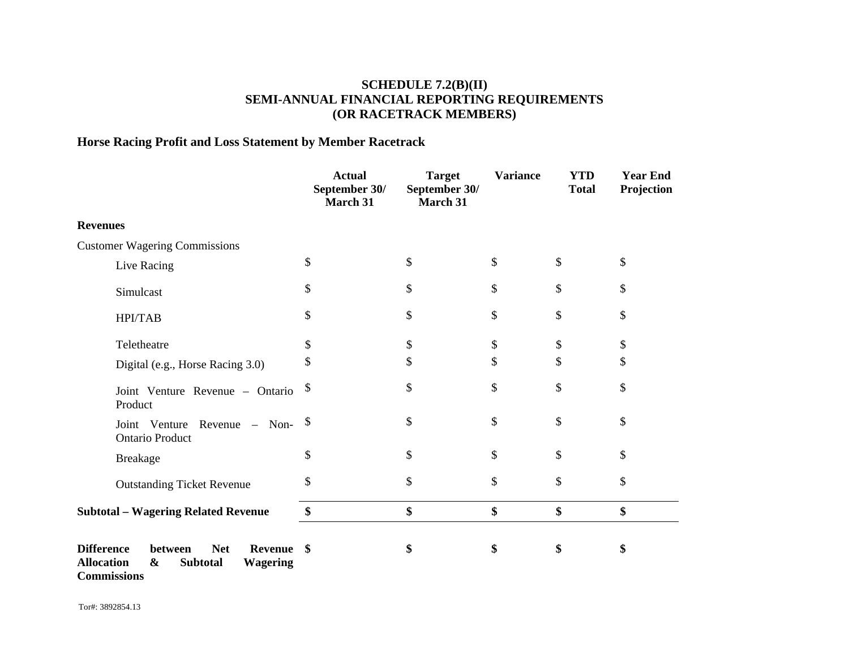# **SCHEDULE 7.2(B)(II) SEMI-ANNUAL FINANCIAL REPORTING REQUIREMENTS (OR RACETRACK MEMBERS)**

# **Horse Racing Profit and Loss Statement by Member Racetrack**

|                                                                                                                              | <b>Actual</b><br>September 30/<br>March 31 | <b>Target</b><br>September 30/<br>March 31 | <b>Variance</b> | <b>YTD</b><br><b>Total</b> | <b>Year End</b><br>Projection |
|------------------------------------------------------------------------------------------------------------------------------|--------------------------------------------|--------------------------------------------|-----------------|----------------------------|-------------------------------|
| <b>Revenues</b>                                                                                                              |                                            |                                            |                 |                            |                               |
| <b>Customer Wagering Commissions</b>                                                                                         |                                            |                                            |                 |                            |                               |
| Live Racing                                                                                                                  | \$                                         | \$                                         | \$              | \$                         | \$                            |
| Simulcast                                                                                                                    | \$                                         | \$                                         | \$              | \$                         | \$                            |
| <b>HPI/TAB</b>                                                                                                               | \$                                         | \$                                         | \$              | \$                         | \$                            |
| Teletheatre                                                                                                                  | \$                                         | \$                                         | \$              | \$                         | \$                            |
| Digital (e.g., Horse Racing 3.0)                                                                                             | \$                                         | \$                                         | \$              | \$                         | \$                            |
| Joint Venture Revenue - Ontario<br>Product                                                                                   | \$                                         | \$                                         | \$              | \$                         | \$                            |
| Joint Venture Revenue - Non- $\frac{\$}{}$<br><b>Ontario Product</b>                                                         |                                            | \$                                         | \$              | \$                         | \$                            |
| <b>Breakage</b>                                                                                                              | \$                                         | \$                                         | \$              | \$                         | \$                            |
| <b>Outstanding Ticket Revenue</b>                                                                                            | \$                                         | \$                                         | \$              | \$                         | \$                            |
| <b>Subtotal - Wagering Related Revenue</b>                                                                                   | \$                                         | \$                                         | \$              | \$                         | \$                            |
| <b>Difference</b><br><b>Net</b><br>between<br><b>Revenue</b><br><b>Allocation</b><br><b>Wagering</b><br>&<br><b>Subtotal</b> | \$                                         | \$                                         | \$              | \$                         | \$                            |

**Commissions**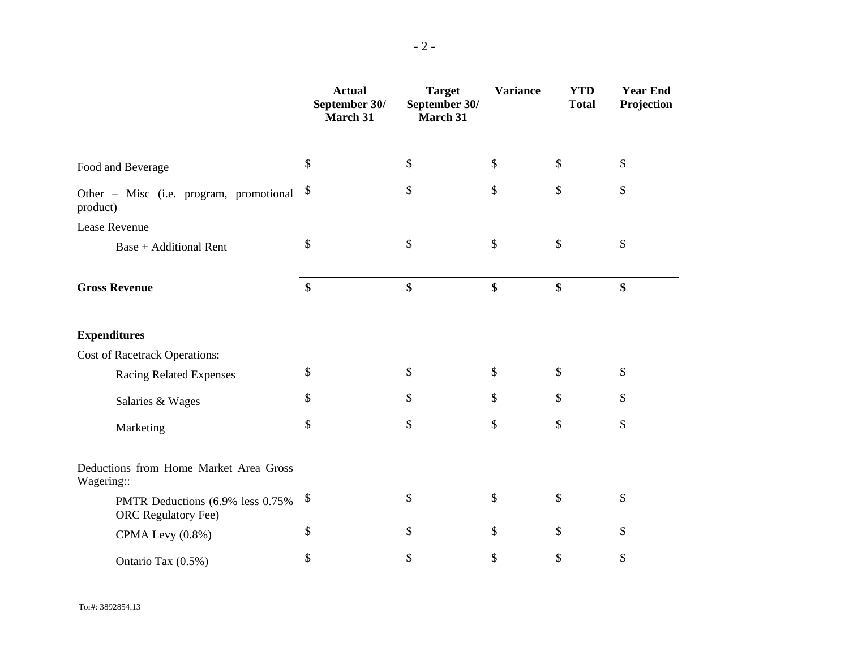|                                                                | <b>Actual</b><br>September 30/<br>March 31 | <b>Target</b><br>September 30/<br>March 31 | <b>Variance</b> | <b>YTD</b><br><b>Total</b> | <b>Year End</b><br>Projection |
|----------------------------------------------------------------|--------------------------------------------|--------------------------------------------|-----------------|----------------------------|-------------------------------|
| Food and Beverage                                              | \$                                         | \$                                         | \$              | \$                         | \$                            |
| Other - Misc (i.e. program, promotional<br>product)            | \$                                         | \$                                         | \$              | \$                         | \$                            |
| Lease Revenue                                                  |                                            |                                            |                 |                            |                               |
| <b>Base + Additional Rent</b>                                  | \$                                         | \$                                         | \$              | $\$$                       | \$                            |
| <b>Gross Revenue</b>                                           | \$                                         | \$                                         | \$              | \$                         | \$                            |
| <b>Expenditures</b>                                            |                                            |                                            |                 |                            |                               |
| <b>Cost of Racetrack Operations:</b>                           |                                            |                                            |                 |                            |                               |
| <b>Racing Related Expenses</b>                                 | \$                                         | \$                                         | \$              | \$                         | \$                            |
| Salaries & Wages                                               | \$                                         | \$                                         | \$              | \$                         | \$                            |
| Marketing                                                      | \$                                         | \$                                         | \$              | \$                         | \$                            |
| Deductions from Home Market Area Gross<br>Wagering::           |                                            |                                            |                 |                            |                               |
| PMTR Deductions (6.9% less 0.75%<br><b>ORC</b> Regulatory Fee) | \$                                         | \$                                         | \$              | \$                         | \$                            |
| CPMA Levy (0.8%)                                               | \$                                         | \$                                         | \$              | \$                         | \$                            |
| Ontario Tax (0.5%)                                             | \$                                         | \$                                         | \$              | \$                         | \$                            |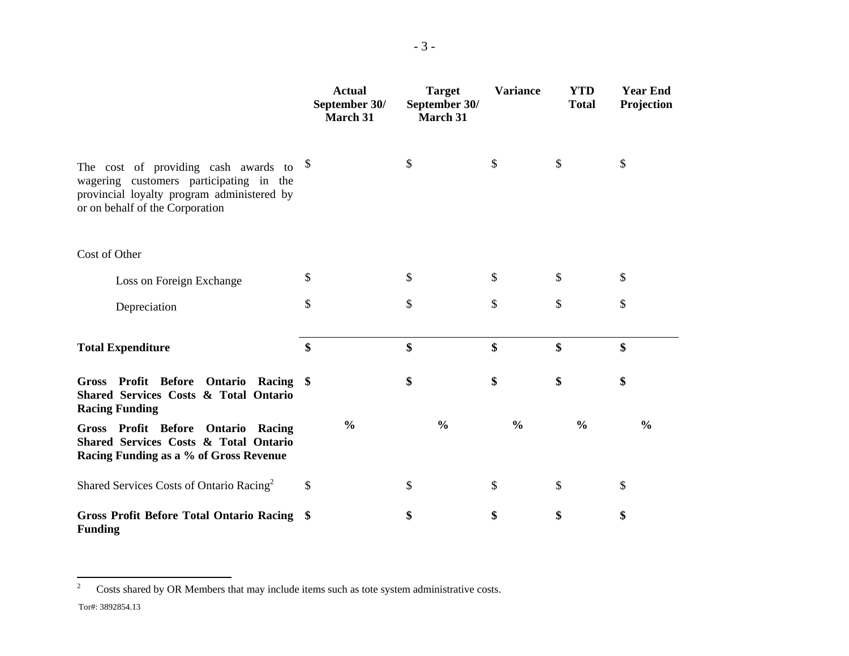|                                                                                                                                                                                | <b>Actual</b><br>September 30/<br>March 31 | <b>Target</b><br>September 30/<br>March 31 | <b>Variance</b> | <b>YTD</b><br><b>Total</b> | <b>Year End</b><br>Projection |
|--------------------------------------------------------------------------------------------------------------------------------------------------------------------------------|--------------------------------------------|--------------------------------------------|-----------------|----------------------------|-------------------------------|
| The cost of providing cash awards to $\frac{1}{3}$<br>wagering customers participating in the<br>provincial loyalty program administered by<br>or on behalf of the Corporation |                                            | \$                                         | \$              | \$                         | \$                            |
| Cost of Other                                                                                                                                                                  |                                            |                                            |                 |                            |                               |
| Loss on Foreign Exchange                                                                                                                                                       | \$                                         | \$                                         | \$              | \$                         | \$                            |
| Depreciation                                                                                                                                                                   | \$                                         | \$                                         | \$              | \$                         | \$                            |
| <b>Total Expenditure</b>                                                                                                                                                       | \$                                         | \$                                         | \$              | \$                         | \$                            |
| Gross Profit Before Ontario Racing \$<br>Shared Services Costs & Total Ontario<br><b>Racing Funding</b>                                                                        |                                            | \$                                         | \$              | \$                         | \$                            |
| Gross Profit Before Ontario Racing<br>Shared Services Costs & Total Ontario<br>Racing Funding as a % of Gross Revenue                                                          | $\frac{0}{0}$                              | $\frac{0}{0}$                              | $\frac{0}{0}$   | $\frac{0}{0}$              | $\frac{0}{0}$                 |
| Shared Services Costs of Ontario Racing <sup>2</sup>                                                                                                                           | \$                                         | \$                                         | \$              | \$                         | \$                            |
| Gross Profit Before Total Ontario Racing \$<br><b>Funding</b>                                                                                                                  |                                            | \$                                         | \$              | \$                         | \$                            |

<sup>&</sup>lt;sup>2</sup> Costs shared by OR Members that may include items such as tote system administrative costs.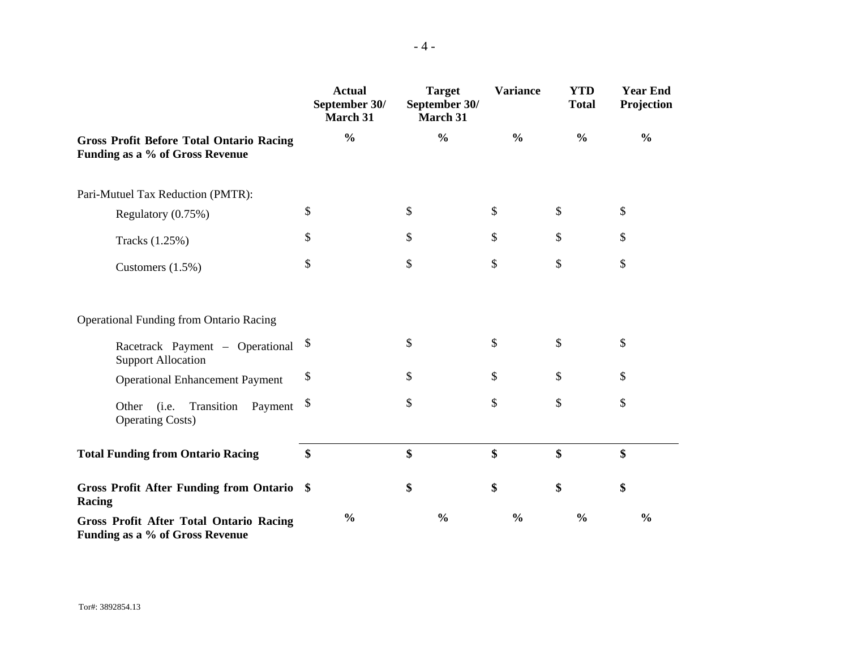|                                                                                    | <b>Actual</b><br>September 30/<br>March 31 | <b>Target</b><br>September 30/<br>March 31 | <b>Variance</b> | <b>YTD</b><br><b>Total</b> | <b>Year End</b><br>Projection |
|------------------------------------------------------------------------------------|--------------------------------------------|--------------------------------------------|-----------------|----------------------------|-------------------------------|
| <b>Gross Profit Before Total Ontario Racing</b><br>Funding as a % of Gross Revenue | $\frac{0}{0}$                              | $\frac{0}{0}$                              | $\frac{0}{0}$   | $\frac{0}{0}$              | $\frac{0}{0}$                 |
| Pari-Mutuel Tax Reduction (PMTR):                                                  |                                            |                                            |                 |                            |                               |
| Regulatory (0.75%)                                                                 | \$                                         | \$                                         | \$              | \$                         | \$                            |
| Tracks (1.25%)                                                                     | \$                                         | \$                                         | \$              | \$                         | \$                            |
| Customers (1.5%)                                                                   | \$                                         | \$                                         | \$              | \$                         | \$                            |
| <b>Operational Funding from Ontario Racing</b>                                     |                                            |                                            |                 |                            |                               |
| Racetrack Payment – Operational<br><b>Support Allocation</b>                       | \$                                         | \$                                         | \$              | \$                         | \$                            |
| <b>Operational Enhancement Payment</b>                                             | \$                                         | \$                                         | \$              | \$                         | \$                            |
| Transition<br>(i.e.<br>Payment<br>Other<br><b>Operating Costs)</b>                 | \$                                         | \$                                         | \$              | \$                         | \$                            |
| <b>Total Funding from Ontario Racing</b>                                           | \$                                         | \$                                         | \$              | \$                         | \$                            |
| Gross Profit After Funding from Ontario \$<br>Racing                               |                                            | \$                                         | \$              | \$                         | \$                            |
| <b>Gross Profit After Total Ontario Racing</b><br>Funding as a % of Gross Revenue  | $\frac{0}{0}$                              | $\frac{0}{0}$                              | $\frac{0}{0}$   | $\frac{0}{0}$              | $\frac{0}{0}$                 |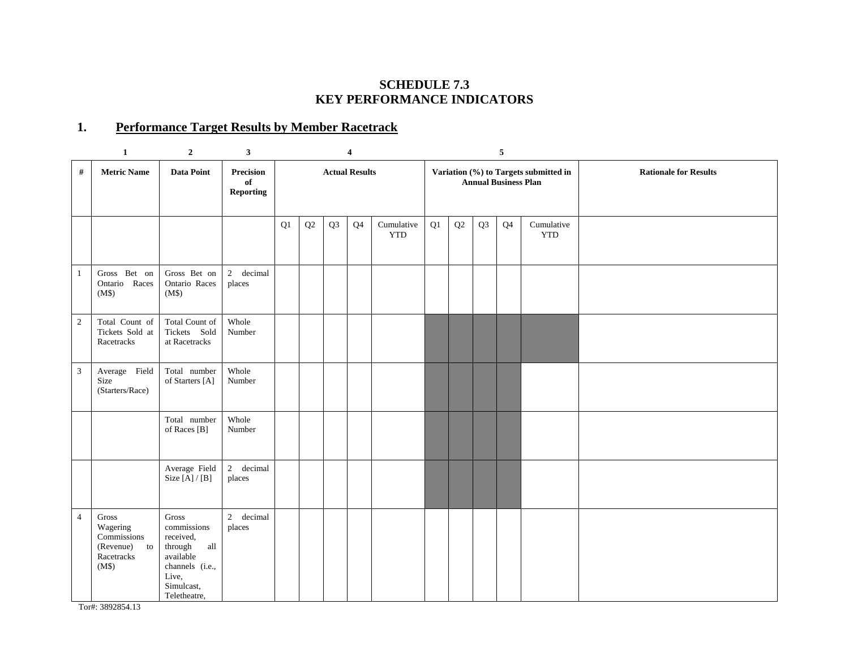#### **SCHEDULE 7.3 KEY PERFORMANCE INDICATORS**

# **1. Performance Target Results by Member Racetrack**

|                | $\mathbf{1}$                                                                     | $\overline{2}$                                                                                                                        | 3 <sup>1</sup>                             |    |    |                       | $\overline{\mathbf{4}}$ |                          |                                                                      |    |    | 5              |                          |                              |
|----------------|----------------------------------------------------------------------------------|---------------------------------------------------------------------------------------------------------------------------------------|--------------------------------------------|----|----|-----------------------|-------------------------|--------------------------|----------------------------------------------------------------------|----|----|----------------|--------------------------|------------------------------|
| #              | <b>Metric Name</b>                                                               | <b>Data Point</b>                                                                                                                     | <b>Precision</b><br>of<br><b>Reporting</b> |    |    | <b>Actual Results</b> |                         |                          | Variation (%) to Targets submitted in<br><b>Annual Business Plan</b> |    |    |                |                          | <b>Rationale for Results</b> |
|                |                                                                                  |                                                                                                                                       |                                            | Q1 | Q2 | Q <sub>3</sub>        | Q <sub>4</sub>          | Cumulative<br><b>YTD</b> | Q1                                                                   | Q2 | Q3 | Q <sub>4</sub> | Cumulative<br><b>YTD</b> |                              |
| $\mathbf{1}$   | Gross Bet on<br>Ontario Races<br>(M\$)                                           | Gross Bet on<br>Ontario Races<br>(M\$)                                                                                                | 2 decimal<br>places                        |    |    |                       |                         |                          |                                                                      |    |    |                |                          |                              |
| $\sqrt{2}$     | Total Count of<br>Tickets Sold at<br>Racetracks                                  | Total Count of<br>Tickets Sold<br>at Racetracks                                                                                       | Whole<br>Number                            |    |    |                       |                         |                          |                                                                      |    |    |                |                          |                              |
| $\mathfrak{Z}$ | Average Field<br>Size<br>(Starters/Race)                                         | Total number<br>of Starters [A]                                                                                                       | Whole<br>Number                            |    |    |                       |                         |                          |                                                                      |    |    |                |                          |                              |
|                |                                                                                  | Total number<br>of Races [B]                                                                                                          | Whole<br>Number                            |    |    |                       |                         |                          |                                                                      |    |    |                |                          |                              |
|                |                                                                                  | Average Field<br>Size $[A]/[B]$                                                                                                       | 2 decimal<br>places                        |    |    |                       |                         |                          |                                                                      |    |    |                |                          |                              |
| $\overline{4}$ | $\rm Gross$<br>Wagering<br>Commissions<br>(Revenue)<br>to<br>Racetracks<br>(M\$) | Gross<br>commissions<br>received,<br>$\mathbf{all}$<br>through<br>available<br>channels (i.e.,<br>Live,<br>Simulcast,<br>Teletheatre, | 2 decimal<br>places                        |    |    |                       |                         |                          |                                                                      |    |    |                |                          |                              |

Tor#: 3892854.13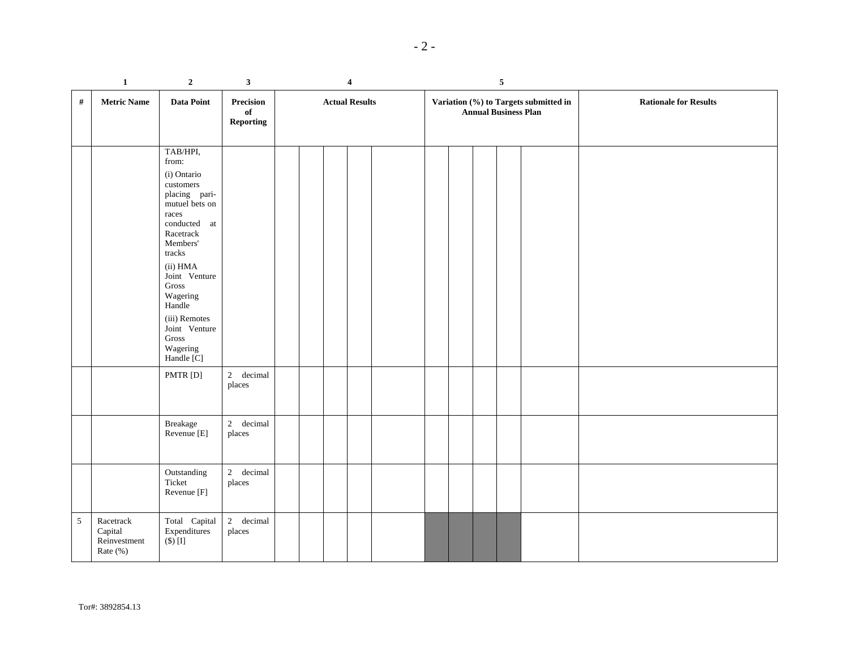|--|--|

|            | $\mathbf{1}$                                     | $\boldsymbol{2}$                                                                                                                                                                                                                                                                  | $\mathbf{3}$                            |  | $\overline{\mathbf{4}}$ |  | $\sqrt{5}$                                                           |  |  |  |  |                              |
|------------|--------------------------------------------------|-----------------------------------------------------------------------------------------------------------------------------------------------------------------------------------------------------------------------------------------------------------------------------------|-----------------------------------------|--|-------------------------|--|----------------------------------------------------------------------|--|--|--|--|------------------------------|
| #          | <b>Metric Name</b>                               | Data Point                                                                                                                                                                                                                                                                        | Precision<br>$\mathbf{of}$<br>Reporting |  | <b>Actual Results</b>   |  | Variation (%) to Targets submitted in<br><b>Annual Business Plan</b> |  |  |  |  | <b>Rationale for Results</b> |
|            |                                                  | TAB/HPI,<br>from:<br>(i) Ontario<br>$\cos$ tomers<br>placing pari-<br>mutuel bets on<br>races<br>conducted at<br>Racetrack<br>Members'<br>tracks<br>(ii) HMA<br>Joint Venture<br>Gross<br>Wagering<br>Handle<br>(iii) Remotes<br>Joint Venture<br>Gross<br>Wagering<br>Handle [C] |                                         |  |                         |  |                                                                      |  |  |  |  |                              |
|            |                                                  | PMTR [D]                                                                                                                                                                                                                                                                          | 2 decimal<br>places                     |  |                         |  |                                                                      |  |  |  |  |                              |
|            |                                                  | Breakage<br>Revenue [E]                                                                                                                                                                                                                                                           | 2 decimal<br>places                     |  |                         |  |                                                                      |  |  |  |  |                              |
|            |                                                  | Outstanding<br>Ticket<br>Revenue [F]                                                                                                                                                                                                                                              | 2 decimal<br>places                     |  |                         |  |                                                                      |  |  |  |  |                              |
| $\sqrt{5}$ | Racetrack<br>Capital<br>Reinvestment<br>Rate (%) | Total Capital<br>Expenditures<br>$(\$)$ [I]                                                                                                                                                                                                                                       | 2 decimal<br>places                     |  |                         |  |                                                                      |  |  |  |  |                              |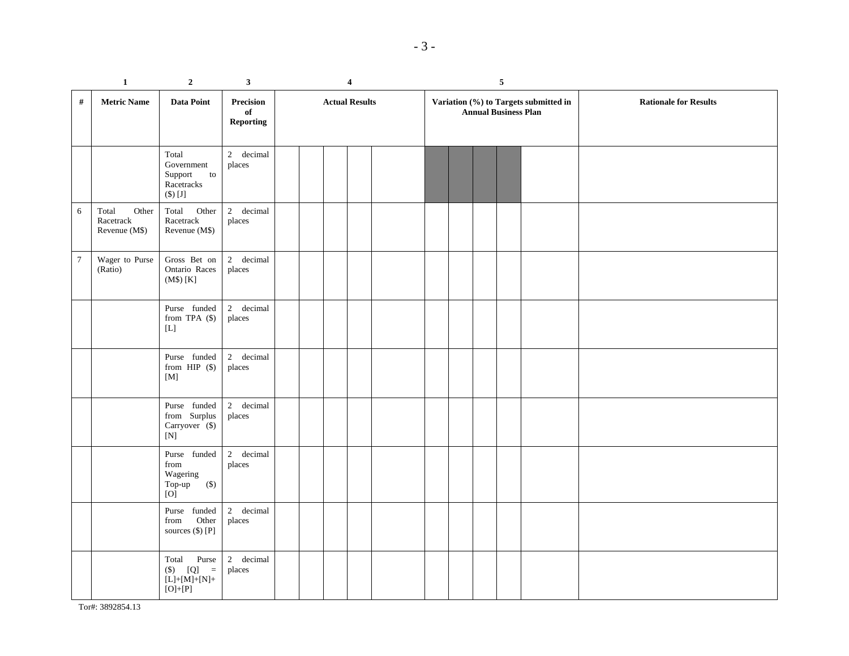|                | $\mathbf 1$                                  | $\boldsymbol{2}$                                                                                                                            | $\mathbf{3}$                        |                       | 4 |  |  | $\sqrt{5}$ |  |  |  |                             |                                       |                              |
|----------------|----------------------------------------------|---------------------------------------------------------------------------------------------------------------------------------------------|-------------------------------------|-----------------------|---|--|--|------------|--|--|--|-----------------------------|---------------------------------------|------------------------------|
| $\#$           | <b>Metric Name</b>                           | Data Point                                                                                                                                  | Precision<br>of<br><b>Reporting</b> | <b>Actual Results</b> |   |  |  |            |  |  |  | <b>Annual Business Plan</b> | Variation (%) to Targets submitted in | <b>Rationale for Results</b> |
|                |                                              | Total<br>Government<br>Support<br>$\,$ to<br>Racetracks<br>$(\$) [J]$                                                                       | 2 decimal<br>places                 |                       |   |  |  |            |  |  |  |                             |                                       |                              |
| 6              | Other<br>Total<br>Racetrack<br>Revenue (M\$) | Total<br>Other<br>Racetrack<br>Revenue (M\$)                                                                                                | 2 decimal<br>places                 |                       |   |  |  |            |  |  |  |                             |                                       |                              |
| $\overline{7}$ | Wager to Purse<br>(Ratio)                    | Gross Bet on<br>Ontario Races<br>(M\$) [K]                                                                                                  | 2 decimal<br>places                 |                       |   |  |  |            |  |  |  |                             |                                       |                              |
|                |                                              | Purse funded<br>from TPA $(\$)$<br>$[{\rm L}]$                                                                                              | 2 decimal<br>places                 |                       |   |  |  |            |  |  |  |                             |                                       |                              |
|                |                                              | Purse funded<br>from HIP $(\$)$<br>[M]                                                                                                      | 2 decimal<br>places                 |                       |   |  |  |            |  |  |  |                             |                                       |                              |
|                |                                              | Purse funded<br>${\rm from \quad Surplus}$<br>Carryover (\$)<br>$[{\rm N}]$                                                                 | 2 decimal<br>places                 |                       |   |  |  |            |  |  |  |                             |                                       |                              |
|                |                                              | Purse funded<br>from<br>Wagering<br>Top-up<br>$(\$)$<br>[O]                                                                                 | 2 decimal<br>places                 |                       |   |  |  |            |  |  |  |                             |                                       |                              |
|                |                                              | Purse funded<br>Other<br>from<br>sources (\$) [P]                                                                                           | 2 decimal<br>places                 |                       |   |  |  |            |  |  |  |                             |                                       |                              |
|                |                                              | Total Purse<br>$($ \$) $[$ Q] $=$<br>$\label{eq:decomposition} \text{[L]+[M]+[N]+}$<br>$\left[{\rm O}\right]{\rm{ + }}\left[{\rm P}\right]$ | 2 decimal<br>places                 |                       |   |  |  |            |  |  |  |                             |                                       |                              |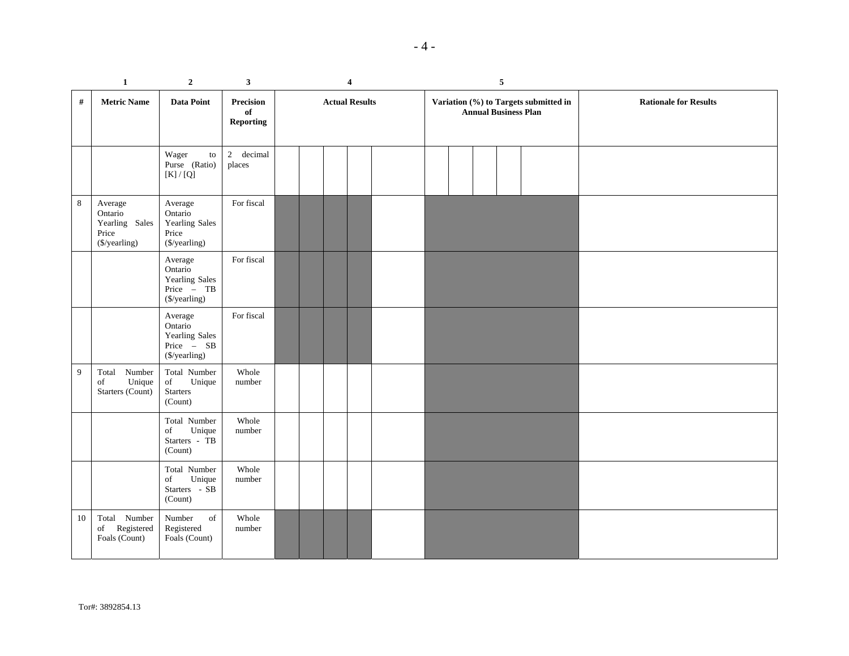|--|

|                | 1                                                              | $\boldsymbol{2}$                                                    | 3                                   | 4                     |  |  |  |  | 5 |                             |                                       |                              |
|----------------|----------------------------------------------------------------|---------------------------------------------------------------------|-------------------------------------|-----------------------|--|--|--|--|---|-----------------------------|---------------------------------------|------------------------------|
| #              | <b>Metric Name</b>                                             | Data Point                                                          | Precision<br>of<br><b>Reporting</b> | <b>Actual Results</b> |  |  |  |  |   | <b>Annual Business Plan</b> | Variation (%) to Targets submitted in | <b>Rationale for Results</b> |
|                |                                                                | Wager<br>to<br>Purse (Ratio)<br>$[K]/[Q]$                           | 2 decimal<br>places                 |                       |  |  |  |  |   |                             |                                       |                              |
| $\,8\,$        | Average<br>Ontario<br>Yearling Sales<br>Price<br>(\$/yearling) | Average<br>Ontario<br>Yearling Sales<br>Price<br>(\$/yearling)      | For fiscal                          |                       |  |  |  |  |   |                             |                                       |                              |
|                |                                                                | Average<br>Ontario<br>Yearling Sales<br>Price - TB<br>(\$/yearling) | For fiscal                          |                       |  |  |  |  |   |                             |                                       |                              |
|                |                                                                | Average<br>Ontario<br>Yearling Sales<br>Price - SB<br>(\$/yearling) | For fiscal                          |                       |  |  |  |  |   |                             |                                       |                              |
| $\overline{9}$ | Total Number<br>Unique<br>of<br>Starters (Count)               | Total Number<br>Unique<br>of<br>Starters<br>(Count)                 | Whole<br>number                     |                       |  |  |  |  |   |                             |                                       |                              |
|                |                                                                | Total Number<br>Unique<br>of<br>Starters - TB<br>(Count)            | Whole<br>number                     |                       |  |  |  |  |   |                             |                                       |                              |
|                |                                                                | Total Number<br>Unique<br>of<br>Starters - SB<br>(Count)            | Whole<br>number                     |                       |  |  |  |  |   |                             |                                       |                              |
| 10             | Total Number<br>Registered<br>of<br>Foals (Count)              | Number<br>of<br>Registered<br>Foals (Count)                         | Whole<br>number                     |                       |  |  |  |  |   |                             |                                       |                              |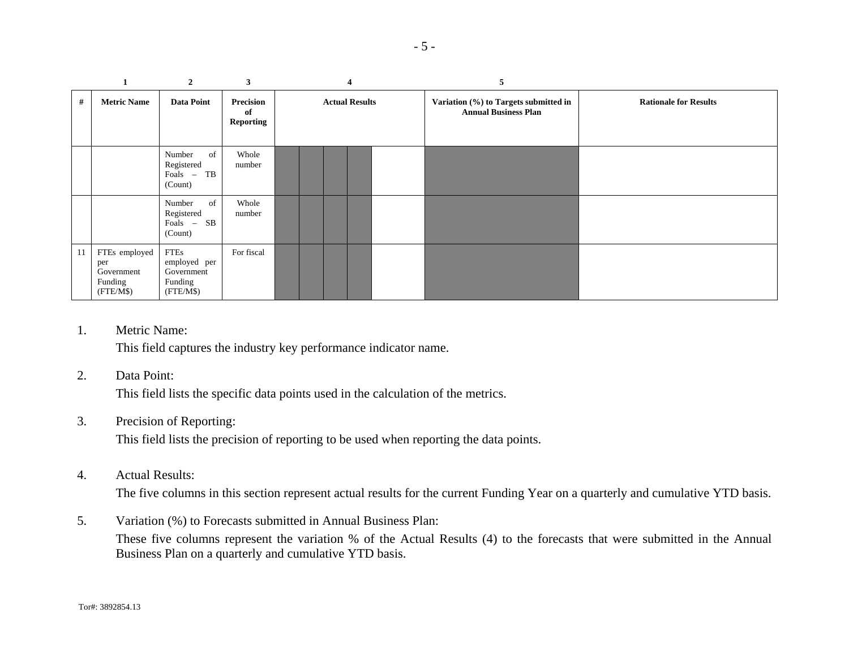|    | $\mathbf{1}$                                               | $\overline{2}$                                                    | 3                            |                       |  |  | 4 | 5                                                                    |                              |
|----|------------------------------------------------------------|-------------------------------------------------------------------|------------------------------|-----------------------|--|--|---|----------------------------------------------------------------------|------------------------------|
| #  | <b>Metric Name</b>                                         | <b>Data Point</b>                                                 | Precision<br>of<br>Reporting | <b>Actual Results</b> |  |  |   | Variation (%) to Targets submitted in<br><b>Annual Business Plan</b> | <b>Rationale for Results</b> |
|    |                                                            | Number<br>of<br>Registered<br>Foals - TB<br>(Count)               | Whole<br>number              |                       |  |  |   |                                                                      |                              |
|    |                                                            | Number<br>of<br>Registered<br>Foals - SB<br>(Count)               | Whole<br>number              |                       |  |  |   |                                                                      |                              |
| 11 | FTEs employed<br>per<br>Government<br>Funding<br>(FTE/M\$) | <b>FTEs</b><br>employed per<br>Government<br>Funding<br>(FTE/M\$) | For fiscal                   |                       |  |  |   |                                                                      |                              |

1.Metric Name:

This field captures the industry key performance indicator name.

#### 2.Data Point:

This field lists the specific data points used in the calculation of the metrics.

#### 3.Precision of Reporting:

This field lists the precision of reporting to be used when reporting the data points.

#### 4.Actual Results:

The five columns in this section represent actual results for the current Funding Year on a quarterly and cumulative YTD basis.

5. Variation (%) to Forecasts submitted in Annual Business Plan: These five columns represent the variation % of the Actual Results (4) to the forecasts that were submitted in the Annual Business Plan on a quarterly and cumulative YTD basis.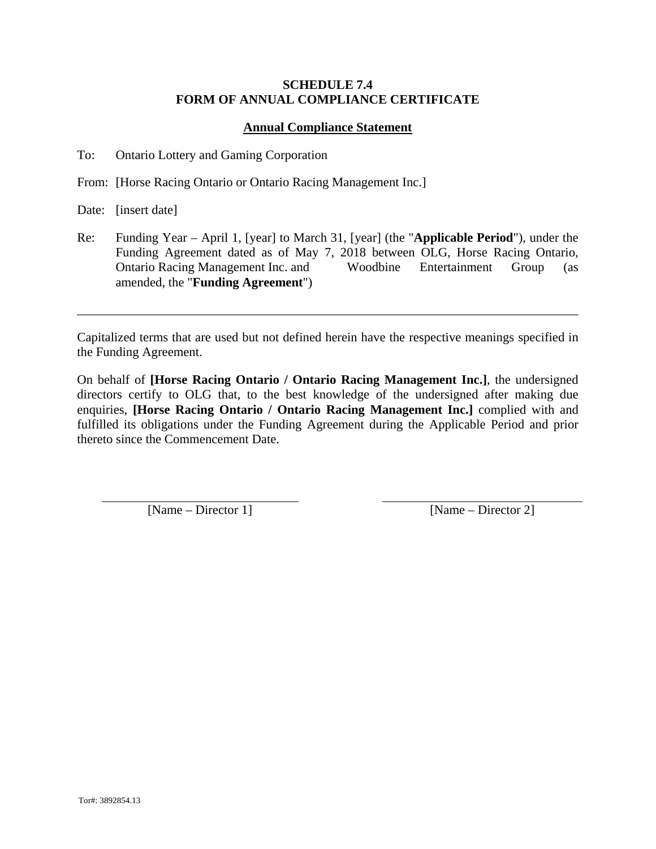### **SCHEDULE 7.4 FORM OF ANNUAL COMPLIANCE CERTIFICATE**

## **Annual Compliance Statement**

To: Ontario Lottery and Gaming Corporation

From: [Horse Racing Ontario or Ontario Racing Management Inc.]

Date: [insert date]

Re: Funding Year – April 1, [year] to March 31, [year] (the "**Applicable Period**"), under the Funding Agreement dated as of May 7, 2018 between OLG, Horse Racing Ontario, Ontario Racing Management Inc. and Woodbine Entertainment Group (as amended, the "**Funding Agreement**")

Capitalized terms that are used but not defined herein have the respective meanings specified in the Funding Agreement.

\_\_\_\_\_\_\_\_\_\_\_\_\_\_\_\_\_\_\_\_\_\_\_\_\_\_\_\_\_\_\_\_\_\_\_\_\_\_\_\_\_\_\_\_\_\_\_\_\_\_\_\_\_\_\_\_\_\_\_\_\_\_\_\_\_\_\_\_\_\_\_\_\_\_\_\_\_\_

On behalf of **[Horse Racing Ontario / Ontario Racing Management Inc.]**, the undersigned directors certify to OLG that, to the best knowledge of the undersigned after making due enquiries, **[Horse Racing Ontario / Ontario Racing Management Inc.]** complied with and fulfilled its obligations under the Funding Agreement during the Applicable Period and prior thereto since the Commencement Date.

[Name – Director 1] [Name – Director 2]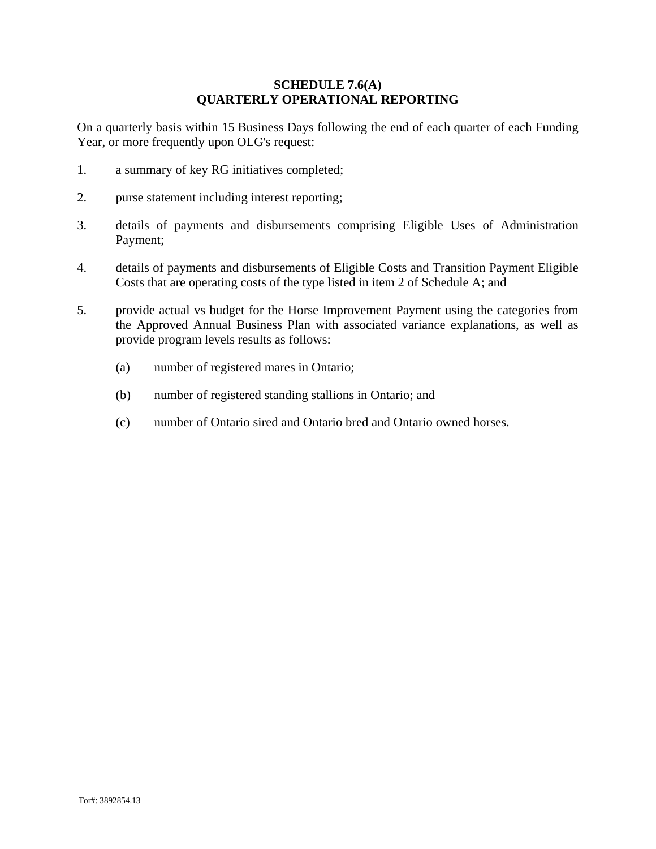### **SCHEDULE 7.6(A) QUARTERLY OPERATIONAL REPORTING**

On a quarterly basis within 15 Business Days following the end of each quarter of each Funding Year, or more frequently upon OLG's request:

- 1. a summary of key RG initiatives completed;
- 2. purse statement including interest reporting;
- 3. details of payments and disbursements comprising Eligible Uses of Administration Payment;
- 4. details of payments and disbursements of Eligible Costs and Transition Payment Eligible Costs that are operating costs of the type listed in item 2 of Schedule A; and
- 5. provide actual vs budget for the Horse Improvement Payment using the categories from the Approved Annual Business Plan with associated variance explanations, as well as provide program levels results as follows:
	- (a) number of registered mares in Ontario;
	- (b) number of registered standing stallions in Ontario; and
	- (c) number of Ontario sired and Ontario bred and Ontario owned horses.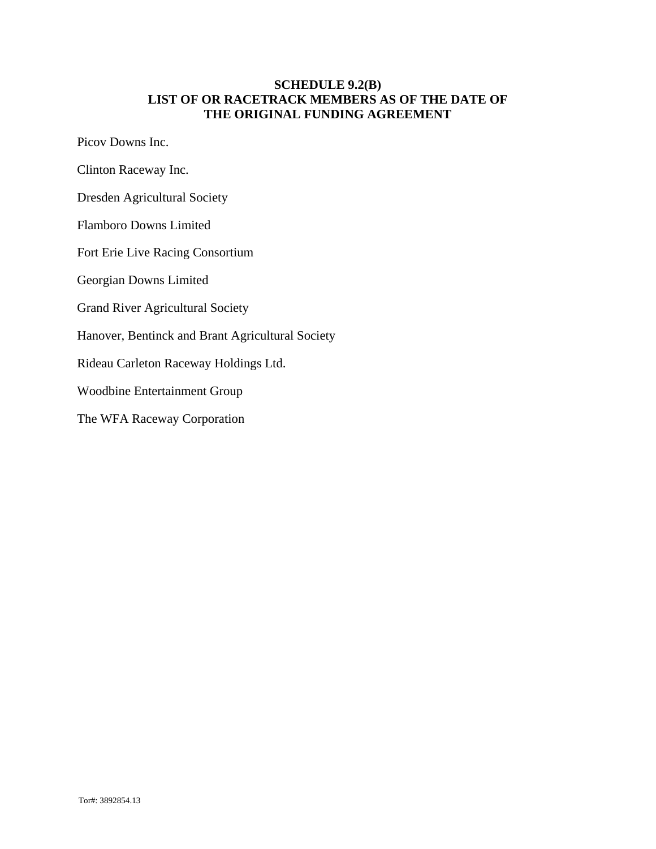### **SCHEDULE 9.2(B) LIST OF OR RACETRACK MEMBERS AS OF THE DATE OF THE ORIGINAL FUNDING AGREEMENT**

Picov Downs Inc.

- Clinton Raceway Inc.
- Dresden Agricultural Society
- Flamboro Downs Limited
- Fort Erie Live Racing Consortium
- Georgian Downs Limited
- Grand River Agricultural Society
- Hanover, Bentinck and Brant Agricultural Society
- Rideau Carleton Raceway Holdings Ltd.
- Woodbine Entertainment Group
- The WFA Raceway Corporation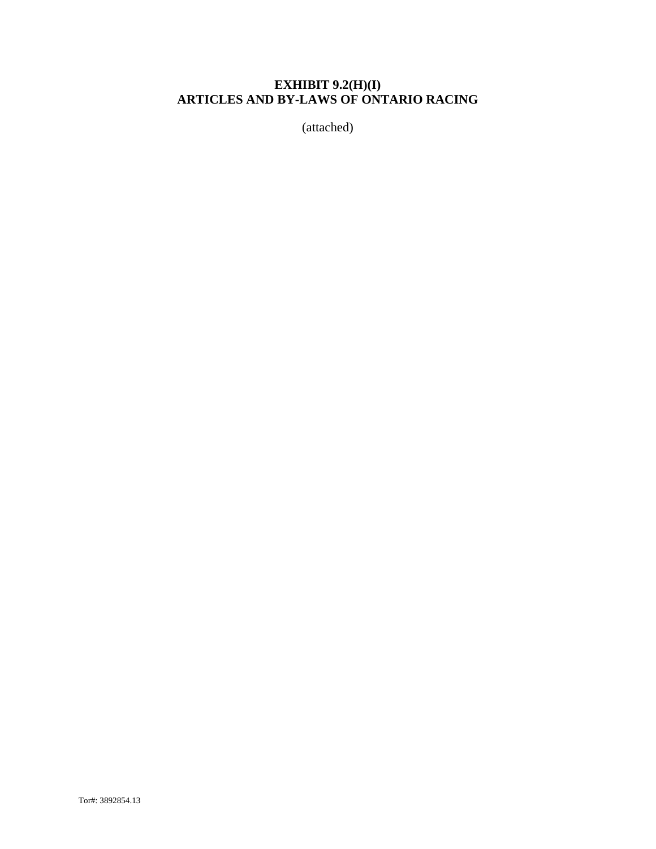# **EXHIBIT 9.2(H)(I) ARTICLES AND BY-LAWS OF ONTARIO RACING**

(attached)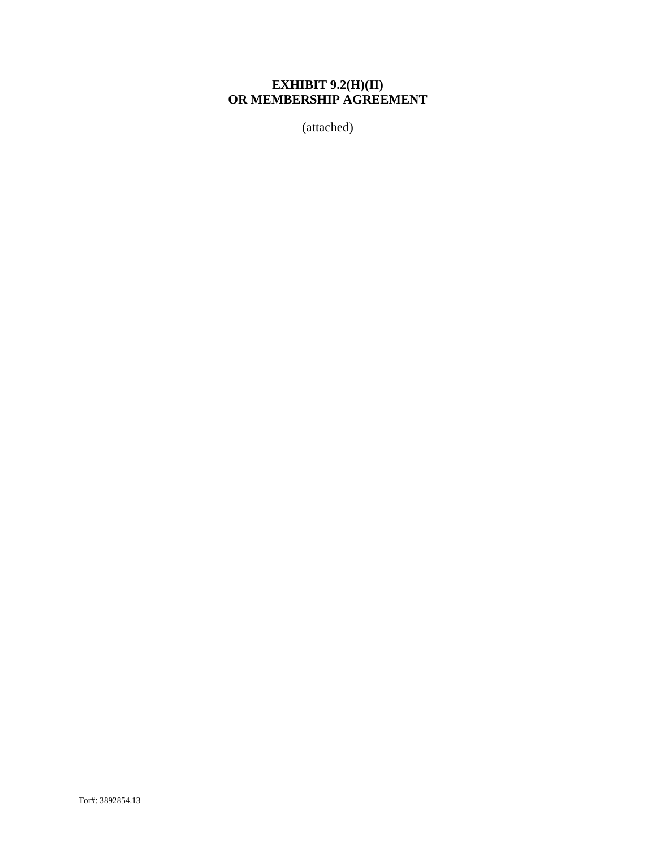# **EXHIBIT 9.2(H)(II) OR MEMBERSHIP AGREEMENT**

(attached)